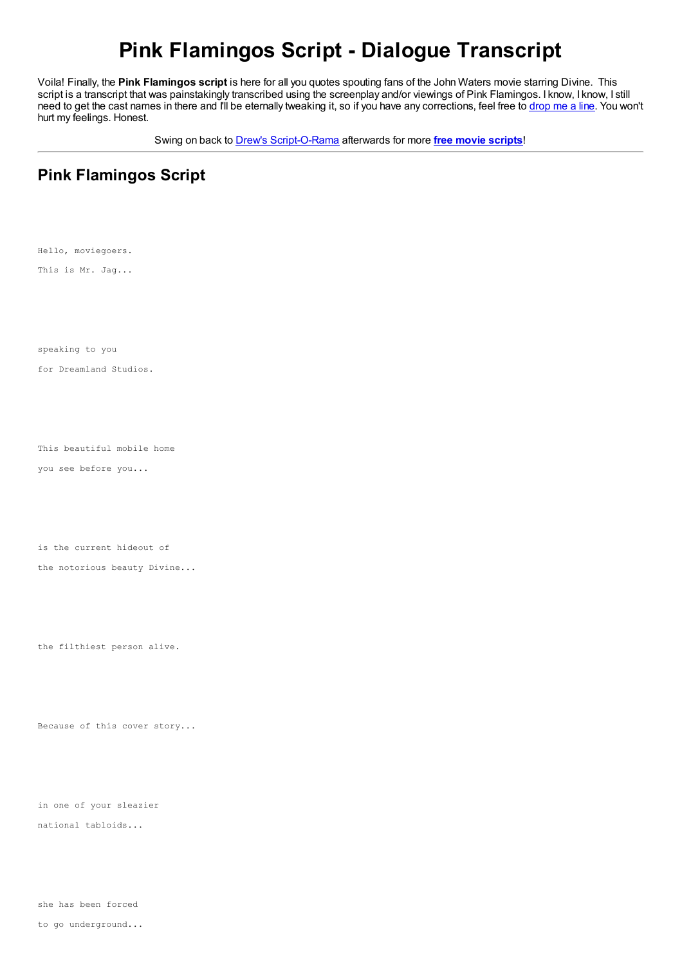# **Pink Flamingos Script - Dialogue Transcript**

Voila! Finally, the **Pink Flamingos script** is here for all you quotes spouting fans of the John Waters movie starring Divine. This script is a transcript that was painstakingly transcribed using the screenplay and/or viewings of Pink Flamingos. I know, I know, I still need to get the cast names in there and I'll be eternally tweaking it, so if you have any corrections, feel free to [drop](http://www.script-o-rama.com/contact.shtml) me a line. You won't hurt my feelings. Honest.

Swing on back to Drew's [Script-O-Rama](http://www.script-o-rama.com/oldindex.shtml) afterwards for more **free movie [scripts](http://www.script-o-rama.com)**!

## **Pink Flamingos Script**

Hello, moviegoers.

This is Mr. Jag...

speaking to you

for Dreamland Studios.

This beautiful mobile home

you see before you...

is the current hideout of

the notorious beauty Divine...

the filthiest person alive.

Because of this cover story...

in one of your sleazier

national tabloids...

she has been forced

to go underground...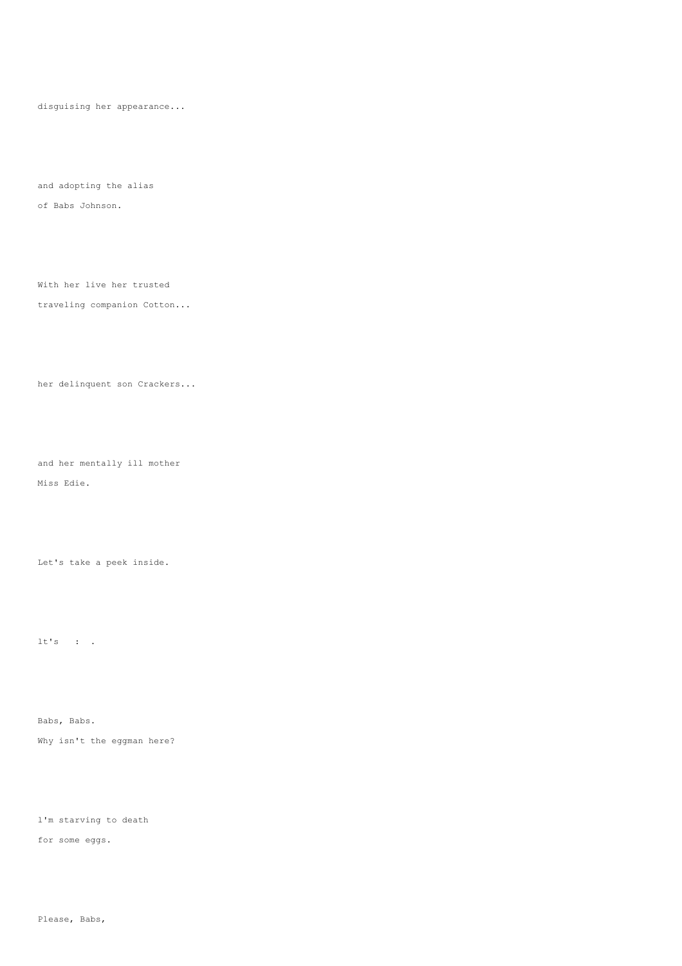disguising her appearance...

and adopting the alias of Babs Johnson.

With her live her trusted

### traveling companion Cotton...

#### her delinquent son Crackers...

and her mentally ill mother Miss Edie.

Let's take a peek inside.

lt's : .

Babs, Babs. Why isn't the eggman here?

l'm starving to death

for some eggs.

Please, Babs,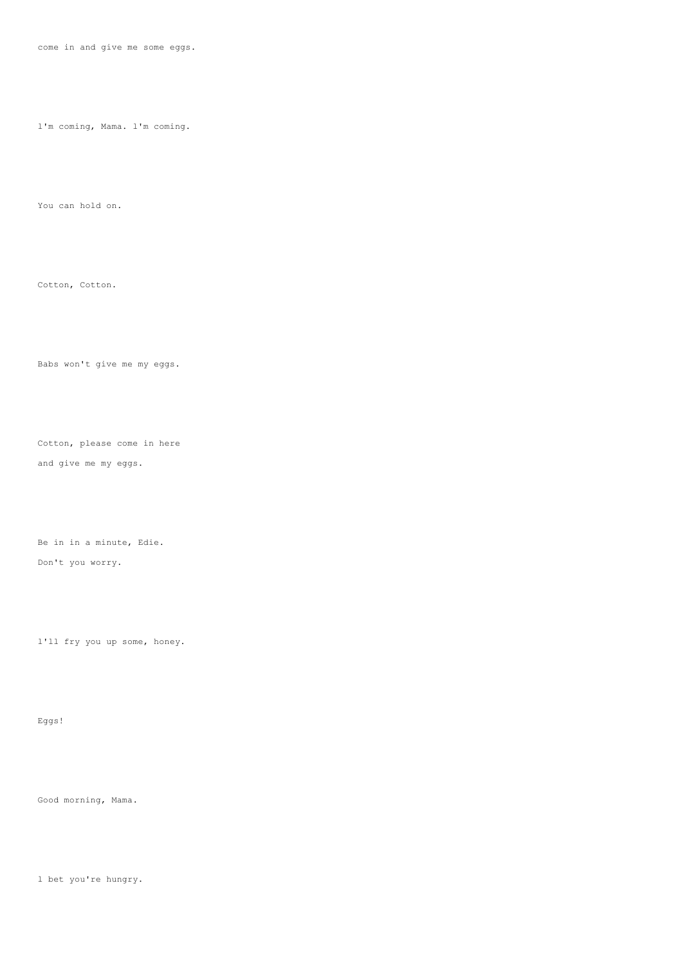come in and give me some eggs.

l'm coming, Mama. l'm coming.

You can hold on.

Cotton, Cotton.

Babs won't give me my eggs.

Cotton, please come in here

and give me my eggs.

Be in in a minute, Edie. Don't you worry.

l'll fry you up some, honey.

Eggs!

Good morning, Mama.

l bet you're hungry.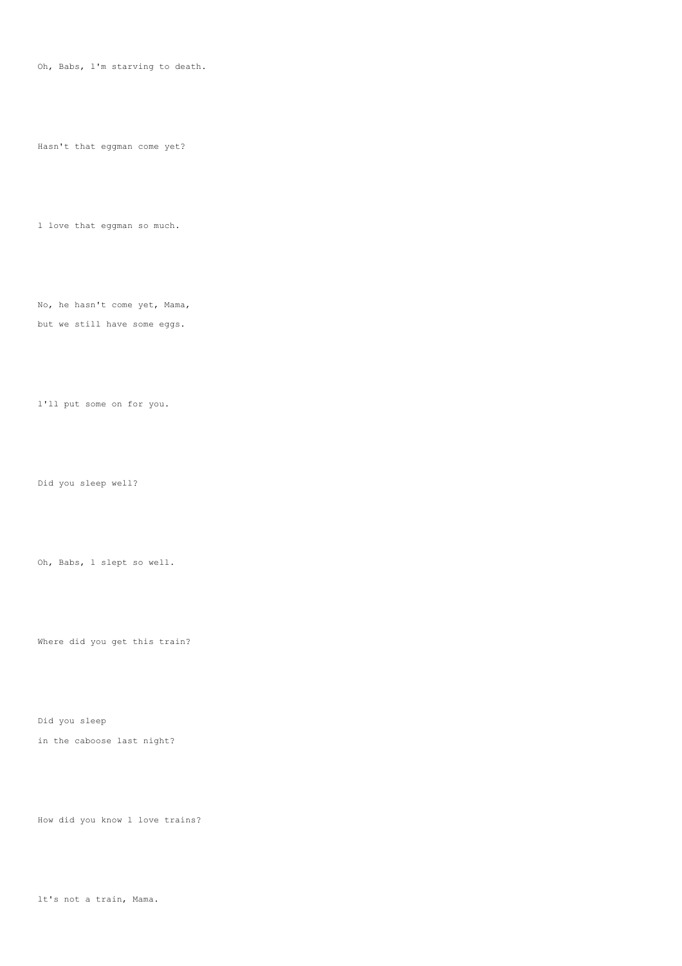Oh, Babs, l'm starving to death.

Hasn't that eggman come yet?

l love that eggman so much.

No, he hasn't come yet, Mama, but we still have some eggs.

l'll put some on for you.

Did you sleep well?

Oh, Babs, l slept so well.

Where did you get this train?

Did you sleep

in the caboose last night?

How did you know l love trains?

lt's not a train, Mama.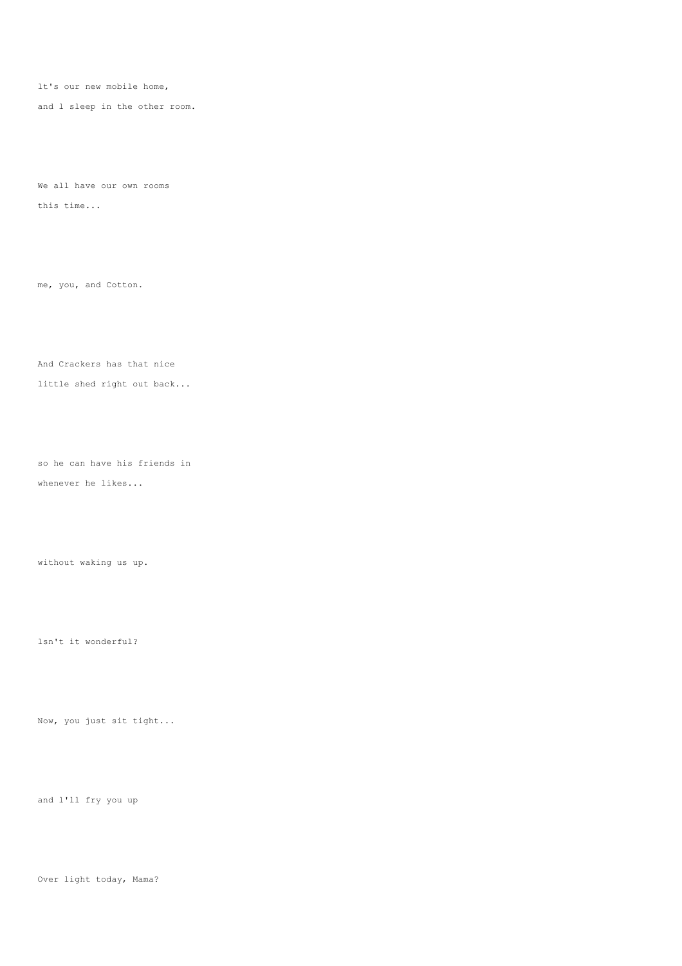lt's our new mobile home,

and l sleep in the other room.

We all have our own rooms this time...

me, you, and Cotton.

And Crackers has that nice little shed right out back...

so he can have his friends in whenever he likes...

without waking us up.

lsn't it wonderful?

Now, you just sit tight...

and l'll fry you up

Over light today, Mama?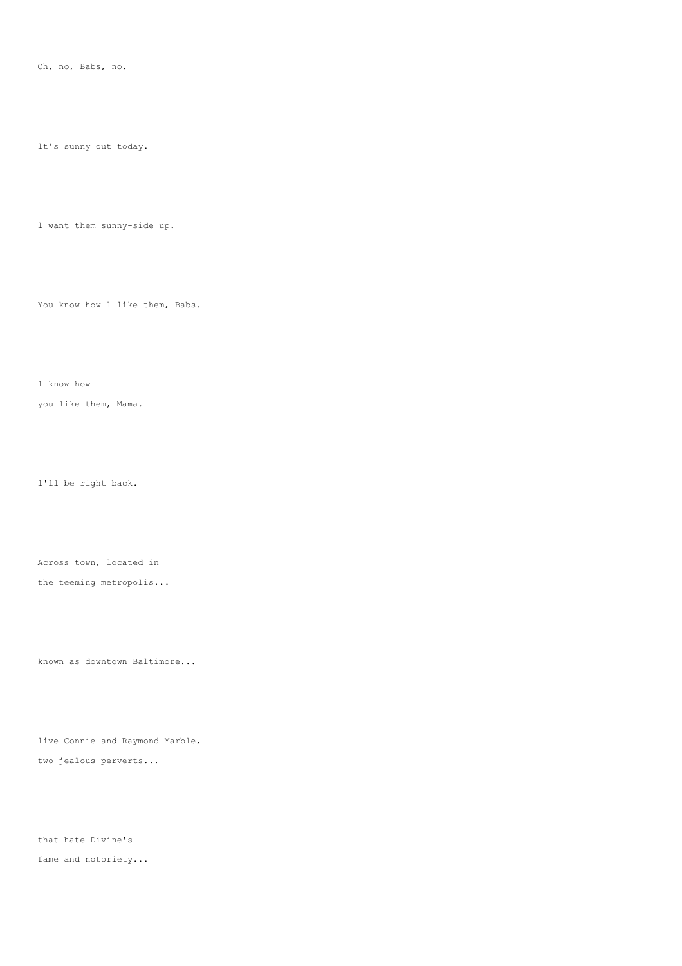Oh, no, Babs, no.

lt's sunny out today.

l want them sunny-side up.

You know how 1 like them, Babs.

l know how

you like them, Mama.

l'll be right back.

Across town, located in

the teeming metropolis...

known as downtown Baltimore...

live Connie and Raymond Marble,

two jealous perverts...

that hate Divine's fame and notoriety...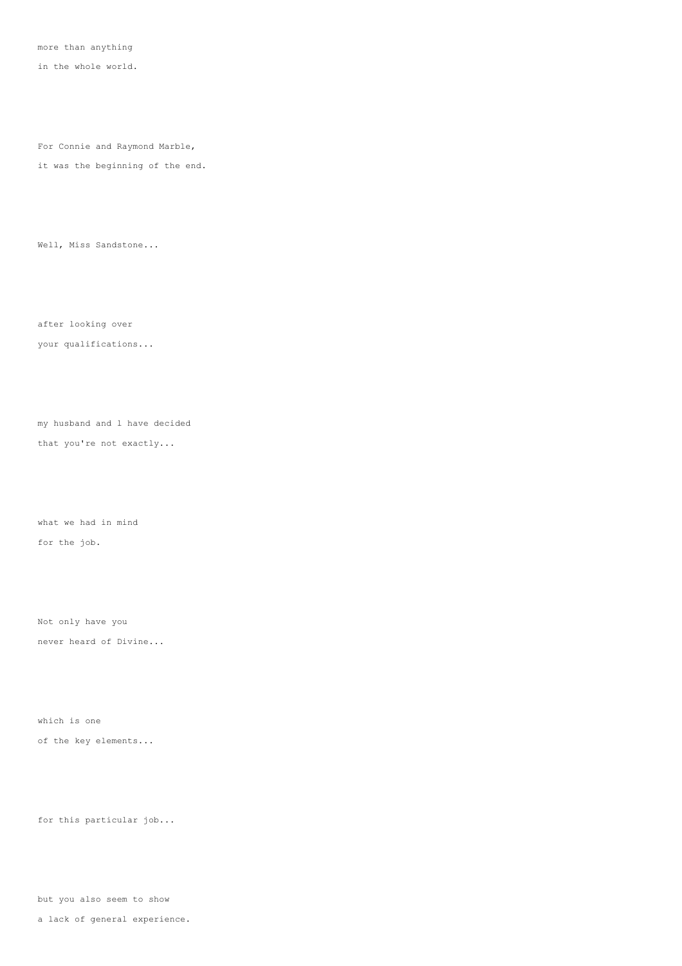more than anything

in the whole world.

For Connie and Raymond Marble,

it was the beginning of the end.

Well, Miss Sandstone...

after looking over your qualifications...

my husband and l have decided

that you're not exactly...

what we had in mind for the job.

Not only have you never heard of Divine...

which is one of the key elements...

for this particular job...

but you also seem to show

a lack of general experience.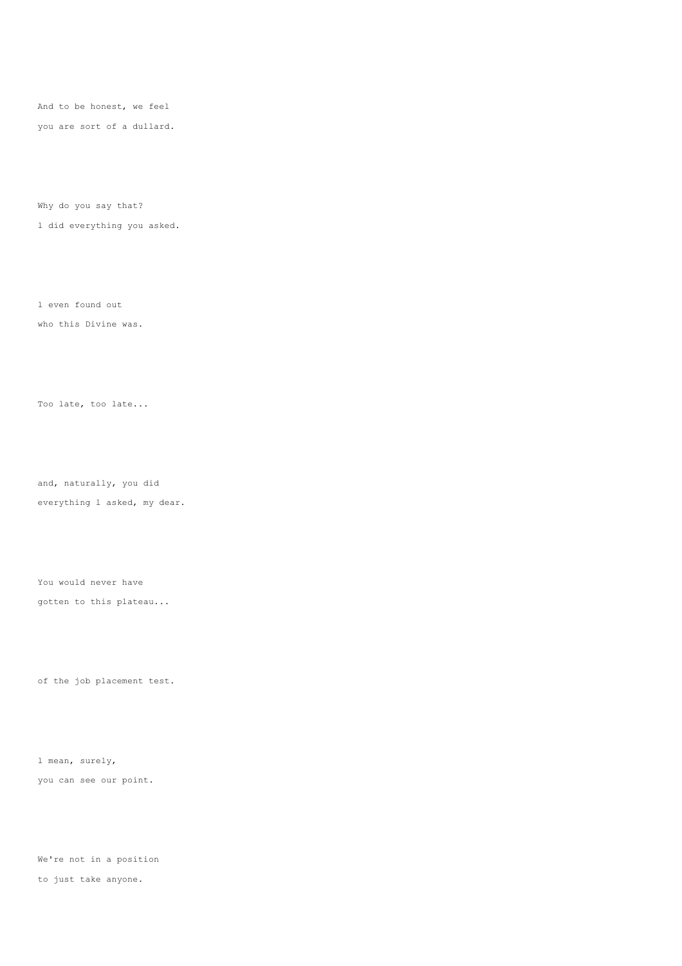And to be honest, we feel you are sort of a dullard.

Why do you say that?

l did everything you asked.

l even found out who this Divine was.

Too late, too late...

and, naturally, you did everything l asked, my dear.

You would never have gotten to this plateau...

of the job placement test.

l mean, surely, you can see our point.

We're not in a position to just take anyone.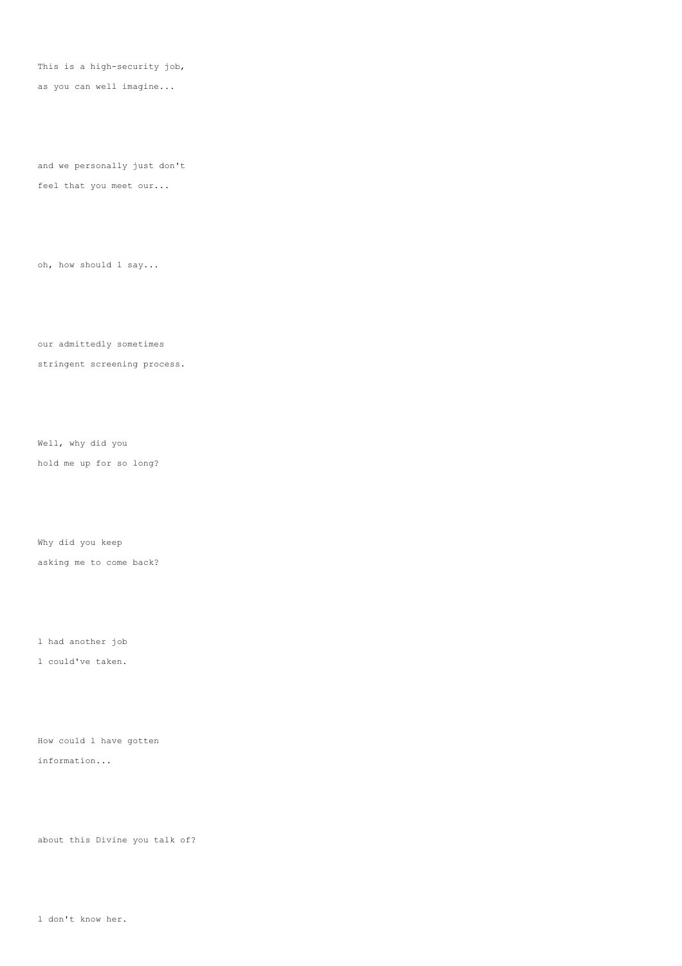This is a high-security job,

as you can well imagine...

and we personally just don't feel that you meet our...

oh, how should l say...

our admittedly sometimes stringent screening process.

Well, why did you hold me up for so long?

Why did you keep asking me to come back?

l had another job

l could've taken.

How could l have gotten information...

about this Divine you talk of?

l don't know her.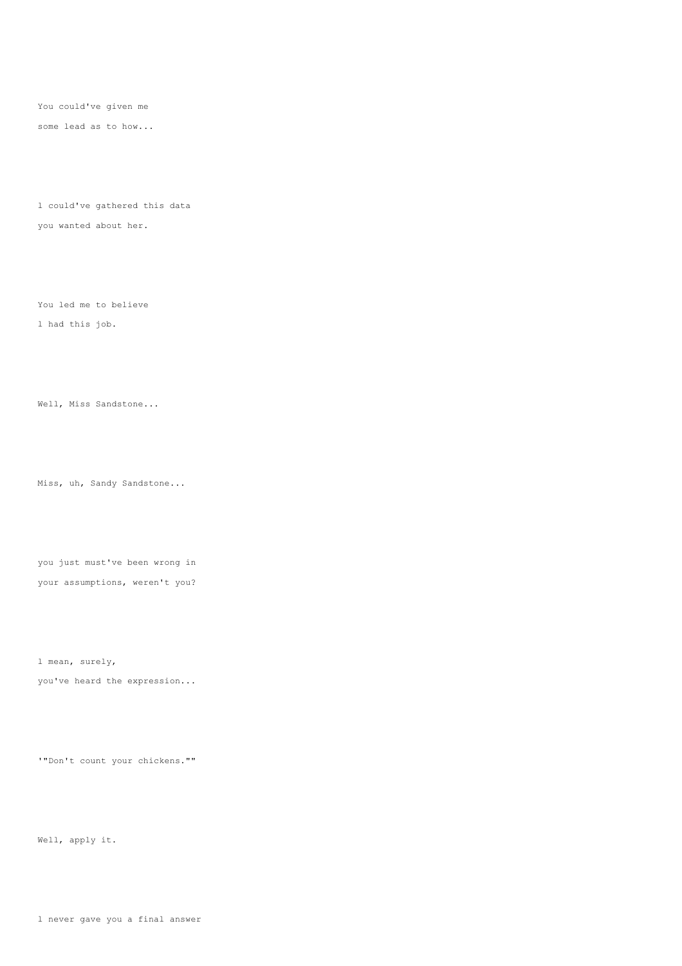You could've given me

some lead as to how...

l could've gathered this data you wanted about her.

You led me to believe

l had this job.

Well, Miss Sandstone...

Miss, uh, Sandy Sandstone...

you just must've been wrong in your assumptions, weren't you?

l mean, surely,

you've heard the expression...

'"Don't count your chickens.""

Well, apply it.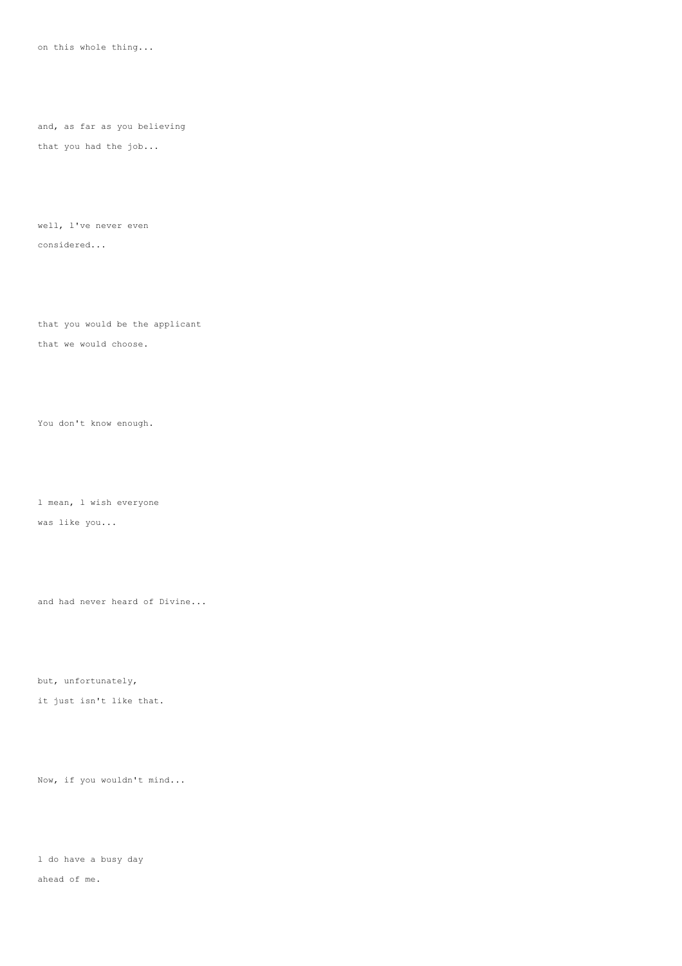on this whole thing...

and, as far as you believing that you had the job...

well, l've never even considered...

that you would be the applicant that we would choose.

You don't know enough.

l mean, l wish everyone was like you...

and had never heard of Divine...

but, unfortunately,

it just isn't like that.

Now, if you wouldn't mind...

l do have a busy day

ahead of me.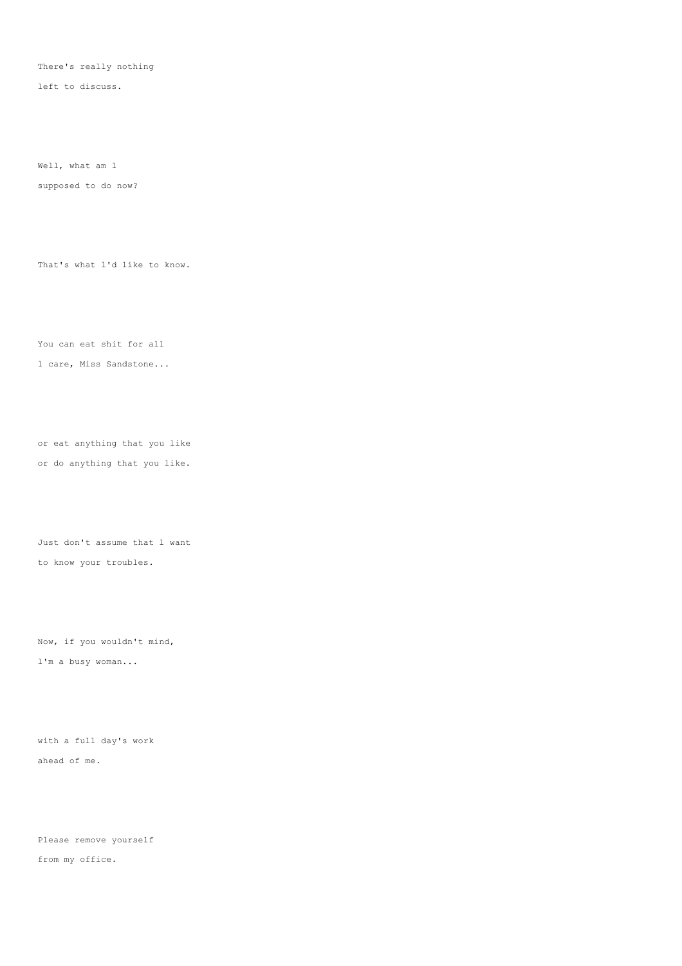There's really nothing

left to discuss.

Well, what am l

supposed to do now?

That's what l'd like to know.

You can eat shit for all l care, Miss Sandstone...

or eat anything that you like or do anything that you like.

Just don't assume that l want to know your troubles.

Now, if you wouldn't mind, l'm a busy woman...

with a full day's work ahead of me.

Please remove yourself from my office.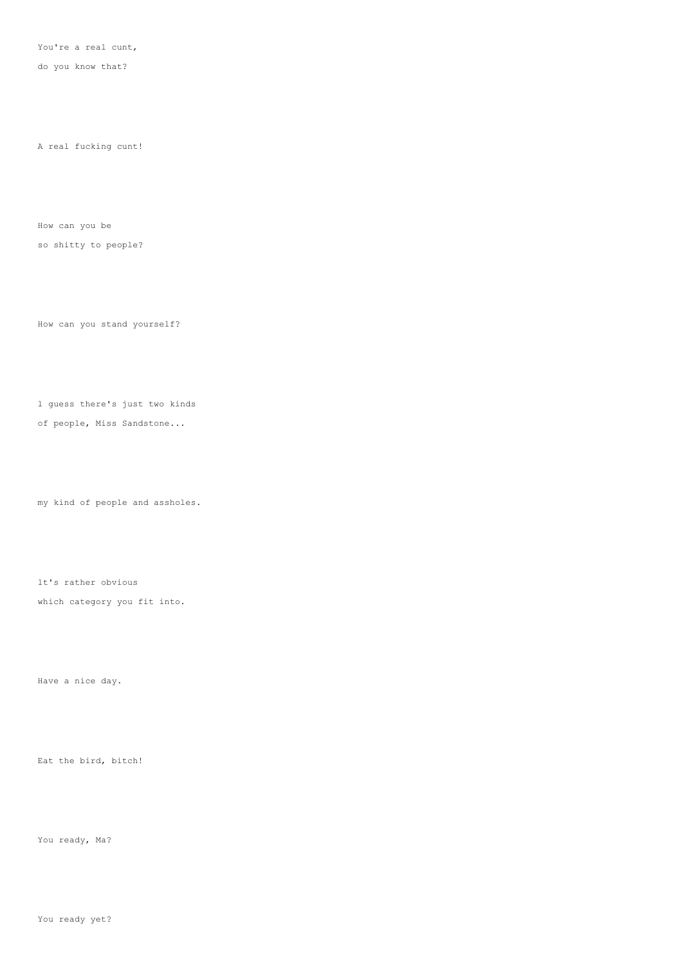You're a real cunt,

do you know that?

A real fucking cunt!

How can you be

so shitty to people?

How can you stand yourself?

l guess there's just two kinds

of people, Miss Sandstone...

my kind of people and assholes.

lt's rather obvious

which category you fit into.

Have a nice day.

Eat the bird, bitch!

You ready, Ma?

You ready yet?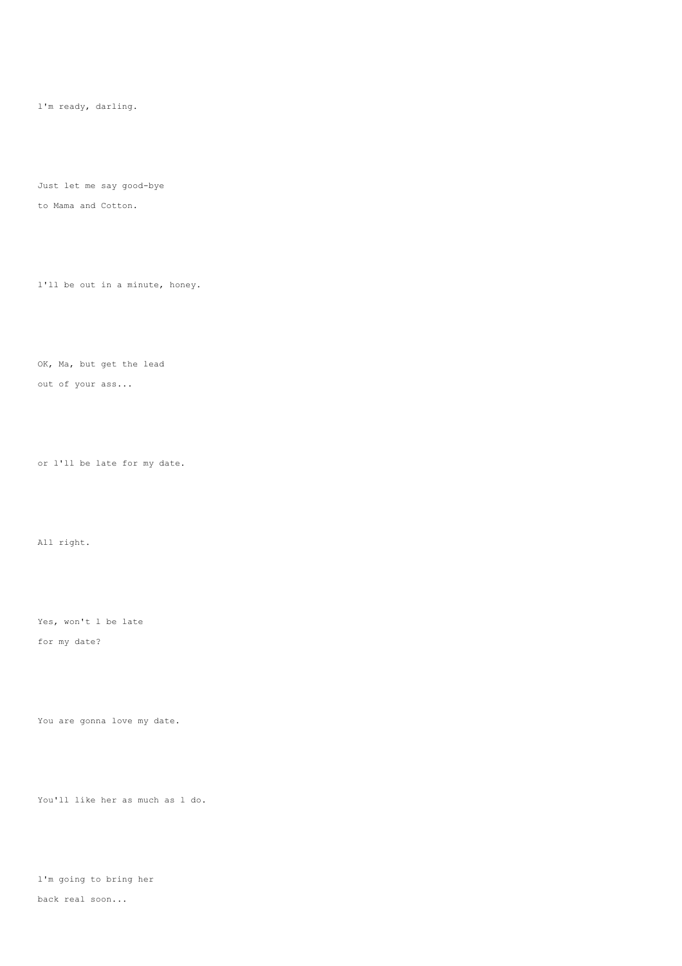l'm ready, darling.

Just let me say good-bye to Mama and Cotton.

l'll be out in a minute, honey.

OK, Ma, but get the lead out of your ass...

or l'll be late for my date.

All right.

Yes, won't l be late for my date?

You are gonna love my date.

You'll like her as much as l do.

l'm going to bring her back real soon...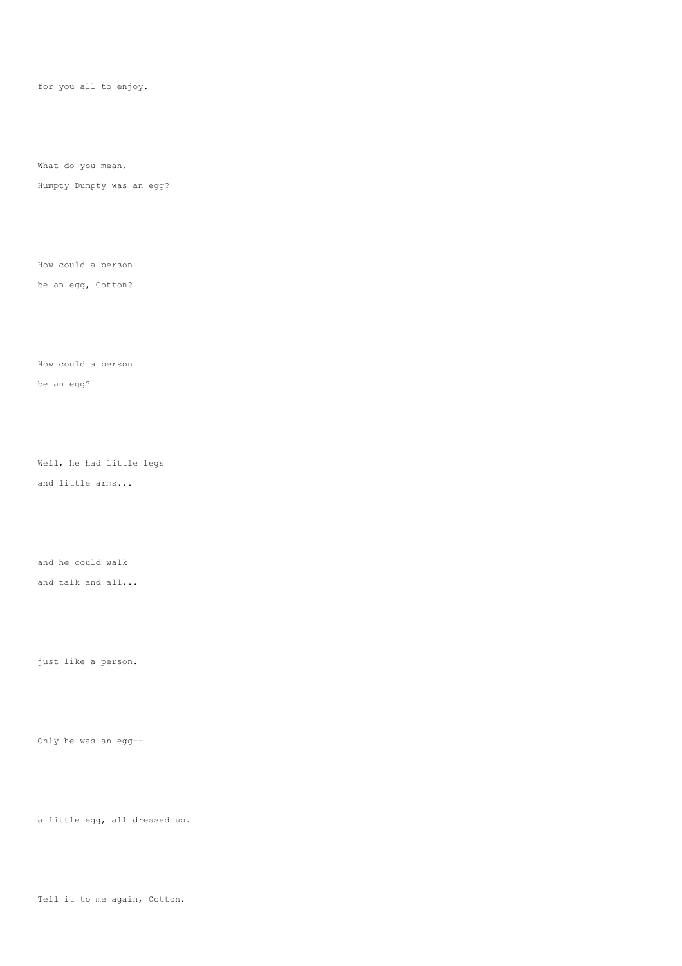for you all to enjoy.

What do you mean,

Humpty Dumpty was an egg?

How could a person

be an egg, Cotton?

How could a person

be an egg?

Well, he had little legs and little arms...

and he could walk

and talk and all...

just like a person.

Only he was an egg--

a little egg, all dressed up.

Tell it to me again, Cotton.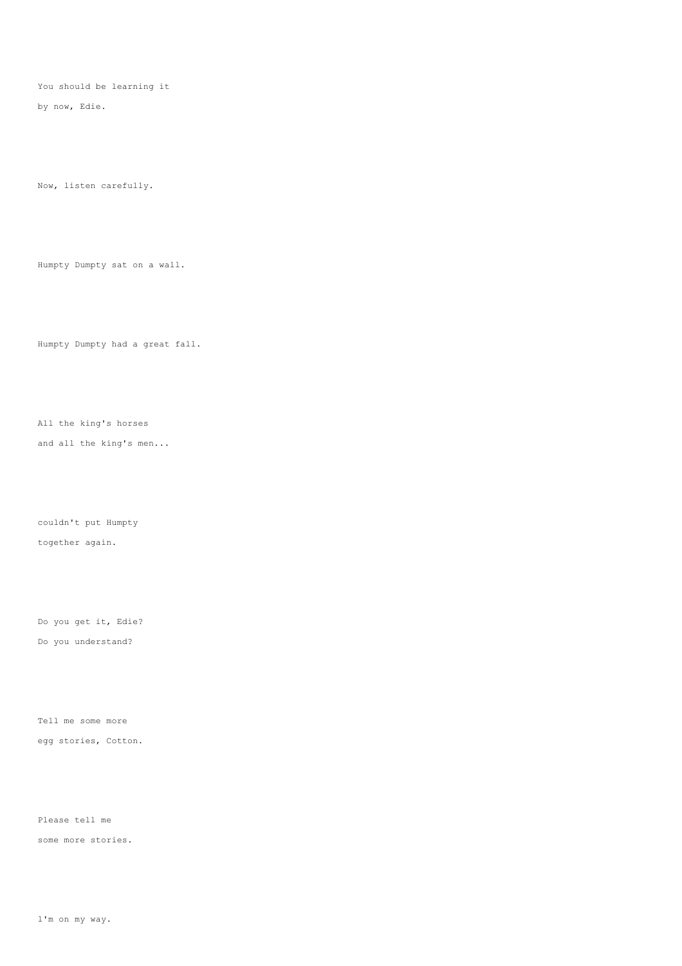You should be learning it

by now, Edie.

Now, listen carefully.

Humpty Dumpty sat on a wall.

Humpty Dumpty had a great fall.

All the king's horses

and all the king's men...

couldn't put Humpty together again.

Do you get it, Edie? Do you understand?

Tell me some more egg stories, Cotton.

Please tell me

some more stories.

l'm on my way.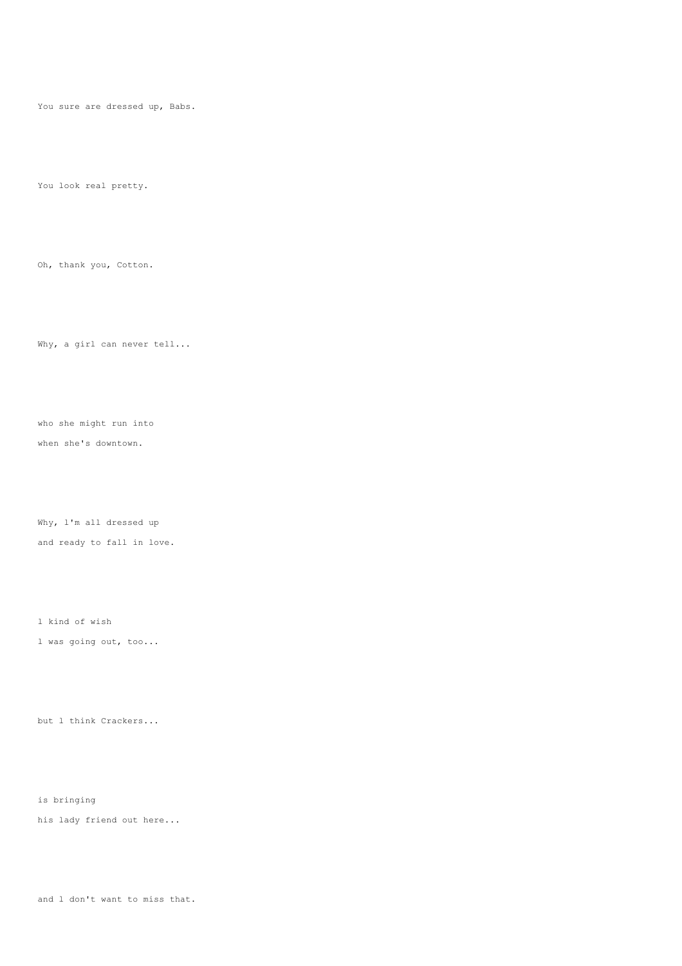You sure are dressed up, Babs.

You look real pretty.

Oh, thank you, Cotton.

Why, a girl can never tell...

who she might run into when she's downtown.

Why, l'm all dressed up and ready to fall in love.

l kind of wish

l was going out, too...

but l think Crackers...

is bringing

his lady friend out here...

and l don't want to miss that.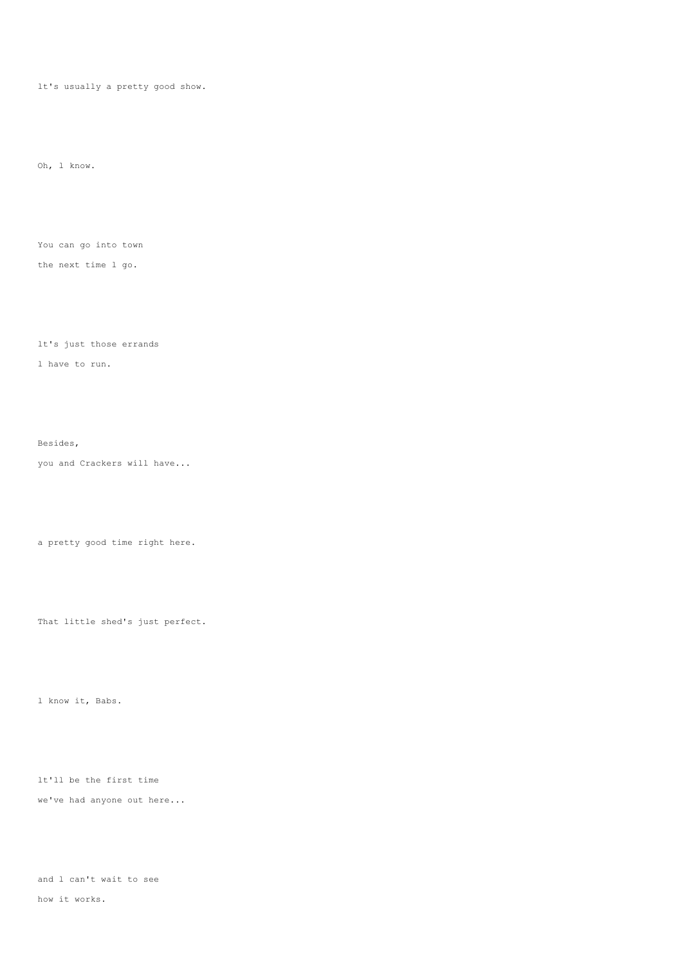lt's usually a pretty good show.

Oh, l know.

You can go into town the next time l go.

lt's just those errands l have to run.

Besides, you and Crackers will have...

a pretty good time right here.

That little shed's just perfect.

l know it, Babs.

lt'll be the first time we've had anyone out here...

and l can't wait to see how it works.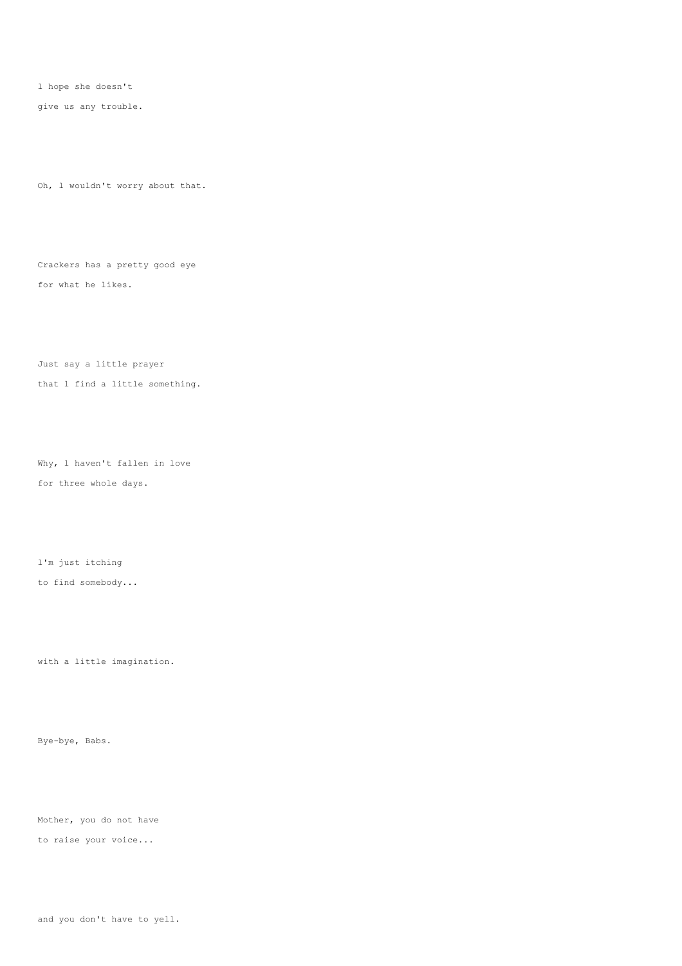l hope she doesn't

give us any trouble.

Oh, l wouldn't worry about that.

Crackers has a pretty good eye for what he likes.

Just say a little prayer that l find a little something.

Why, l haven't fallen in love for three whole days.

l'm just itching

to find somebody...

with a little imagination.

Bye-bye, Babs.

Mother, you do not have

to raise your voice...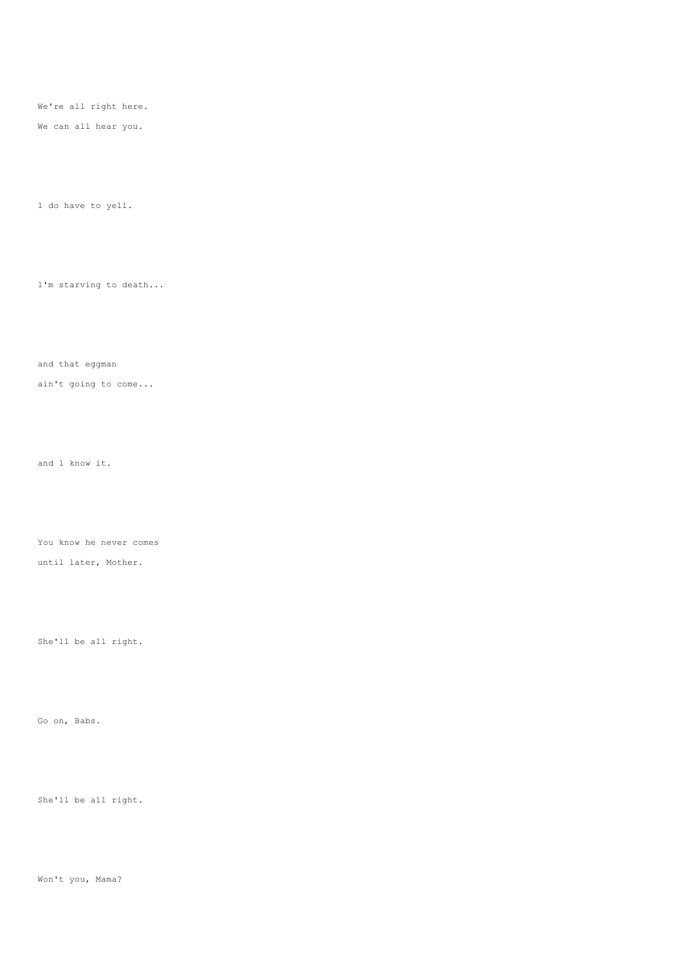We're all right here.

We can all hear you.

l do have to yell.

l'm starving to death...

and that eggman

ain't going to come...

and l know it.

You know he never comes

until later, Mother.

She'll be all right.

Go on, Babs.

She'll be all right.

Won't you, Mama?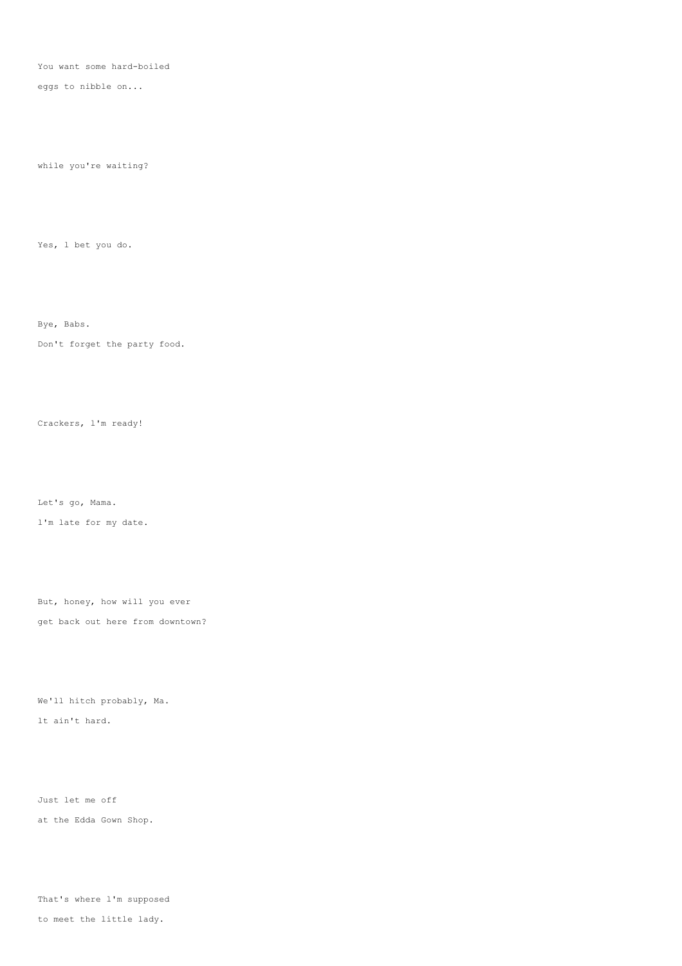You want some hard-boiled

eggs to nibble on...

while you're waiting?

Yes, l bet you do.

Bye, Babs.

Don't forget the party food.

Crackers, l'm ready!

Let's go, Mama. l'm late for my date.

But, honey, how will you ever get back out here from downtown?

We'll hitch probably, Ma. lt ain't hard.

Just let me off at the Edda Gown Shop.

That's where l'm supposed

to meet the little lady.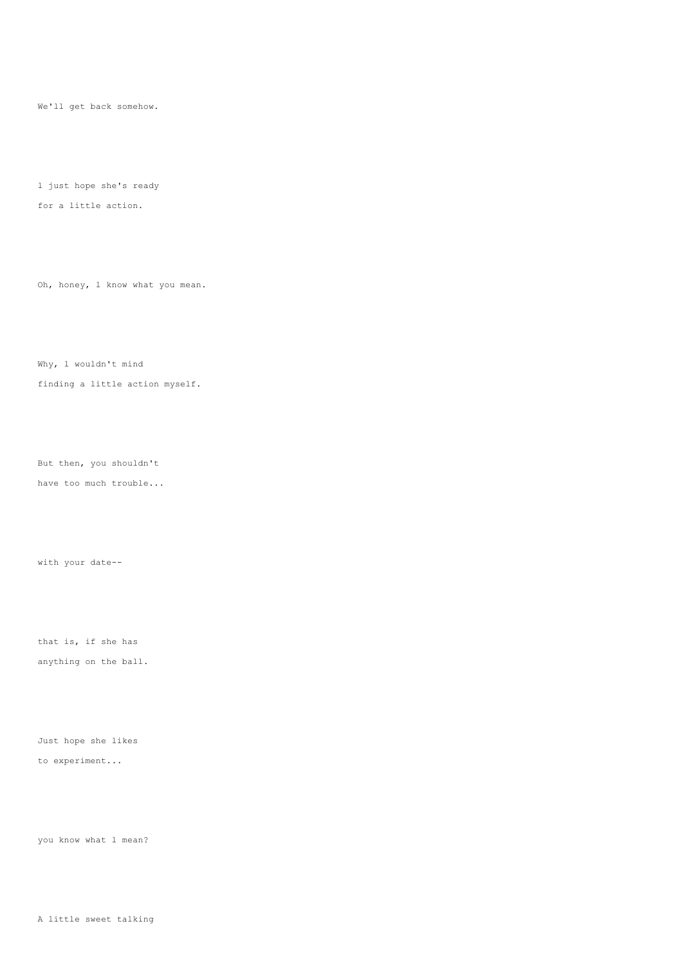We'll get back somehow.

l just hope she's ready

for a little action.

Oh, honey, l know what you mean.

Why, l wouldn't mind

finding a little action myself.

But then, you shouldn't

have too much trouble...

with your date--

that is, if she has

anything on the ball.

Just hope she likes to experiment...

you know what l mean?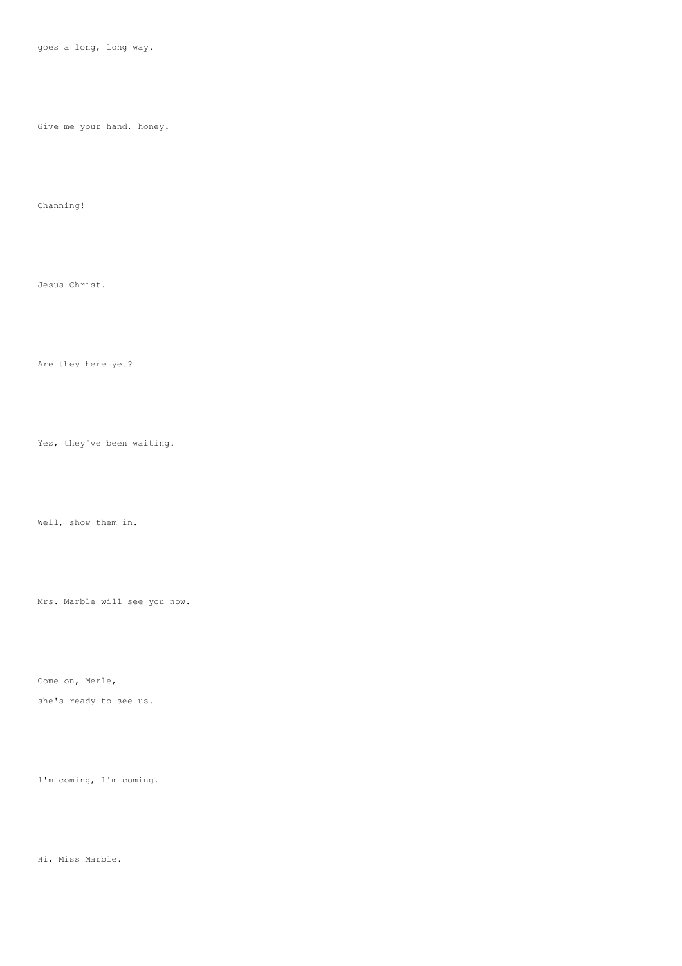goes a long, long way.

Give me your hand, honey.

Channing!

Jesus Christ.

Are they here yet?

Yes, they've been waiting.

Well, show them in.

Mrs. Marble will see you now.

Come on, Merle,

she's ready to see us.

l'm coming, l'm coming.

Hi, Miss Marble.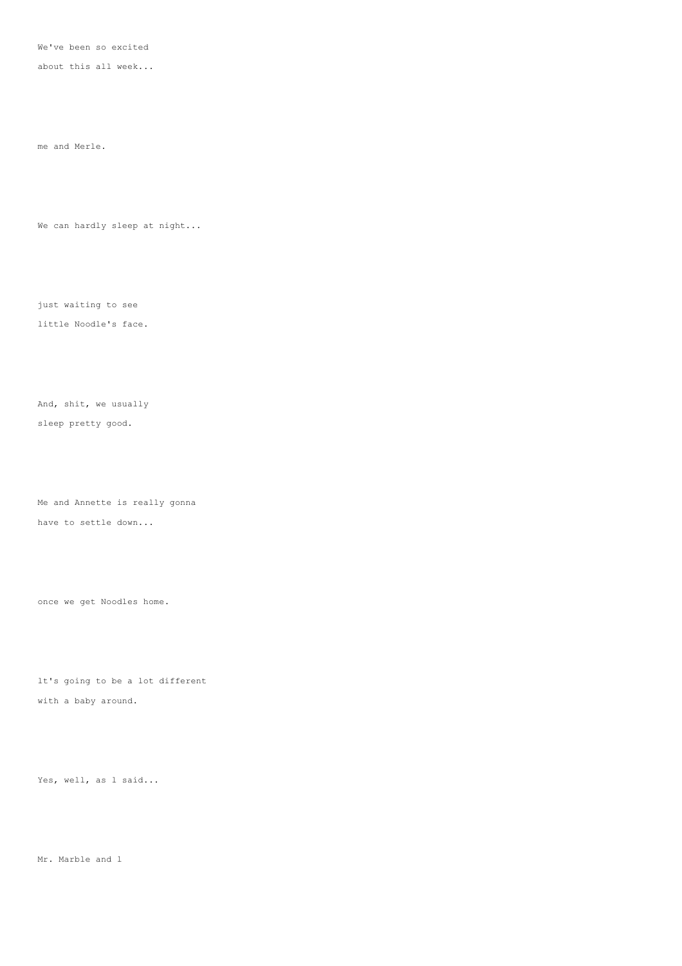We've been so excited

about this all week...

me and Merle.

We can hardly sleep at night...

just waiting to see

little Noodle's face.

And, shit, we usually

sleep pretty good.

Me and Annette is really gonna have to settle down...

once we get Noodles home.

lt's going to be a lot different

with a baby around.

Yes, well, as 1 said...

Mr. Marble and l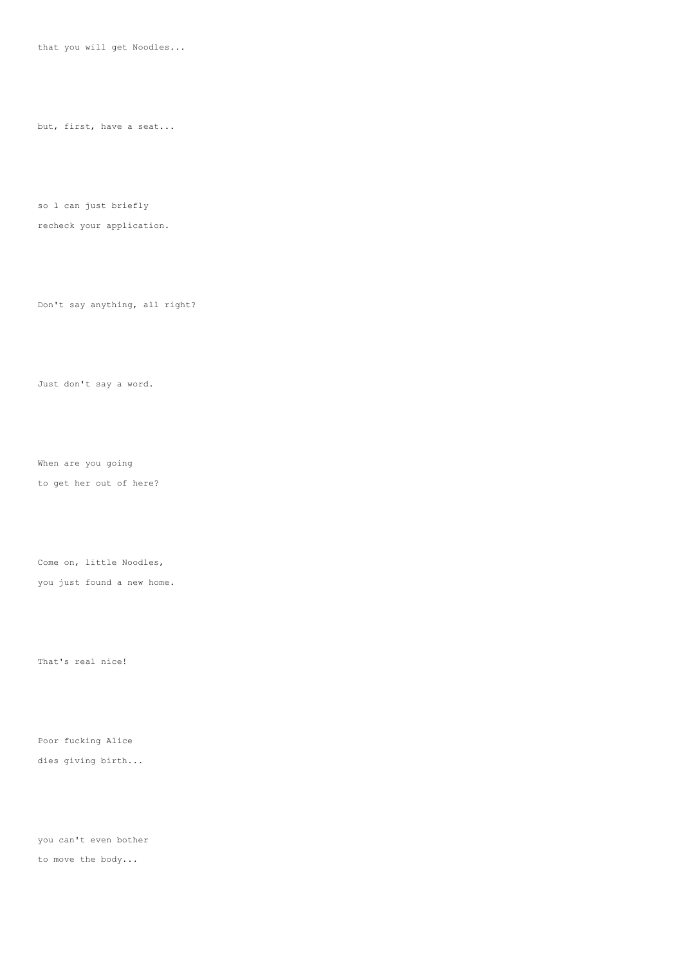that you will get Noodles...

but, first, have a seat...

so l can just briefly

recheck your application.

Don't say anything, all right?

Just don't say a word.

When are you going

to get her out of here?

Come on, little Noodles,

you just found a new home.

That's real nice!

Poor fucking Alice dies giving birth...

you can't even bother to move the body...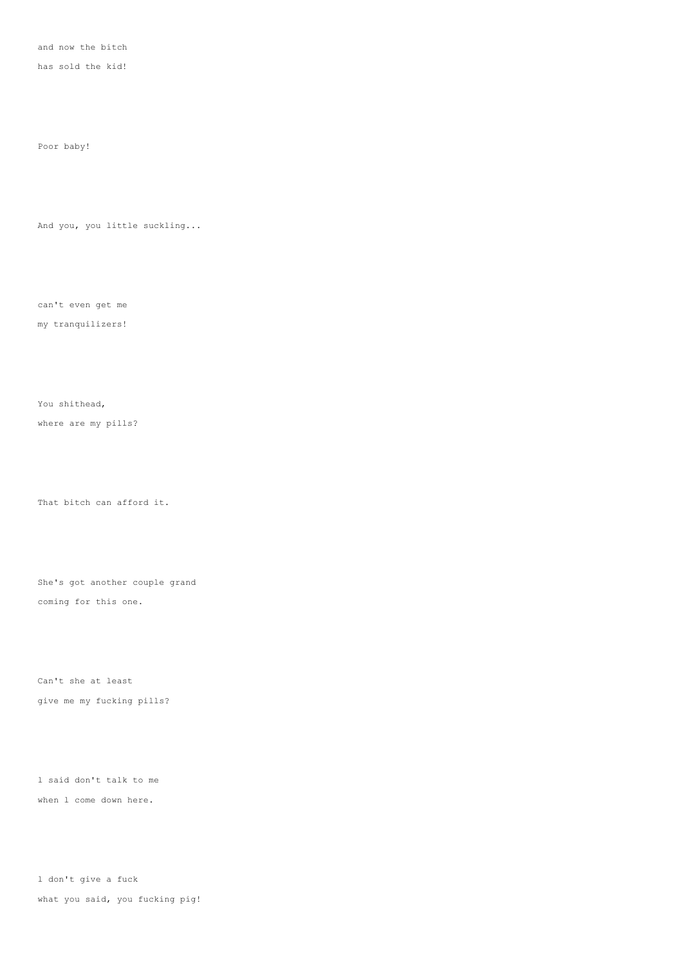and now the bitch

has sold the kid!

Poor baby!

And you, you little suckling...

can't even get me

my tranquilizers!

You shithead,

where are my pills?

That bitch can afford it.

She's got another couple grand coming for this one.

Can't she at least give me my fucking pills?

l said don't talk to me when l come down here.

l don't give a fuck what you said, you fucking pig!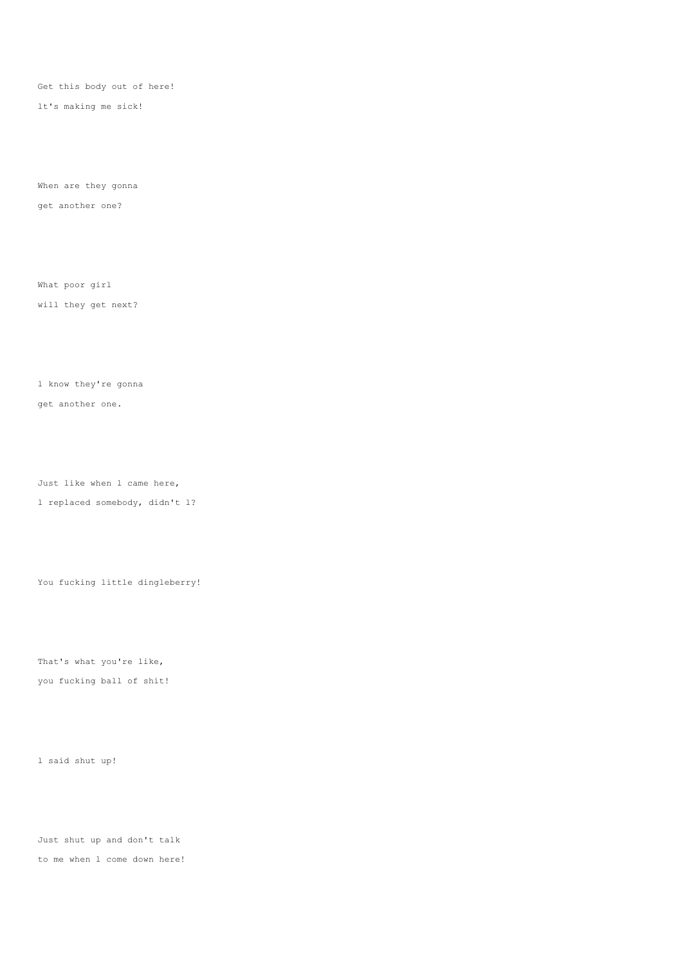Get this body out of here!

lt's making me sick!

When are they gonna get another one?

What poor girl

will they get next?

l know they're gonna get another one.

Just like when l came here,

l replaced somebody, didn't l?

You fucking little dingleberry!

That's what you're like, you fucking ball of shit!

l said shut up!

Just shut up and don't talk to me when l come down here!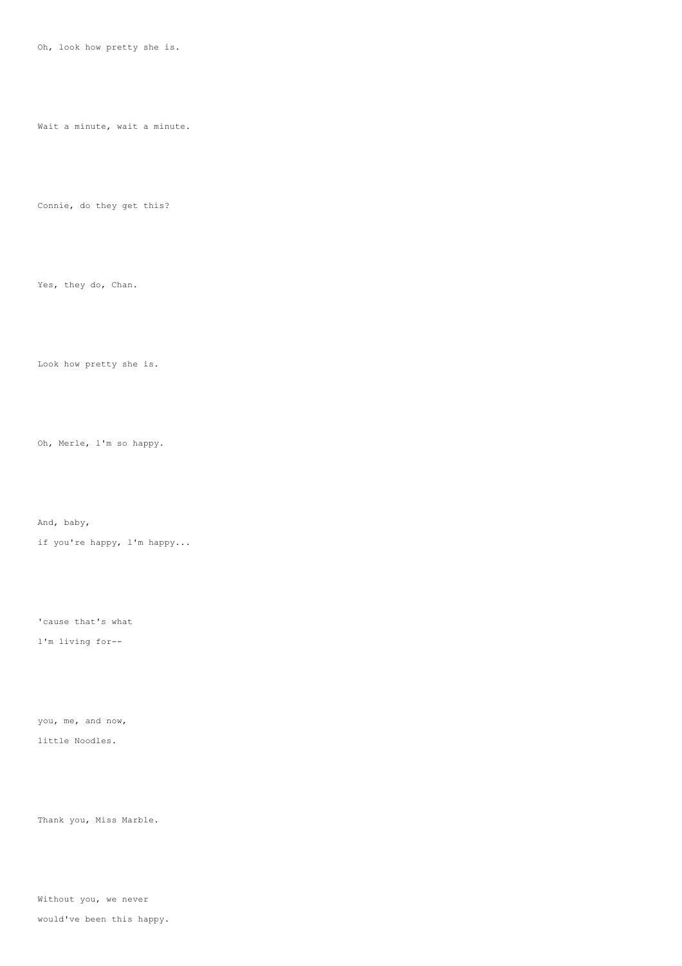Oh, look how pretty she is.

Wait a minute, wait a minute.

Connie, do they get this?

Yes, they do, Chan.

Look how pretty she is.

Oh, Merle, l'm so happy.

And, baby,

if you're happy, l'm happy...

'cause that's what

l'm living for--

you, me, and now, little Noodles.

Thank you, Miss Marble.

Without you, we never

would've been this happy.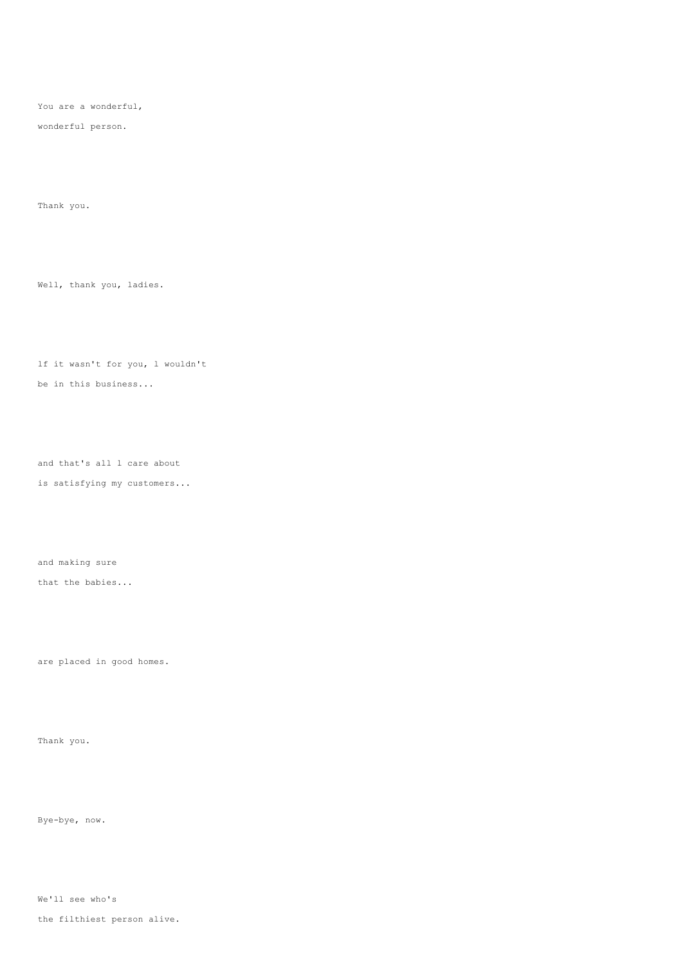You are a wonderful,

wonderful person.

Thank you.

Well, thank you, ladies.

lf it wasn't for you, l wouldn't be in this business...

and that's all l care about is satisfying my customers...

and making sure

that the babies...

are placed in good homes.

Thank you.

Bye-bye, now.

We'll see who's

the filthiest person alive.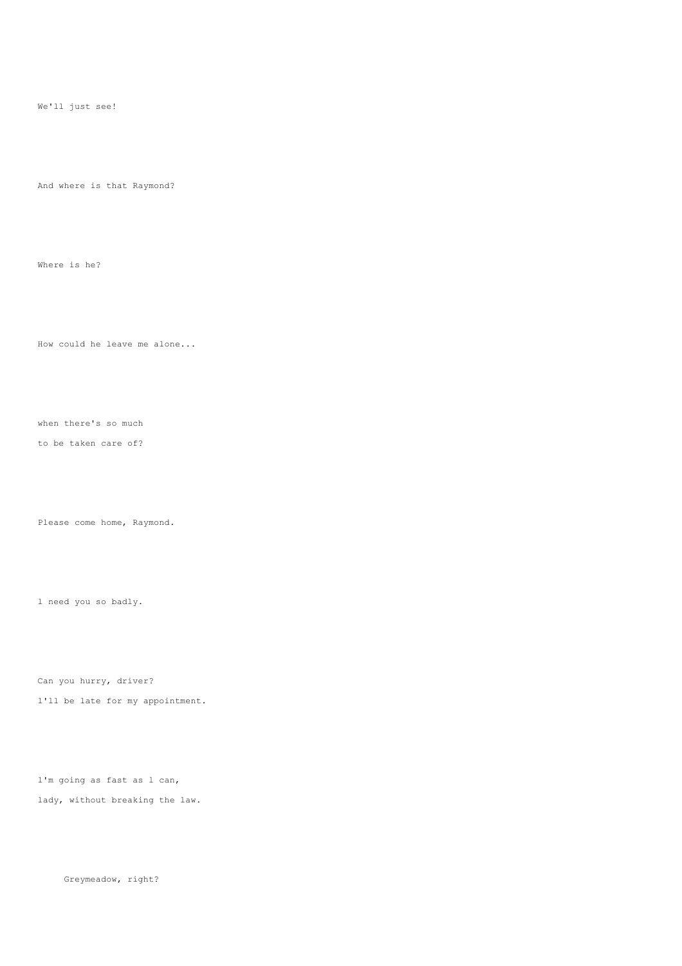We'll just see!

And where is that Raymond?

Where is he?

How could he leave me alone...

when there's so much

to be taken care of?

Please come home, Raymond.

l need you so badly.

Can you hurry, driver?

l'll be late for my appointment.

l'm going as fast as l can, lady, without breaking the law.

Greymeadow, right?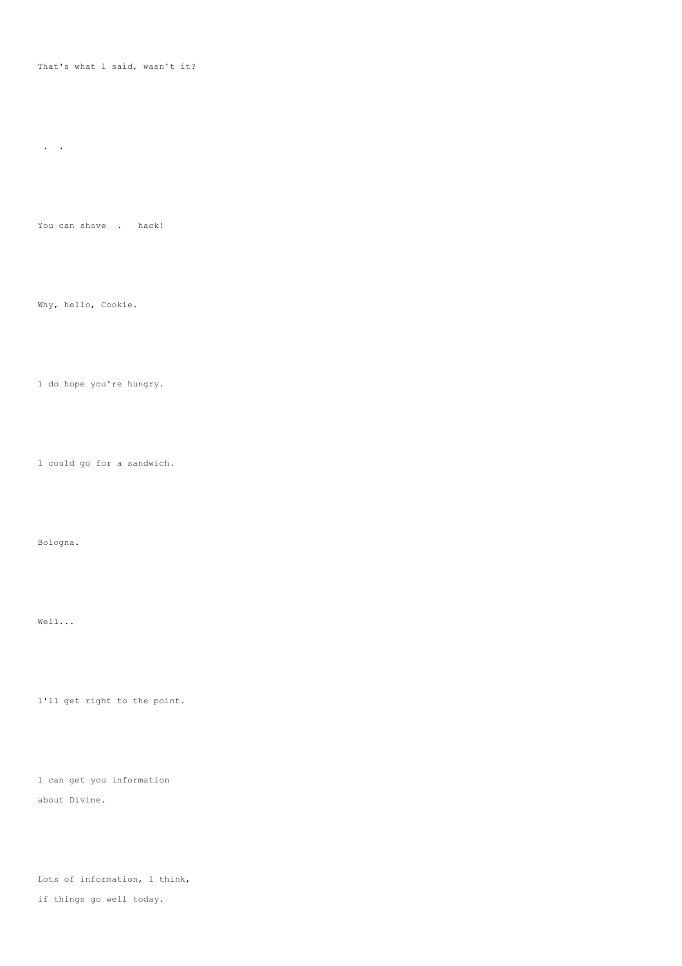#### That's what l said, wasn't it?

. .

You can shove . hack!

Why, hello, Cookie.

l do hope you're hungry.

l could go for a sandwich.

Bologna.

Well...

l'll get right to the point.

l can get you information about Divine.

Lots of information, l think, if things go well today.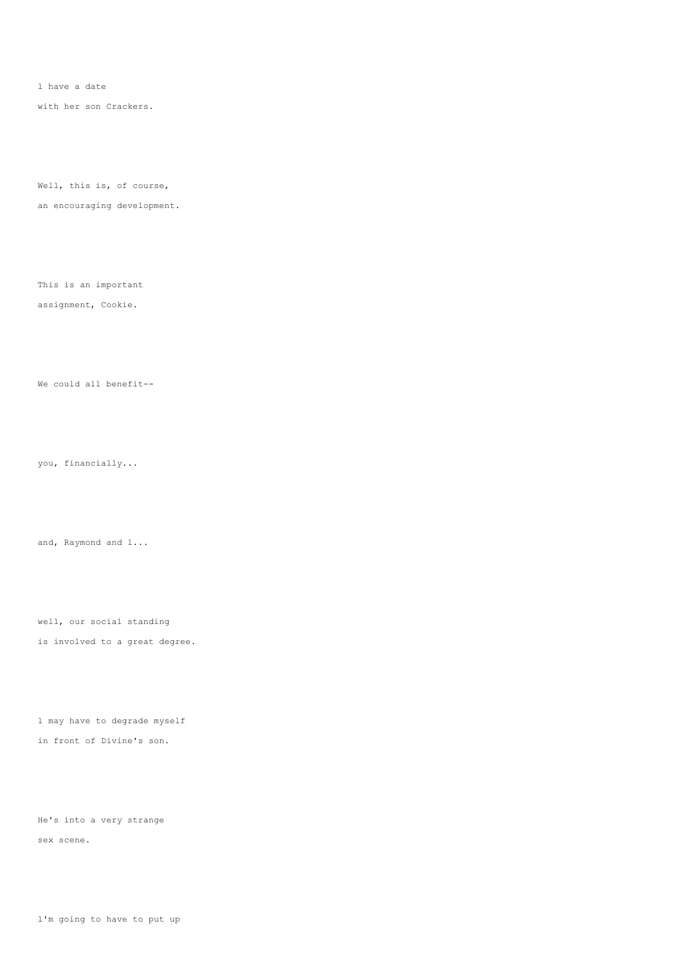l have a date

with her son Crackers.

Well, this is, of course,

an encouraging development.

This is an important

### assignment, Cookie.

We could all benefit--

you, financially...

and, Raymond and l...

well, our social standing is involved to a great degree.

l may have to degrade myself in front of Divine's son.

He's into a very strange sex scene.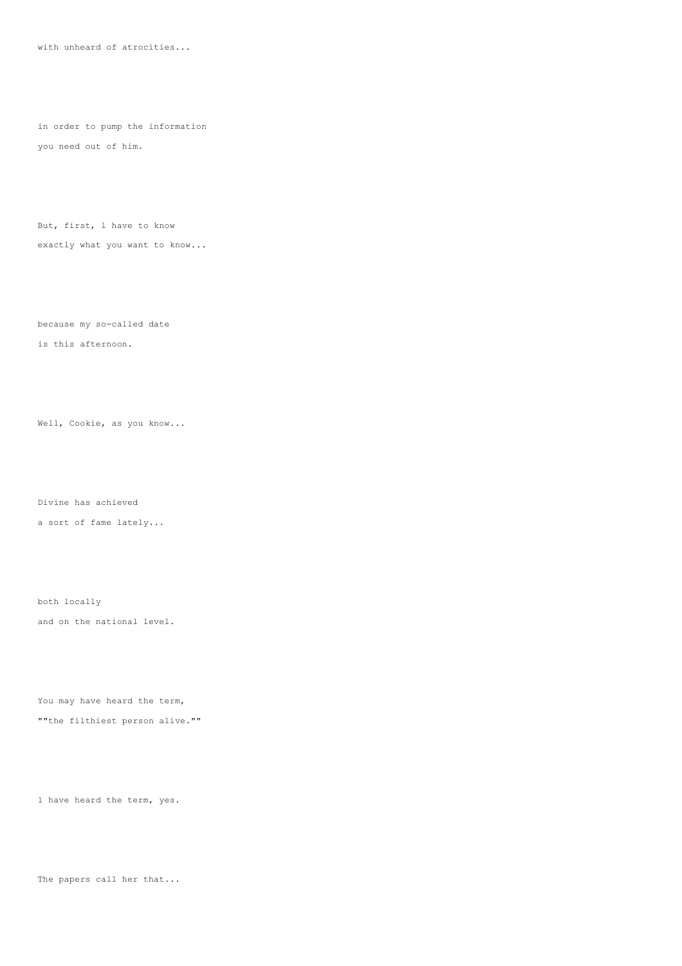with unheard of atrocities...

in order to pump the information you need out of him.

But, first, l have to know exactly what you want to know...

because my so-called date

is this afternoon.

Well, Cookie, as you know...

Divine has achieved

a sort of fame lately...

both locally and on the national level.

You may have heard the term, ""the filthiest person alive.""

l have heard the term, yes.

The papers call her that...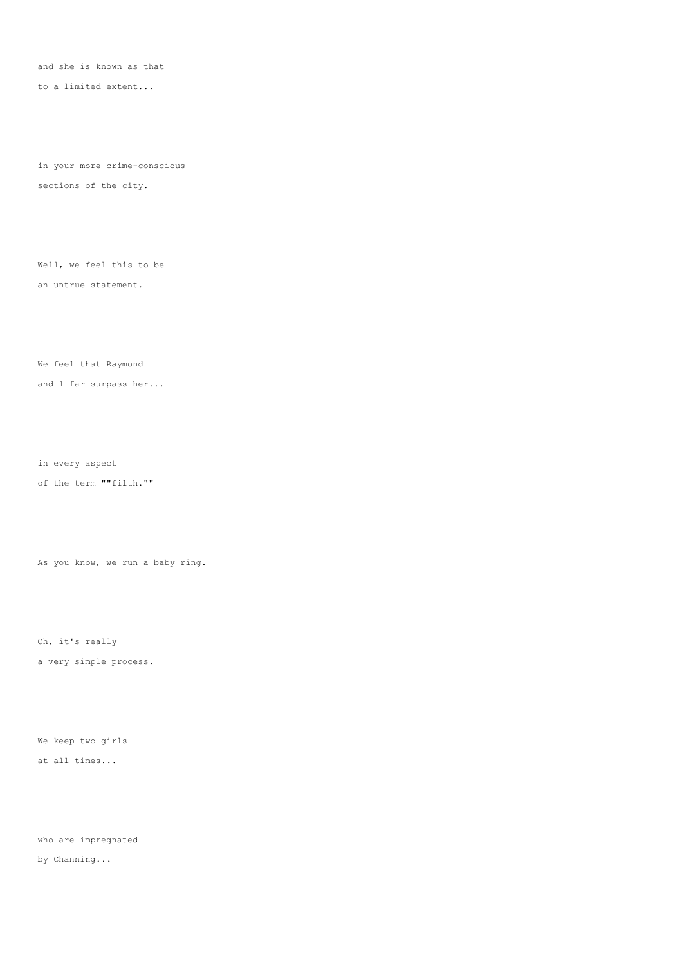and she is known as that

to a limited extent...

in your more crime-conscious sections of the city.

Well, we feel this to be an untrue statement.

We feel that Raymond

and l far surpass her...

in every aspect

of the term ""filth.""

As you know, we run a baby ring.

Oh, it's really

a very simple process.

We keep two girls

at all times...

who are impregnated

by Channing...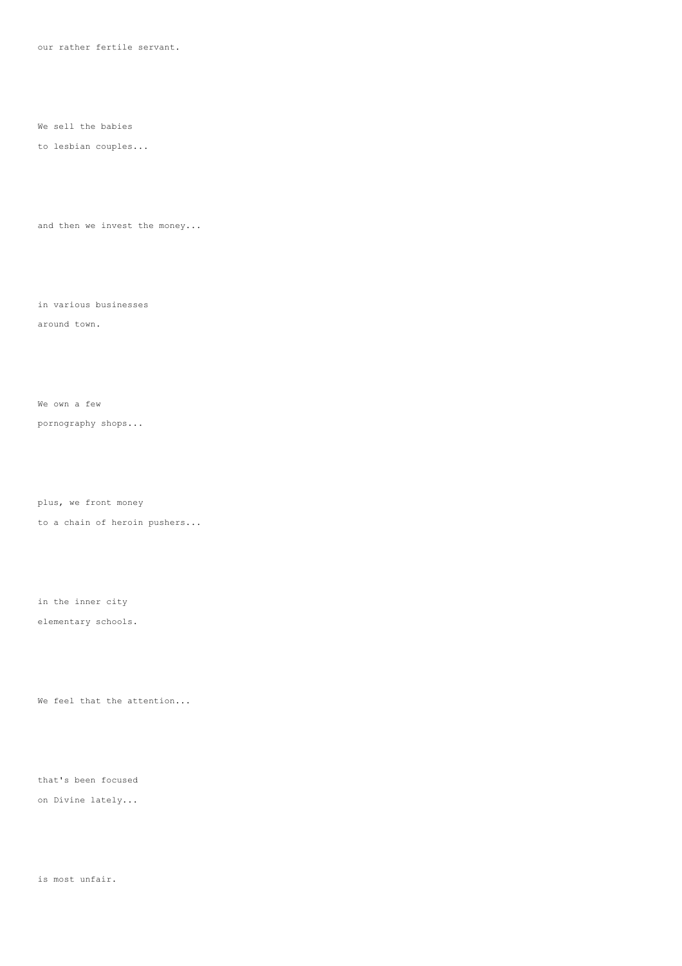our rather fertile servant.

We sell the babies

#### to lesbian couples...

and then we invest the money...

in various businesses

#### around town.

We own a few

pornography shops...

plus, we front money

to a chain of heroin pushers...

in the inner city

elementary schools.

We feel that the attention...

that's been focused

on Divine lately...

is most unfair.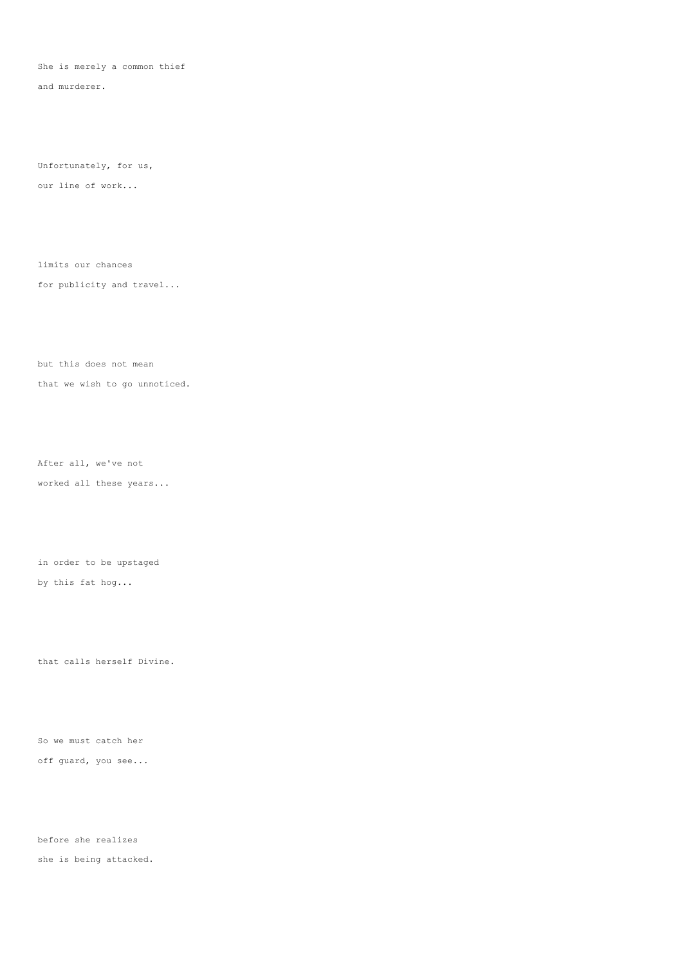She is merely a common thief

and murderer.

Unfortunately, for us, our line of work...

limits our chances

for publicity and travel...

but this does not mean

that we wish to go unnoticed.

After all, we've not worked all these years...

in order to be upstaged

by this fat hog...

that calls herself Divine.

So we must catch her off guard, you see...

before she realizes she is being attacked.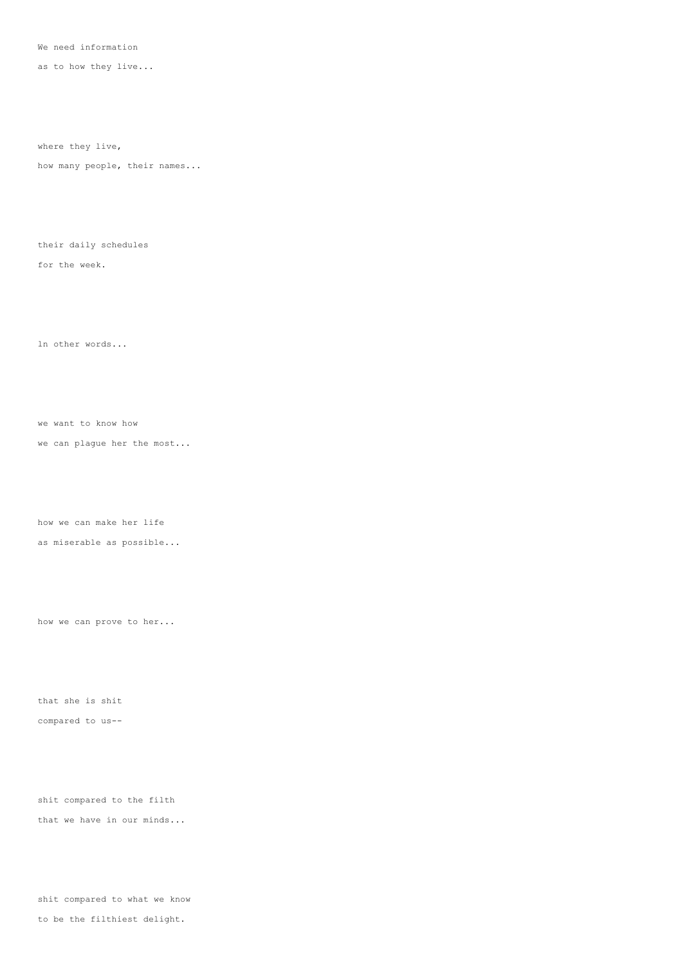We need information

as to how they live...

where they live,

how many people, their names...

their daily schedules

for the week.

ln other words...

we want to know how

we can plague her the most...

how we can make her life

as miserable as possible...

how we can prove to her...

that she is shit compared to us--

shit compared to the filth that we have in our minds...

shit compared to what we know to be the filthiest delight.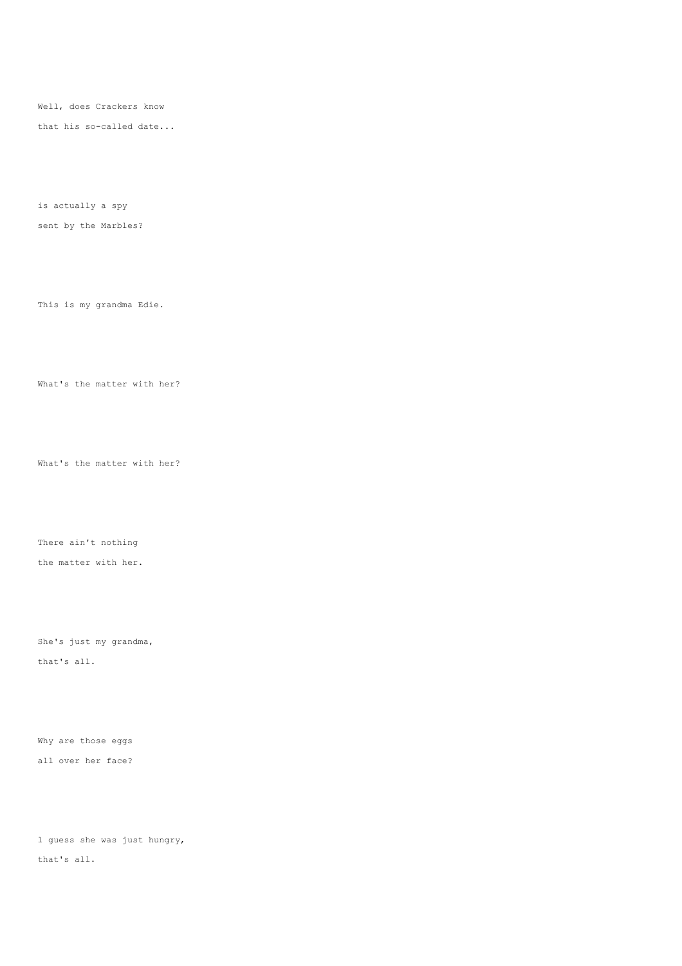Well, does Crackers know

that his so-called date...

is actually a spy sent by the Marbles?

This is my grandma Edie.

What's the matter with her?

What's the matter with her?

There ain't nothing the matter with her.

She's just my grandma, that's all.

Why are those eggs all over her face?

l guess she was just hungry, that's all.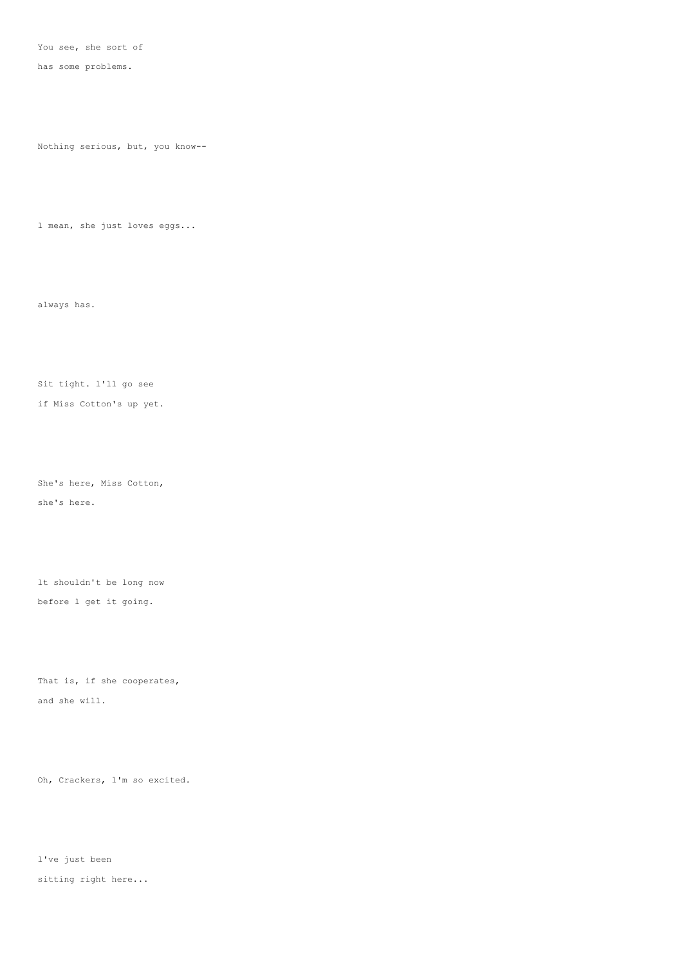You see, she sort of

has some problems.

Nothing serious, but, you know--

l mean, she just loves eggs...

always has.

Sit tight. l'll go see

if Miss Cotton's up yet.

She's here, Miss Cotton, she's here.

lt shouldn't be long now before l get it going.

That is, if she cooperates, and she will.

Oh, Crackers, l'm so excited.

l've just been sitting right here...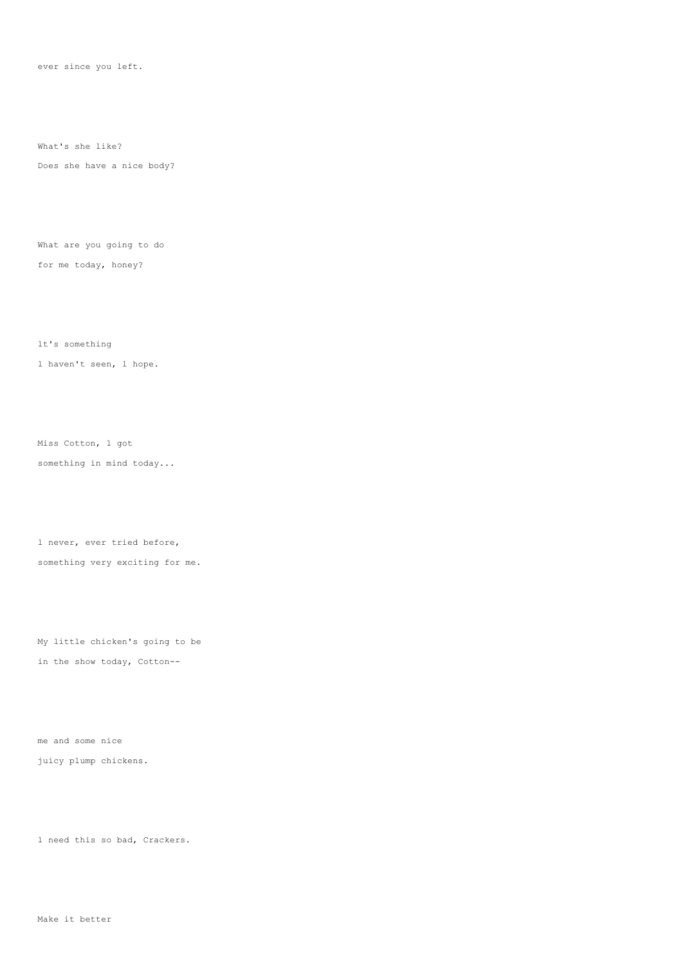ever since you left.

What's she like?

Does she have a nice body?

What are you going to do for me today, honey?

lt's something l haven't seen, l hope.

Miss Cotton, l got something in mind today...

l never, ever tried before, something very exciting for me.

My little chicken's going to be in the show today, Cotton--

me and some nice juicy plump chickens.

l need this so bad, Crackers.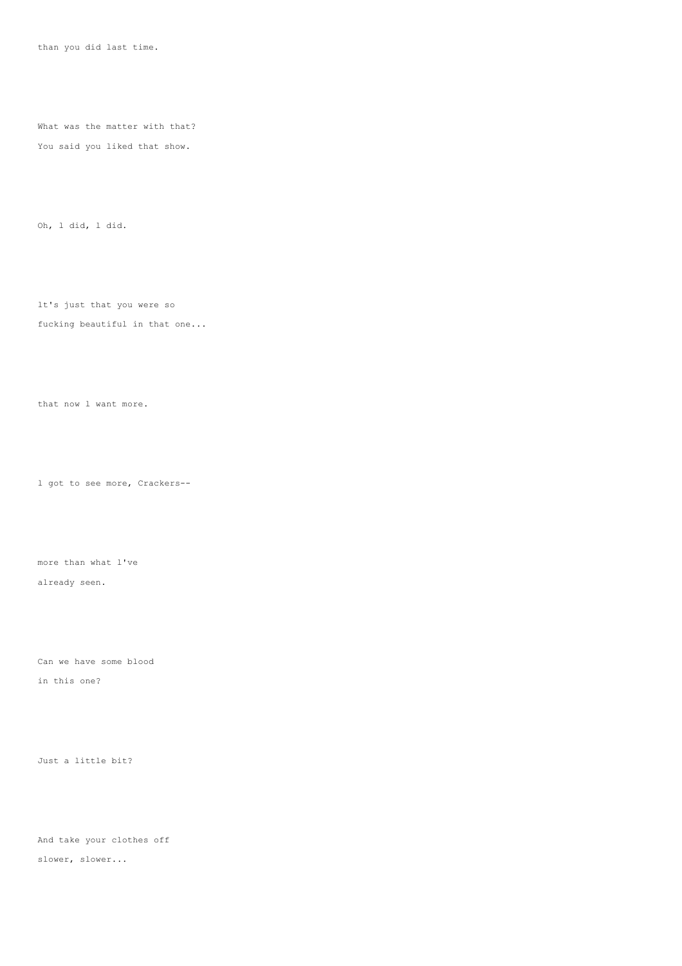than you did last time.

What was the matter with that? You said you liked that show.

Oh, l did, l did.

lt's just that you were so

## fucking beautiful in that one...

that now l want more.

l got to see more, Crackers--

more than what l've

already seen.

Can we have some blood

in this one?

Just a little bit?

And take your clothes off slower, slower...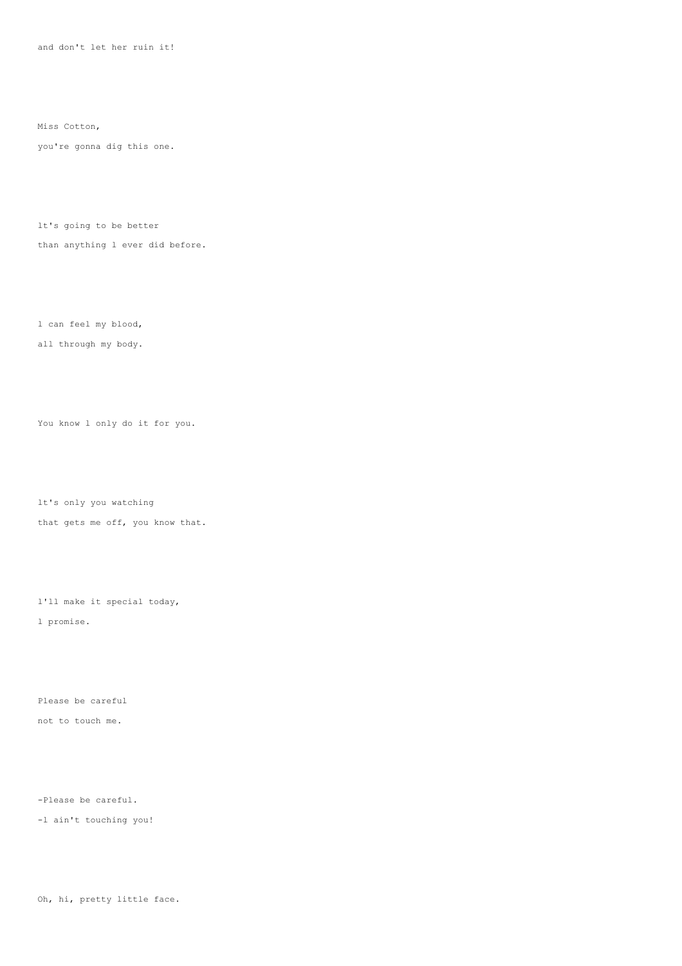and don't let her ruin it!

Miss Cotton,

you're gonna dig this one.

lt's going to be better than anything l ever did before.

l can feel my blood,

all through my body.

You know l only do it for you.

lt's only you watching that gets me off, you know that.

l'll make it special today, l promise.

Please be careful not to touch me.

-Please be careful.

-l ain't touching you!

Oh, hi, pretty little face.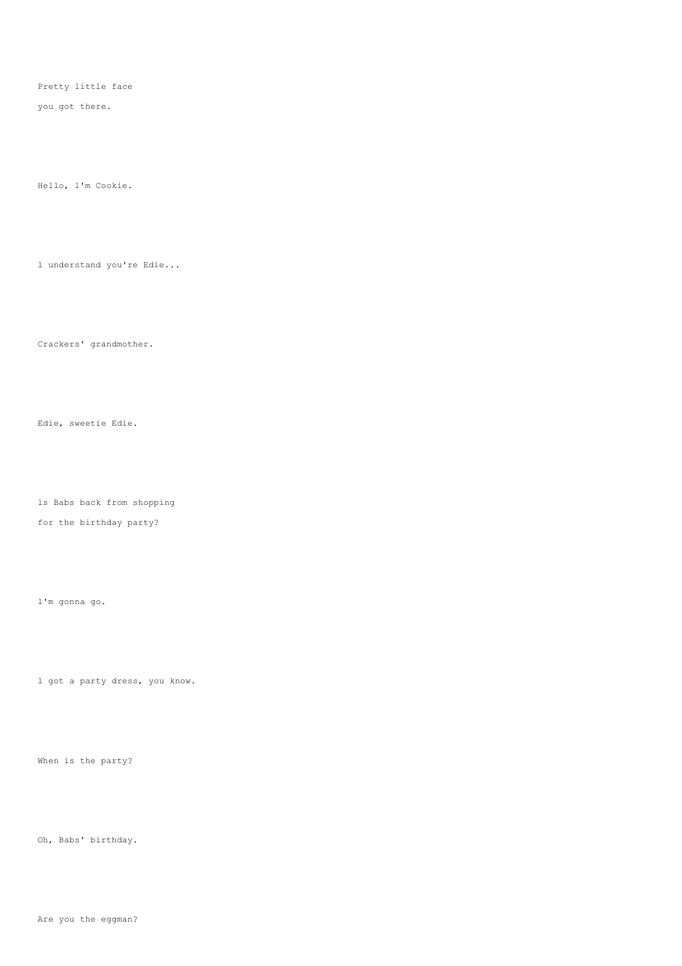Pretty little face

you got there.

Hello, l'm Cookie.

l understand you're Edie...

Crackers' grandmother.

Edie, sweetie Edie.

ls Babs back from shopping

for the birthday party?

l'm gonna go.

l got a party dress, you know.

When is the party?

Oh, Babs' birthday.

Are you the eggman?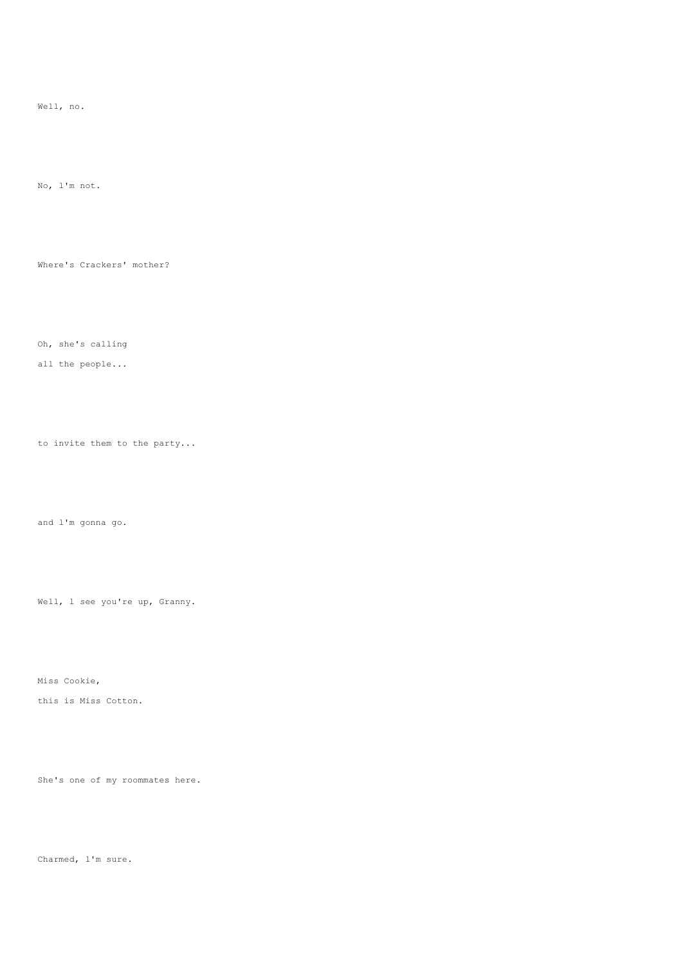Well, no.

No, l'm not.

Where's Crackers' mother?

Oh, she's calling

all the people...

to invite them to the party...

and l'm gonna go.

Well, 1 see you're up, Granny.

Miss Cookie,

this is Miss Cotton.

She's one of my roommates here.

Charmed, l'm sure.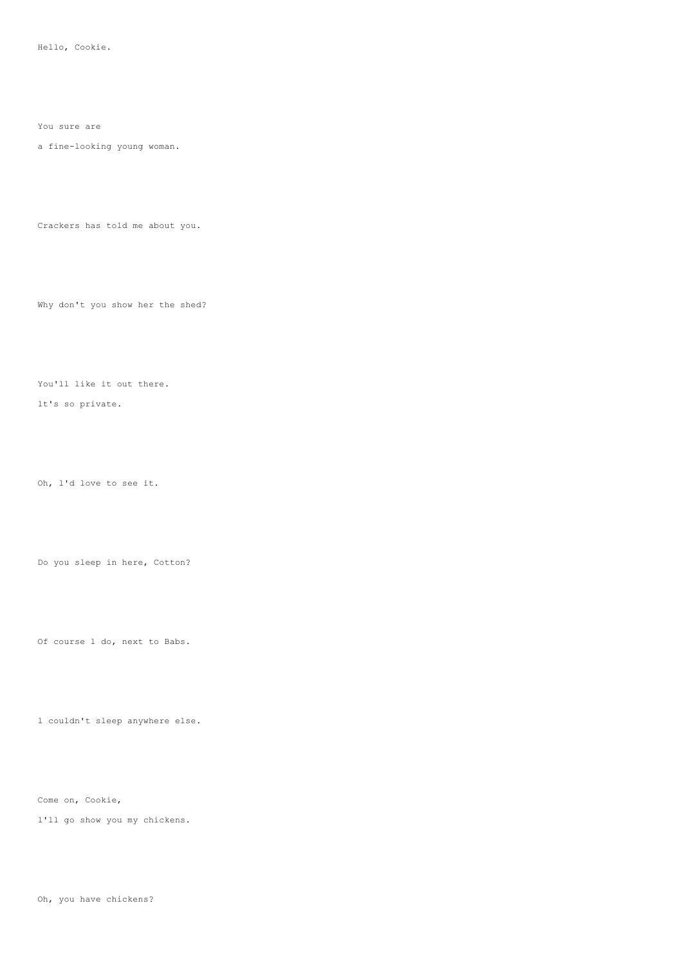You sure are

a fine-looking young woman.

Crackers has told me about you.

Why don't you show her the shed?

You'll like it out there.

lt's so private.

Oh, l'd love to see it.

Do you sleep in here, Cotton?

Of course l do, next to Babs.

l couldn't sleep anywhere else.

Come on, Cookie,

l'll go show you my chickens.

Oh, you have chickens?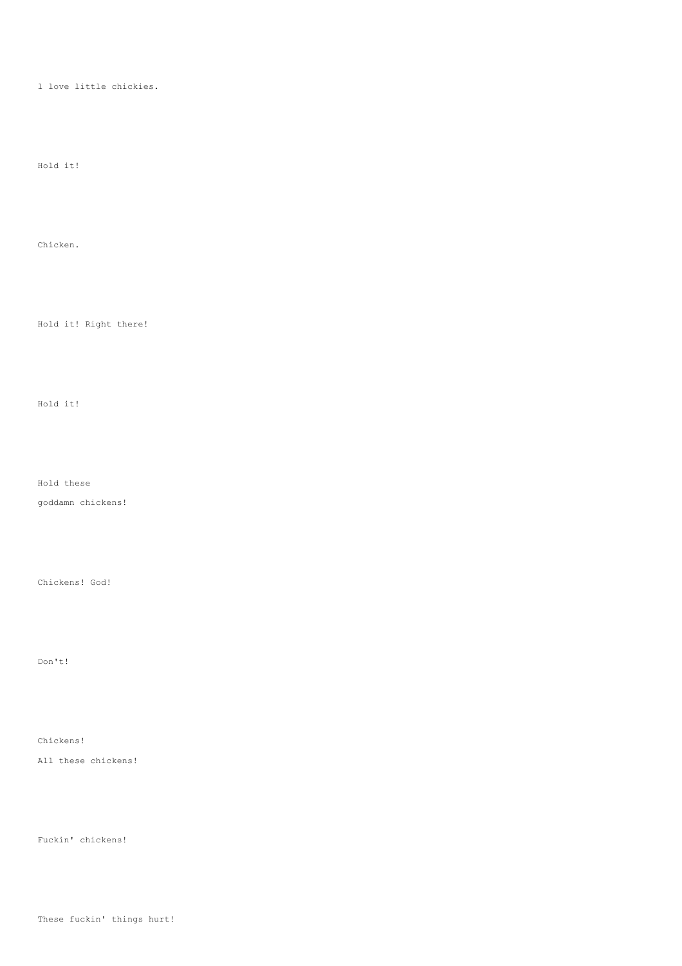#### l love little chickies.

# Hold it!

## Chicken.

## Hold it! Right there!

# Hold it!

## Hold these

goddamn chickens!

### Chickens! God!

## Don't!

#### Chickens!

All these chickens!

## Fuckin' chickens!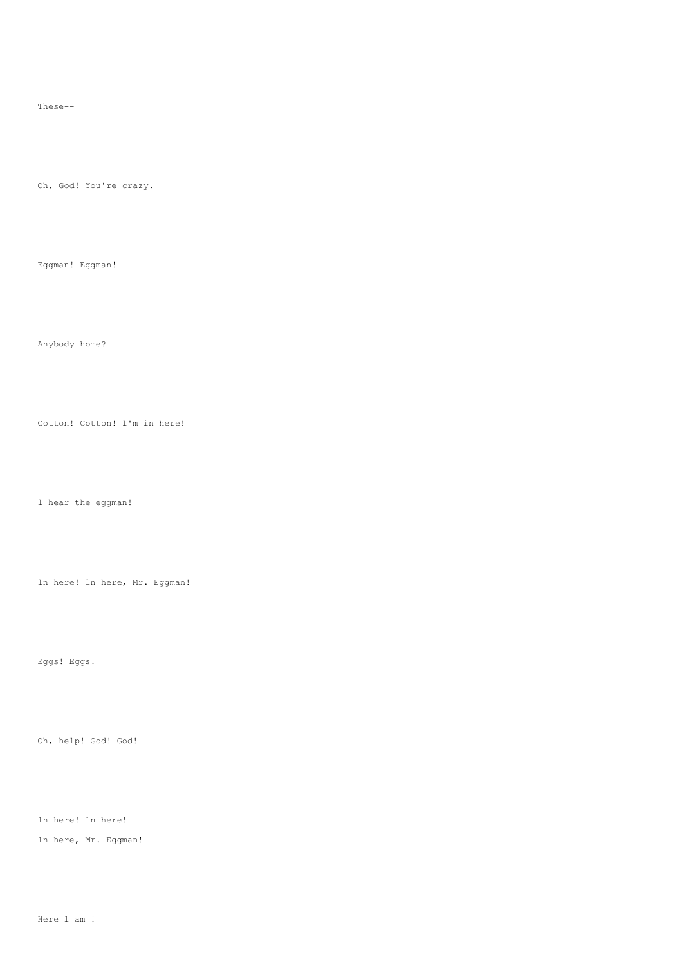These--

Oh, God! You're crazy.

Eggman! Eggman!

Anybody home?

Cotton! Cotton! l'm in here!

l hear the eggman!

ln here! ln here, Mr. Eggman!

Eggs! Eggs!

Oh, help! God! God!

ln here! ln here!

ln here, Mr. Eggman!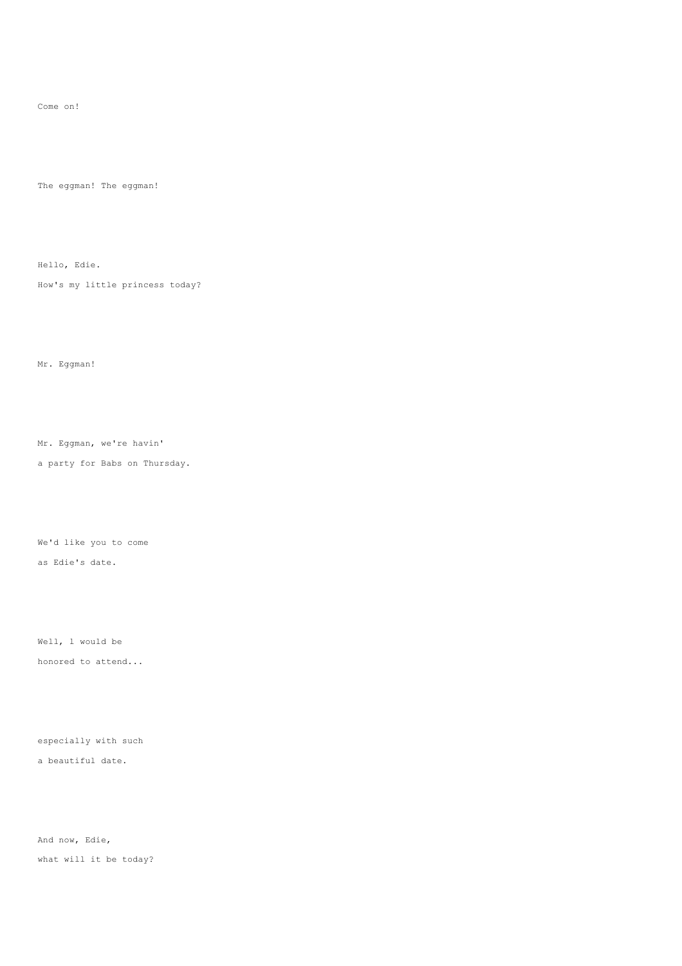Come on!

The eggman! The eggman!

Hello, Edie.

How's my little princess today?

Mr. Eggman!

Mr. Eggman, we're havin'

a party for Babs on Thursday.

We'd like you to come as Edie's date.

Well, l would be honored to attend...

especially with such

a beautiful date.

And now, Edie, what will it be today?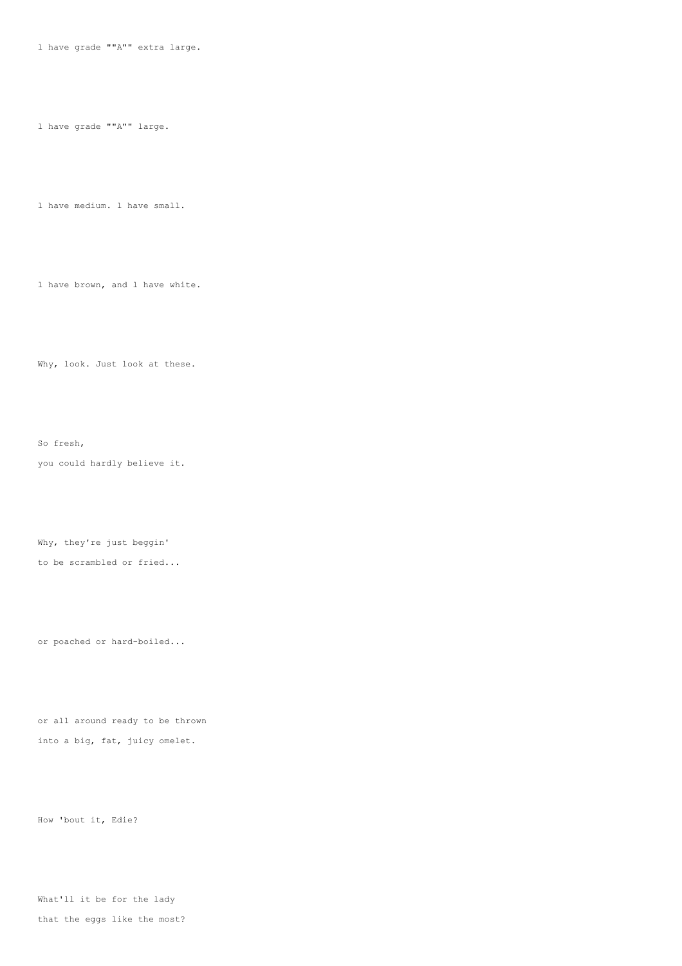l have grade ""A"" extra large.

l have grade ""A"" large.

l have medium. l have small.

l have brown, and l have white.

Why, look. Just look at these.

So fresh, you could hardly believe it.

Why, they're just beggin' to be scrambled or fried...

or poached or hard-boiled...

or all around ready to be thrown into a big, fat, juicy omelet.

How 'bout it, Edie?

What'll it be for the lady that the eggs like the most?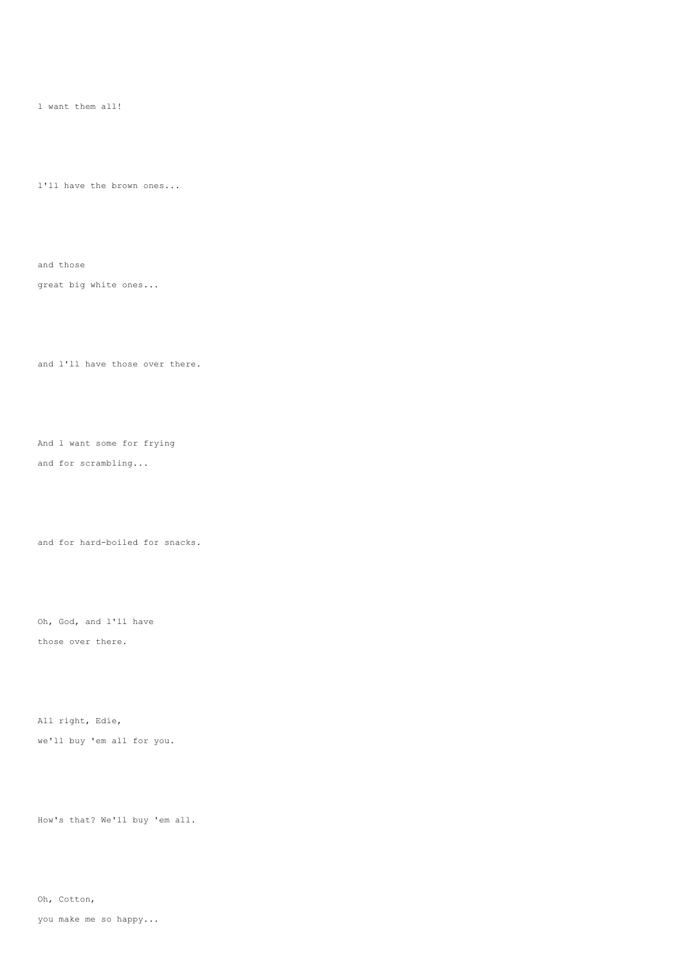l want them all!

l'll have the brown ones...

great big white ones...

and those

and l'll have those over there.

And l want some for frying and for scrambling...

and for hard-boiled for snacks.

Oh, God, and l'll have those over there.

All right, Edie, we'll buy 'em all for you.

How's that? We'll buy 'em all.

Oh, Cotton,

you make me so happy...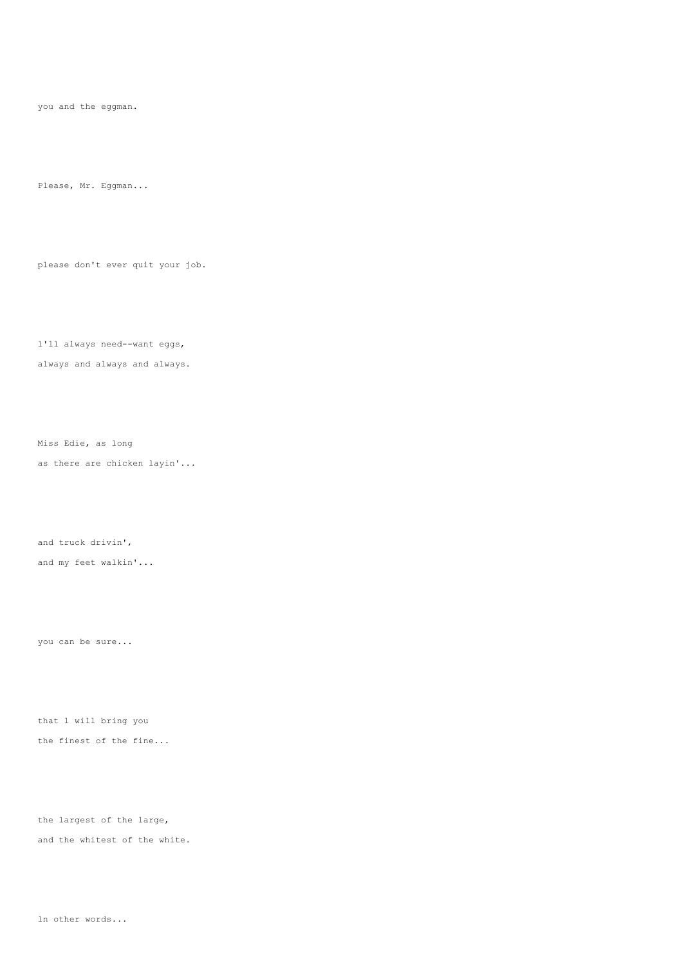you and the eggman.

Please, Mr. Eggman...

please don't ever quit your job.

l'll always need--want eggs, always and always and always.

Miss Edie, as long as there are chicken layin'...

and truck drivin', and my feet walkin'...

you can be sure...

that l will bring you the finest of the fine...

the largest of the large, and the whitest of the white.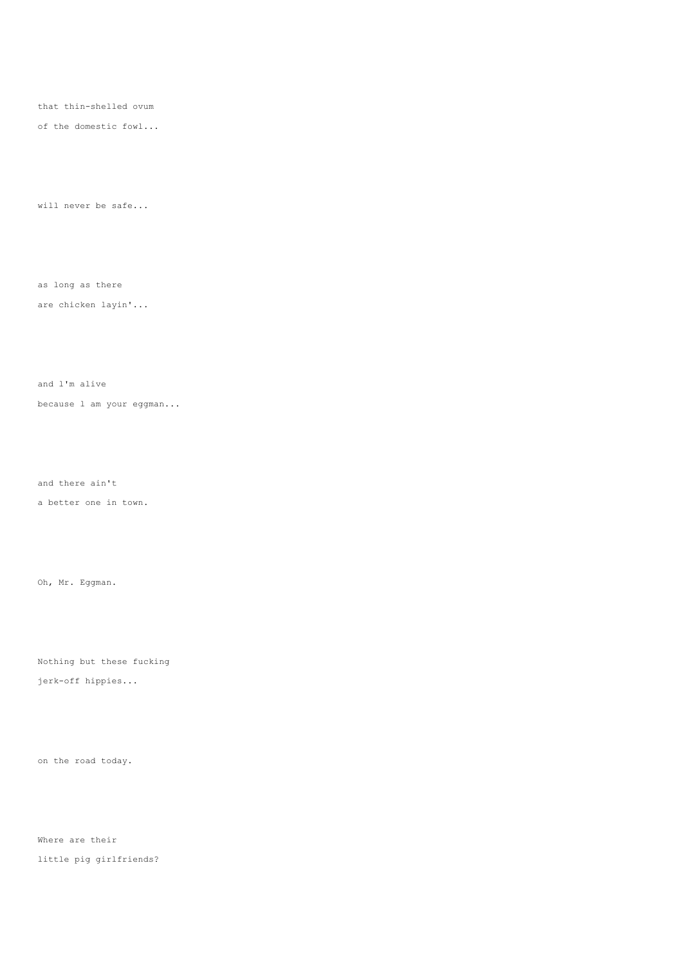that thin-shelled ovum

of the domestic fowl...

will never be safe...

as long as there

## are chicken layin'...

and l'm alive

because l am your eggman...

and there ain't

a better one in town.

Oh, Mr. Eggman.

Nothing but these fucking

jerk-off hippies...

on the road today.

Where are their little pig girlfriends?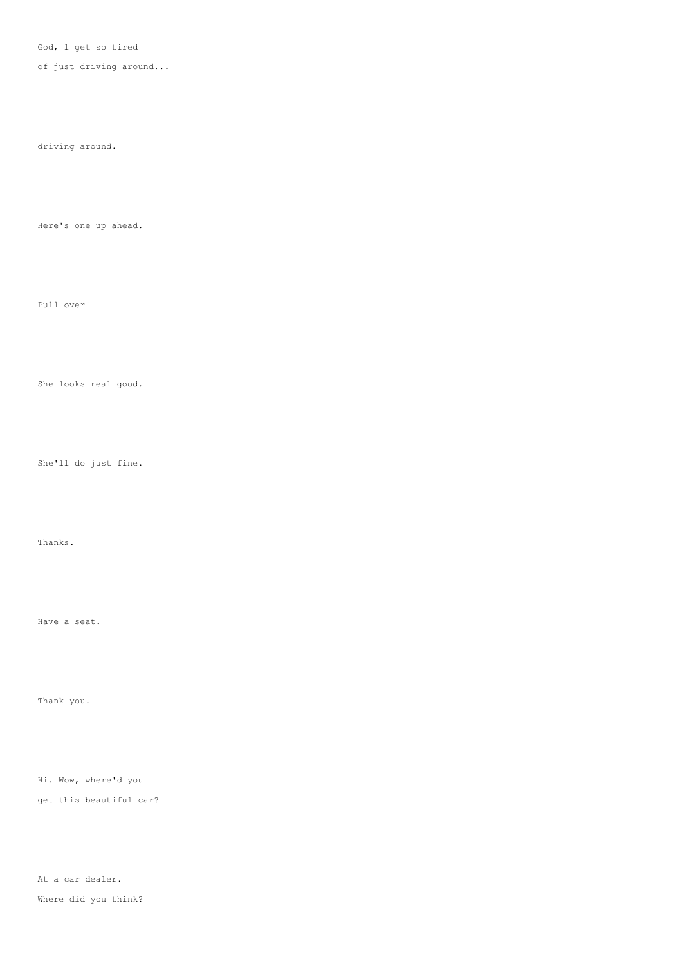God, l get so tired

of just driving around...

driving around.

Here's one up ahead.

Pull over!

She looks real good.

She'll do just fine.

Thanks.

Thank you.

Hi. Wow, where'd you

get this beautiful car?

At a car dealer. Where did you think?

Have a seat.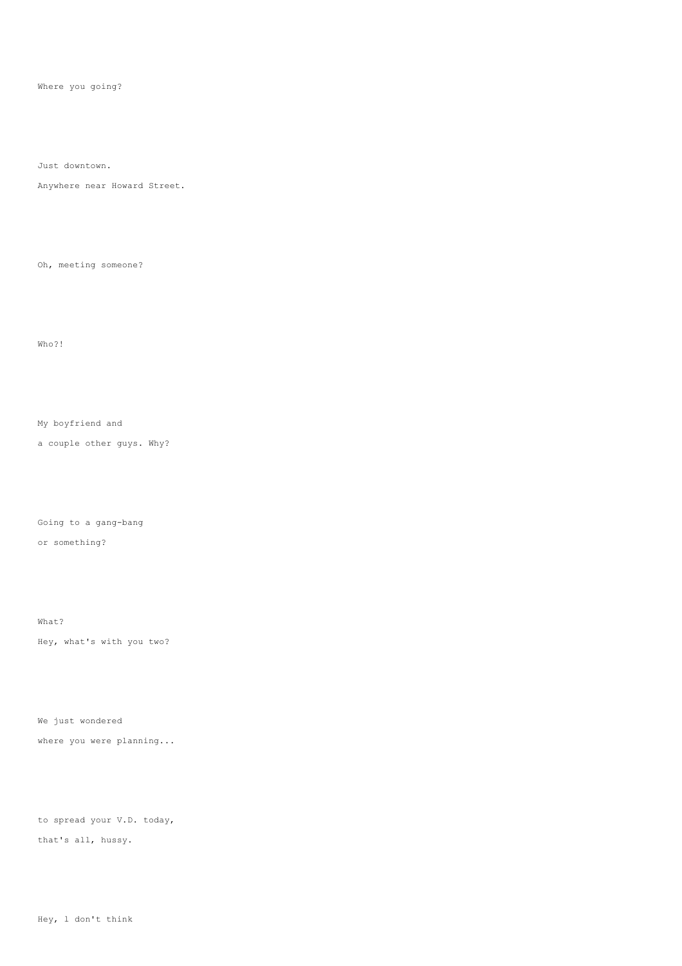Where you going?

Just downtown.

Anywhere near Howard Street.

Oh, meeting someone?

Who?!

My boyfriend and

a couple other guys. Why?

Going to a gang-bang

or something?

What?

Hey, what's with you two?

We just wondered

where you were planning...

to spread your V.D. today, that's all, hussy.

Hey, l don't think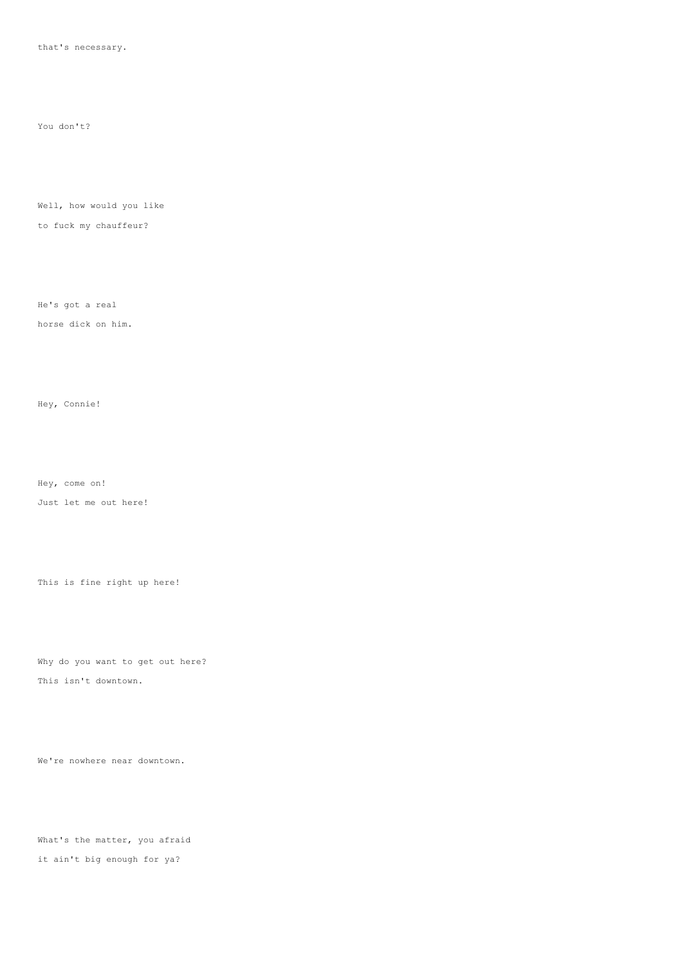that's necessary.

You don't?

Well, how would you like

to fuck my chauffeur?

He's got a real

horse dick on him.

Hey, Connie!

Hey, come on!

Just let me out here!

This is fine right up here!

Why do you want to get out here?

This isn't downtown.

We're nowhere near downtown.

What's the matter, you afraid it ain't big enough for ya?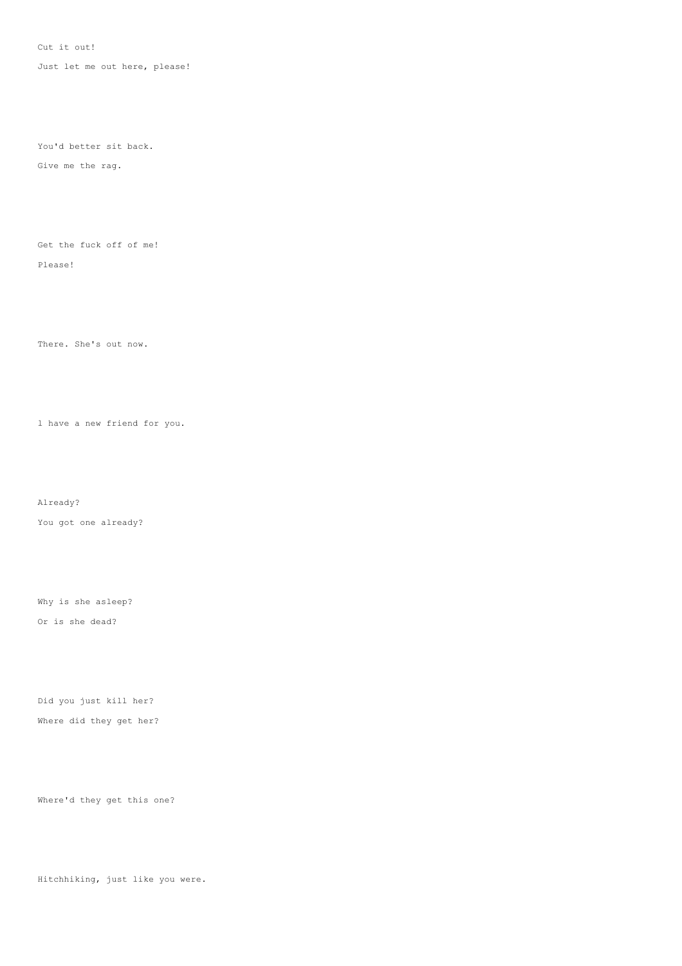Cut it out!

Just let me out here, please!

You'd better sit back.

Give me the rag.

Get the fuck off of me!

Please!

There. She's out now.

l have a new friend for you.

Already?

You got one already?

Why is she asleep? Or is she dead?

Did you just kill her? Where did they get her?

Where'd they get this one?

Hitchhiking, just like you were.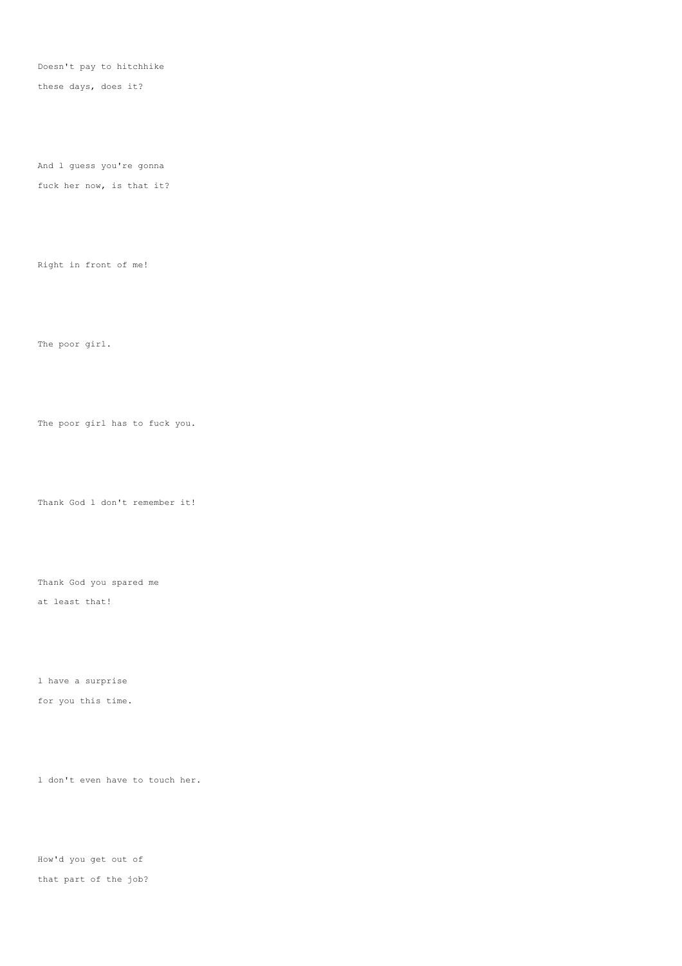Doesn't pay to hitchhike

these days, does it?

And l guess you're gonna

fuck her now, is that it?

Right in front of me!

The poor girl.

The poor girl has to fuck you.

Thank God l don't remember it!

Thank God you spared me

at least that!

l have a surprise

for you this time.

l don't even have to touch her.

How'd you get out of that part of the job?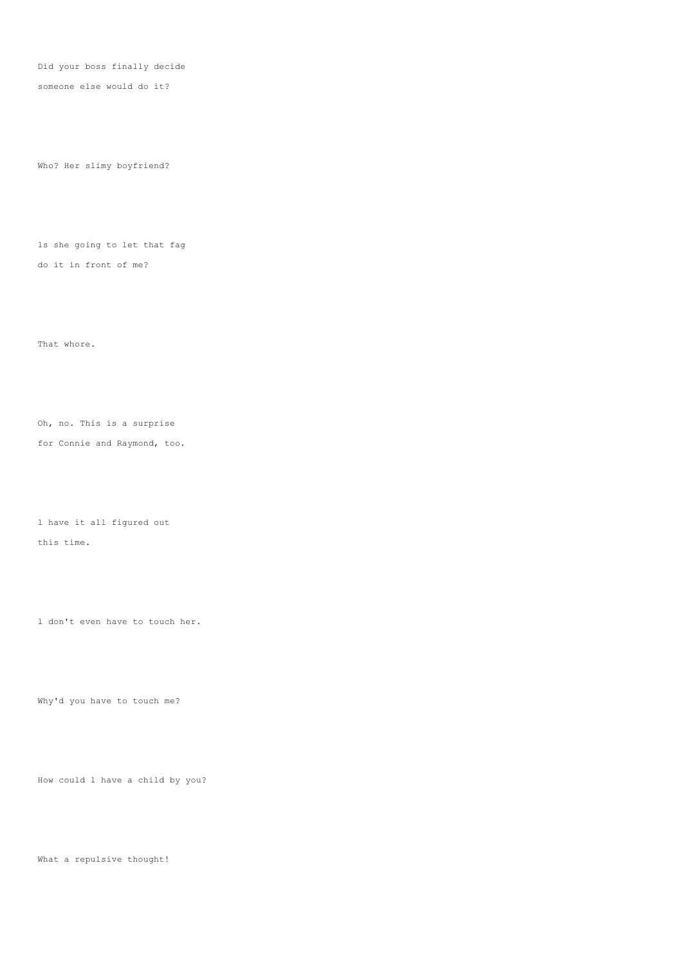Did your boss finally decide

someone else would do it?

Who? Her slimy boyfriend?

ls she going to let that fag do it in front of me?

That whore.

Oh, no. This is a surprise for Connie and Raymond, too.

l have it all figured out

this time.

l don't even have to touch her.

Why'd you have to touch me?

How could l have a child by you?

What a repulsive thought!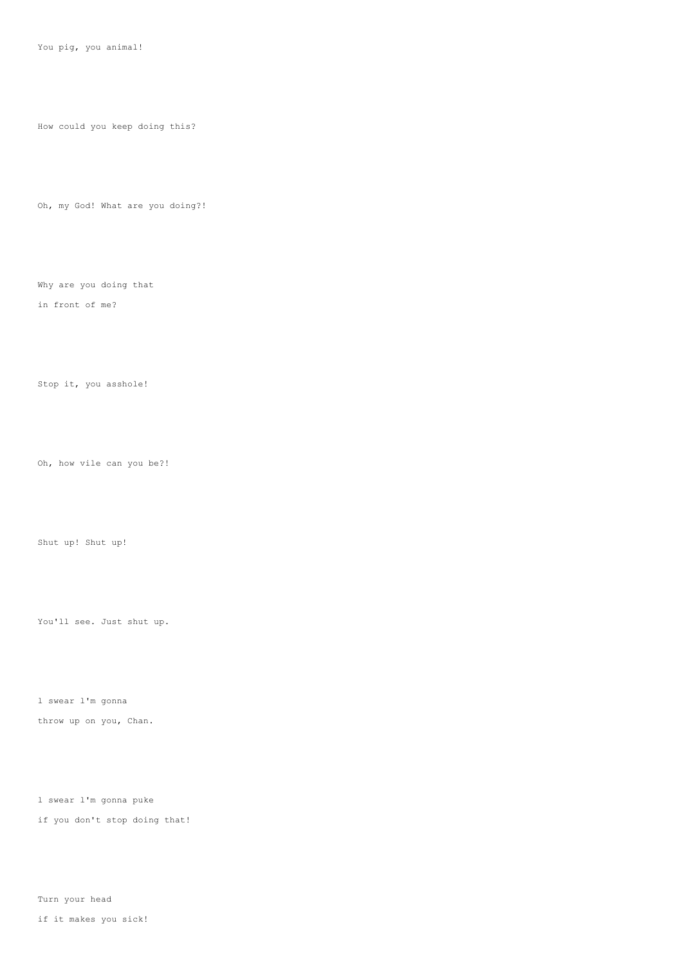You pig, you animal!

How could you keep doing this?

Oh, my God! What are you doing?!

Why are you doing that in front of me?

Stop it, you asshole!

Oh, how vile can you be?!

Shut up! Shut up!

You'll see. Just shut up.

l swear l'm gonna throw up on you, Chan.

l swear l'm gonna puke if you don't stop doing that!

Turn your head

if it makes you sick!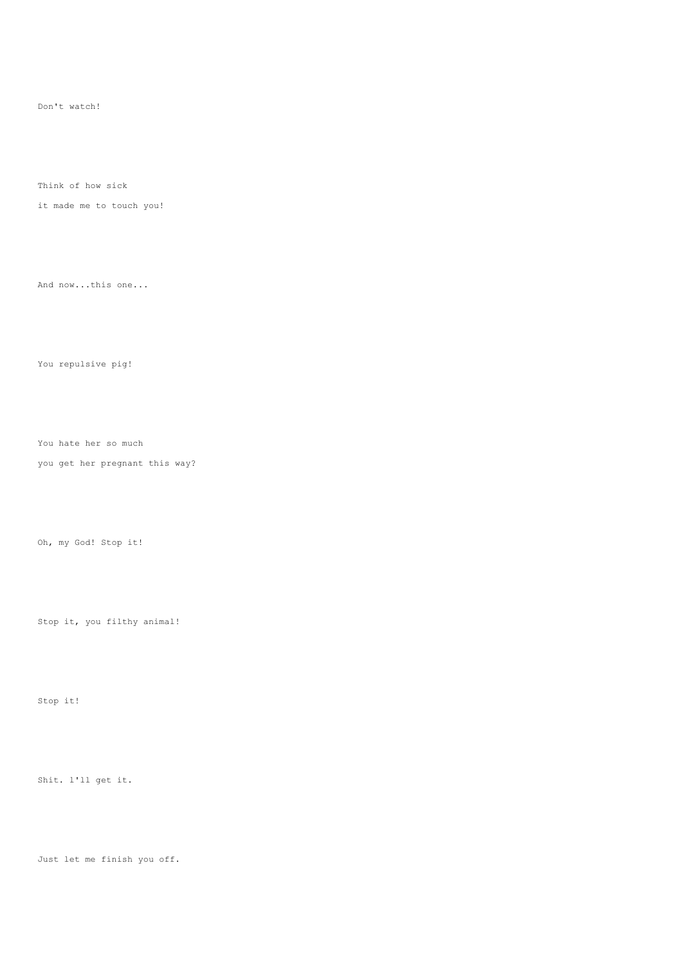Don't watch!

Think of how sick

it made me to touch you!

And now...this one...

You repulsive pig!

You hate her so much

you get her pregnant this way?

Oh, my God! Stop it!

Stop it, you filthy animal!

Stop it!

Shit. l'll get it.

Just let me finish you off.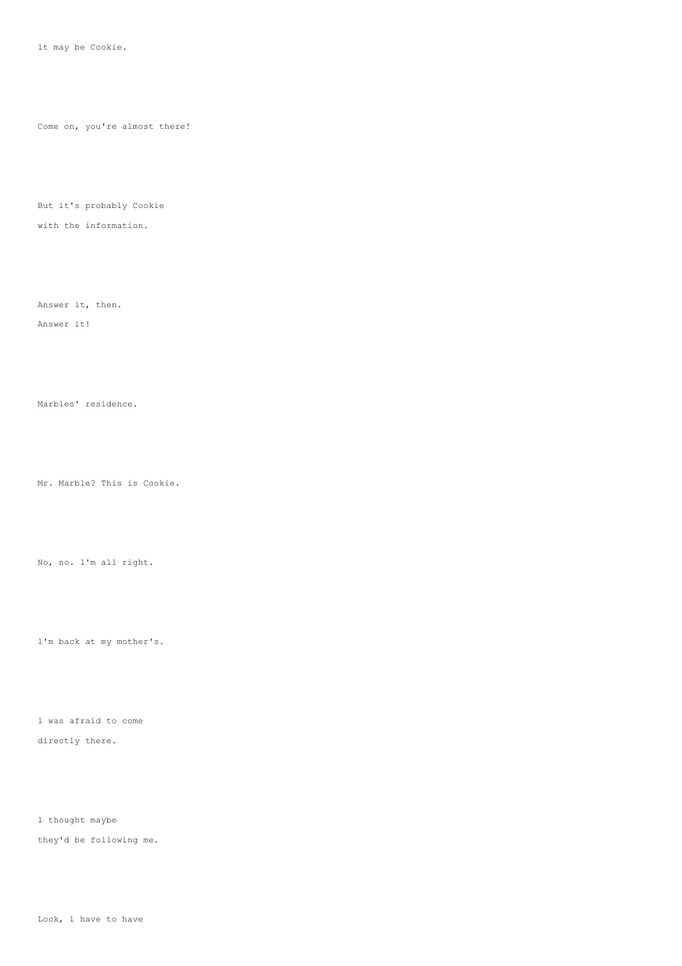lt may be Cookie.

Come on, you're almost there!

But it's probably Cookie

with the information.

Answer it, then.

Answer it!

Marbles' residence.

Mr. Marble? This is Cookie.

No, no. l'm all right.

l'm back at my mother's.

l was afraid to come directly there.

l thought maybe they'd be following me.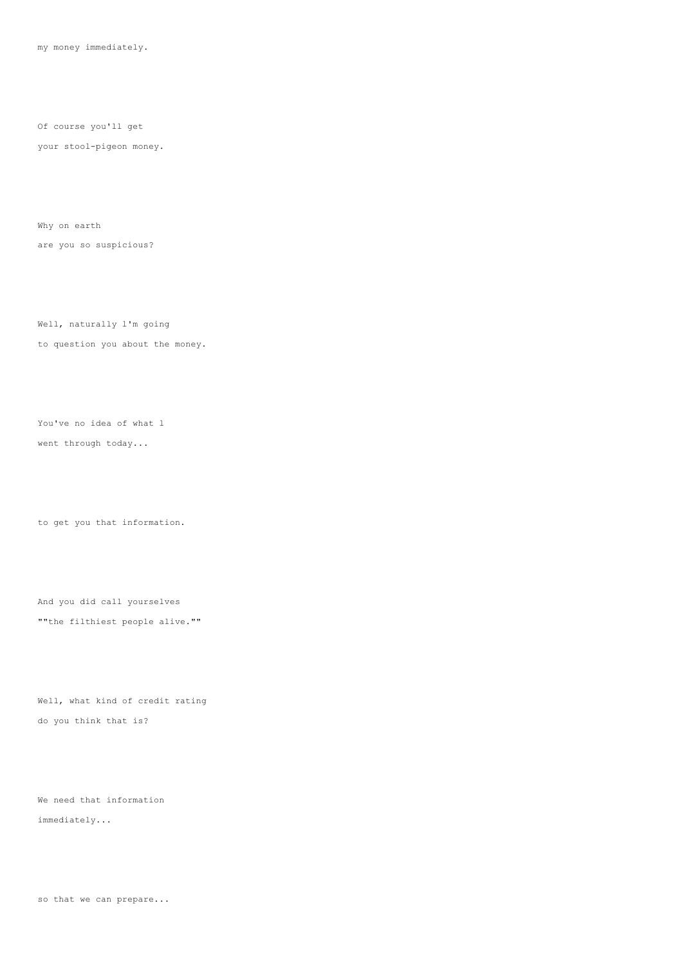my money immediately.

Of course you'll get

your stool-pigeon money.

Why on earth

are you so suspicious?

Well, naturally l'm going to question you about the money.

You've no idea of what l went through today...

to get you that information.

And you did call yourselves ""the filthiest people alive.""

Well, what kind of credit rating do you think that is?

We need that information immediately...

so that we can prepare...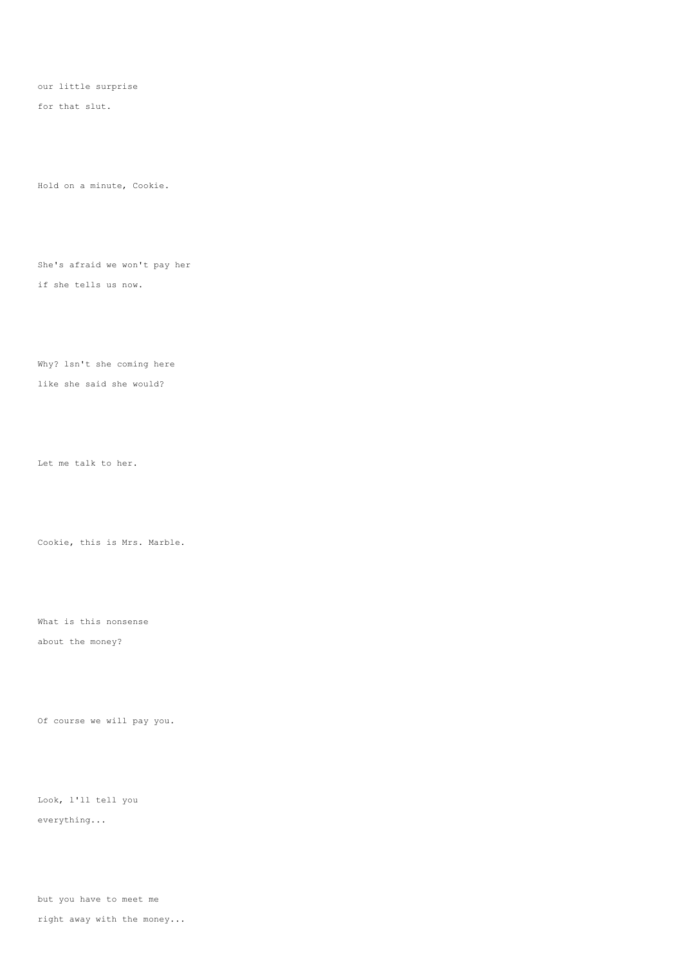our little surprise

for that slut.

Hold on a minute, Cookie.

She's afraid we won't pay her if she tells us now.

Why? lsn't she coming here like she said she would?

Let me talk to her.

Cookie, this is Mrs. Marble.

What is this nonsense about the money?

Of course we will pay you.

Look, l'll tell you everything...

but you have to meet me

right away with the money...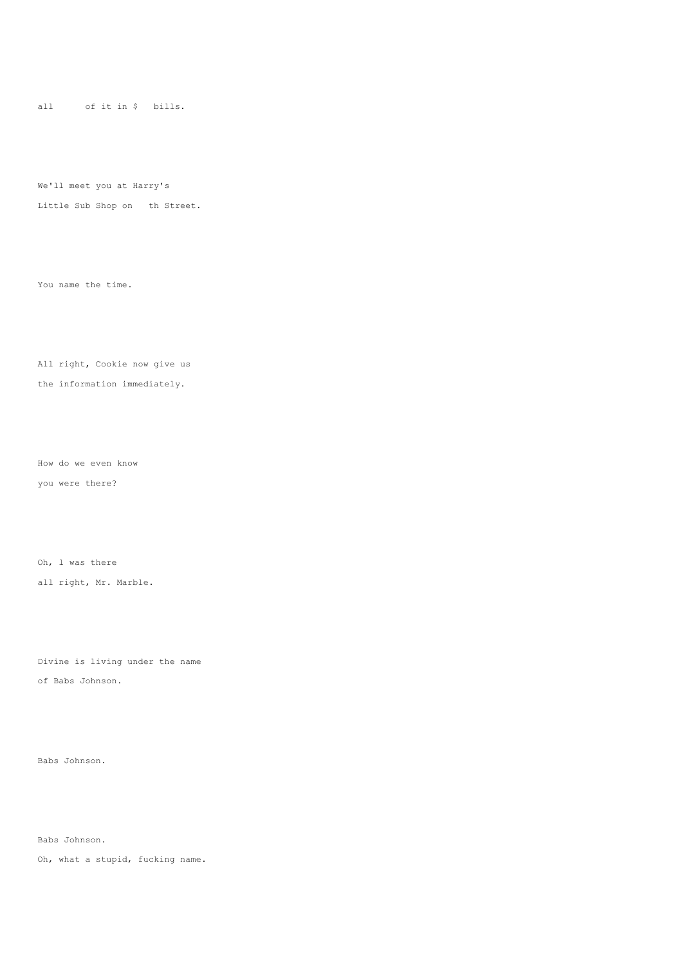all of it in \$ bills.

We'll meet you at Harry's

Little Sub Shop on th Street.

You name the time.

All right, Cookie now give us the information immediately.

How do we even know you were there?

Oh, l was there

all right, Mr. Marble.

Divine is living under the name

of Babs Johnson.

Babs Johnson.

Babs Johnson.

Oh, what a stupid, fucking name.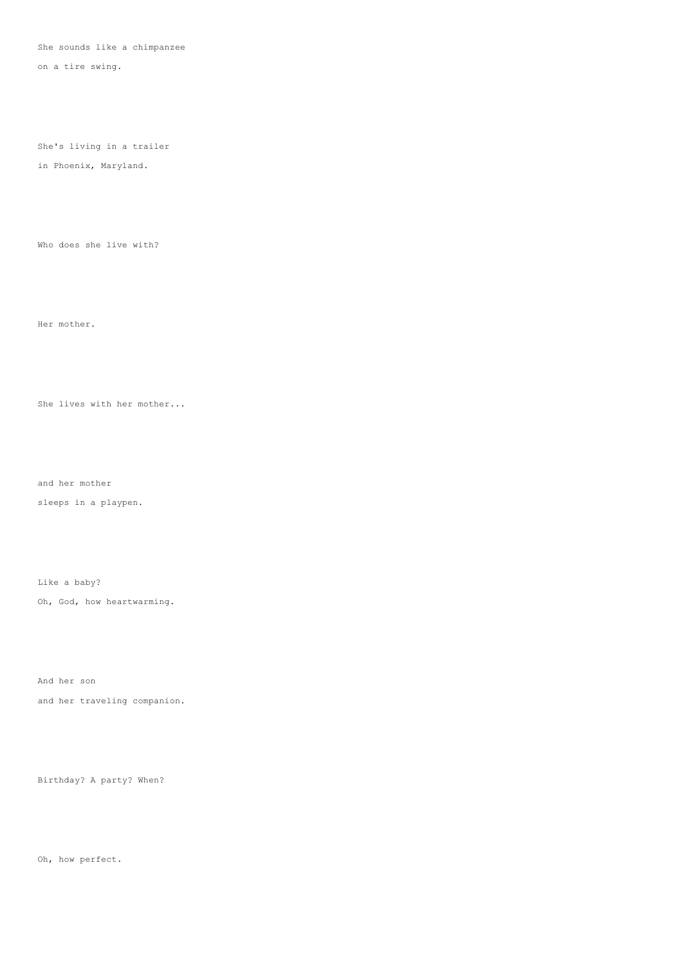She sounds like a chimpanzee

on a tire swing.

She's living in a trailer

in Phoenix, Maryland.

Who does she live with?

Her mother.

She lives with her mother...

and her mother

sleeps in a playpen.

Like a baby?

Oh, God, how heartwarming.

And her son

and her traveling companion.

Birthday? A party? When?

Oh, how perfect.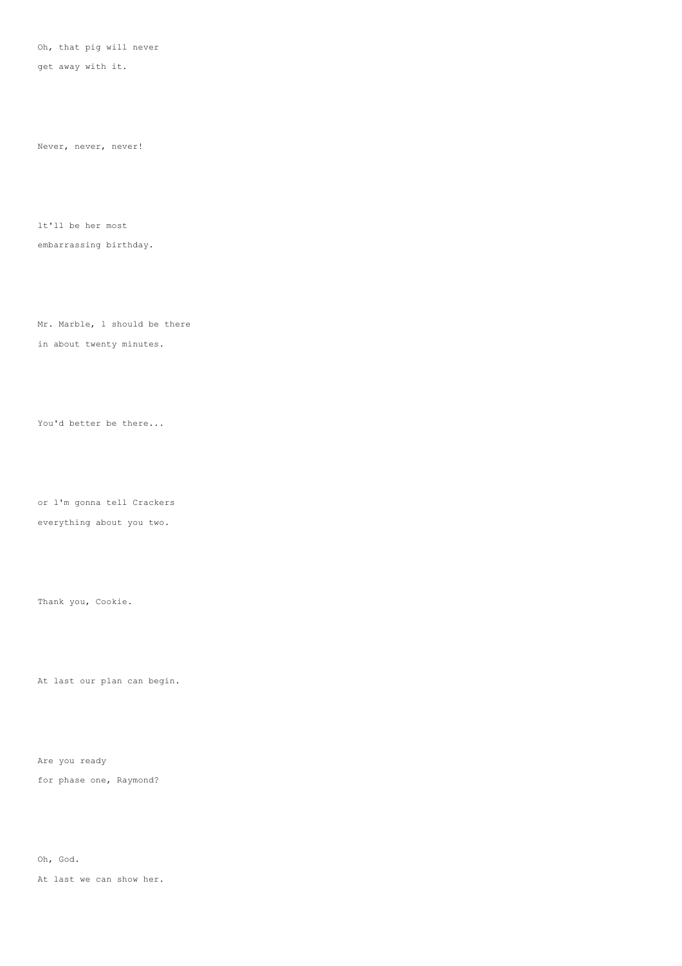Oh, that pig will never

get away with it.

Never, never, never!

lt'll be her most embarrassing birthday.

Mr. Marble, l should be there in about twenty minutes.

You'd better be there...

or l'm gonna tell Crackers everything about you two.

Thank you, Cookie.

At last our plan can begin.

Are you ready

for phase one, Raymond?

Oh, God.

At last we can show her.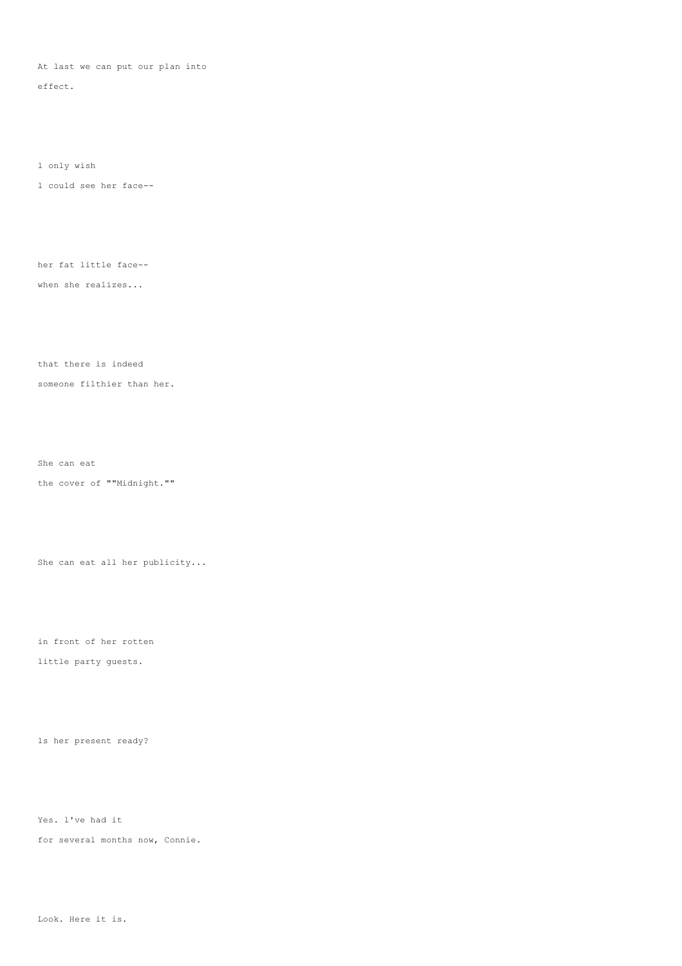At last we can put our plan into

effect.

l only wish

l could see her face--

her fat little face--

when she realizes...

that there is indeed

someone filthier than her.

She can eat

the cover of ""Midnight.""

She can eat all her publicity...

in front of her rotten

little party guests.

ls her present ready?

Yes. l've had it

for several months now, Connie.

Look. Here it is.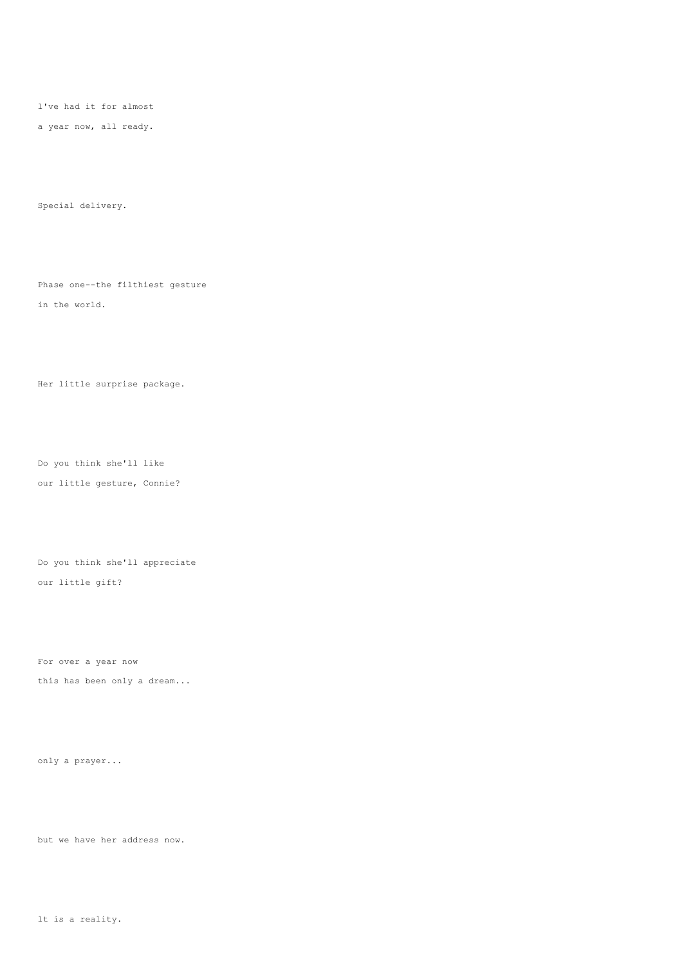l've had it for almost

a year now, all ready.

Special delivery.

Phase one--the filthiest gesture in the world.

Her little surprise package.

Do you think she'll like our little gesture, Connie?

Do you think she'll appreciate our little gift?

For over a year now

this has been only a dream...

only a prayer...

but we have her address now.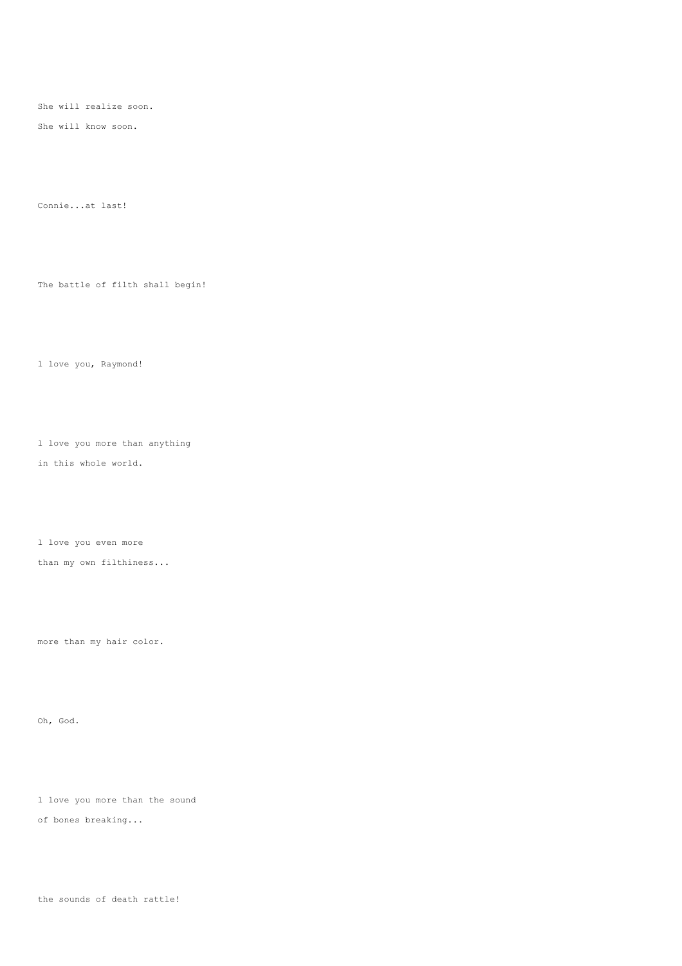She will realize soon.

She will know soon.

Connie...at last!

The battle of filth shall begin!

l love you, Raymond!

l love you more than anything

in this whole world.

l love you even more

than my own filthiness...

more than my hair color.

Oh, God.

l love you more than the sound

of bones breaking...

the sounds of death rattle!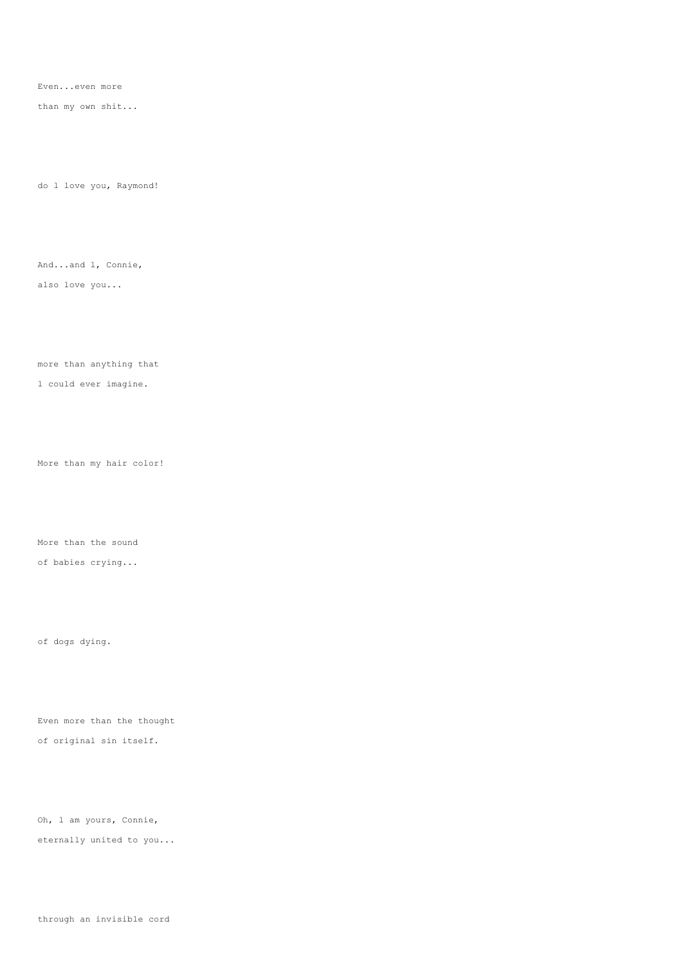Even...even more

than my own shit...

do l love you, Raymond!

And...and l, Connie,

also love you...

more than anything that

l could ever imagine.

More than my hair color!

More than the sound of babies crying...

of dogs dying.

Even more than the thought of original sin itself.

Oh, l am yours, Connie, eternally united to you...

through an invisible cord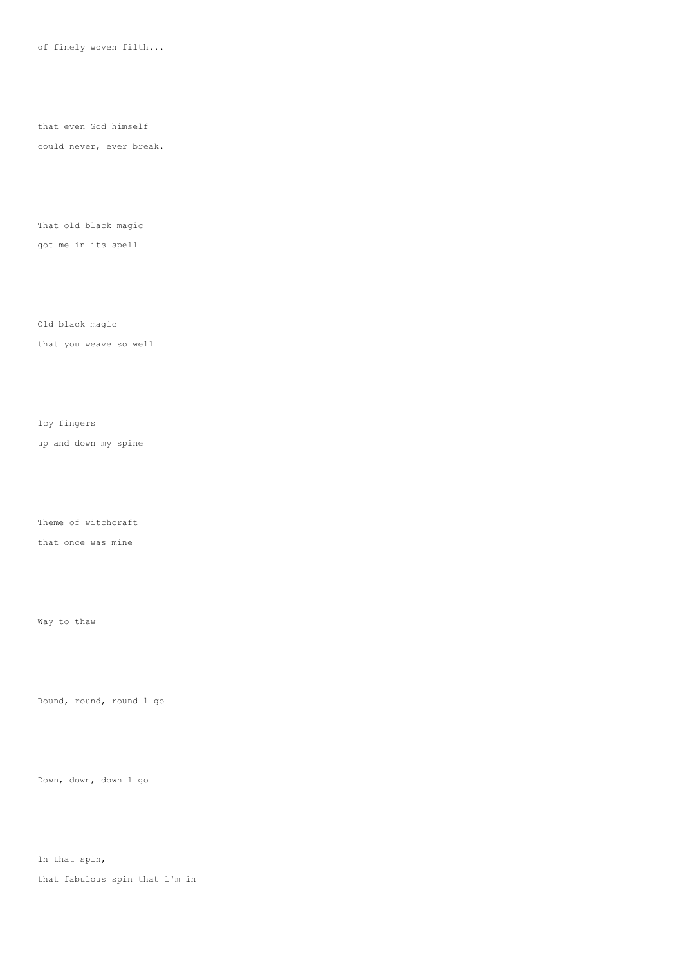of finely woven filth...

that even God himself

could never, ever break.

That old black magic

got me in its spell

Old black magic

that you weave so well

lcy fingers

up and down my spine

Theme of witchcraft

that once was mine

Way to thaw

Round, round, round l go

Down, down, down l go

ln that spin,

that fabulous spin that l'm in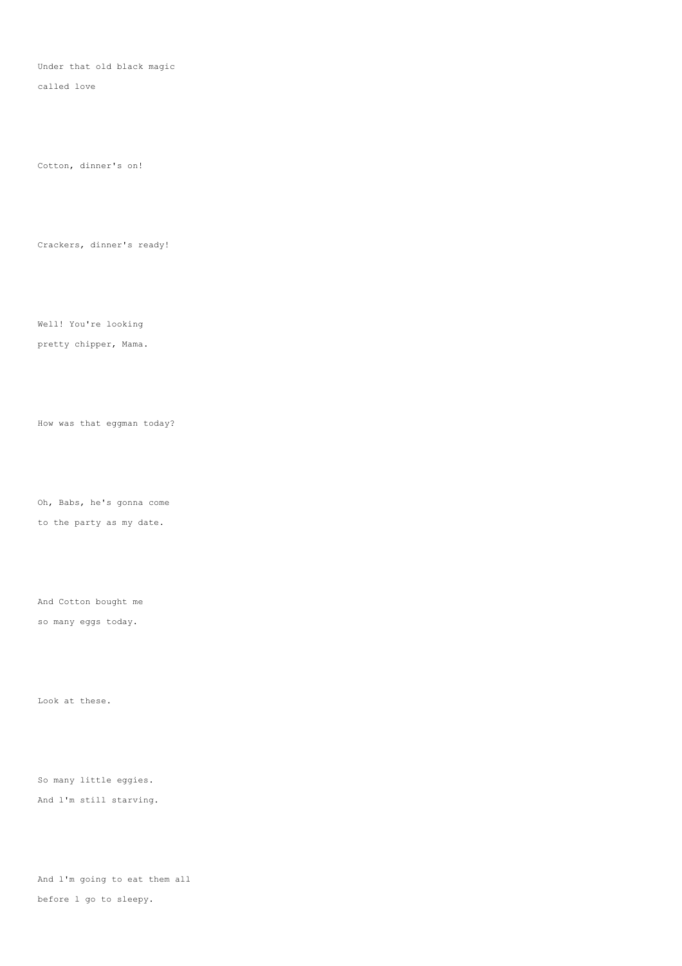Under that old black magic

called love

Cotton, dinner's on!

Crackers, dinner's ready!

Well! You're looking

pretty chipper, Mama.

How was that eggman today?

Oh, Babs, he's gonna come

to the party as my date.

And Cotton bought me

so many eggs today.

Look at these.

So many little eggies. And l'm still starving.

And l'm going to eat them all before l go to sleepy.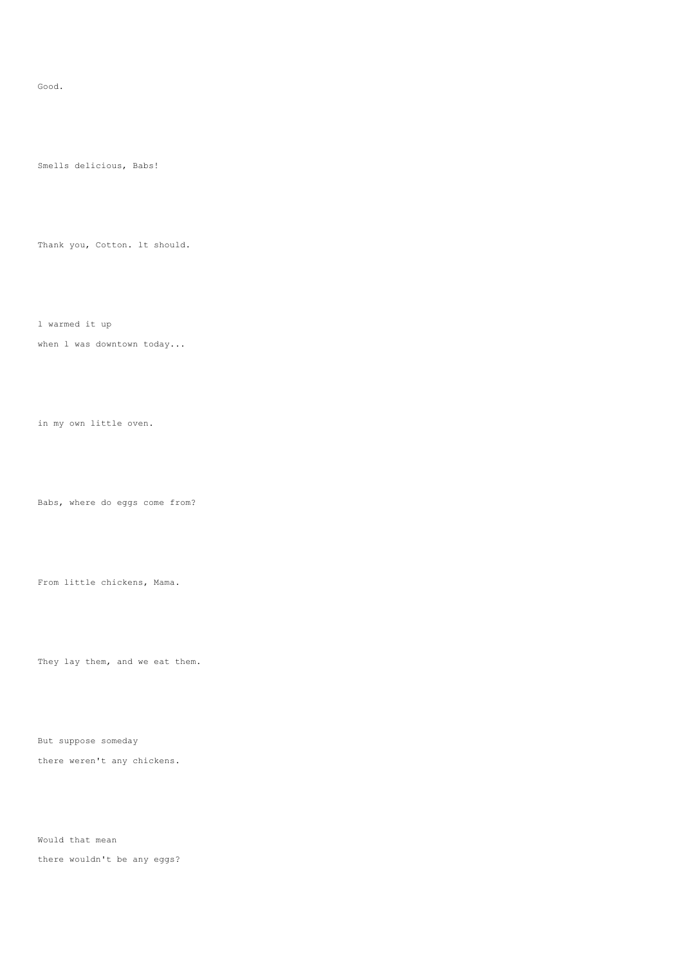#### Good.

Smells delicious, Babs!

Thank you, Cotton. lt should.

l warmed it up

when 1 was downtown today...

in my own little oven.

Babs, where do eggs come from?

From little chickens, Mama.

They lay them, and we eat them.

But suppose someday

there weren't any chickens.

Would that mean

there wouldn't be any eggs?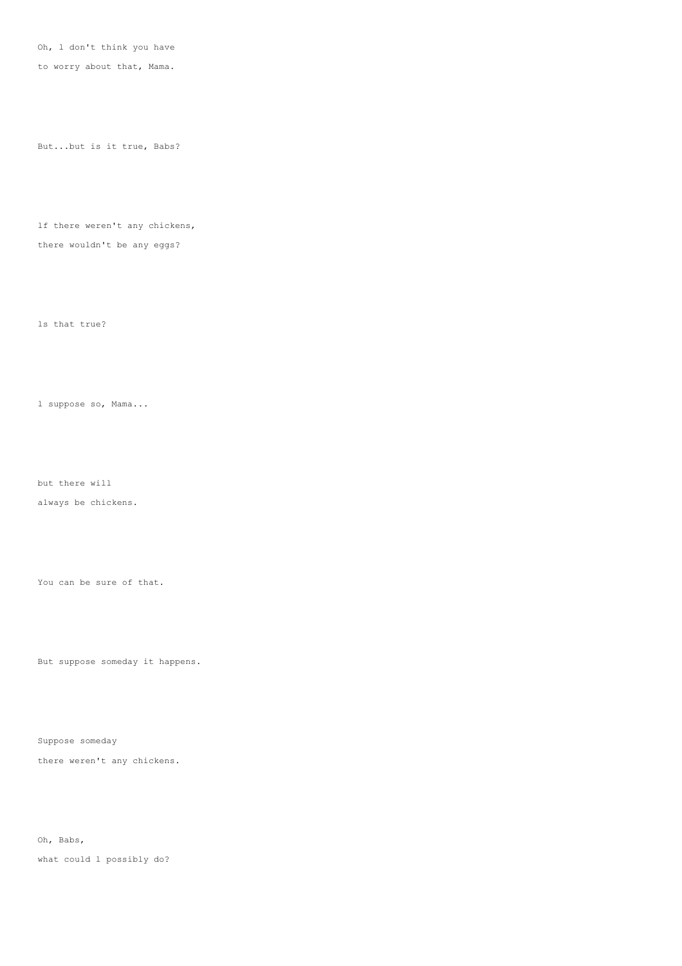Oh, l don't think you have

to worry about that, Mama.

But...but is it true, Babs?

lf there weren't any chickens, there wouldn't be any eggs?

ls that true?

l suppose so, Mama...

but there will

always be chickens.

You can be sure of that.

But suppose someday it happens.

Suppose someday

there weren't any chickens.

Oh, Babs,

what could l possibly do?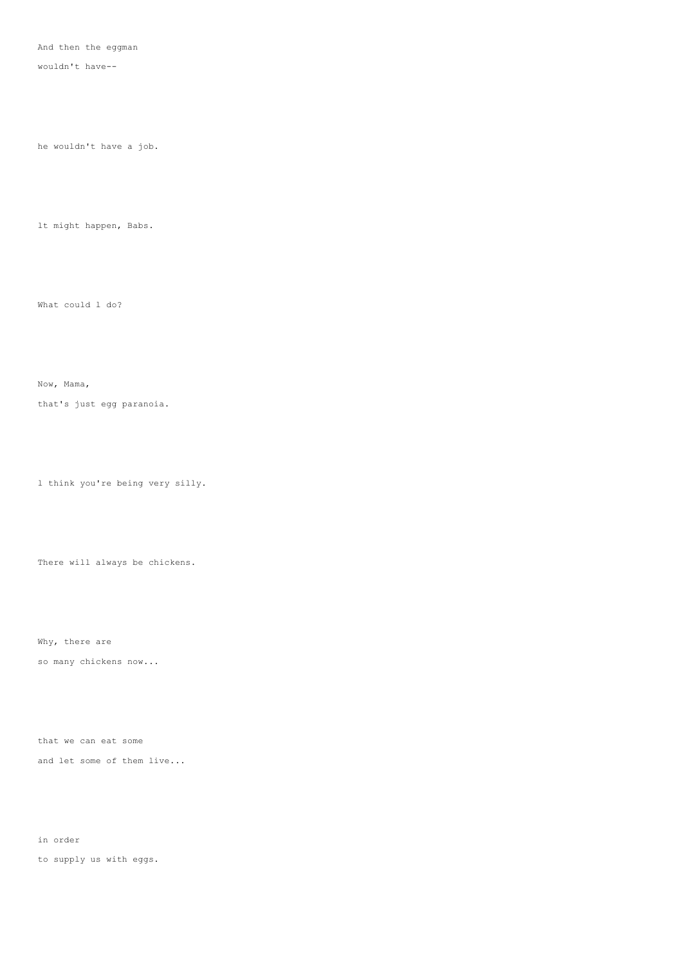And then the eggman

wouldn't have--

he wouldn't have a job.

lt might happen, Babs.

What could l do?

Now, Mama,

that's just egg paranoia.

l think you're being very silly.

There will always be chickens.

Why, there are

so many chickens now...

that we can eat some and let some of them live...

in order

to supply us with eggs.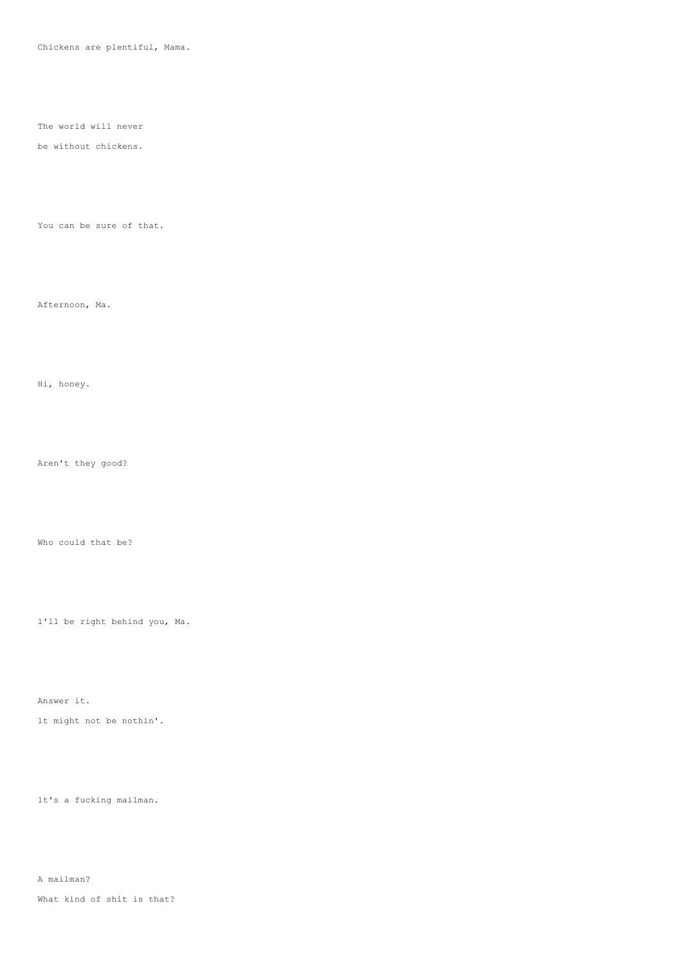Chickens are plentiful, Mama.

The world will never

## be without chickens.

You can be sure of that.

Afternoon, Ma.

Hi, honey.

Aren't they good?

Who could that be?

l'll be right behind you, Ma.

Answer it.

lt might not be nothin'.

lt's a fucking mailman.

A mailman?

What kind of shit is that?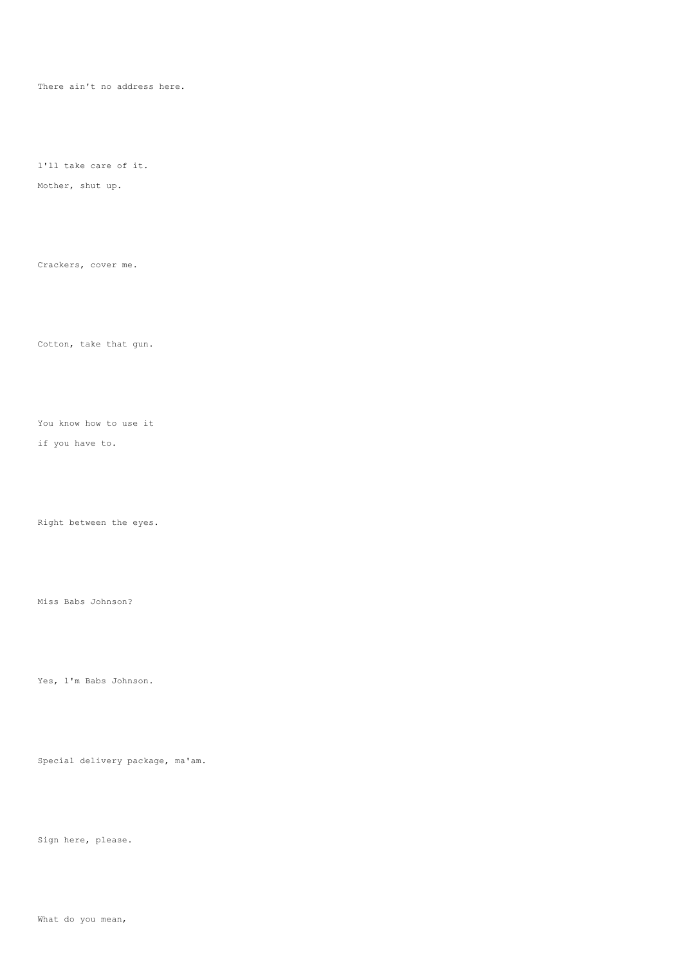There ain't no address here.

l'll take care of it.

Mother, shut up.

Crackers, cover me.

Cotton, take that gun.

You know how to use it

if you have to.

Right between the eyes.

Miss Babs Johnson?

Yes, l'm Babs Johnson.

Special delivery package, ma'am.

Sign here, please.

What do you mean,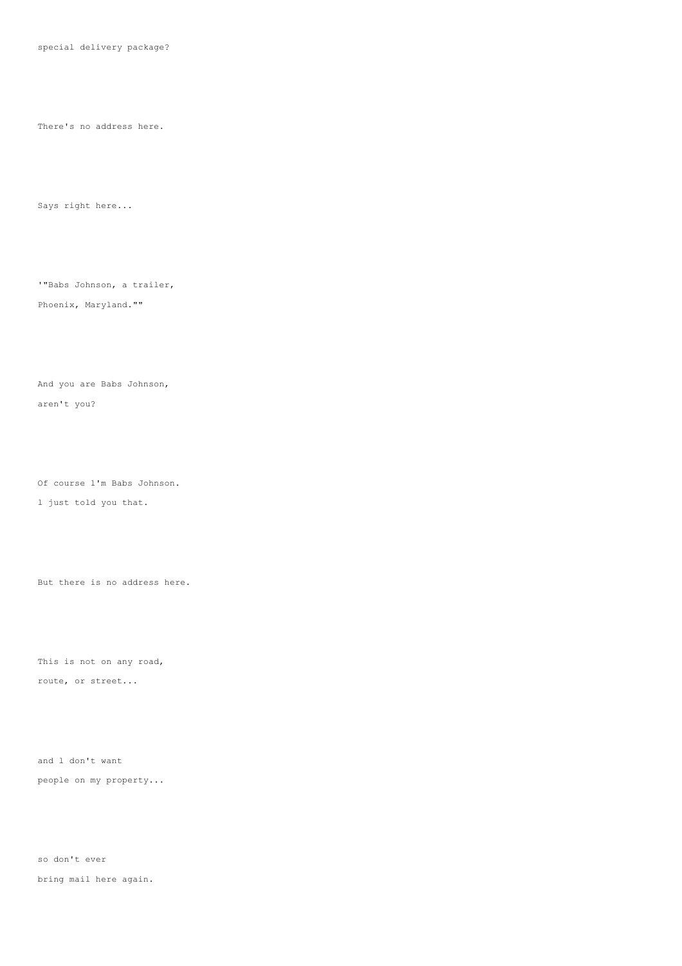special delivery package?

There's no address here.

Says right here...

'"Babs Johnson, a trailer,

# Phoenix, Maryland.""

And you are Babs Johnson,

aren't you?

Of course l'm Babs Johnson.

l just told you that.

But there is no address here.

This is not on any road, route, or street...

and l don't want people on my property...

so don't ever bring mail here again.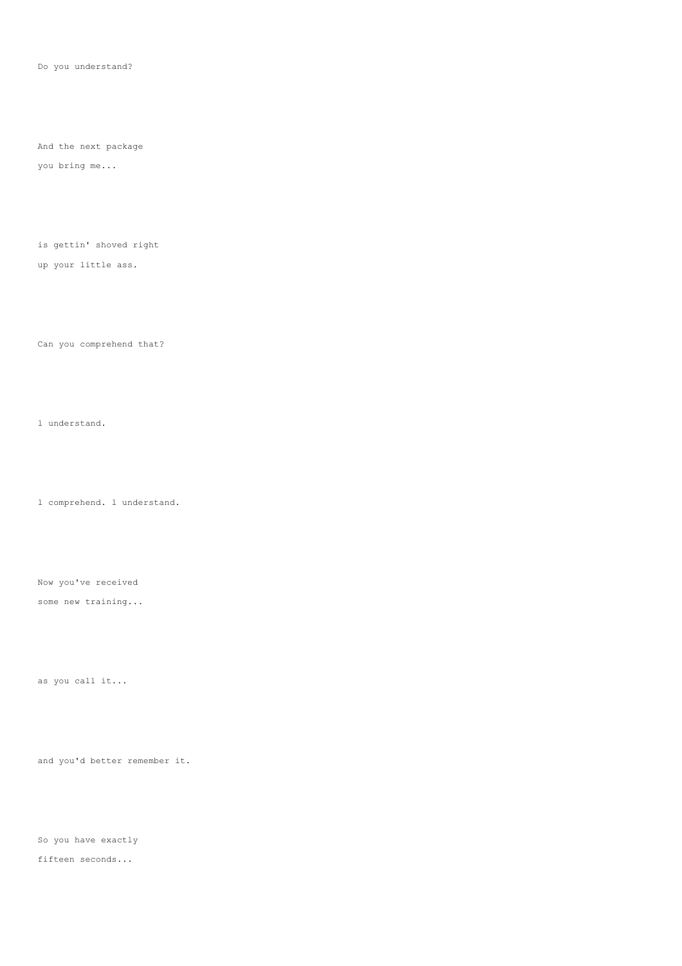Do you understand?

And the next package

you bring me...

is gettin' shoved right

up your little ass.

Can you comprehend that?

l understand.

l comprehend. l understand.

Now you've received some new training...

as you call it...

and you'd better remember it.

So you have exactly

fifteen seconds...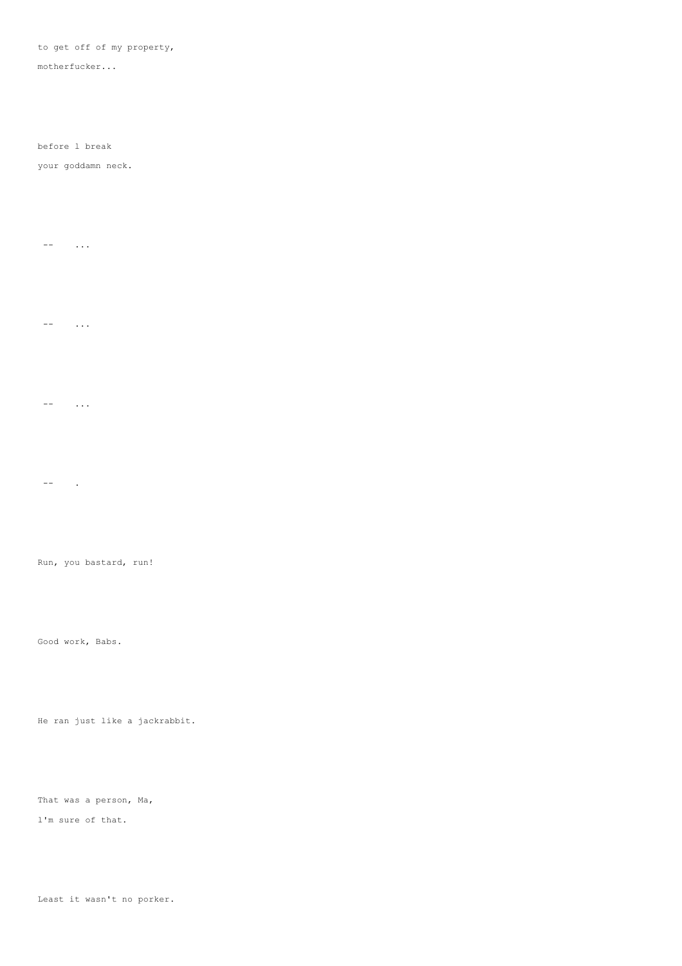### to get off of my property,

motherfucker...

before l break

### your goddamn neck.

 $--$  ...

 $--$  ...

 $...$ 

-- .

Run, you bastard, run!

Good work, Babs.

He ran just like a jackrabbit.

That was a person, Ma,

l'm sure of that.

Least it wasn't no porker.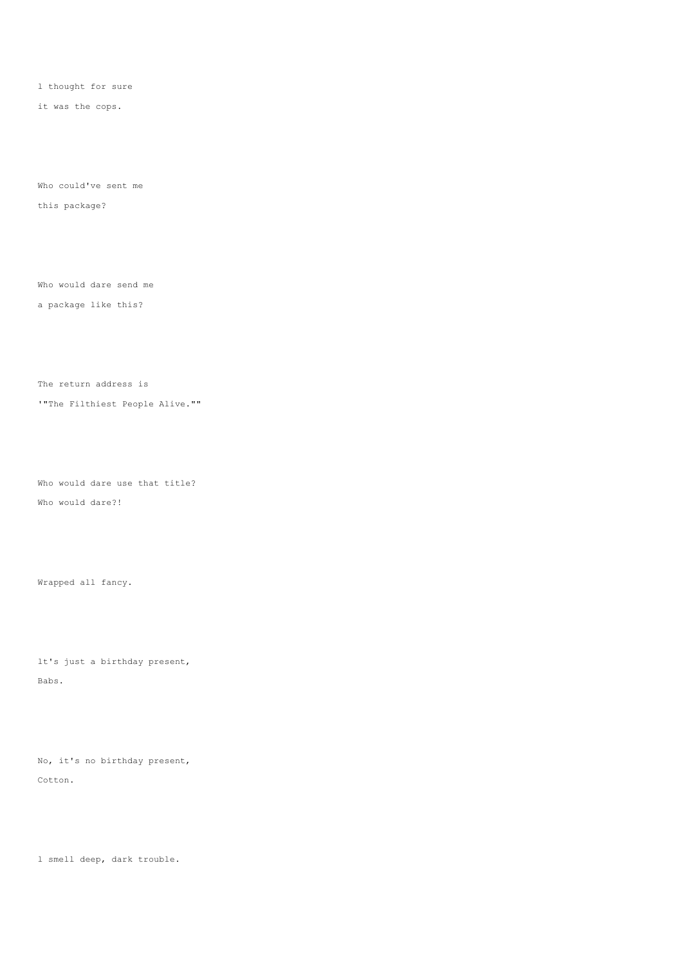l thought for sure

it was the cops.

Who could've sent me this package?

Who would dare send me

a package like this?

The return address is

'"The Filthiest People Alive.""

Who would dare use that title? Who would dare?!

Wrapped all fancy.

lt's just a birthday present, Babs.

No, it's no birthday present, Cotton.

l smell deep, dark trouble.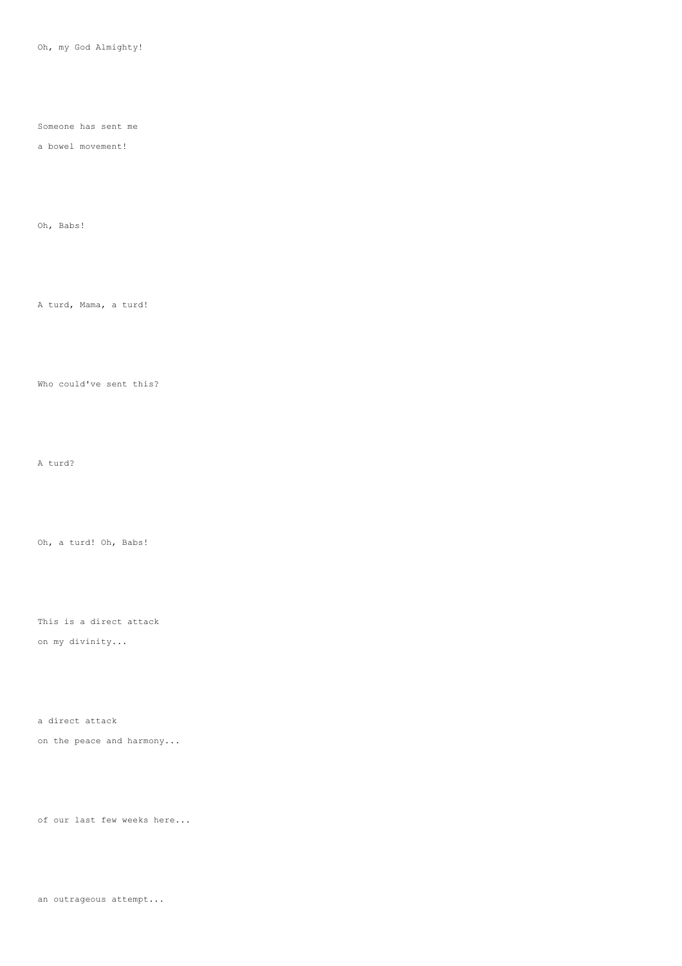Oh, my God Almighty!

Someone has sent me

a bowel movement!

Oh, Babs!

A turd, Mama, a turd!

Who could've sent this?

A turd?

Oh, a turd! Oh, Babs!

This is a direct attack on my divinity...

a direct attack

on the peace and harmony...

of our last few weeks here...

an outrageous attempt...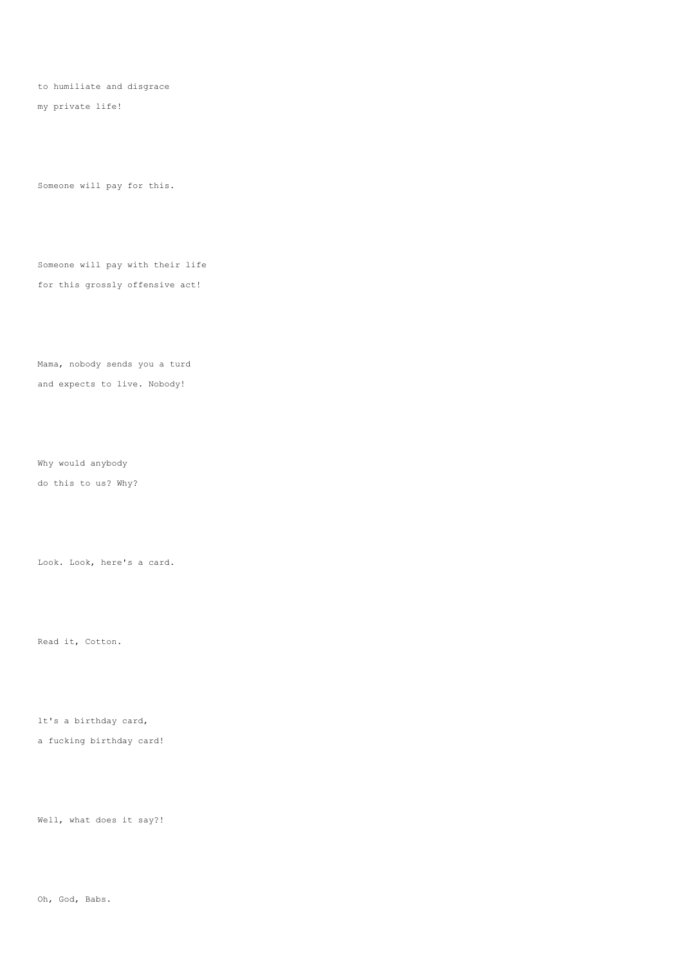to humiliate and disgrace

my private life!

Someone will pay for this.

Someone will pay with their life for this grossly offensive act!

Mama, nobody sends you a turd and expects to live. Nobody!

Why would anybody

do this to us? Why?

Look. Look, here's a card.

Read it, Cotton.

lt's a birthday card,

a fucking birthday card!

Well, what does it say?!

Oh, God, Babs.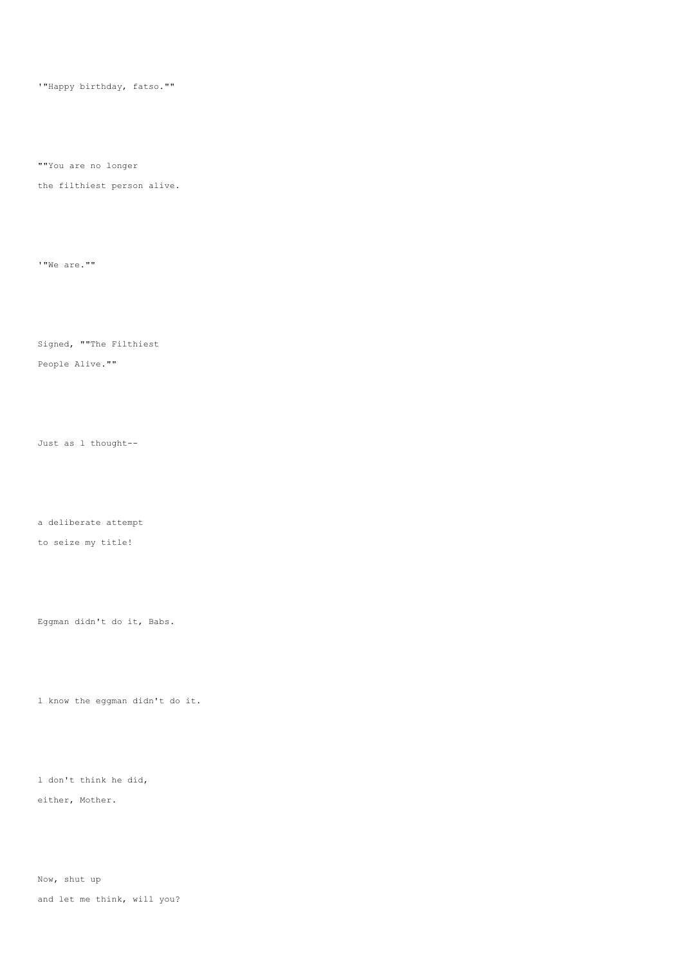'"Happy birthday, fatso.""

""You are no longer

the filthiest person alive.

'"We are.""

Signed, ""The Filthiest

People Alive.""

Just as l thought--

a deliberate attempt

to seize my title!

Eggman didn't do it, Babs.

l know the eggman didn't do it.

l don't think he did, either, Mother.

Now, shut up and let me think, will you?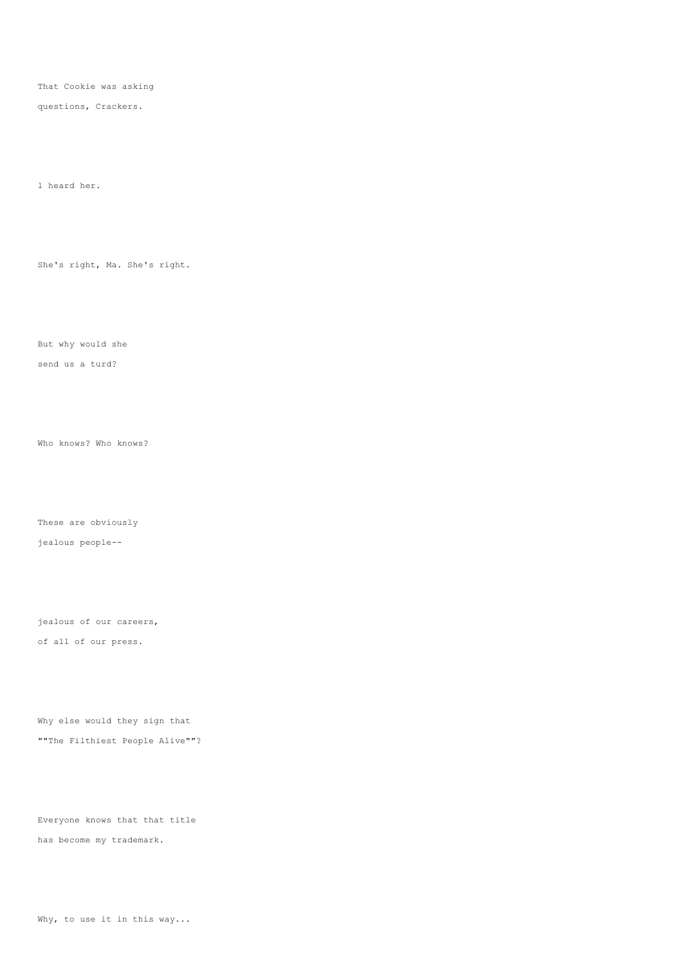That Cookie was asking

questions, Crackers.

l heard her.

She's right, Ma. She's right.

But why would she

send us a turd?

Who knows? Who knows?

These are obviously

jealous people--

jealous of our careers, of all of our press.

Why else would they sign that ""The Filthiest People Alive""?

Everyone knows that that title has become my trademark.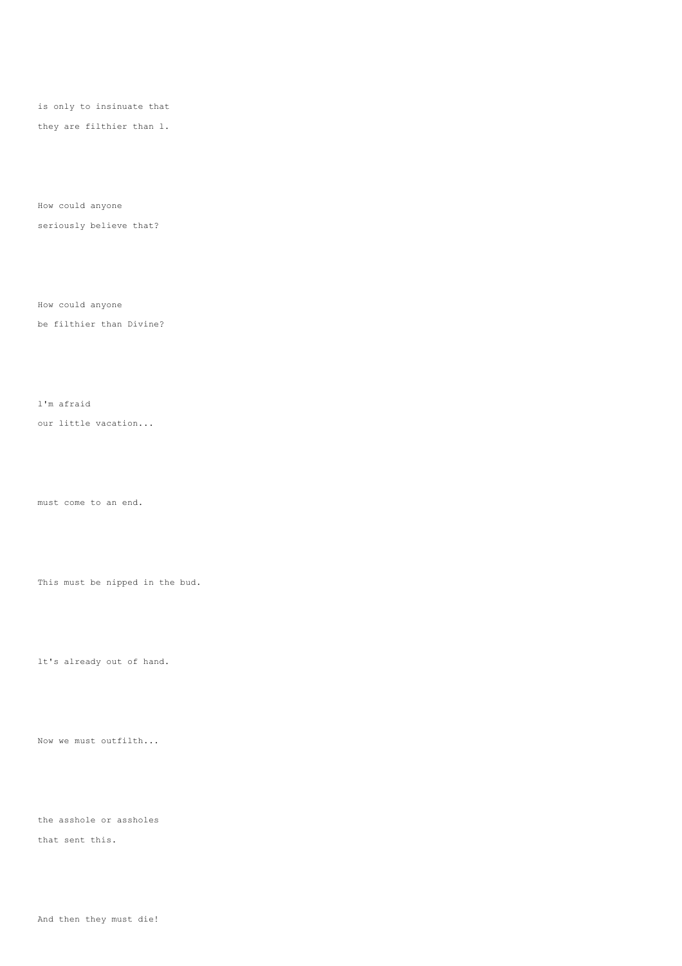is only to insinuate that

they are filthier than l.

How could anyone

seriously believe that?

How could anyone

be filthier than Divine?

l'm afraid

our little vacation...

must come to an end.

This must be nipped in the bud.

lt's already out of hand.

Now we must outfilth...

the asshole or assholes

that sent this.

And then they must die!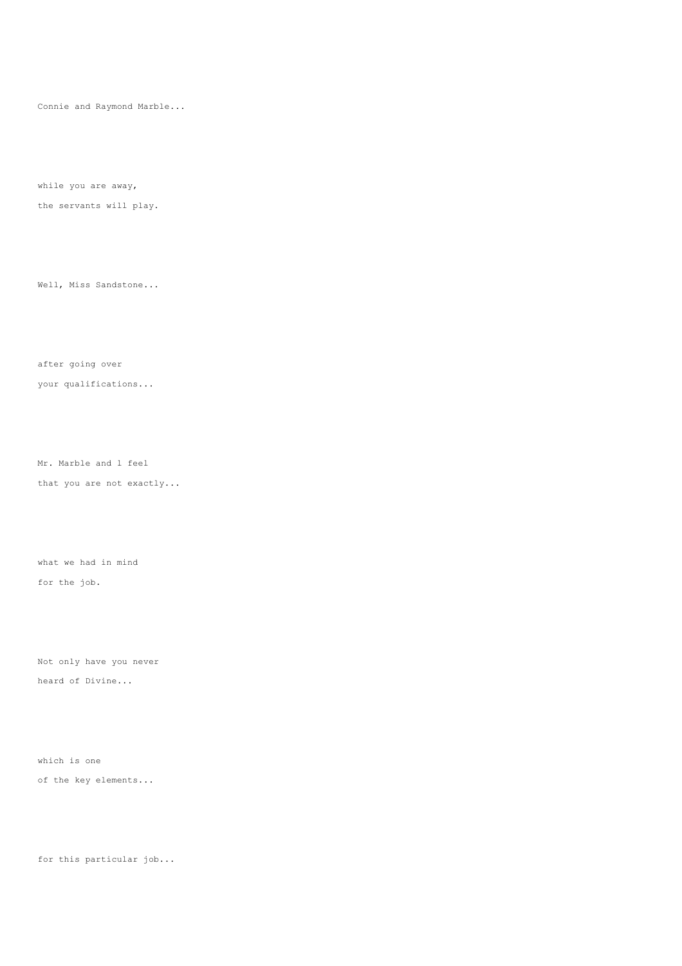Connie and Raymond Marble...

while you are away,

the servants will play.

Well, Miss Sandstone...

after going over

your qualifications...

Mr. Marble and l feel

that you are not exactly...

what we had in mind for the job.

Not only have you never heard of Divine...

which is one of the key elements...

for this particular job...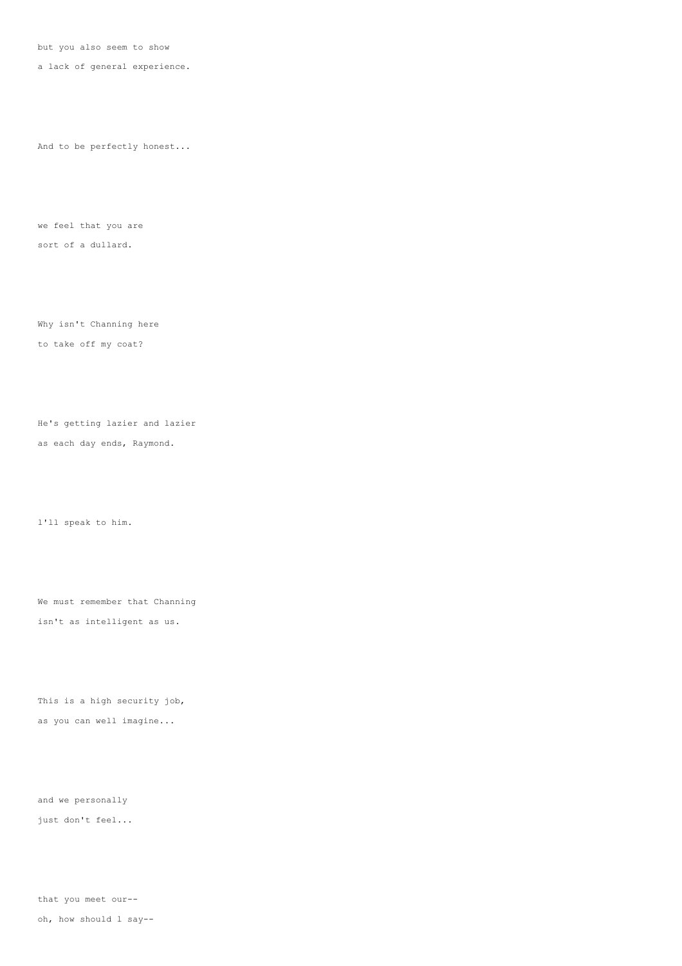but you also seem to show

a lack of general experience.

And to be perfectly honest...

we feel that you are sort of a dullard.

Why isn't Channing here to take off my coat?

He's getting lazier and lazier as each day ends, Raymond.

l'll speak to him.

We must remember that Channing isn't as intelligent as us.

This is a high security job, as you can well imagine...

and we personally

just don't feel...

that you meet our--

oh, how should l say--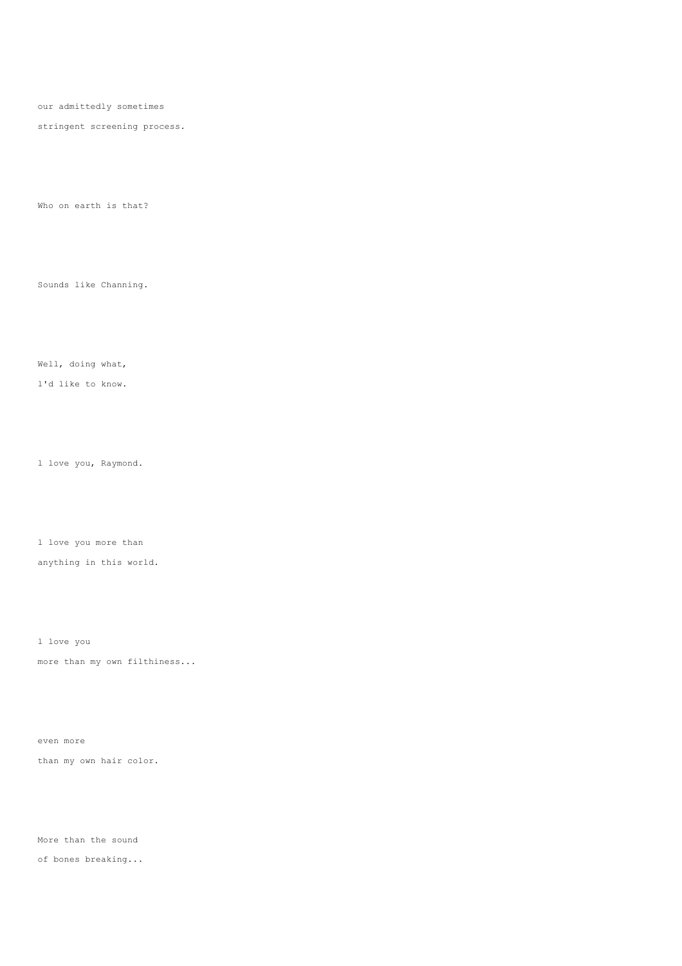our admittedly sometimes

stringent screening process.

Who on earth is that?

Sounds like Channing.

Well, doing what,

l'd like to know.

l love you, Raymond.

l love you more than

anything in this world.

l love you more than my own filthiness...

even more than my own hair color.

More than the sound

of bones breaking...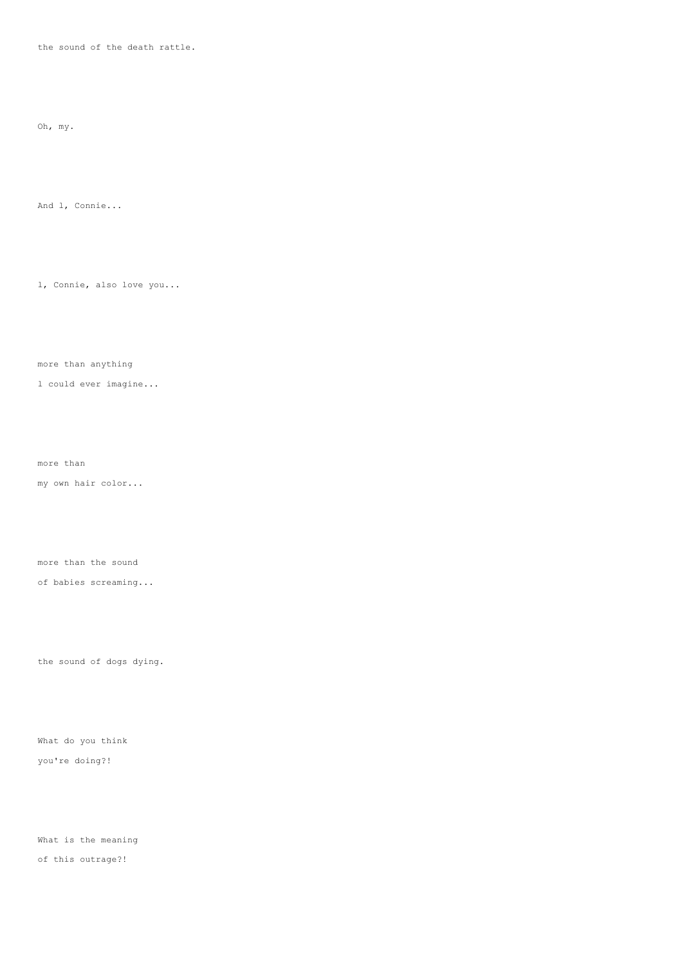the sound of the death rattle.

Oh, my.

And l, Connie...

l, Connie, also love you...

more than anything

l could ever imagine...

more than

my own hair color...

more than the sound

of babies screaming...

the sound of dogs dying.

What do you think you're doing?!

What is the meaning of this outrage?!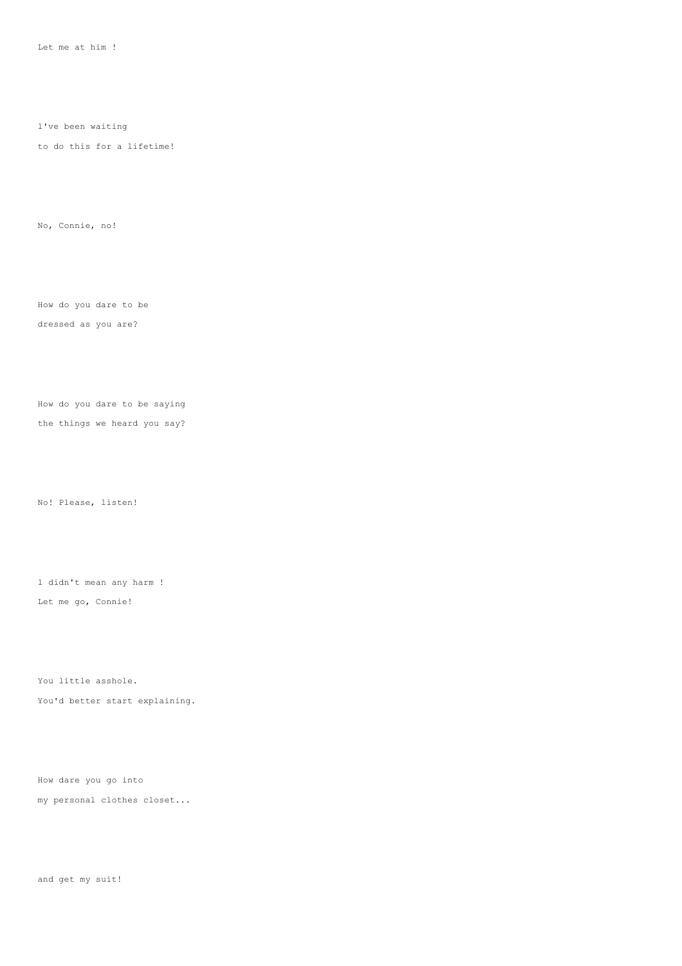Let me at him !

l've been waiting

to do this for a lifetime!

No, Connie, no!

How do you dare to be

dressed as you are?

How do you dare to be saying

the things we heard you say?

No! Please, listen!

l didn't mean any harm ! Let me go, Connie!

You little asshole. You'd better start explaining.

How dare you go into my personal clothes closet...

and get my suit!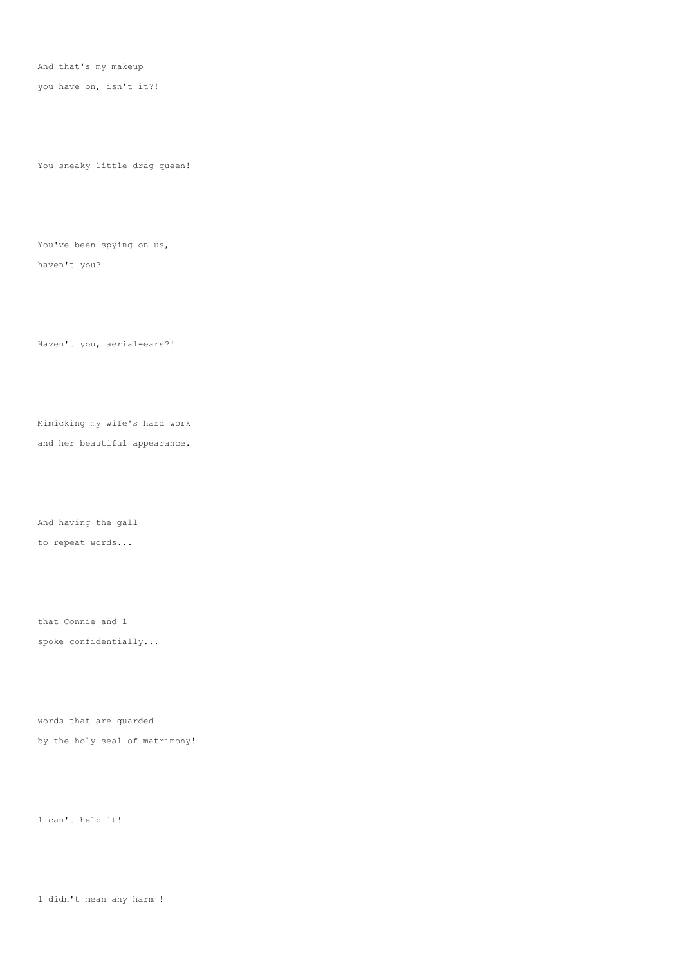And that's my makeup

you have on, isn't it?!

You sneaky little drag queen!

You've been spying on us, haven't you?

Haven't you, aerial-ears?!

Mimicking my wife's hard work

and her beautiful appearance.

And having the gall to repeat words...

that Connie and l spoke confidentially...

words that are guarded by the holy seal of matrimony!

l can't help it!

l didn't mean any harm !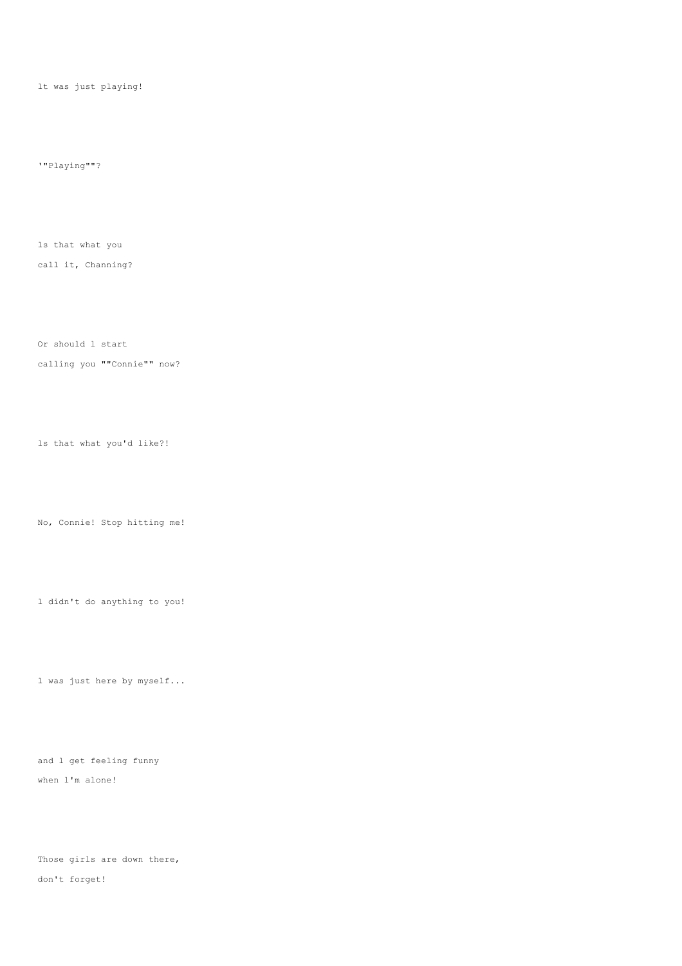lt was just playing!

'"Playing""?

ls that what you

call it, Channing?

Or should l start

calling you ""Connie"" now?

ls that what you'd like?!

No, Connie! Stop hitting me!

l didn't do anything to you!

l was just here by myself...

and l get feeling funny when l'm alone!

Those girls are down there, don't forget!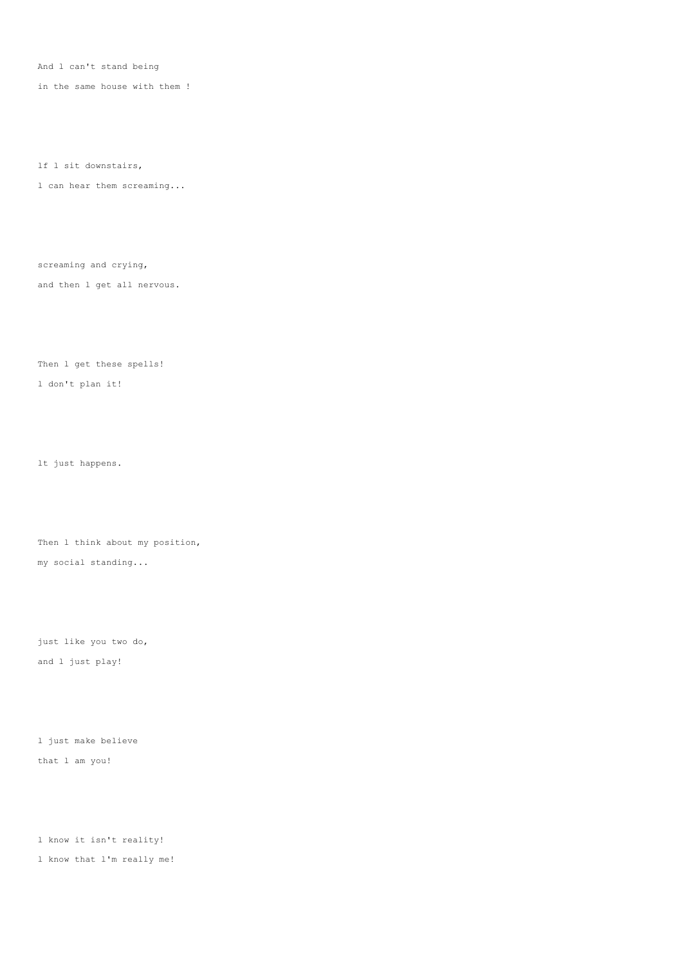And l can't stand being

in the same house with them !

lf l sit downstairs,

l can hear them screaming...

screaming and crying, and then l get all nervous.

Then l get these spells!

l don't plan it!

lt just happens.

Then 1 think about my position, my social standing...

just like you two do, and l just play!

l just make believe that l am you!

l know it isn't reality!

l know that l'm really me!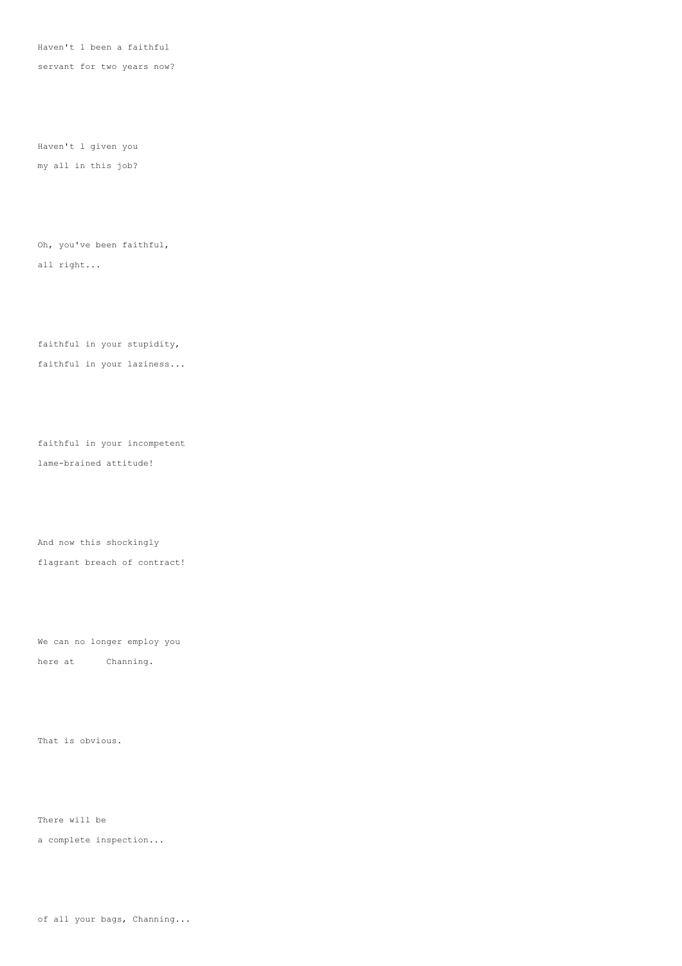Haven't l been a faithful

servant for two years now?

Haven't l given you my all in this job?

Oh, you've been faithful, all right...

faithful in your stupidity, faithful in your laziness...

faithful in your incompetent lame-brained attitude!

And now this shockingly flagrant breach of contract!

We can no longer employ you here at Channing.

That is obvious.

There will be

a complete inspection...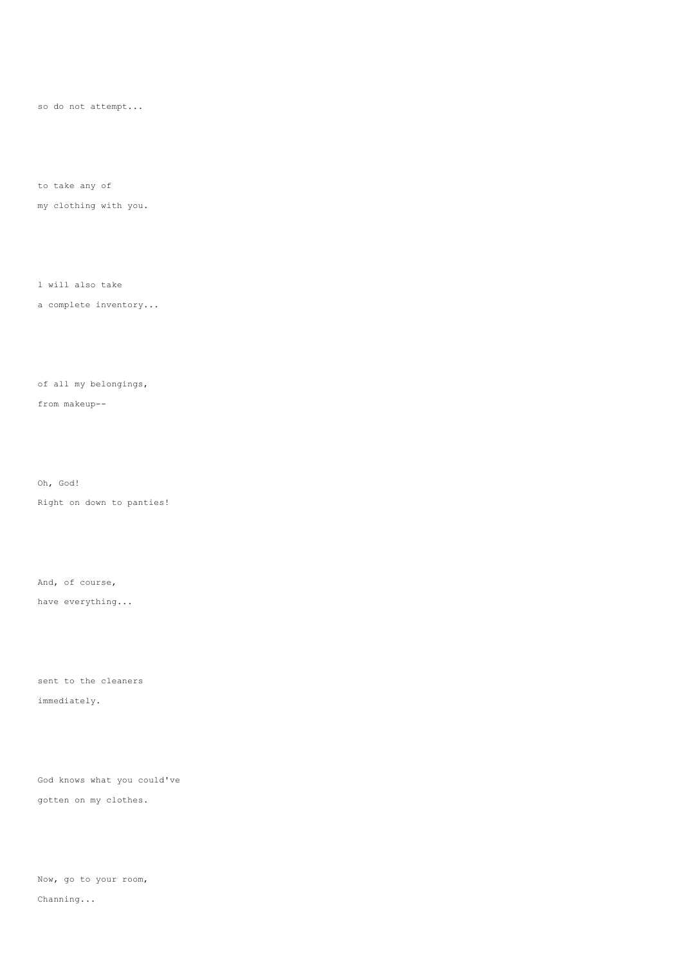so do not attempt...

to take any of

my clothing with you.

l will also take

a complete inventory...

of all my belongings,

from makeup--

Oh, God!

Right on down to panties!

And, of course,

have everything...

sent to the cleaners immediately.

God knows what you could've gotten on my clothes.

Now, go to your room,

Channing...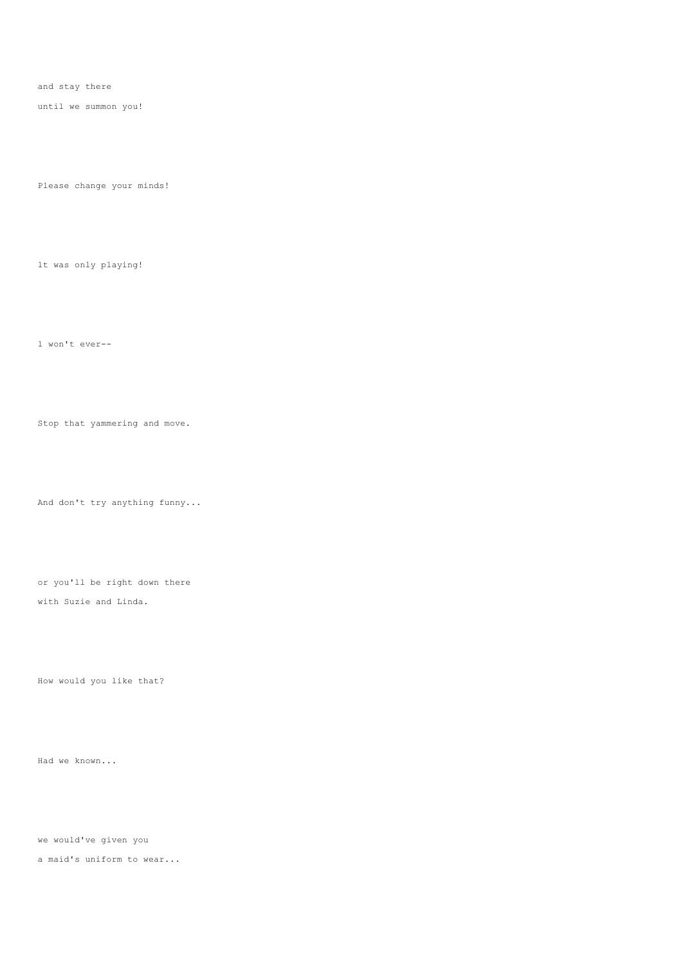and stay there

until we summon you!

Please change your minds!

lt was only playing!

l won't ever--

Stop that yammering and move.

And don't try anything funny...

or you'll be right down there with Suzie and Linda.

How would you like that?

Had we known...

we would've given you

a maid's uniform to wear...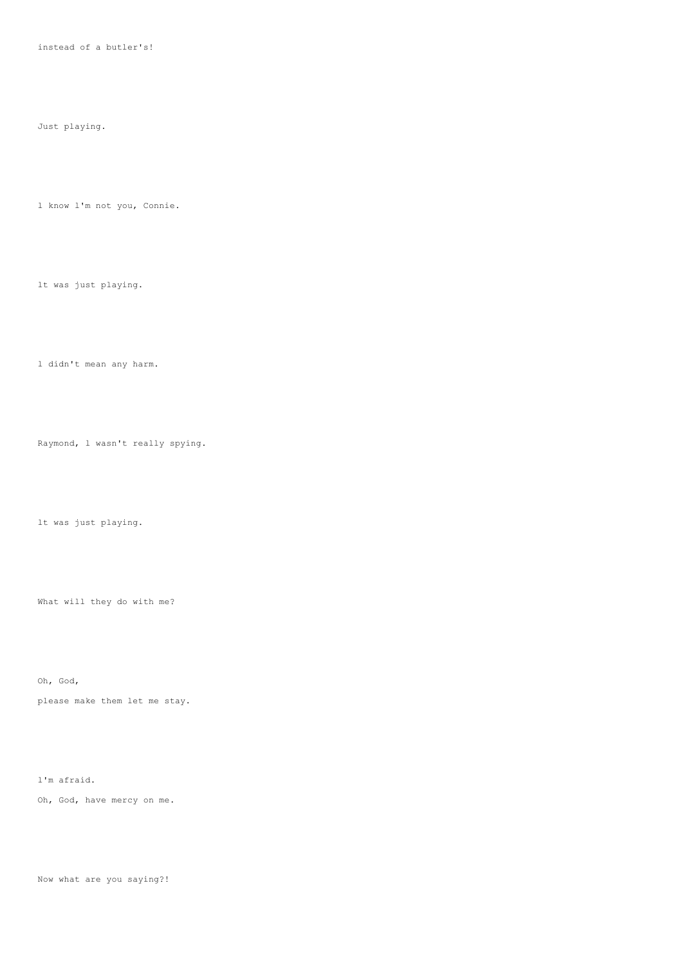instead of a butler's!

Just playing.

l know l'm not you, Connie.

lt was just playing.

l didn't mean any harm.

Raymond, l wasn't really spying.

lt was just playing.

What will they do with me?

Oh, God, please make them let me stay.

l'm afraid. Oh, God, have mercy on me.

Now what are you saying?!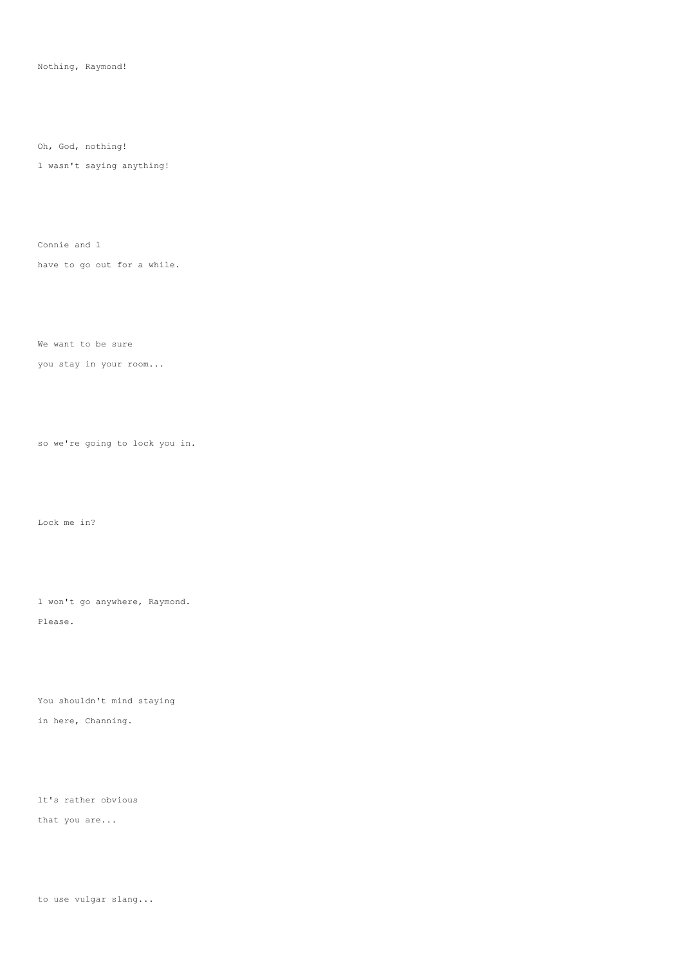Nothing, Raymond!

Oh, God, nothing!

l wasn't saying anything!

Connie and l

have to go out for a while.

We want to be sure

you stay in your room...

so we're going to lock you in.

Lock me in?

l won't go anywhere, Raymond. Please.

You shouldn't mind staying in here, Channing.

lt's rather obvious that you are...

to use vulgar slang...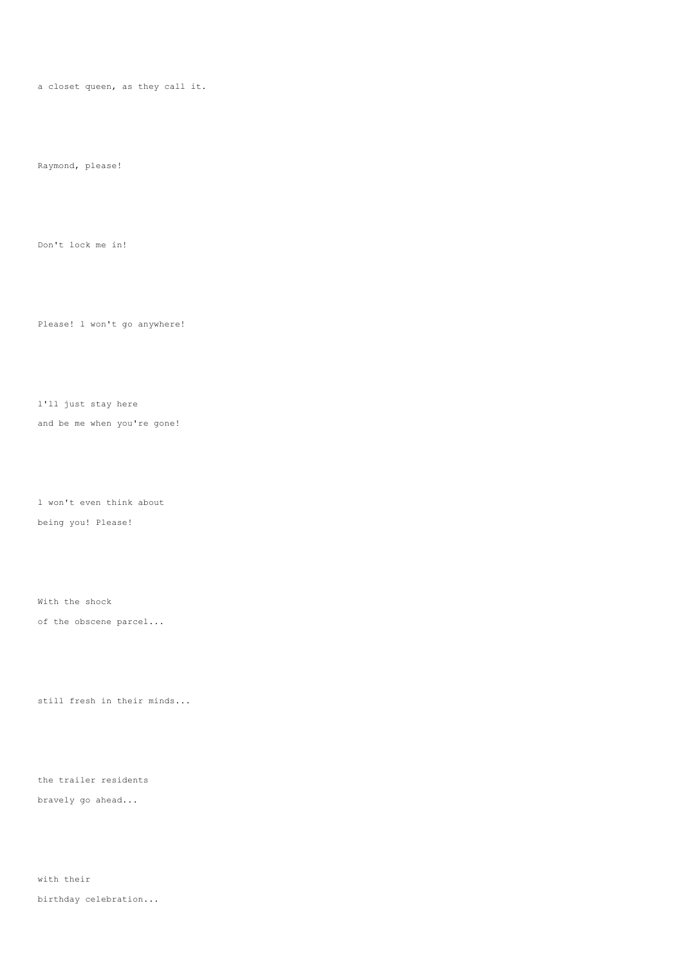a closet queen, as they call it.

Raymond, please!

Don't lock me in!

Please! l won't go anywhere!

l'll just stay here

and be me when you're gone!

l won't even think about being you! Please!

With the shock of the obscene parcel...

still fresh in their minds...

the trailer residents bravely go ahead...

with their birthday celebration...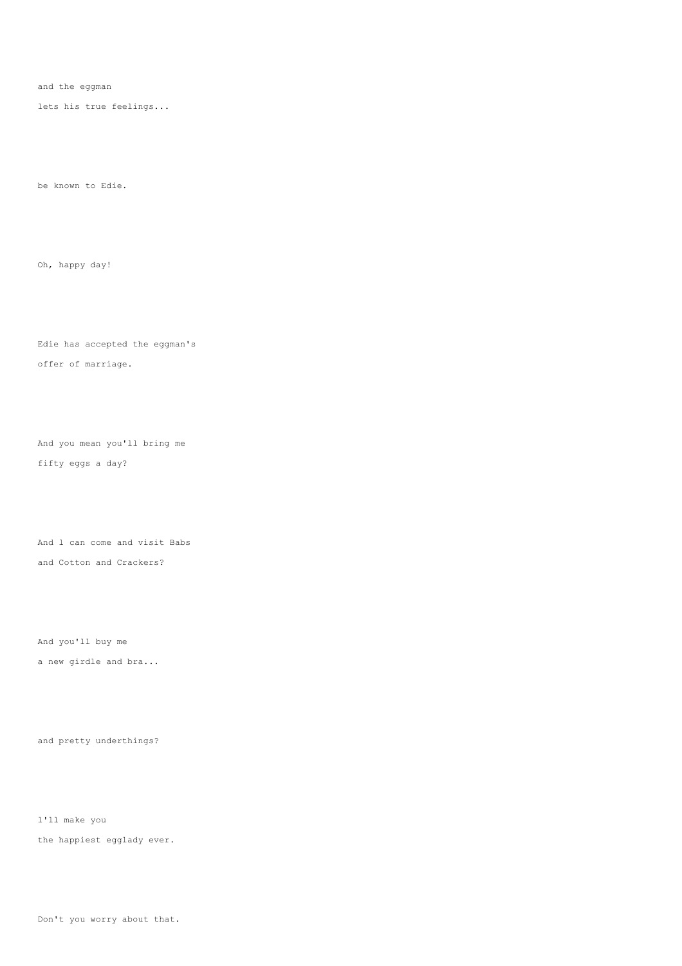and the eggman

lets his true feelings...

be known to Edie.

Oh, happy day!

Edie has accepted the eggman's offer of marriage.

And you mean you'll bring me fifty eggs a day?

And l can come and visit Babs and Cotton and Crackers?

And you'll buy me

a new girdle and bra...

and pretty underthings?

l'll make you the happiest egglady ever.

Don't you worry about that.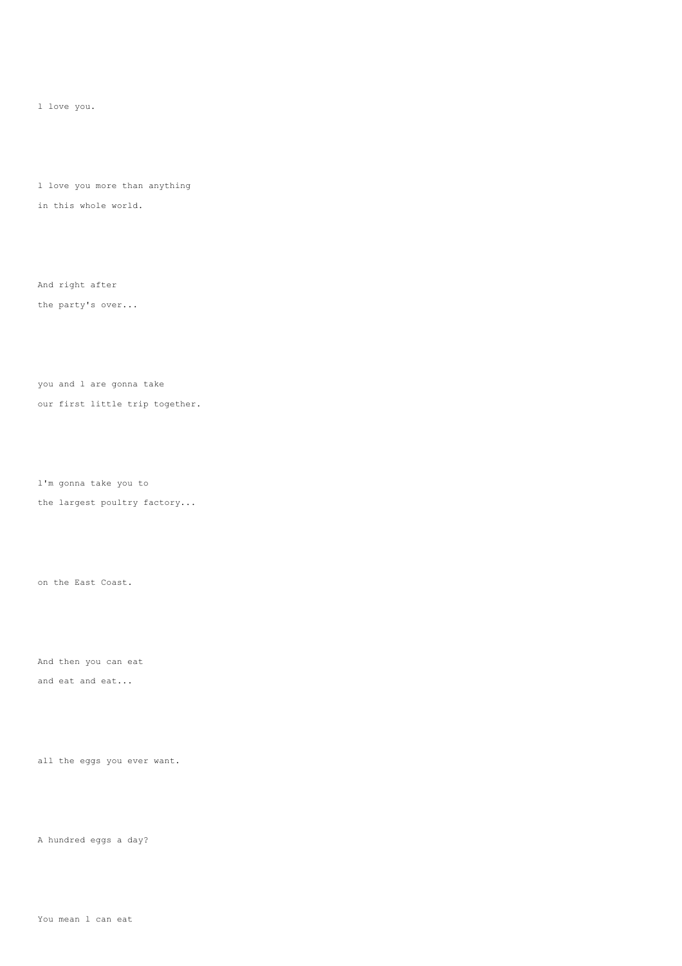l love you.

l love you more than anything in this whole world.

And right after the party's over...

you and l are gonna take our first little trip together.

l'm gonna take you to

the largest poultry factory...

on the East Coast.

And then you can eat and eat and eat...

all the eggs you ever want.

A hundred eggs a day?

You mean l can eat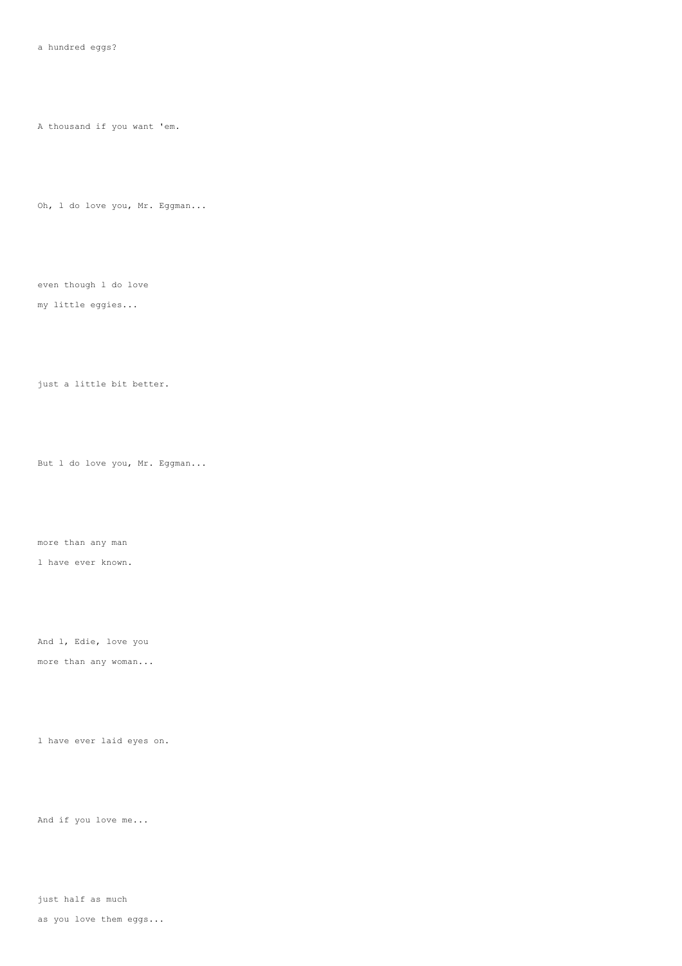A thousand if you want 'em.

Oh, l do love you, Mr. Eggman...

even though l do love my little eggies...

just a little bit better.

But l do love you, Mr. Eggman...

more than any man

l have ever known.

And l, Edie, love you

more than any woman...

l have ever laid eyes on.

And if you love me...

just half as much

as you love them eggs...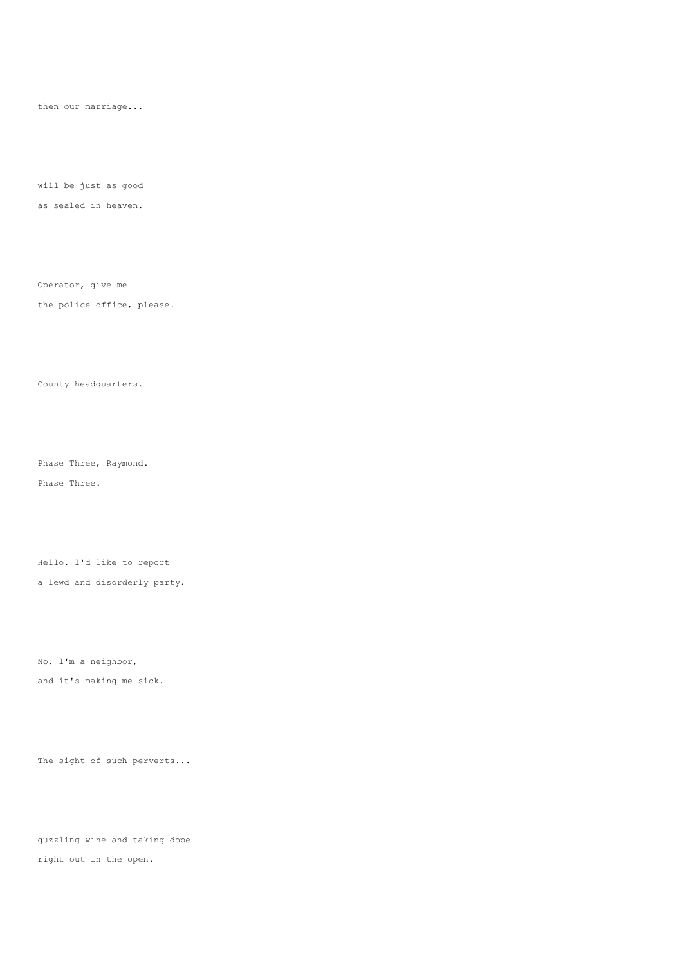then our marriage...

will be just as good as sealed in heaven.

Operator, give me the police office, please.

County headquarters.

Phase Three, Raymond. Phase Three.

Hello. l'd like to report

a lewd and disorderly party.

No. l'm a neighbor,

and it's making me sick.

The sight of such perverts...

guzzling wine and taking dope right out in the open.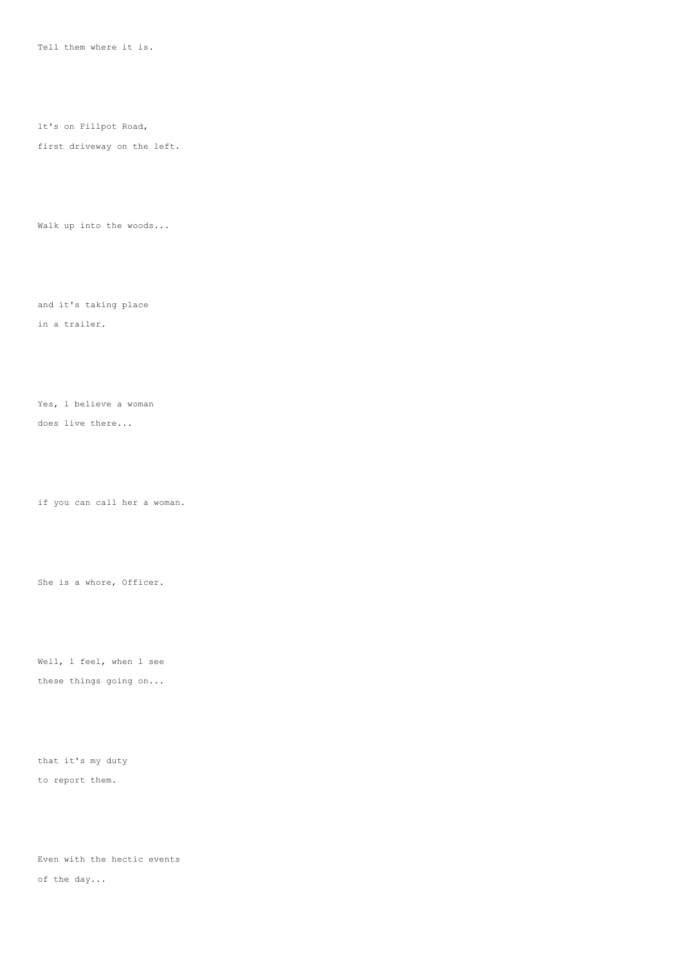Tell them where it is.

lt's on Fillpot Road,

first driveway on the left.

Walk up into the woods...

and it's taking place

in a trailer.

Yes, l believe a woman

does live there...

if you can call her a woman.

She is a whore, Officer.

Well, 1 feel, when 1 see these things going on...

that it's my duty to report them.

Even with the hectic events of the day...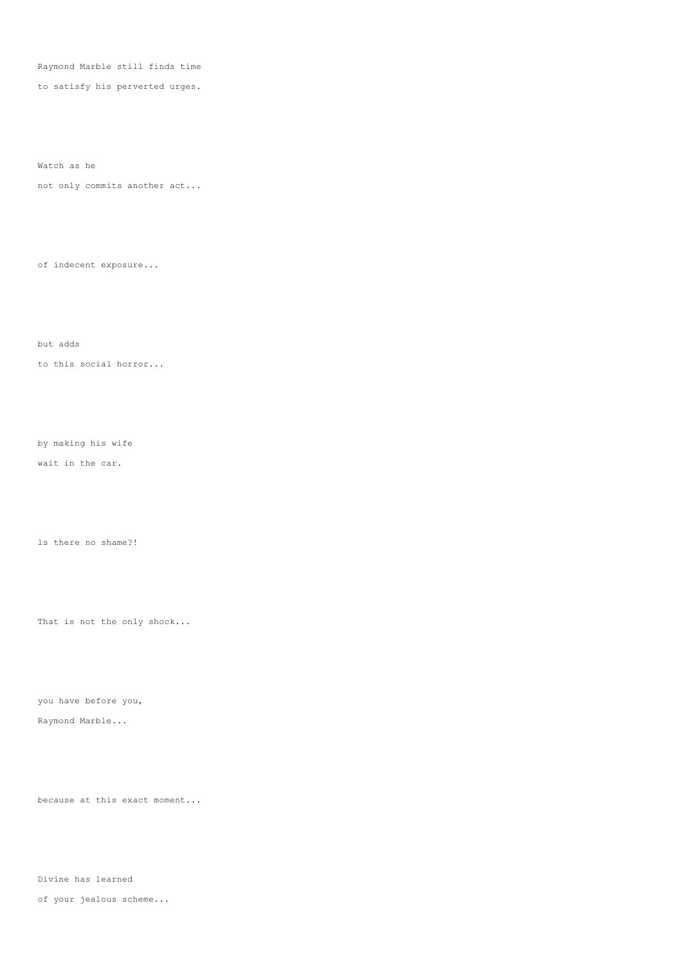Raymond Marble still finds time

to satisfy his perverted urges.

Watch as he

not only commits another act...

of indecent exposure...

but adds

to this social horror...

by making his wife

wait in the car.

ls there no shame?!

That is not the only shock...

you have before you,

Raymond Marble...

because at this exact moment...

Divine has learned

of your jealous scheme...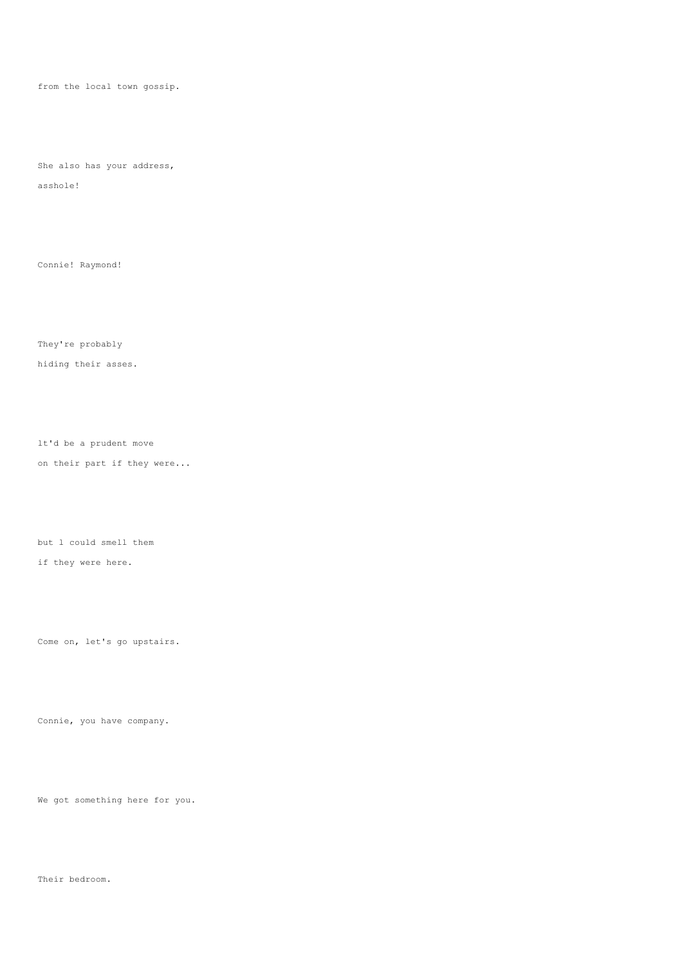from the local town gossip.

She also has your address, asshole!

Connie! Raymond!

They're probably

hiding their asses.

lt'd be a prudent move on their part if they were...

but l could smell them if they were here.

Come on, let's go upstairs.

Connie, you have company.

We got something here for you.

Their bedroom.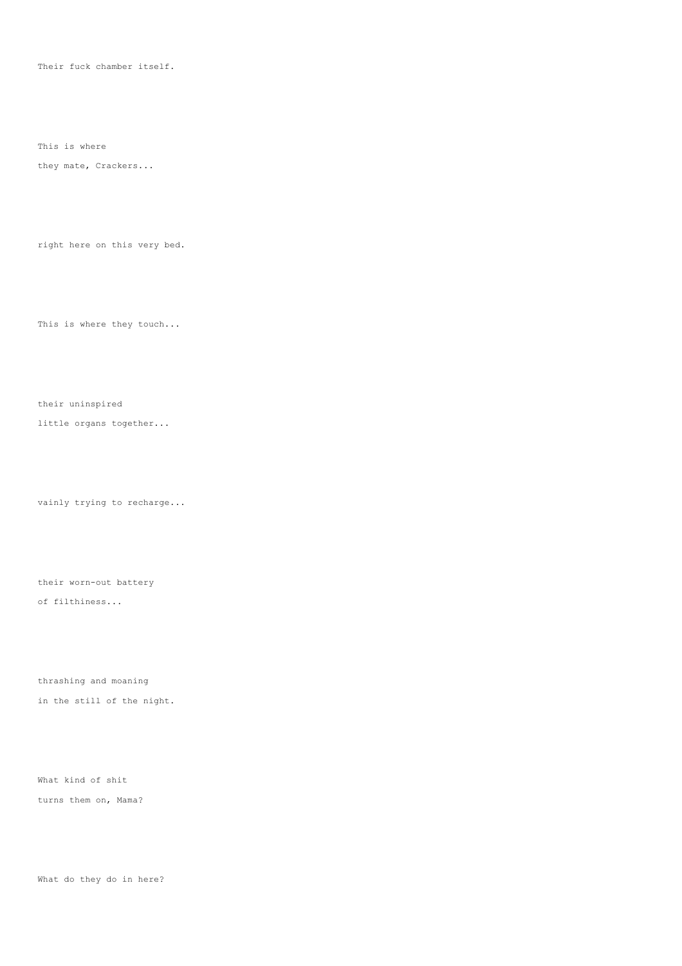Their fuck chamber itself.

This is where

they mate, Crackers...

right here on this very bed.

This is where they touch...

their uninspired

little organs together...

vainly trying to recharge...

their worn-out battery of filthiness...

thrashing and moaning

in the still of the night.

What kind of shit

turns them on, Mama?

What do they do in here?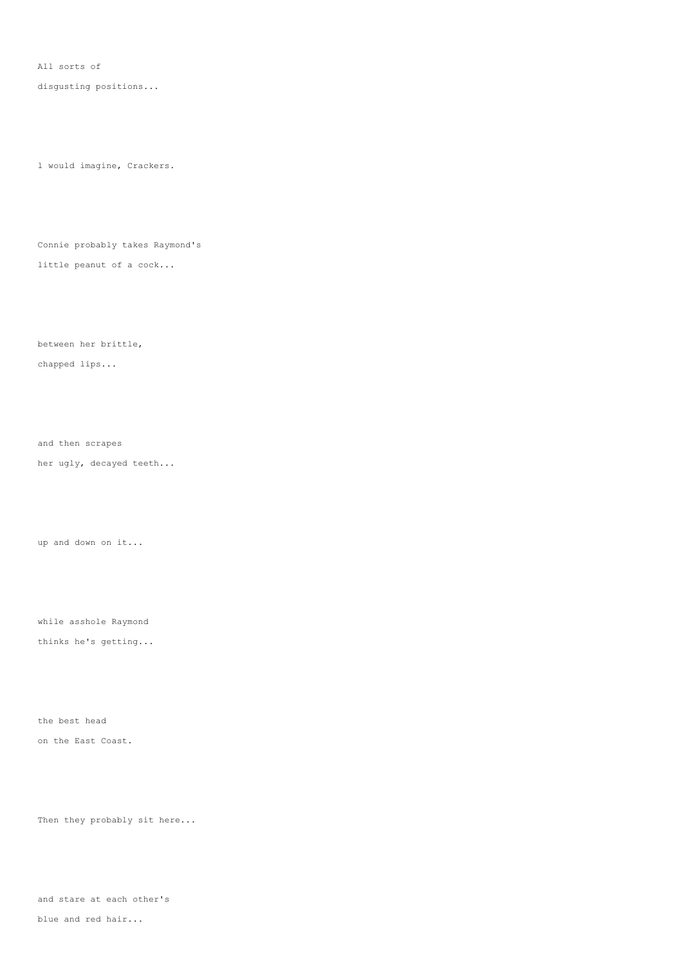All sorts of

disgusting positions...

l would imagine, Crackers.

Connie probably takes Raymond's

little peanut of a cock...

between her brittle,

chapped lips...

and then scrapes her ugly, decayed teeth...

up and down on it...

while asshole Raymond thinks he's getting...

the best head on the East Coast.

Then they probably sit here...

and stare at each other's

blue and red hair...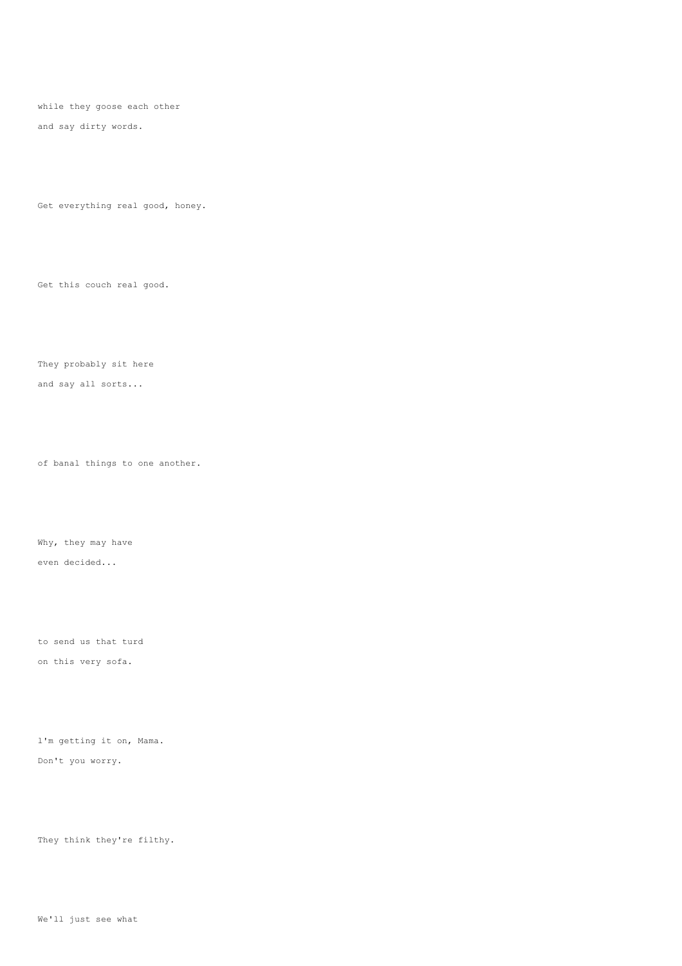while they goose each other and say dirty words.

Get everything real good, honey.

Get this couch real good.

They probably sit here and say all sorts...

of banal things to one another.

Why, they may have even decided...

to send us that turd on this very sofa.

l'm getting it on, Mama. Don't you worry.

They think they're filthy.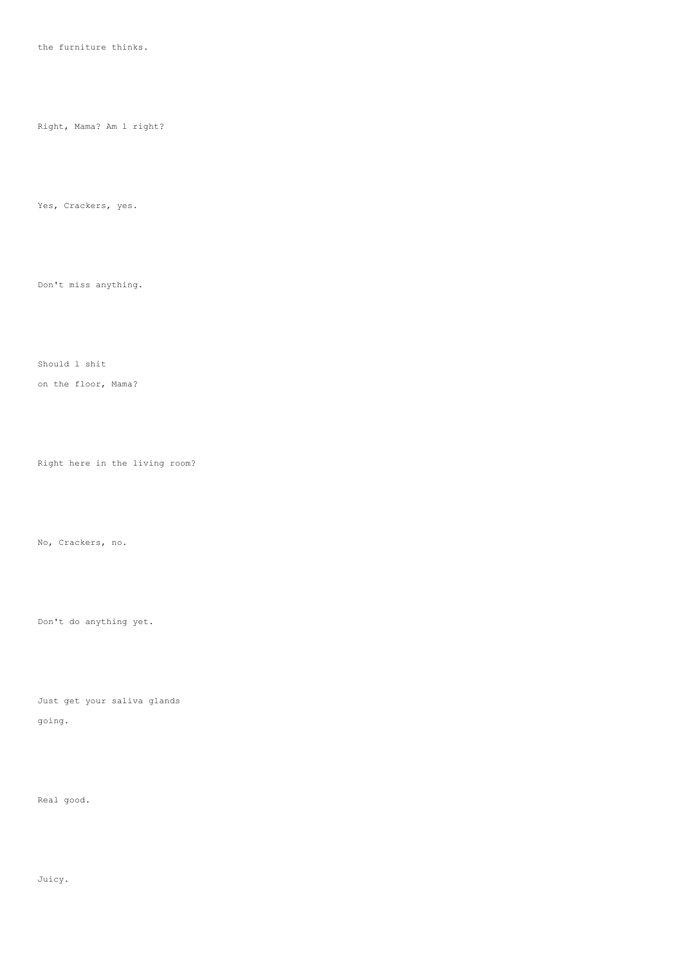the furniture thinks.

Right, Mama? Am l right?

Yes, Crackers, yes.

Don't miss anything.

Should l shit

on the floor, Mama?

Right here in the living room?

No, Crackers, no.

Don't do anything yet.

Just get your saliva glands going.

Real good.

Juicy.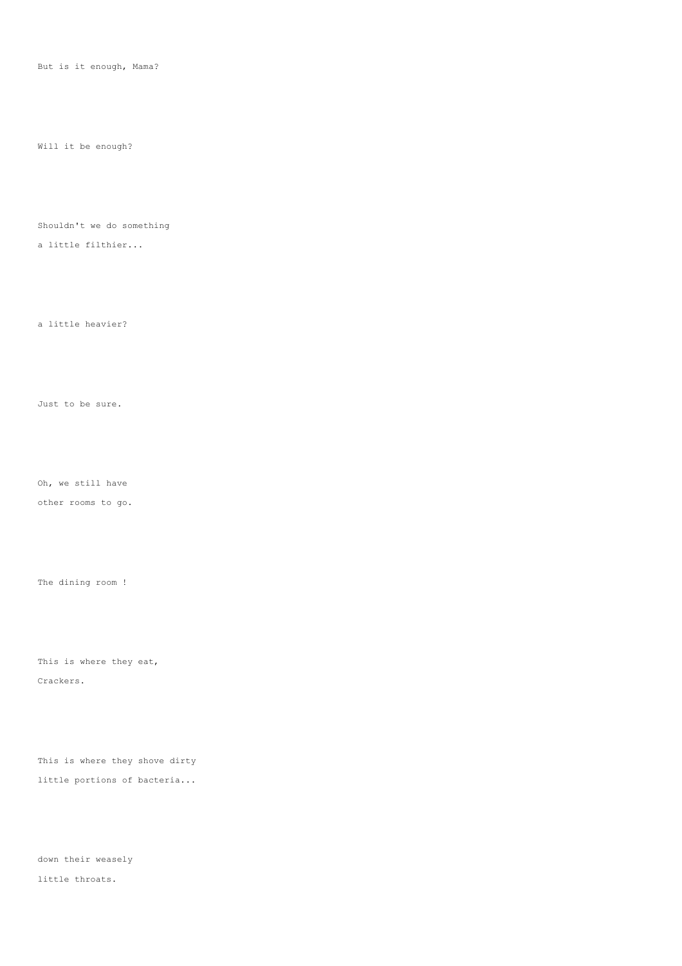But is it enough, Mama?

Will it be enough?

Shouldn't we do something

a little filthier...

a little heavier?

Just to be sure.

Oh, we still have

other rooms to go.

The dining room !

This is where they eat, Crackers.

This is where they shove dirty little portions of bacteria...

down their weasely little throats.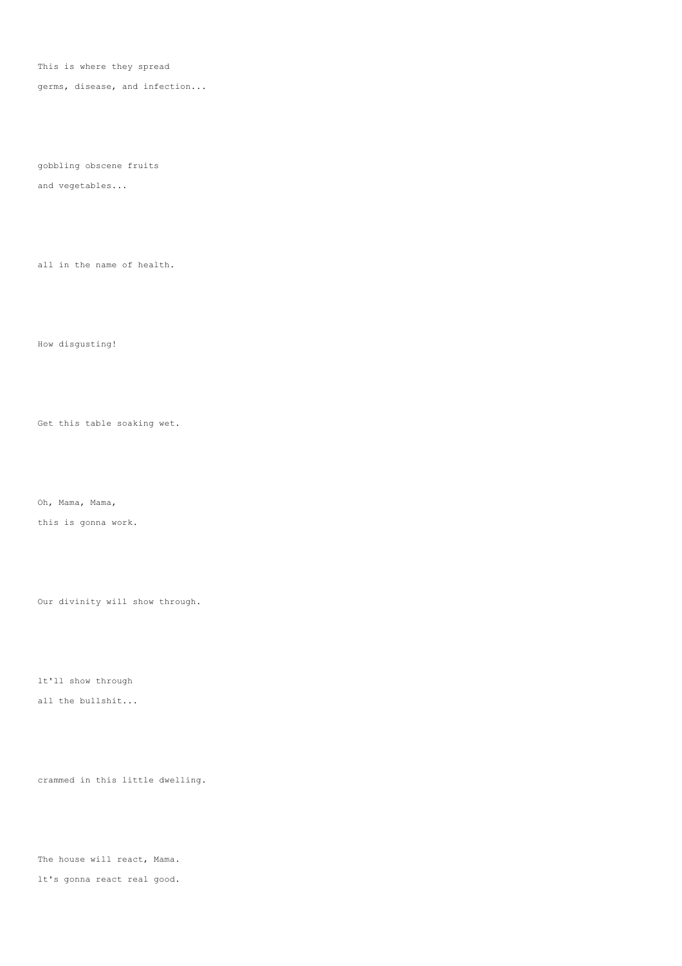This is where they spread

germs, disease, and infection...

gobbling obscene fruits

and vegetables...

all in the name of health.

How disgusting!

Get this table soaking wet.

Oh, Mama, Mama,

this is gonna work.

Our divinity will show through.

lt'll show through

all the bullshit...

crammed in this little dwelling.

The house will react, Mama. lt's gonna react real good.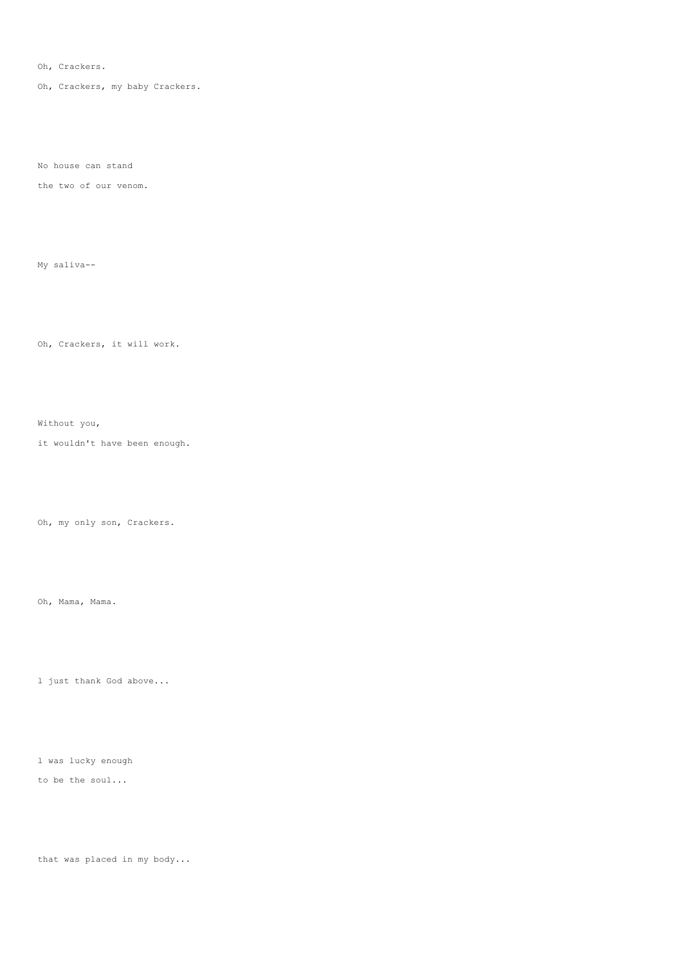Oh, Crackers.

Oh, Crackers, my baby Crackers.

No house can stand

the two of our venom.

My saliva--

Oh, Crackers, it will work.

Without you,

it wouldn't have been enough.

Oh, my only son, Crackers.

Oh, Mama, Mama.

l just thank God above...

l was lucky enough

to be the soul...

that was placed in my body...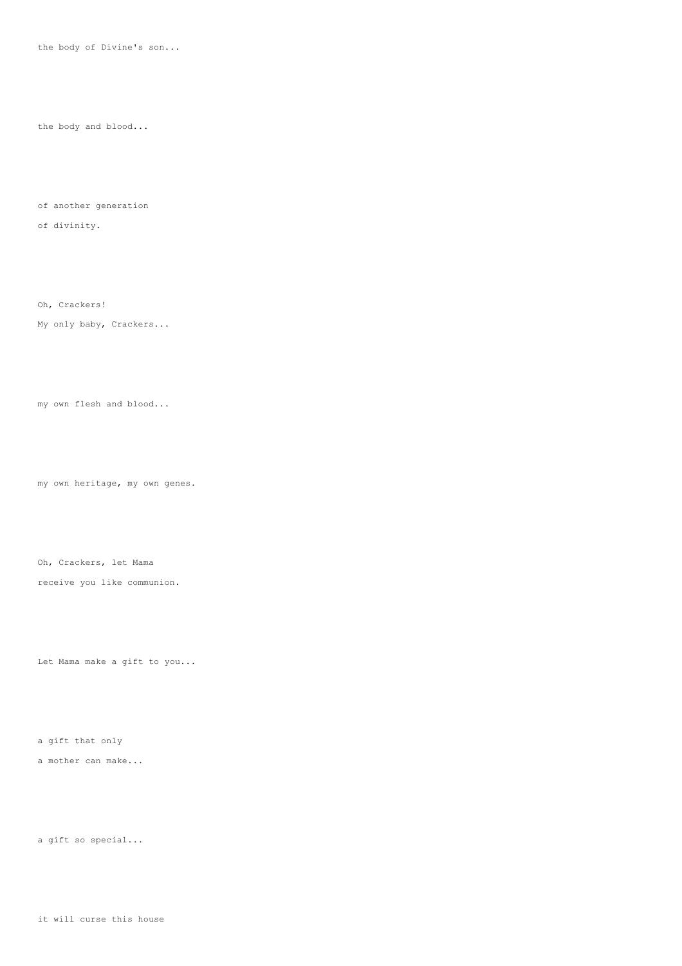the body of Divine's son...

the body and blood...

of another generation

of divinity.

Oh, Crackers! My only baby, Crackers...

my own flesh and blood...

my own heritage, my own genes.

Oh, Crackers, let Mama

receive you like communion.

Let Mama make a gift to you...

a gift that only

a mother can make...

a gift so special...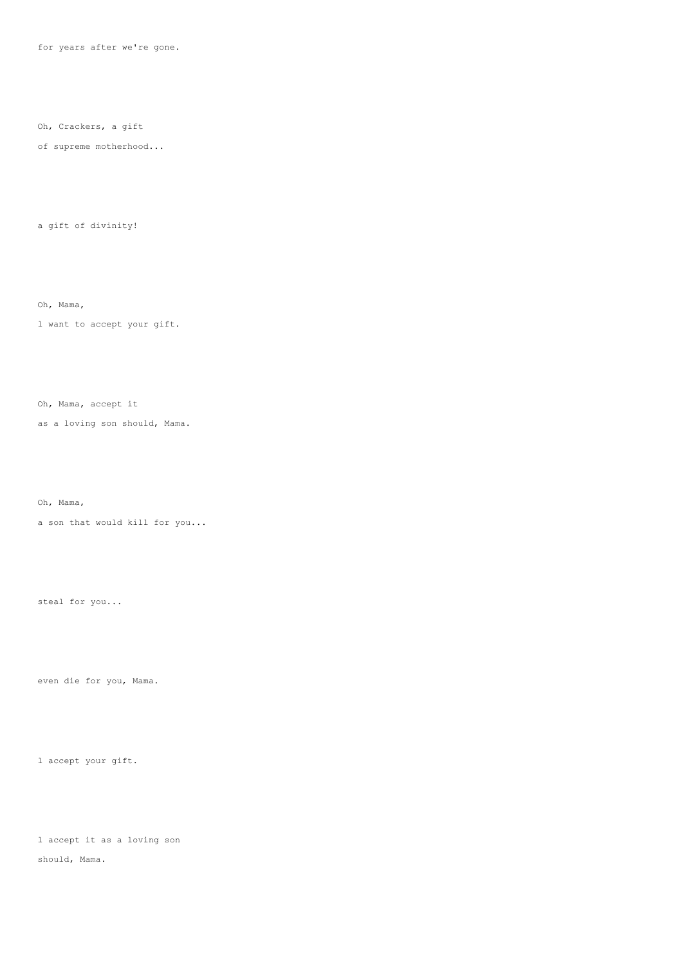for years after we're gone.

Oh, Crackers, a gift

of supreme motherhood...

a gift of divinity!

Oh, Mama,

l want to accept your gift.

Oh, Mama, accept it

as a loving son should, Mama.

Oh, Mama,

a son that would kill for you...

steal for you...

even die for you, Mama.

l accept your gift.

l accept it as a loving son should, Mama.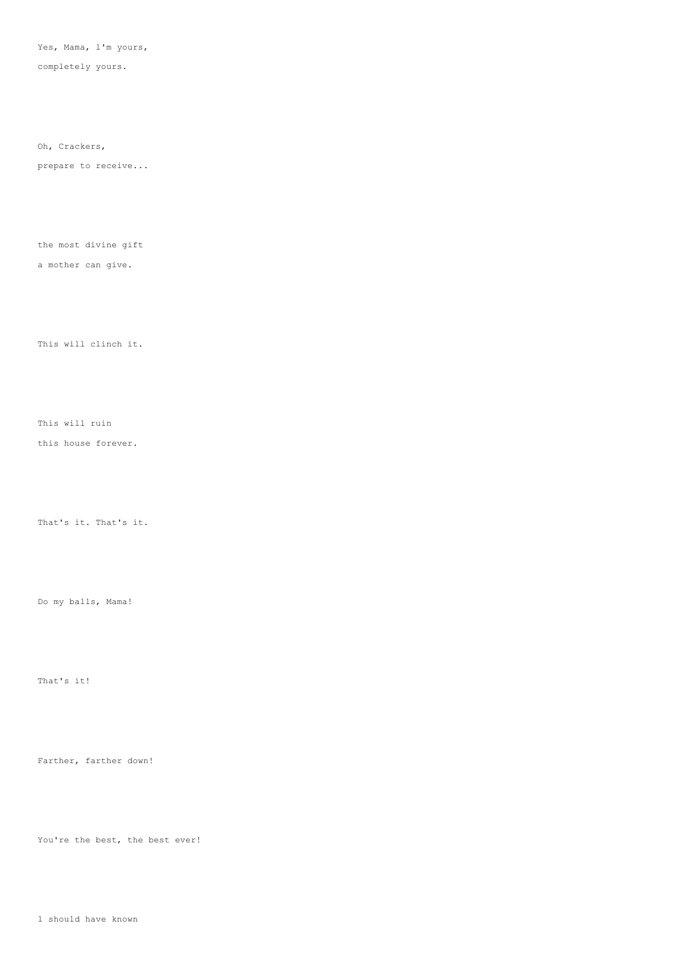Yes, Mama, l'm yours,

completely yours.

Oh, Crackers,

prepare to receive...

the most divine gift

a mother can give.

This will clinch it.

This will ruin this house forever.

That's it. That's it.

Do my balls, Mama!

That's it!

Farther, farther down!

You're the best, the best ever!

l should have known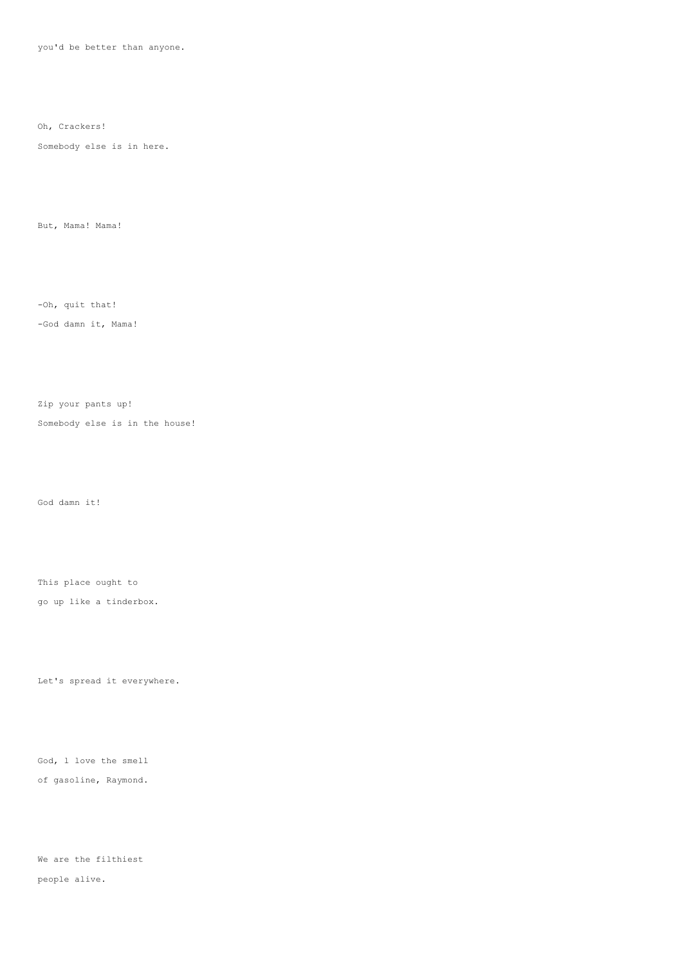you'd be better than anyone.

Oh, Crackers!

Somebody else is in here.

But, Mama! Mama!

-Oh, quit that!

-God damn it, Mama!

Zip your pants up!

Somebody else is in the house!

God damn it!

This place ought to

go up like a tinderbox.

Let's spread it everywhere.

God, l love the smell of gasoline, Raymond.

We are the filthiest people alive.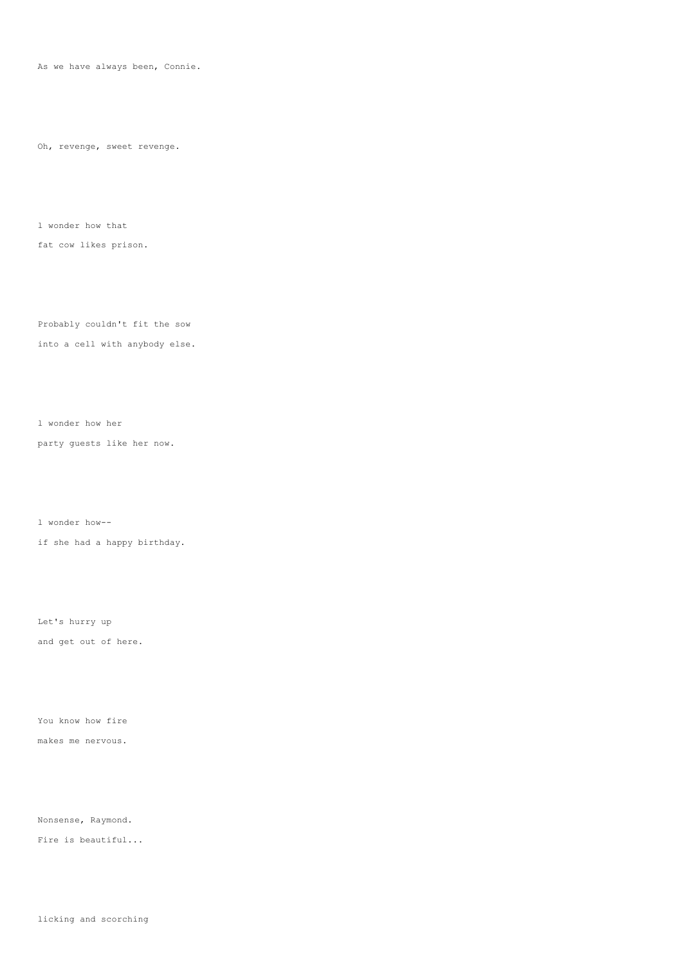As we have always been, Connie.

Oh, revenge, sweet revenge.

l wonder how that

fat cow likes prison.

Probably couldn't fit the sow into a cell with anybody else.

l wonder how her

party guests like her now.

l wonder how- if she had a happy birthday.

Let's hurry up and get out of here.

You know how fire

makes me nervous.

Nonsense, Raymond.

Fire is beautiful...

licking and scorching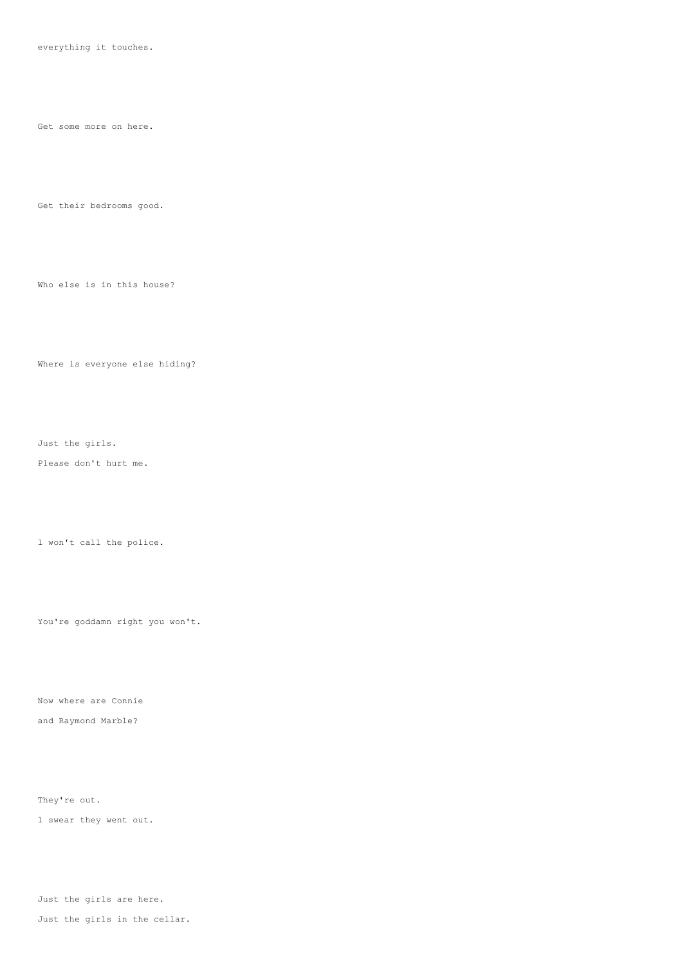everything it touches.

Get some more on here.

Get their bedrooms good.

Who else is in this house?

Where is everyone else hiding?

Just the girls.

Please don't hurt me.

l won't call the police.

You're goddamn right you won't.

Now where are Connie and Raymond Marble?

They're out.

l swear they went out.

Just the girls are here.

Just the girls in the cellar.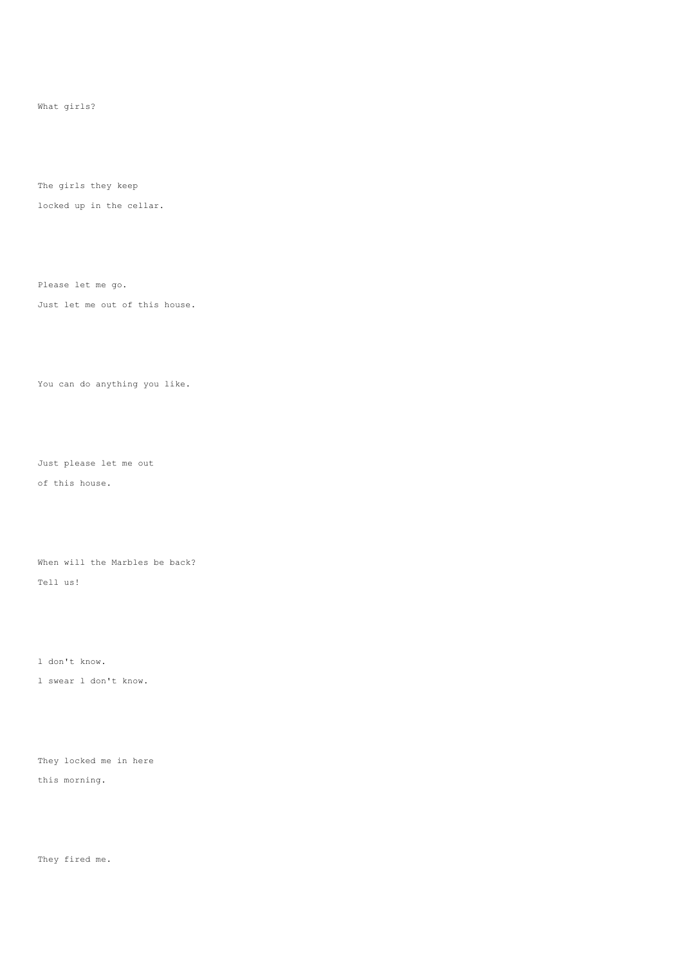What girls?

The girls they keep

locked up in the cellar.

Please let me go.

Just let me out of this house.

You can do anything you like.

Just please let me out of this house.

When will the Marbles be back? Tell us!

l don't know.

l swear l don't know.

They locked me in here this morning.

They fired me.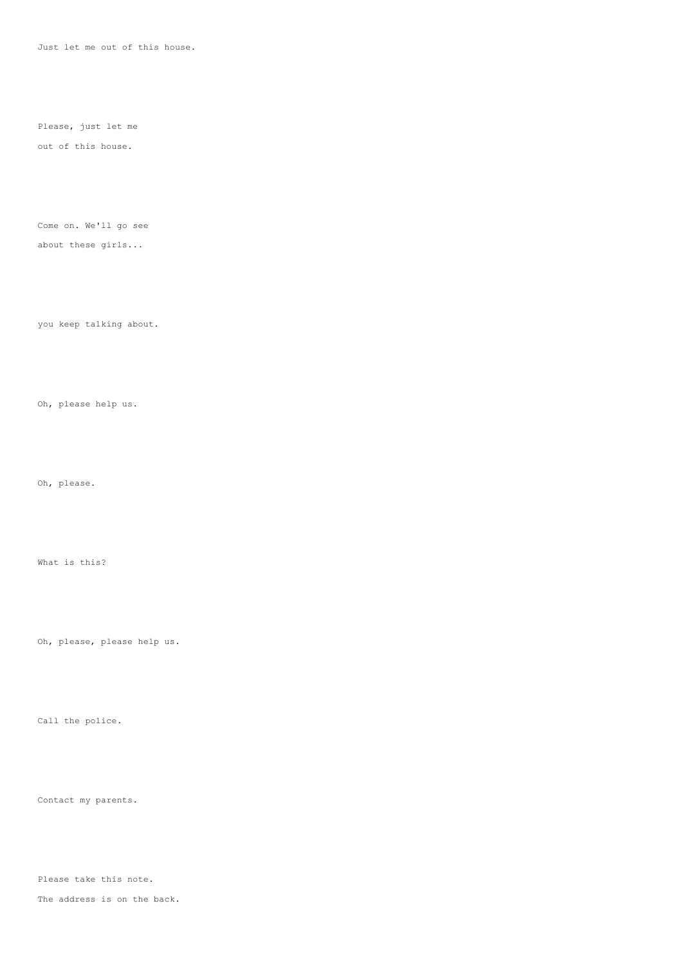Just let me out of this house.

Please, just let me

## out of this house.

Come on. We'll go see

## about these girls...

you keep talking about.

Oh, please help us.

Oh, please.

What is this?

Oh, please, please help us.

Call the police.

Contact my parents.

Please take this note.

The address is on the back.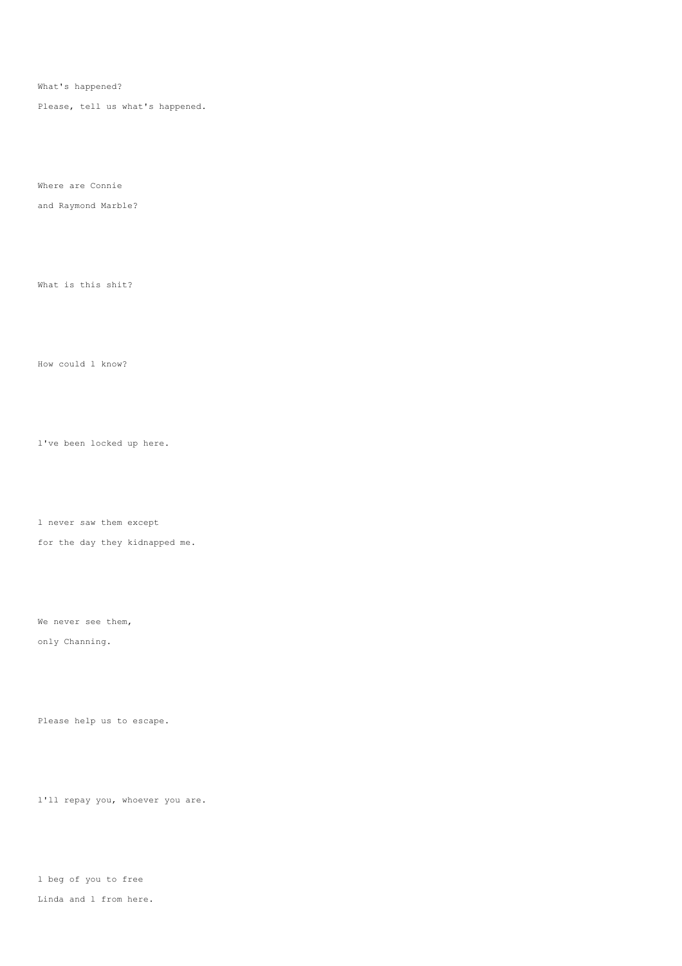What's happened?

Please, tell us what's happened.

Where are Connie

and Raymond Marble?

What is this shit?

How could l know?

l've been locked up here.

l never saw them except

for the day they kidnapped me.

We never see them,

only Channing.

Please help us to escape.

l'll repay you, whoever you are.

l beg of you to free Linda and l from here.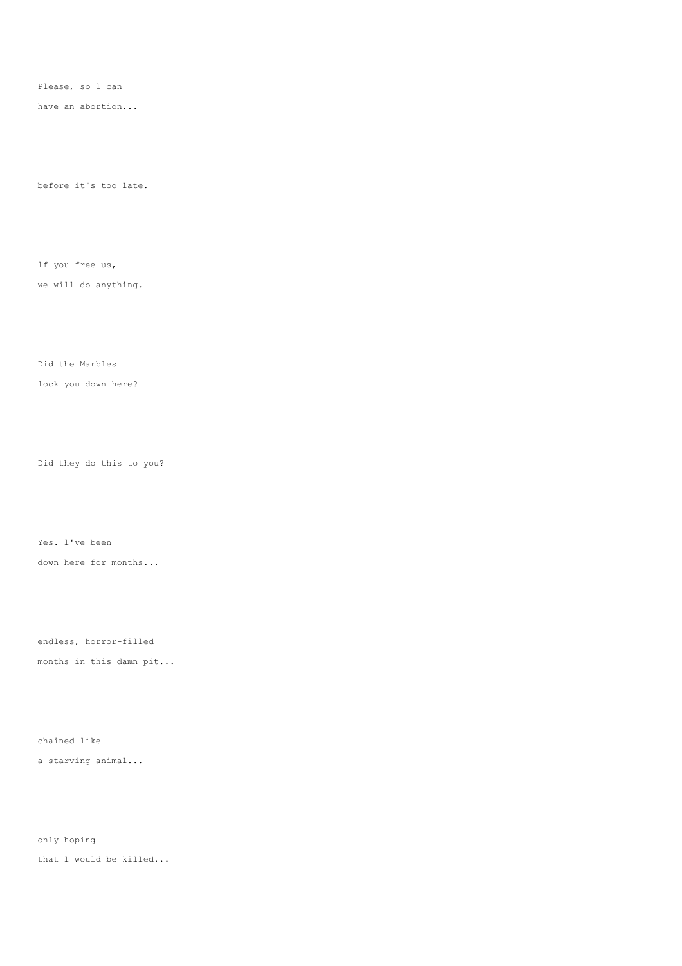Please, so l can

have an abortion...

before it's too late.

lf you free us,

we will do anything.

Did the Marbles

lock you down here?

Did they do this to you?

Yes. l've been down here for months...

endless, horror-filled

months in this damn pit...

chained like

a starving animal...

only hoping that l would be killed...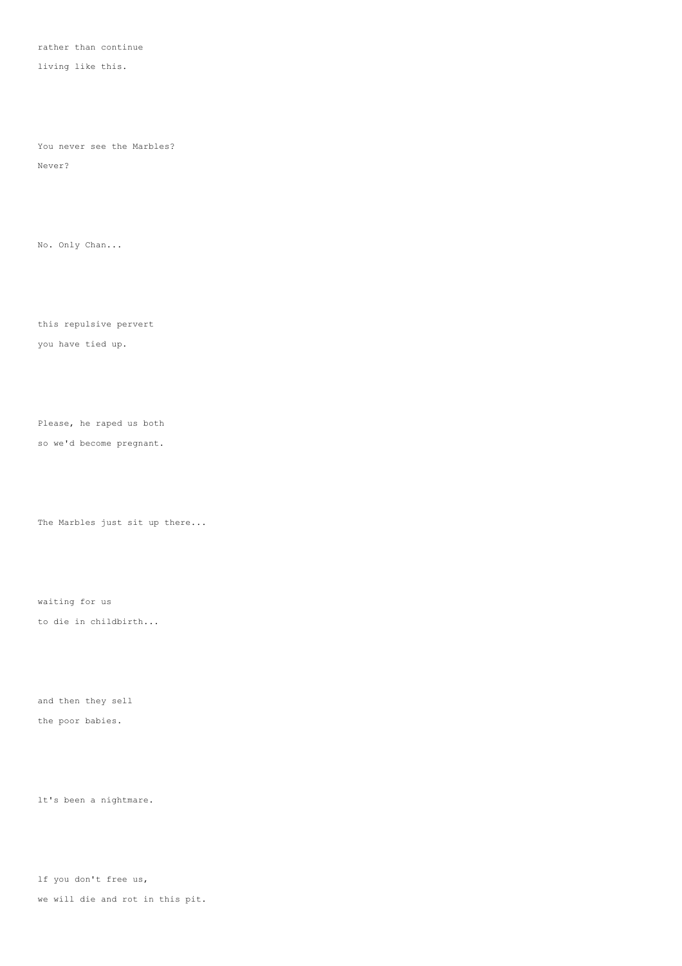rather than continue

living like this.

You never see the Marbles?

Never?

No. Only Chan...

this repulsive pervert

you have tied up.

Please, he raped us both

so we'd become pregnant.

The Marbles just sit up there...

waiting for us

to die in childbirth...

and then they sell the poor babies.

lt's been a nightmare.

lf you don't free us,

we will die and rot in this pit.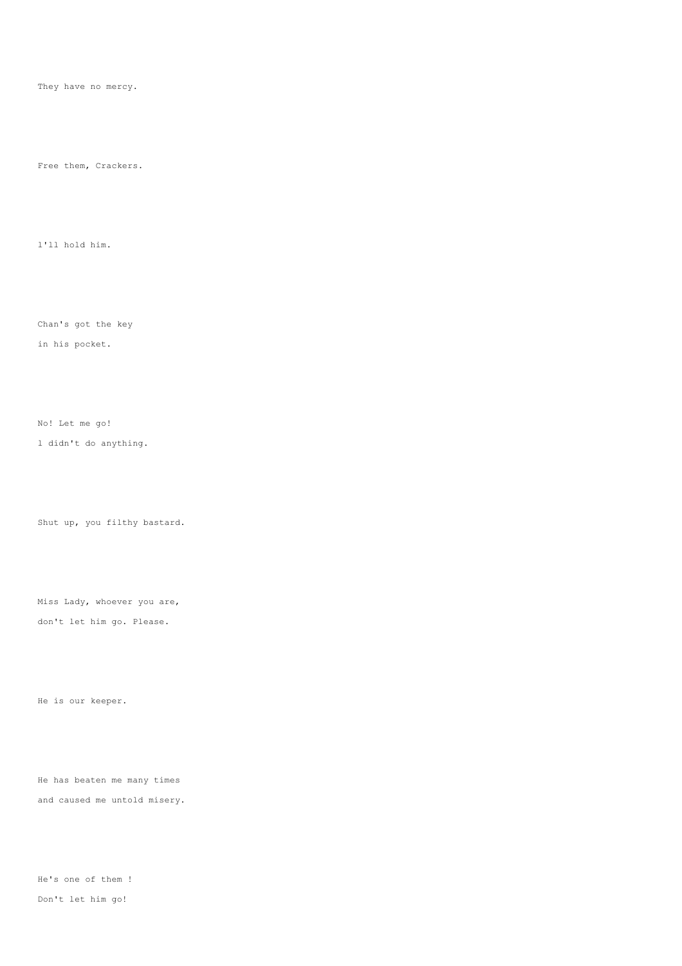They have no mercy.

Free them, Crackers.

l'll hold him.

Chan's got the key

in his pocket.

No! Let me go!

l didn't do anything.

Shut up, you filthy bastard.

Miss Lady, whoever you are, don't let him go. Please.

He is our keeper.

He has beaten me many times and caused me untold misery.

He's one of them ! Don't let him go!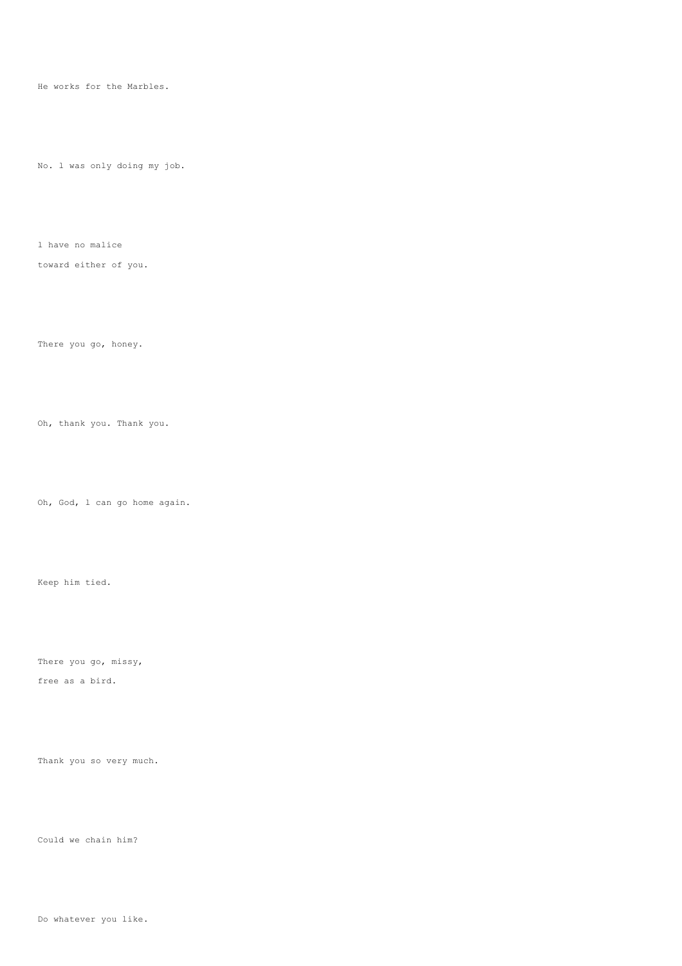He works for the Marbles.

No. l was only doing my job.

l have no malice

toward either of you.

There you go, honey.

Oh, thank you. Thank you.

Oh, God, l can go home again.

There you go, missy, free as a bird.

Keep him tied.

Thank you so very much.

Could we chain him?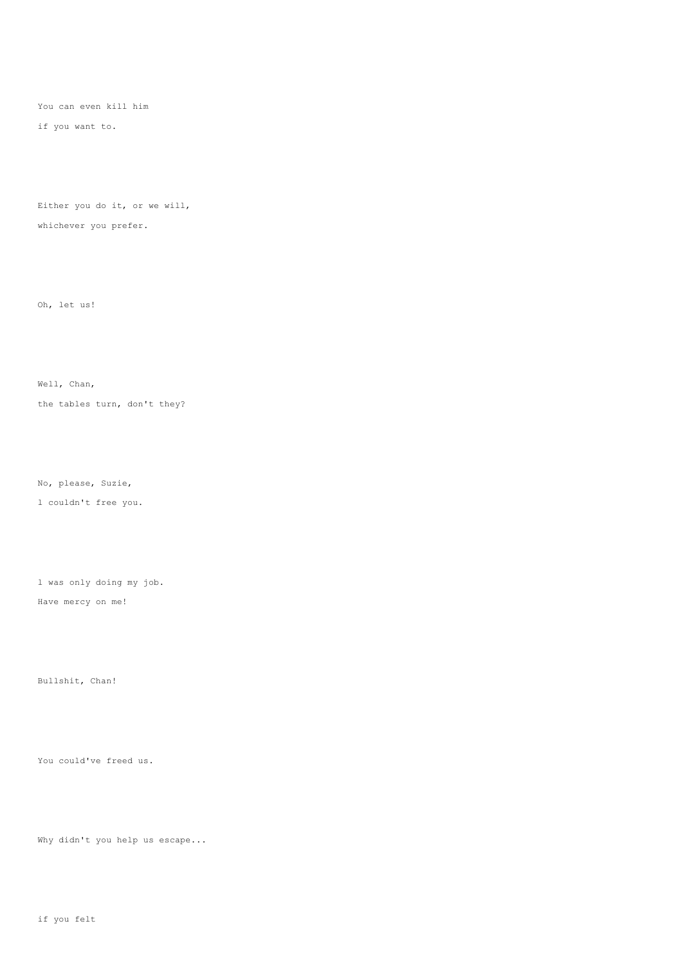You can even kill him

if you want to.

Either you do it, or we will, whichever you prefer.

Oh, let us!

Well, Chan,

the tables turn, don't they?

No, please, Suzie,

l couldn't free you.

l was only doing my job.

Have mercy on me!

Bullshit, Chan!

You could've freed us.

Why didn't you help us escape...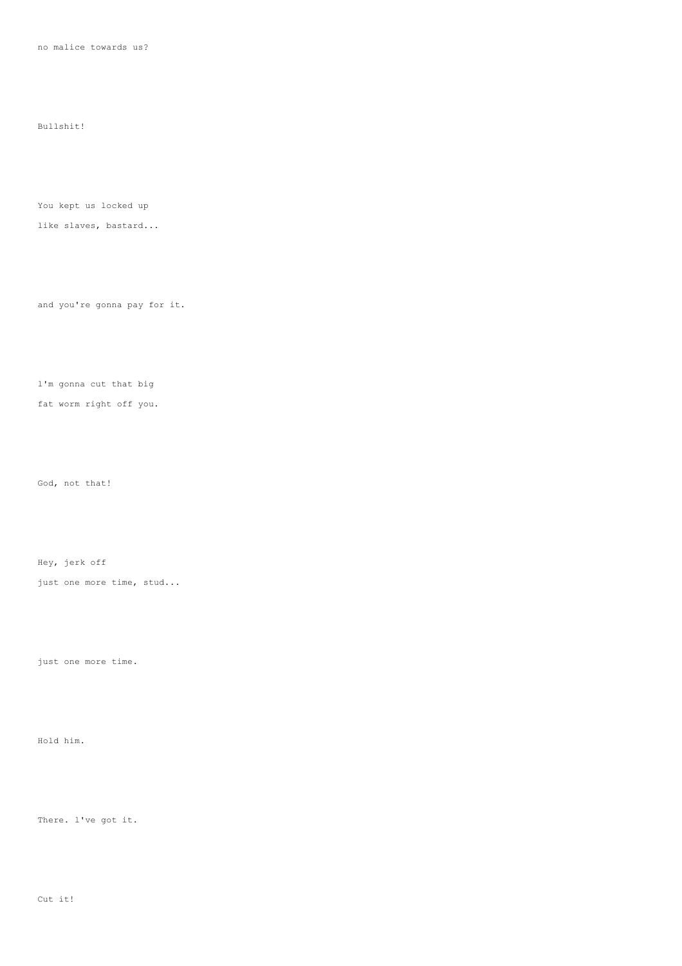no malice towards us?

Bullshit!

You kept us locked up

like slaves, bastard...

and you're gonna pay for it.

l'm gonna cut that big fat worm right off you.

God, not that!

Hey, jerk off

just one more time, stud...

just one more time.

Hold him.

There. l've got it.

Cut it!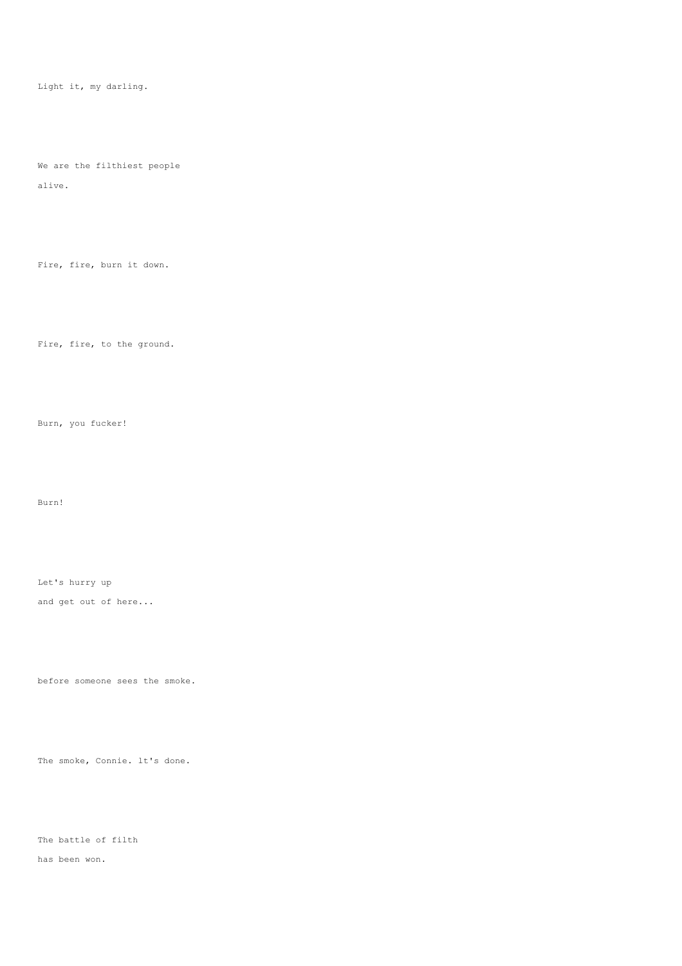Light it, my darling.

We are the filthiest people

alive.

Fire, fire, burn it down.

Fire, fire, to the ground.

Burn, you fucker!

Burn!

Let's hurry up and get out of here...

before someone sees the smoke.

The smoke, Connie. lt's done.

The battle of filth

has been won.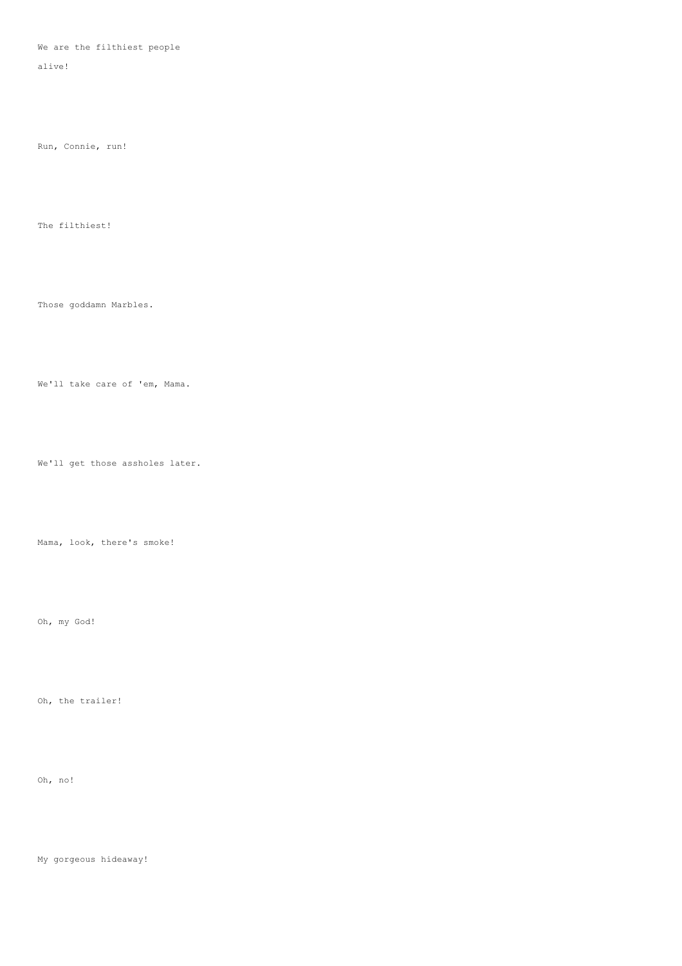## We are the filthiest people

alive!

Run, Connie, run!

The filthiest!

Those goddamn Marbles.

We'll take care of 'em, Mama.

We'll get those assholes later.

Mama, look, there's smoke!

Oh, my God!

Oh, the trailer!

Oh, no!

My gorgeous hideaway!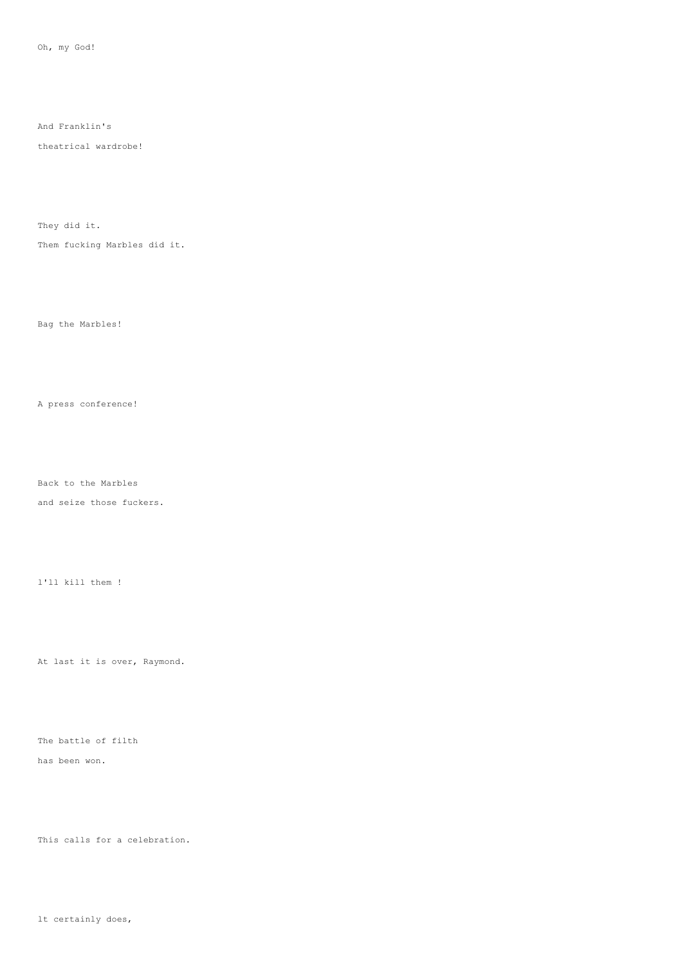And Franklin's

theatrical wardrobe!

They did it.

Them fucking Marbles did it.

Bag the Marbles!

A press conference!

Back to the Marbles

and seize those fuckers.

l'll kill them !

At last it is over, Raymond.

The battle of filth

has been won.

This calls for a celebration.

lt certainly does,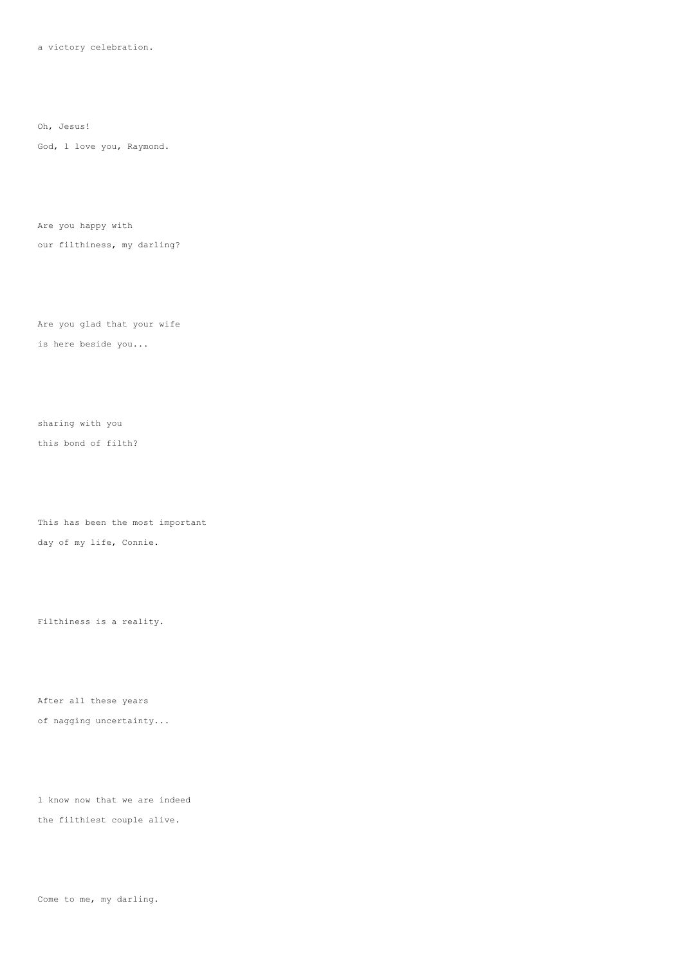a victory celebration.

Oh, Jesus!

God, l love you, Raymond.

Are you happy with our filthiness, my darling?

Are you glad that your wife is here beside you...

sharing with you this bond of filth?

This has been the most important day of my life, Connie.

Filthiness is a reality.

After all these years of nagging uncertainty...

l know now that we are indeed the filthiest couple alive.

Come to me, my darling.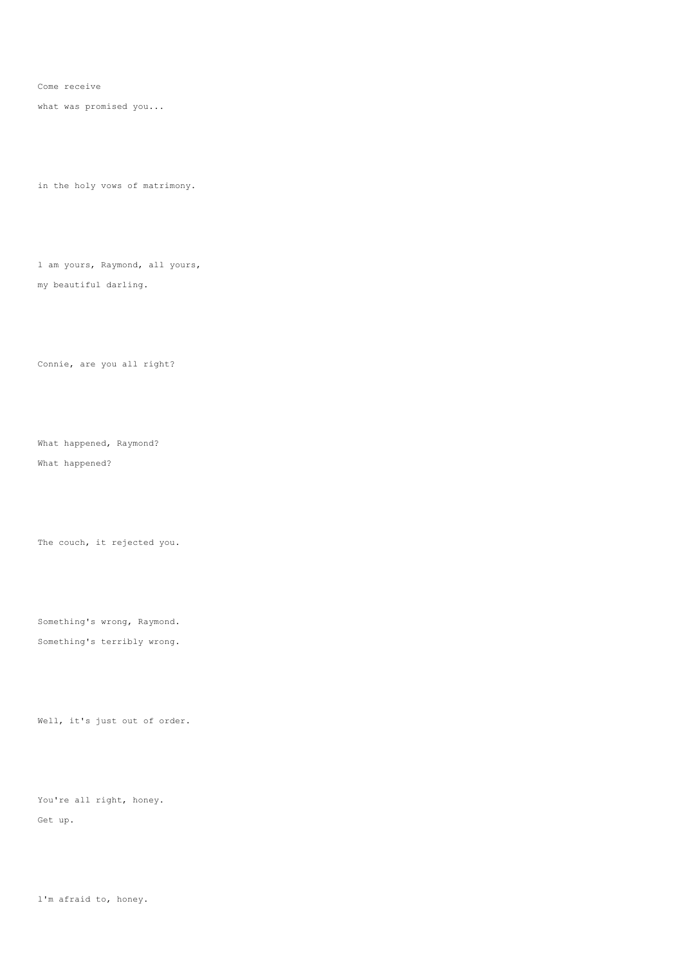Come receive

what was promised you...

in the holy vows of matrimony.

l am yours, Raymond, all yours, my beautiful darling.

Connie, are you all right?

What happened, Raymond? What happened?

The couch, it rejected you.

Something's wrong, Raymond. Something's terribly wrong.

Well, it's just out of order.

You're all right, honey. Get up.

l'm afraid to, honey.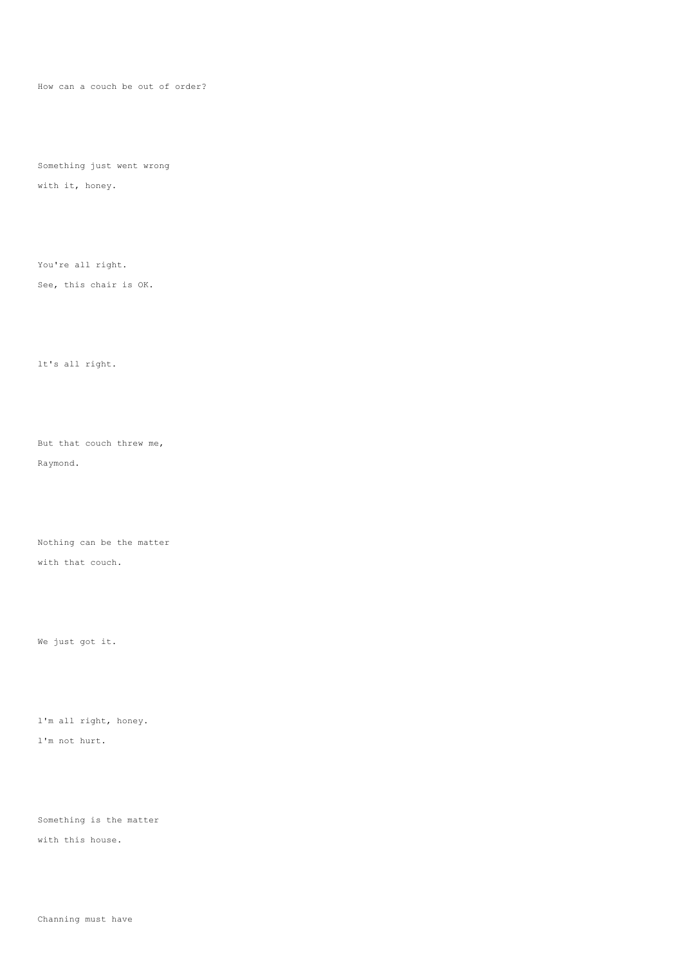How can a couch be out of order?

Something just went wrong

with it, honey.

You're all right.

See, this chair is OK.

lt's all right.

But that couch threw me, Raymond.

Nothing can be the matter with that couch.

We just got it.

l'm all right, honey. l'm not hurt.

Something is the matter

with this house.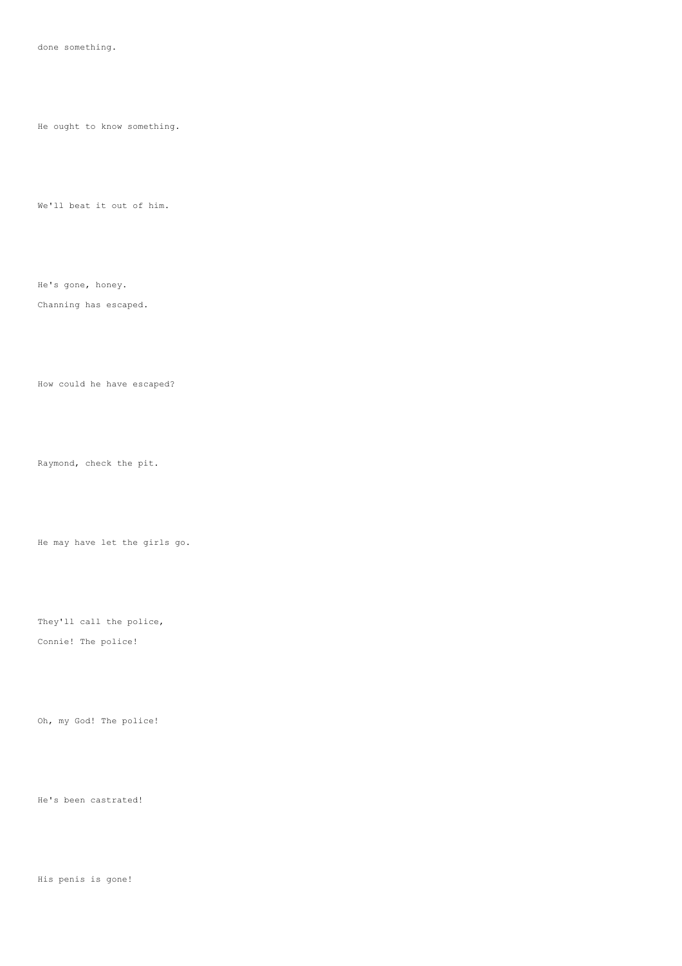He ought to know something.

We'll beat it out of him.

He's gone, honey.

## Channing has escaped.

How could he have escaped?

Raymond, check the pit.

He may have let the girls go.

They'll call the police, Connie! The police!

Oh, my God! The police!

He's been castrated!

His penis is gone!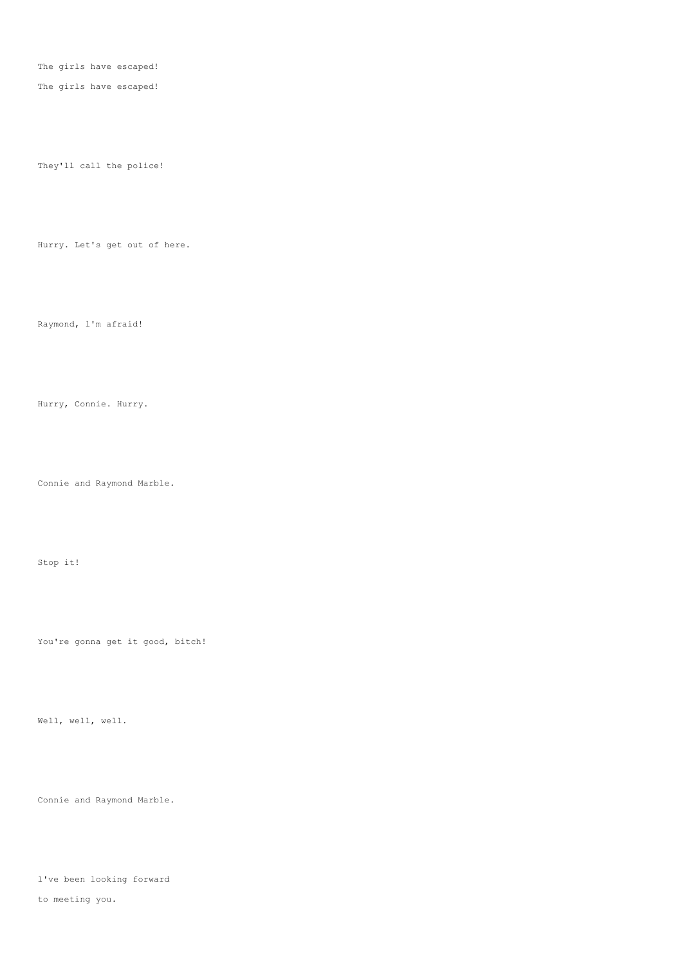The girls have escaped!

The girls have escaped!

They'll call the police!

Hurry. Let's get out of here.

Raymond, l'm afraid!

Hurry, Connie. Hurry.

Connie and Raymond Marble.

Stop it!

You're gonna get it good, bitch!

Well, well, well.

Connie and Raymond Marble.

l've been looking forward to meeting you.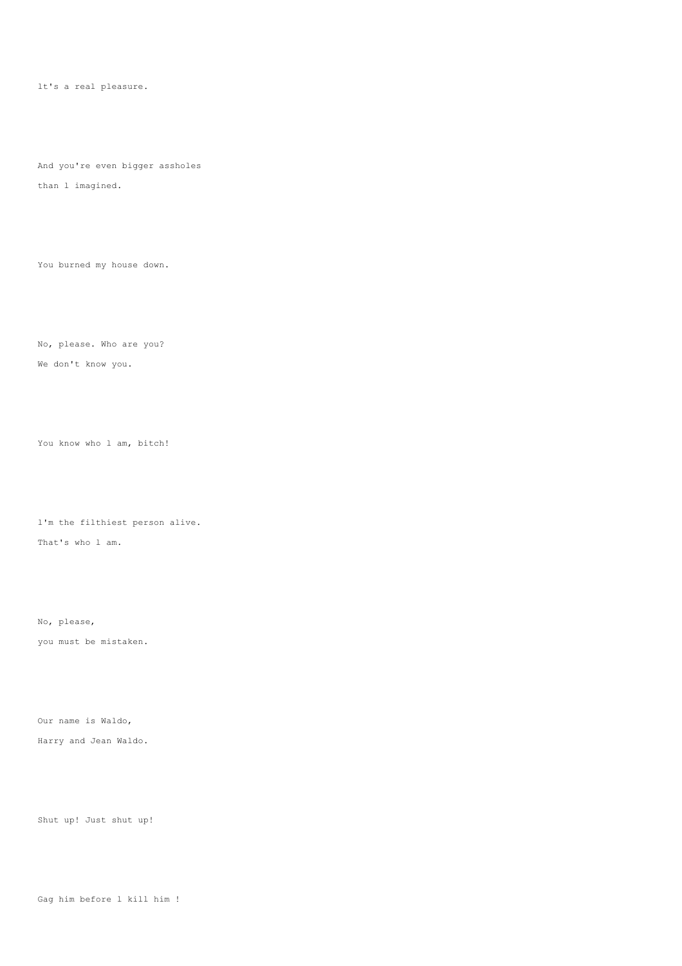lt's a real pleasure.

And you're even bigger assholes

than l imagined.

You burned my house down.

No, please. Who are you? We don't know you.

You know who l am, bitch!

l'm the filthiest person alive. That's who l am.

No, please,

you must be mistaken.

Our name is Waldo,

Harry and Jean Waldo.

Shut up! Just shut up!

Gag him before l kill him !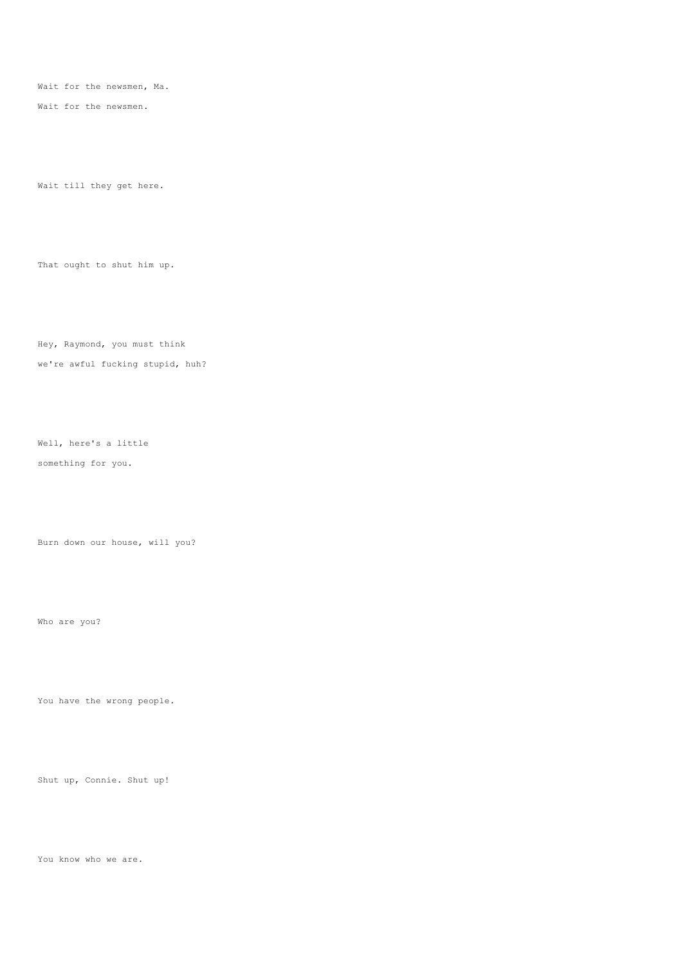Wait for the newsmen, Ma.

Wait for the newsmen.

Wait till they get here.

That ought to shut him up.

Hey, Raymond, you must think we're awful fucking stupid, huh?

Well, here's a little something for you.

Burn down our house, will you?

Who are you?

You have the wrong people.

Shut up, Connie. Shut up!

You know who we are.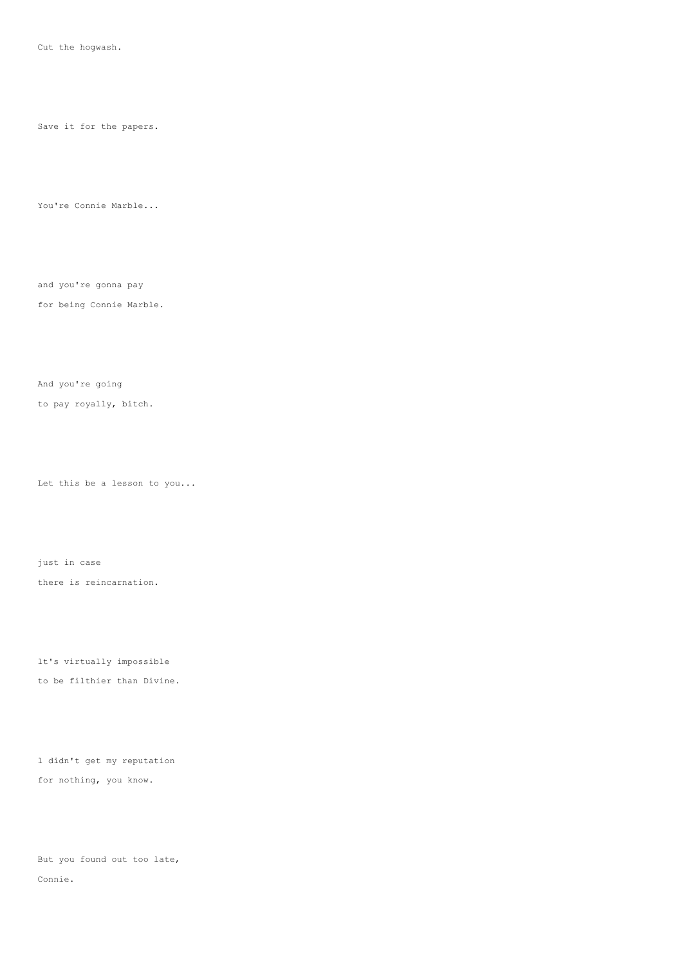Cut the hogwash.

Save it for the papers.

You're Connie Marble...

and you're gonna pay

for being Connie Marble.

And you're going

to pay royally, bitch.

Let this be a lesson to you...

just in case there is reincarnation.

lt's virtually impossible to be filthier than Divine.

l didn't get my reputation for nothing, you know.

But you found out too late, Connie.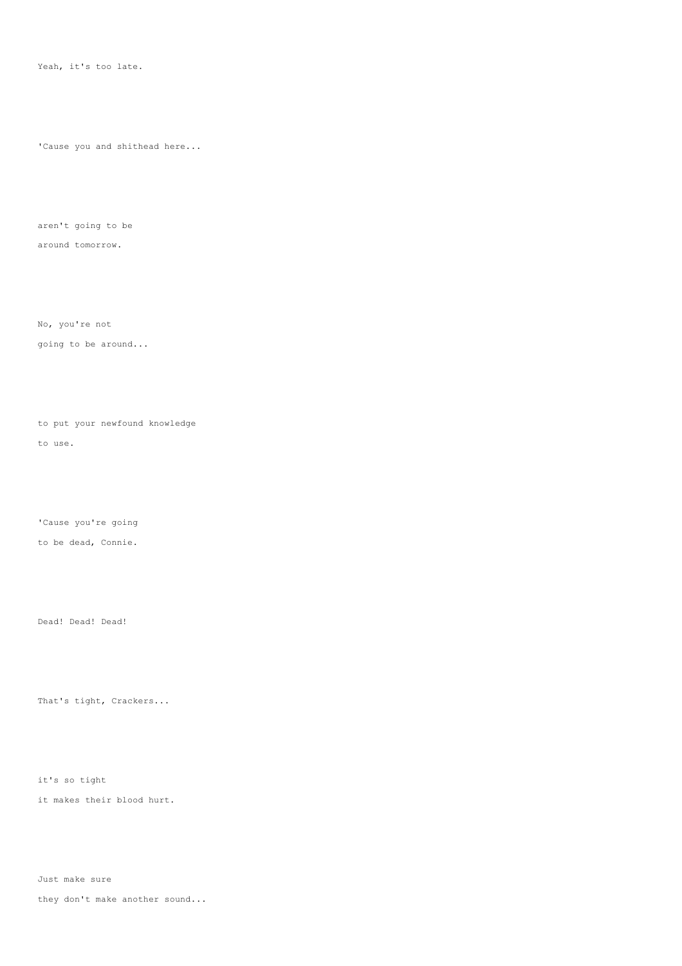Yeah, it's too late.

'Cause you and shithead here...

aren't going to be

around tomorrow.

No, you're not going to be around...

to put your newfound knowledge to use.

'Cause you're going

to be dead, Connie.

Dead! Dead! Dead!

That's tight, Crackers...

it's so tight

it makes their blood hurt.

Just make sure

they don't make another sound...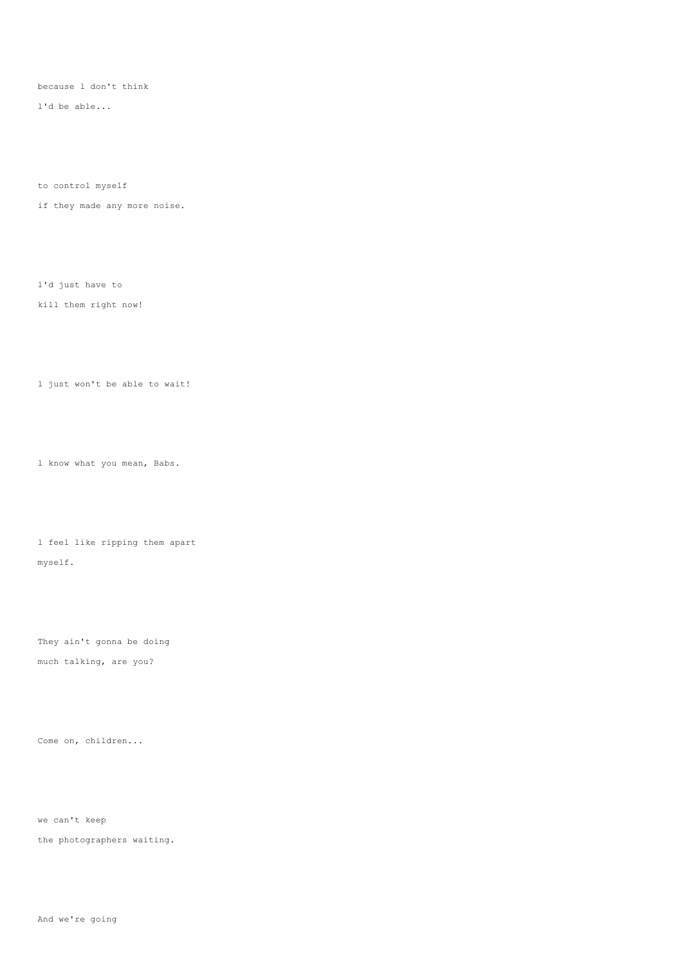because l don't think

l'd be able...

to control myself

if they made any more noise.

l'd just have to

kill them right now!

l just won't be able to wait!

l know what you mean, Babs.

l feel like ripping them apart myself.

They ain't gonna be doing much talking, are you?

Come on, children...

we can't keep

the photographers waiting.

And we're going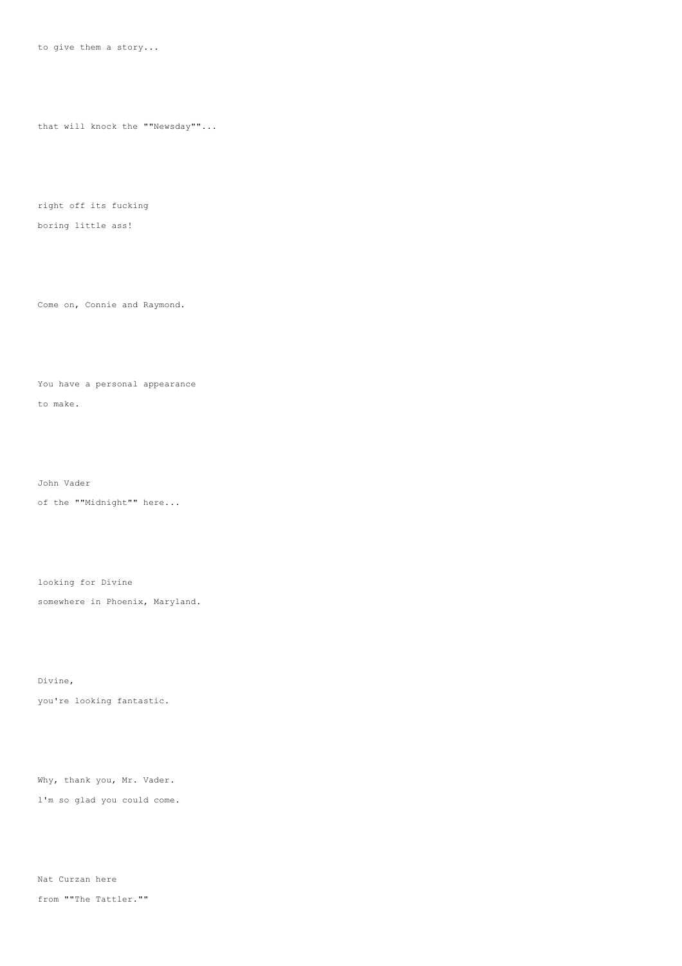that will knock the ""Newsday""...

right off its fucking

## boring little ass!

Come on, Connie and Raymond.

# You have a personal appearance

to make.

John Vader

of the ""Midnight"" here...

looking for Divine

somewhere in Phoenix, Maryland.

Divine, you're looking fantastic.

Why, thank you, Mr. Vader. l'm so glad you could come.

Nat Curzan here from ""The Tattler.""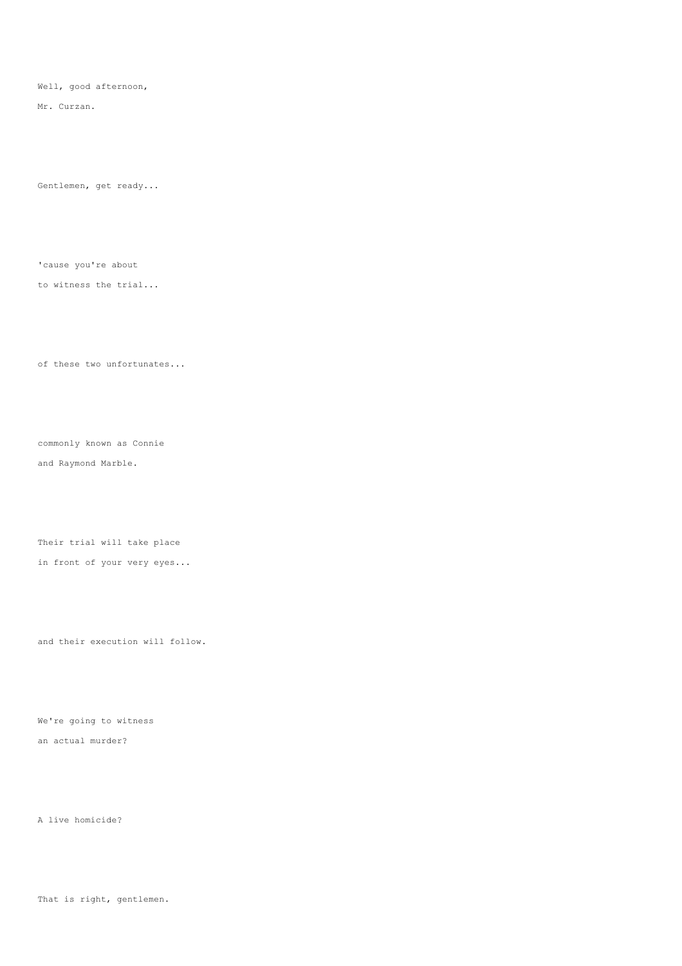Well, good afternoon,

Mr. Curzan.

Gentlemen, get ready...

'cause you're about

to witness the trial...

of these two unfortunates...

commonly known as Connie and Raymond Marble.

Their trial will take place in front of your very eyes...

and their execution will follow.

We're going to witness an actual murder?

A live homicide?

That is right, gentlemen.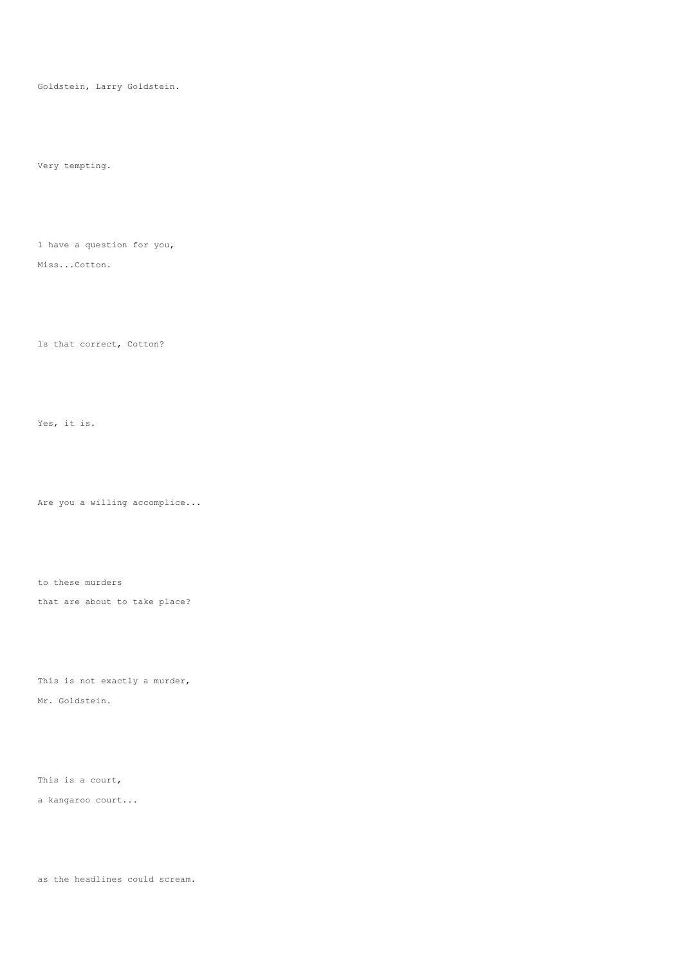Goldstein, Larry Goldstein.

Very tempting.

l have a question for you,

Miss...Cotton.

ls that correct, Cotton?

Yes, it is.

Are you a willing accomplice...

to these murders that are about to take place?

This is not exactly a murder, Mr. Goldstein.

This is a court,

a kangaroo court...

as the headlines could scream.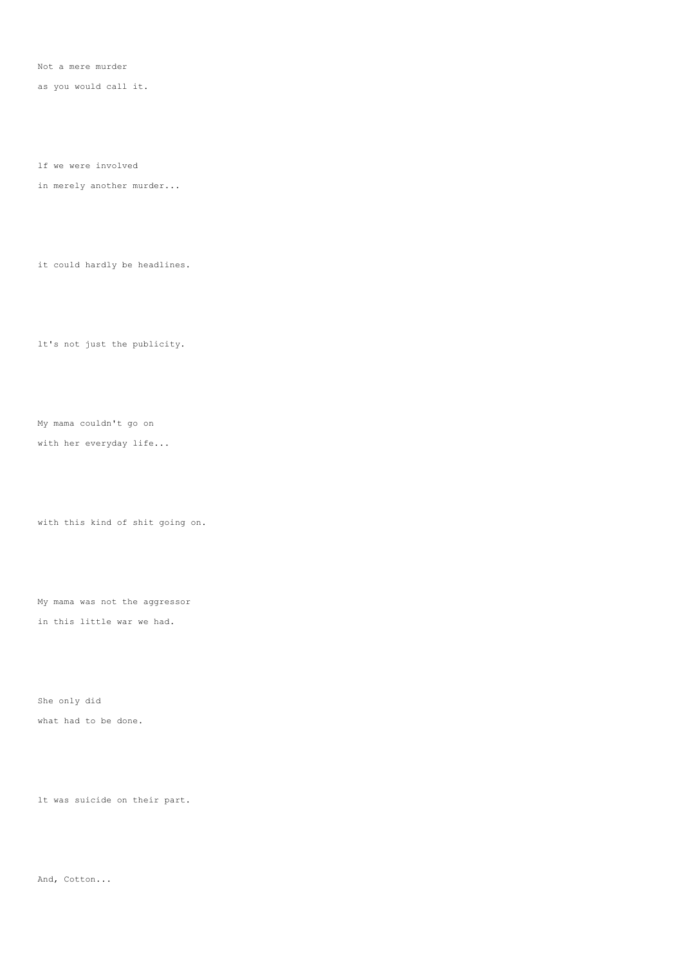Not a mere murder

as you would call it.

lf we were involved

in merely another murder...

it could hardly be headlines.

lt's not just the publicity.

My mama couldn't go on

with her everyday life...

with this kind of shit going on.

My mama was not the aggressor in this little war we had.

She only did what had to be done.

lt was suicide on their part.

And, Cotton...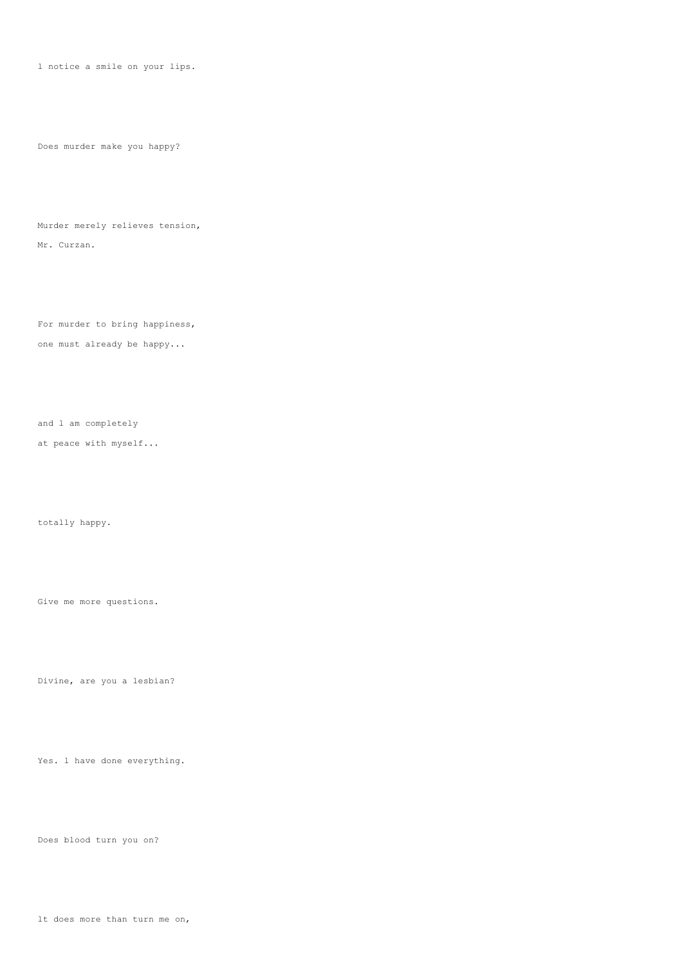l notice a smile on your lips.

Does murder make you happy?

Murder merely relieves tension, Mr. Curzan.

For murder to bring happiness, one must already be happy...

and l am completely

at peace with myself...

totally happy.

Give me more questions.

Divine, are you a lesbian?

Yes. l have done everything.

Does blood turn you on?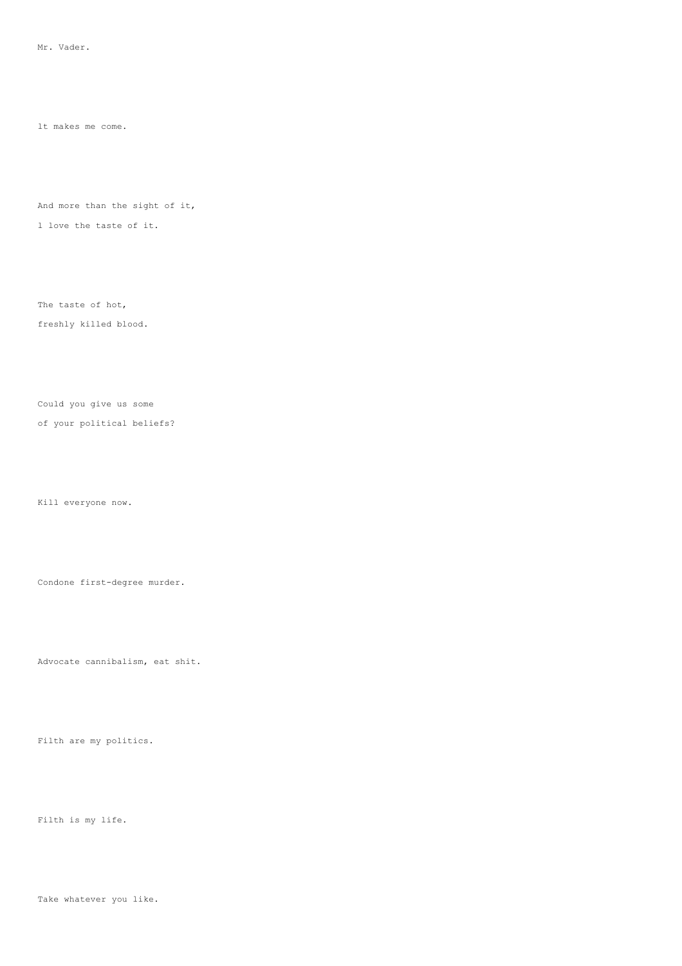lt makes me come.

And more than the sight of it,

l love the taste of it.

The taste of hot,

freshly killed blood.

Could you give us some

of your political beliefs?

Kill everyone now.

Condone first-degree murder.

Advocate cannibalism, eat shit.

Filth are my politics.

Filth is my life.

Take whatever you like.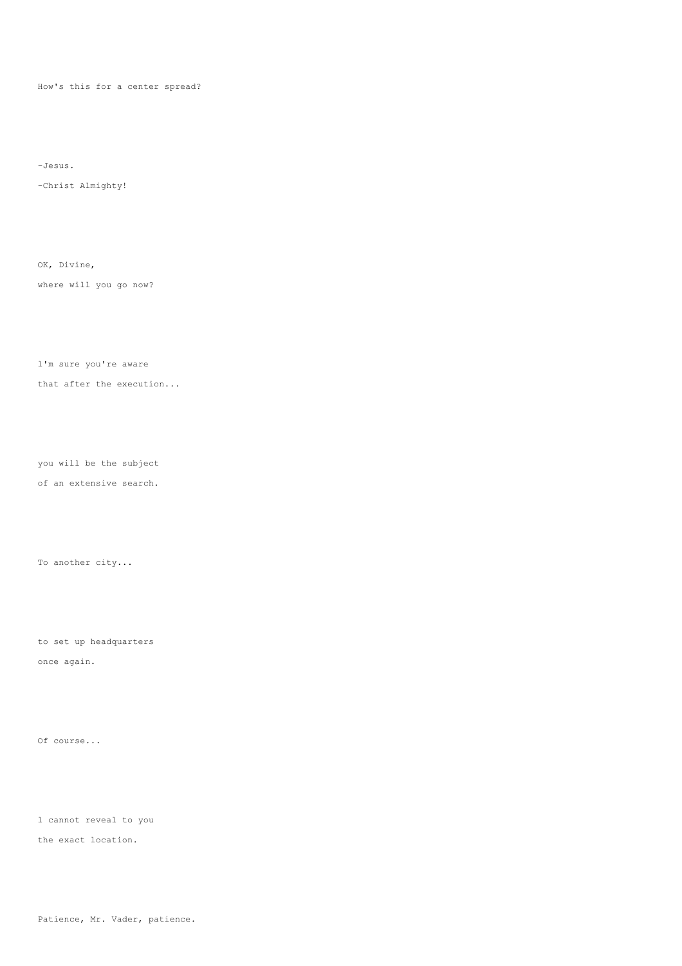How's this for a center spread?

-Jesus.

-Christ Almighty!

OK, Divine,

where will you go now?

l'm sure you're aware

that after the execution...

you will be the subject

of an extensive search.

To another city...

to set up headquarters

once again.

Of course...

l cannot reveal to you

the exact location.

Patience, Mr. Vader, patience.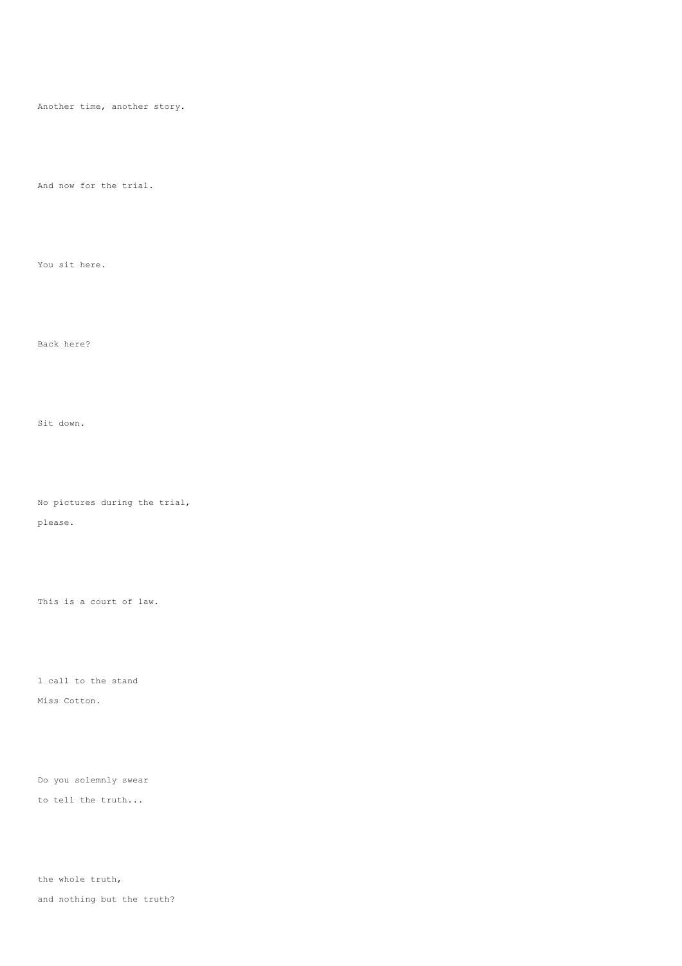Another time, another story.

And now for the trial.

You sit here.

Back here?

Sit down.

No pictures during the trial,

please.

This is a court of law.

l call to the stand Miss Cotton.

Do you solemnly swear to tell the truth...

the whole truth, and nothing but the truth?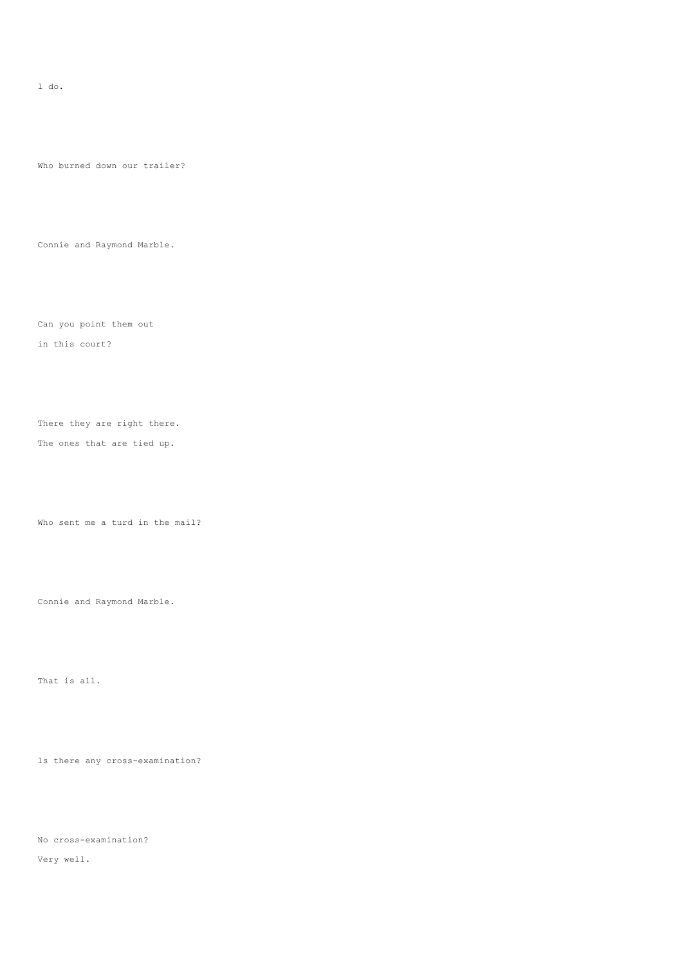l do.

Who burned down our trailer?

Connie and Raymond Marble.

Can you point them out

in this court?

There they are right there.

The ones that are tied up.

Who sent me a turd in the mail?

Connie and Raymond Marble.

That is all.

ls there any cross-examination?

No cross-examination?

Very well.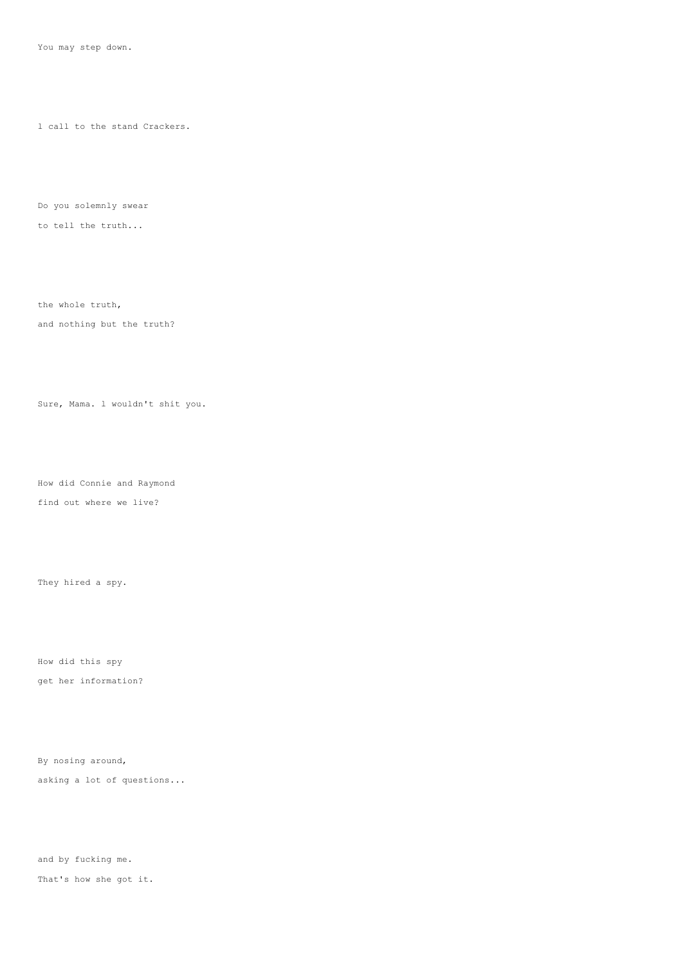You may step down.

l call to the stand Crackers.

Do you solemnly swear

to tell the truth...

the whole truth,

and nothing but the truth?

Sure, Mama. l wouldn't shit you.

How did Connie and Raymond find out where we live?

They hired a spy.

How did this spy get her information?

By nosing around, asking a lot of questions...

and by fucking me. That's how she got it.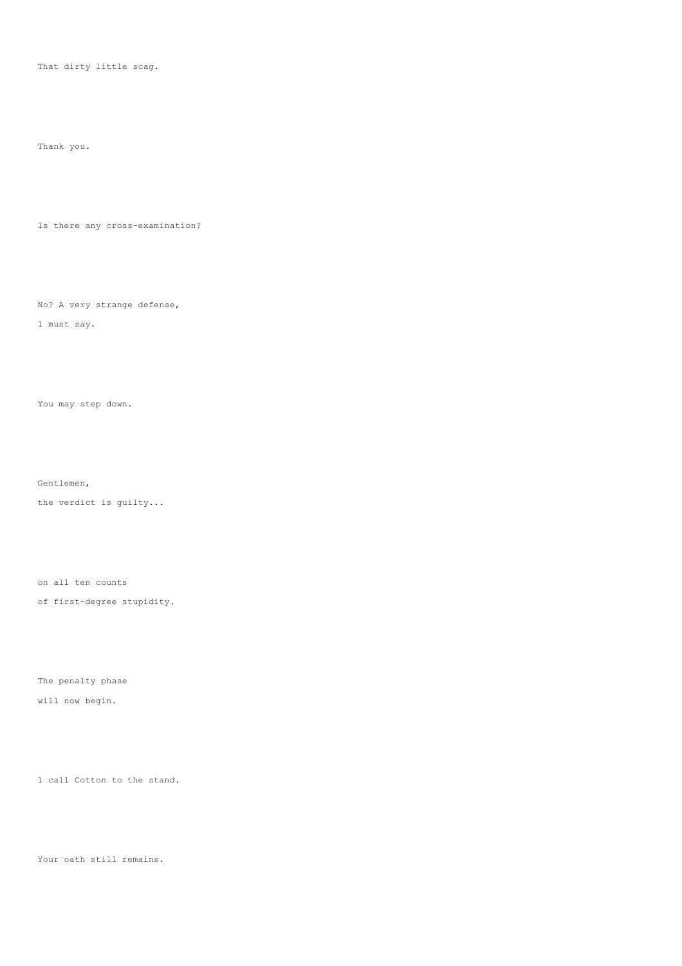That dirty little scag.

Thank you.

ls there any cross-examination?

No? A very strange defense,

l must say.

You may step down.

Gentlemen,

the verdict is guilty...

on all ten counts

of first-degree stupidity.

The penalty phase

will now begin.

l call Cotton to the stand.

Your oath still remains.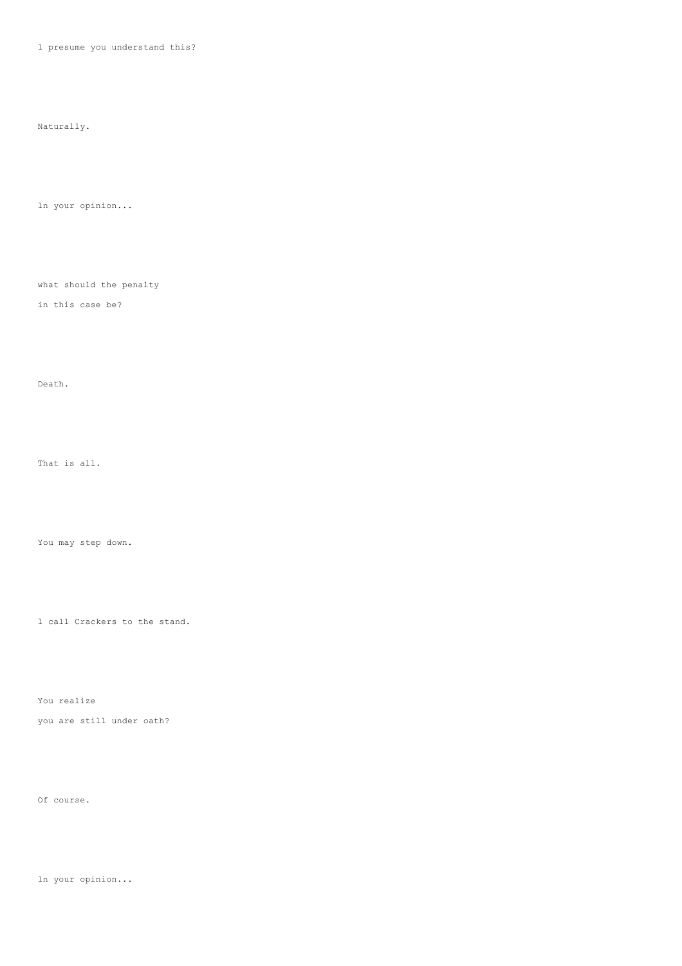l presume you understand this?

Naturally.

ln your opinion...

what should the penalty

in this case be?

Death.

That is all.

You may step down.

l call Crackers to the stand.

You realize you are still under oath?

Of course.

ln your opinion...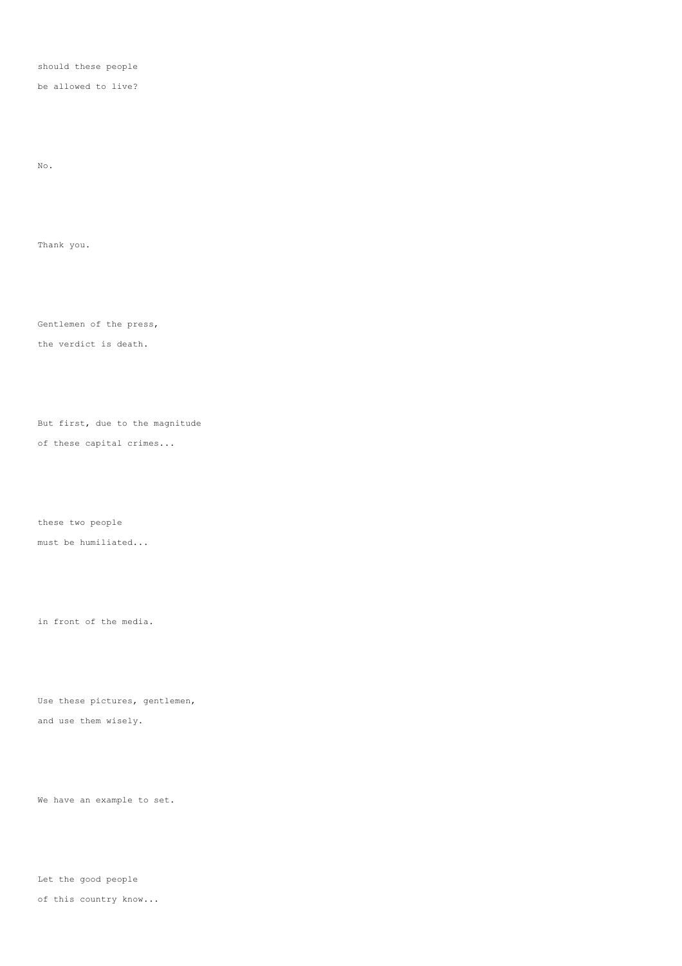should these people

be allowed to live?

No.

Thank you.

Gentlemen of the press,

the verdict is death.

But first, due to the magnitude

of these capital crimes...

these two people must be humiliated...

in front of the media.

Use these pictures, gentlemen, and use them wisely.

We have an example to set.

Let the good people of this country know...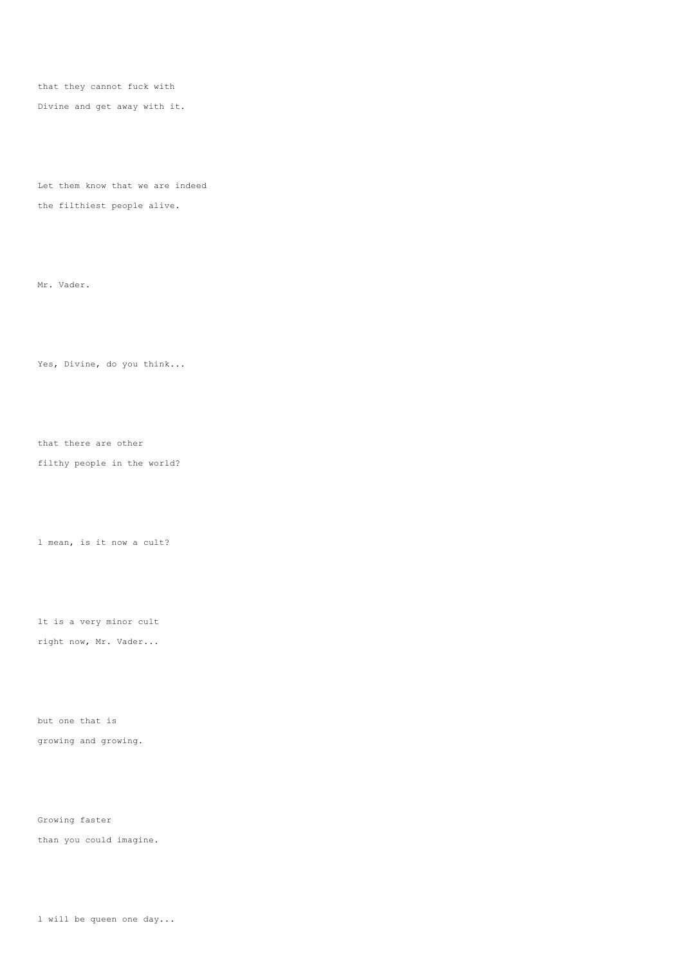that they cannot fuck with

Divine and get away with it.

Let them know that we are indeed the filthiest people alive.

Mr. Vader.

Yes, Divine, do you think...

that there are other

filthy people in the world?

l mean, is it now a cult?

lt is a very minor cult right now, Mr. Vader...

but one that is growing and growing.

Growing faster than you could imagine.

l will be queen one day...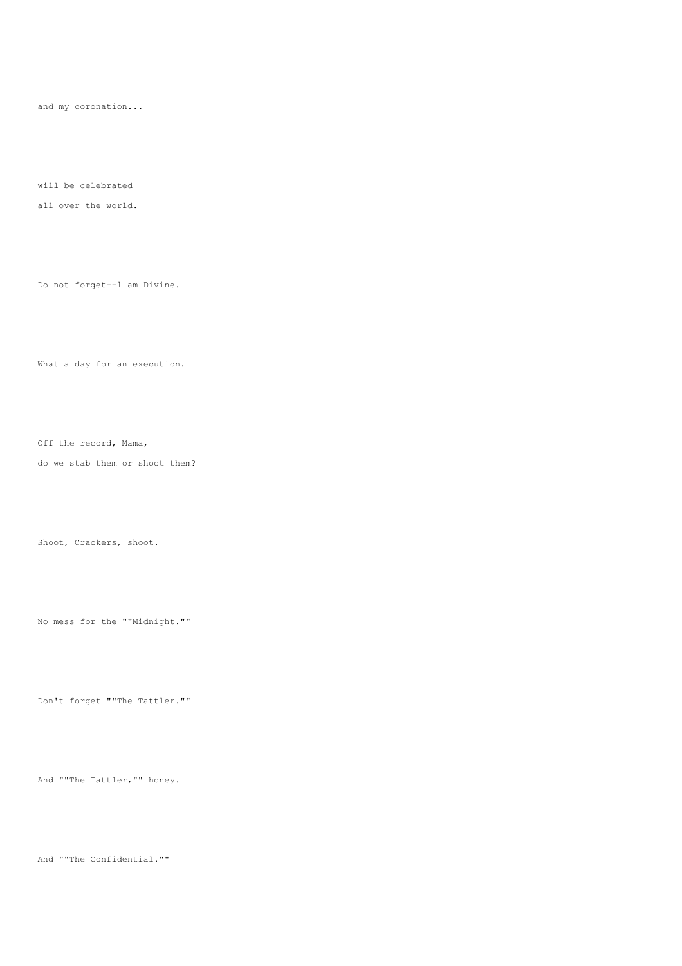and my coronation...

will be celebrated

all over the world.

Do not forget--l am Divine.

What a day for an execution.

Off the record, Mama,

do we stab them or shoot them?

Shoot, Crackers, shoot.

No mess for the ""Midnight.""

Don't forget ""The Tattler.""

And ""The Tattler,"" honey.

And ""The Confidential.""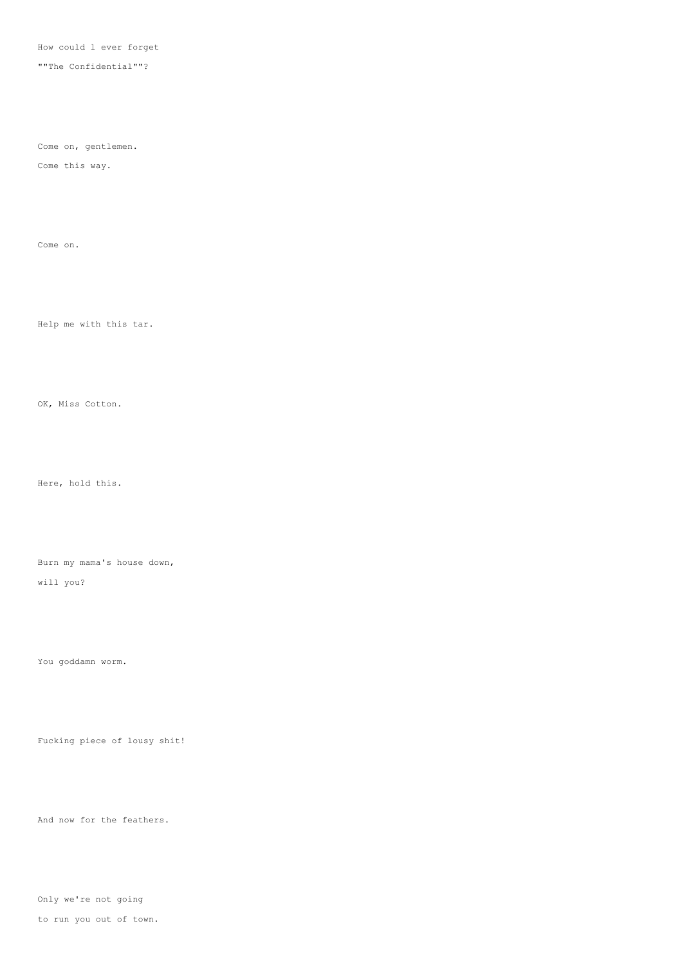How could l ever forget

""The Confidential""?

Come on, gentlemen.

Come this way.

Come on.

Help me with this tar.

OK, Miss Cotton.

Here, hold this.

Burn my mama's house down,

will you?

You goddamn worm.

Fucking piece of lousy shit!

And now for the feathers.

Only we're not going

to run you out of town.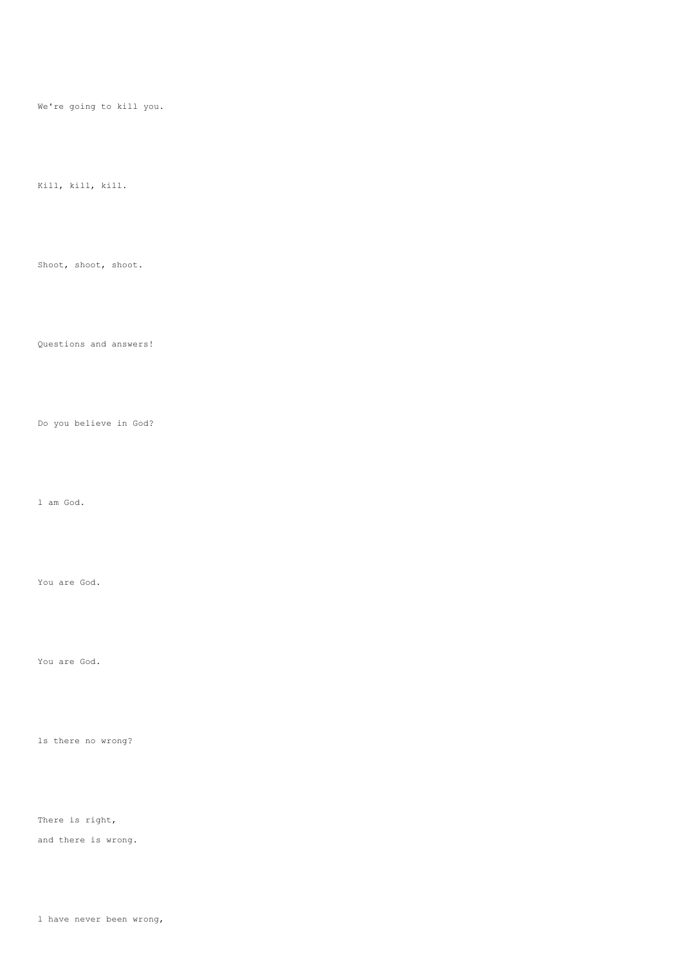We're going to kill you.

# Kill, kill, kill.

# Shoot, shoot, shoot.

## Questions and answers!

# Do you believe in God?

#### l am God.

### You are God.

#### You are God.

# ls there no wrong?

# There is right,

and there is wrong.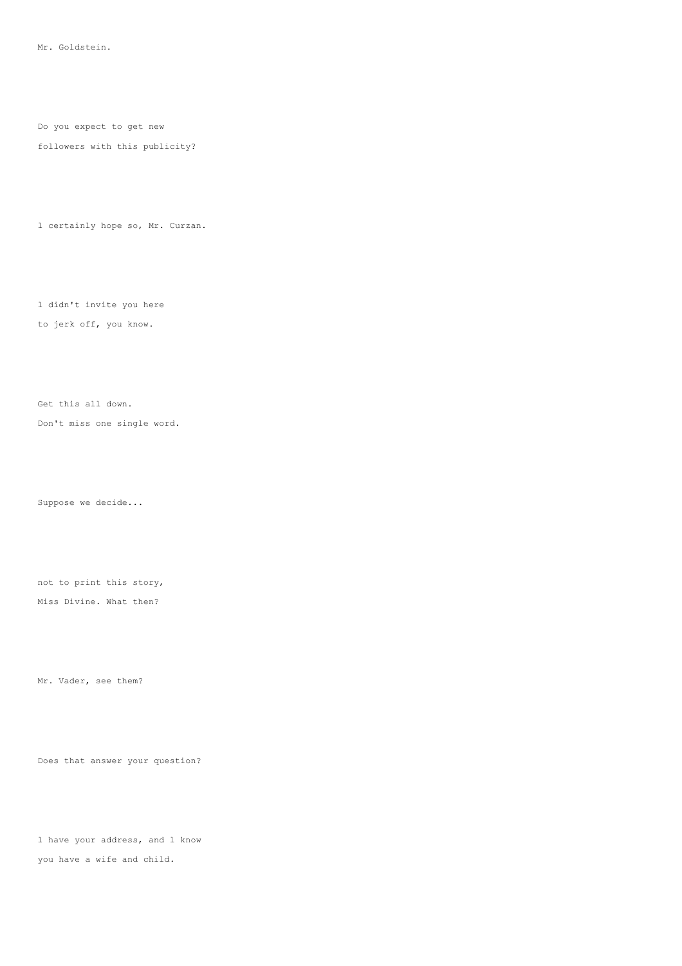Mr. Goldstein.

Do you expect to get new

#### followers with this publicity?

l certainly hope so, Mr. Curzan.

l didn't invite you here to jerk off, you know.

Get this all down.

Don't miss one single word.

Suppose we decide...

not to print this story,

Miss Divine. What then?

Mr. Vader, see them?

Does that answer your question?

l have your address, and l know you have a wife and child.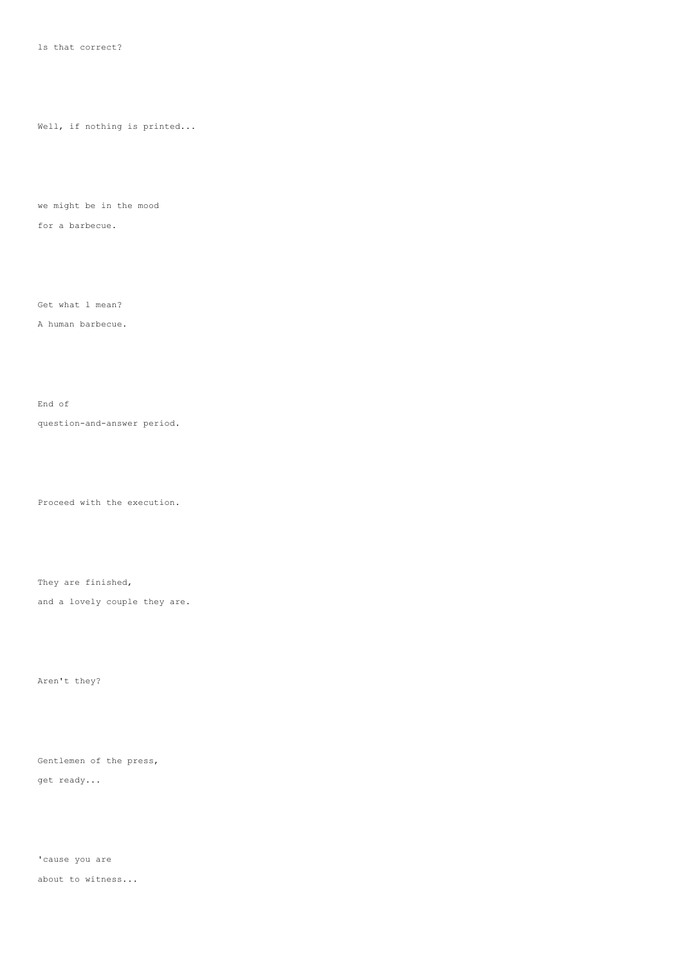Well, if nothing is printed...

we might be in the mood

for a barbecue.

Get what l mean?

A human barbecue.

End of

question-and-answer period.

Proceed with the execution.

They are finished,

and a lovely couple they are.

Aren't they?

Gentlemen of the press, get ready...

'cause you are about to witness...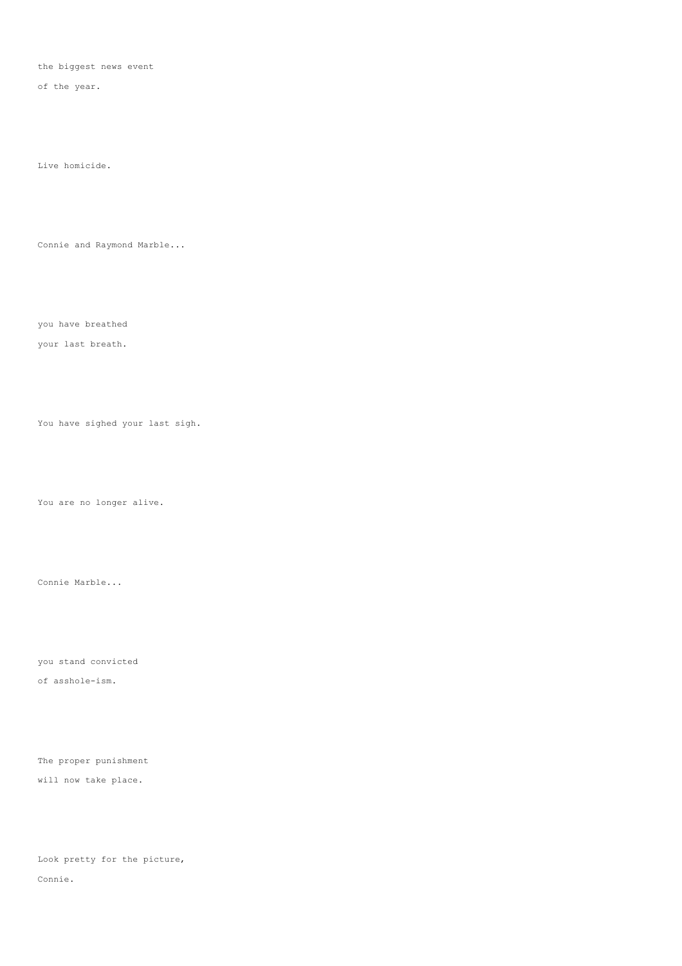the biggest news event

of the year.

Live homicide.

Connie and Raymond Marble...

you have breathed

your last breath.

You have sighed your last sigh.

You are no longer alive.

Connie Marble...

you stand convicted

of asshole-ism.

The proper punishment will now take place.

Look pretty for the picture, Connie.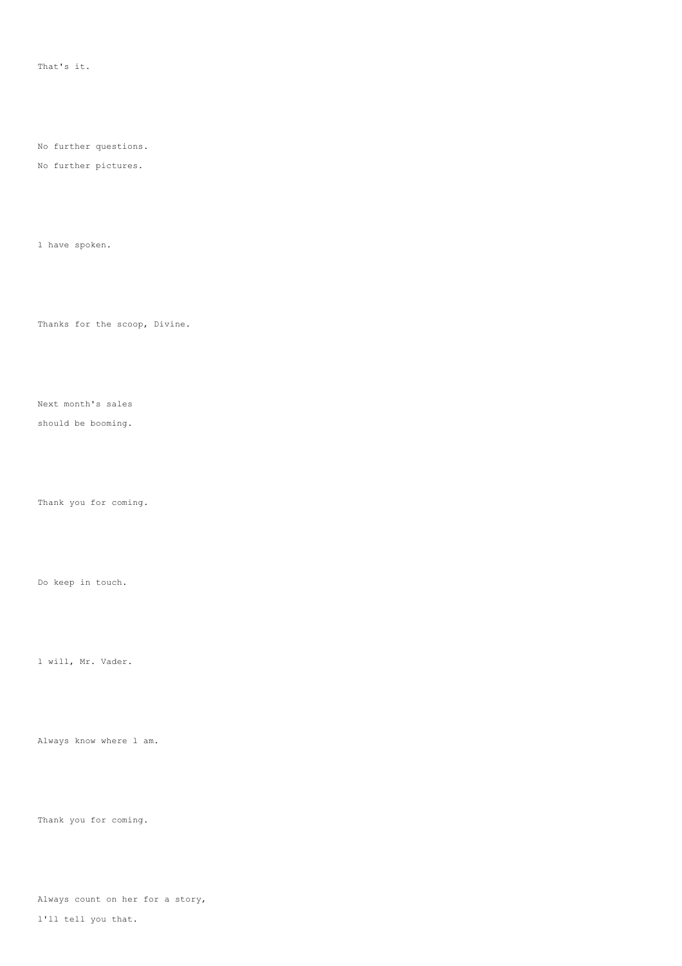That's it.

No further questions.

No further pictures.

l have spoken.

Thanks for the scoop, Divine.

Next month's sales

should be booming.

Thank you for coming.

Do keep in touch.

l will, Mr. Vader.

Always know where l am.

Thank you for coming.

Always count on her for a story,

l'll tell you that.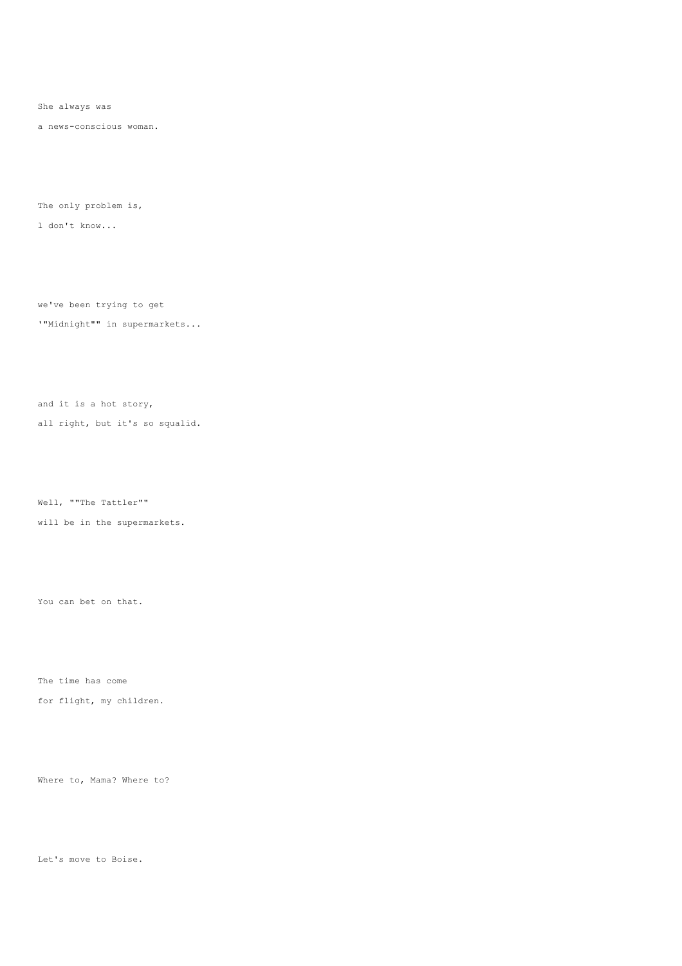She always was

a news-conscious woman.

The only problem is,

l don't know...

we've been trying to get

'"Midnight"" in supermarkets...

and it is a hot story,

all right, but it's so squalid.

Well, ""The Tattler""

will be in the supermarkets.

You can bet on that.

The time has come

for flight, my children.

Where to, Mama? Where to?

Let's move to Boise.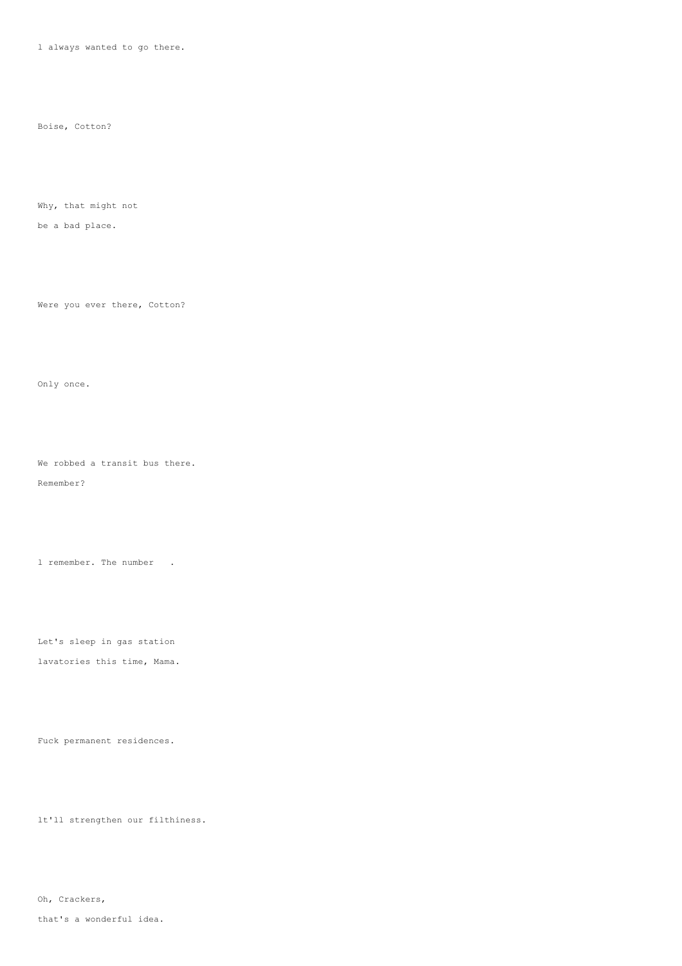l always wanted to go there.

Boise, Cotton?

Why, that might not

be a bad place.

Were you ever there, Cotton?

Only once.

We robbed a transit bus there.

Remember?

l remember. The number .

Let's sleep in gas station

lavatories this time, Mama.

Fuck permanent residences.

lt'll strengthen our filthiness.

Oh, Crackers,

that's a wonderful idea.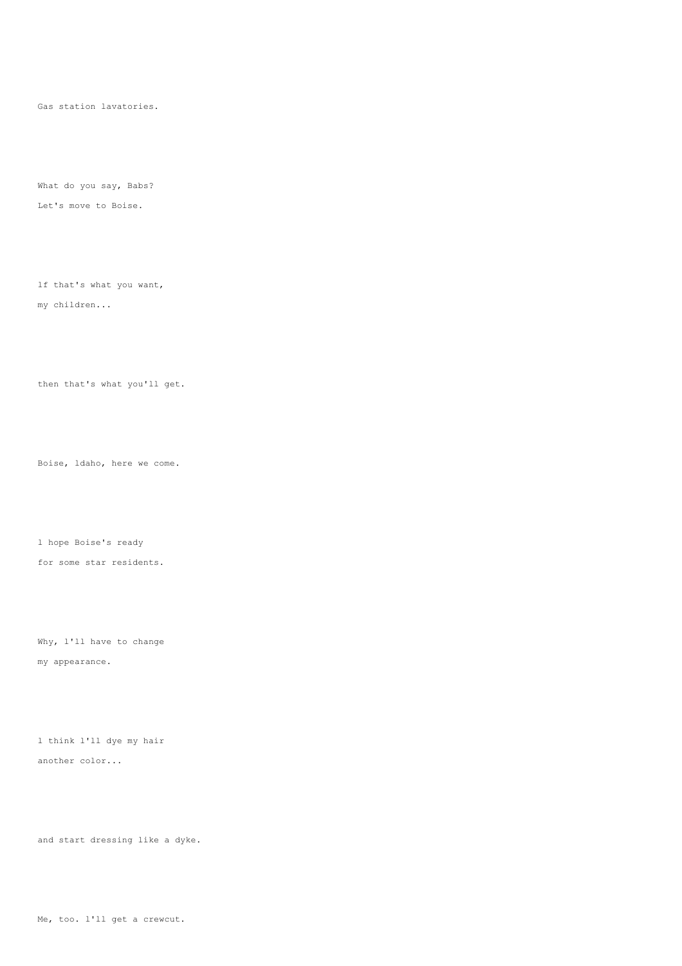Gas station lavatories.

What do you say, Babs? Let's move to Boise.

lf that's what you want, my children...

then that's what you'll get.

Boise, ldaho, here we come.

l hope Boise's ready for some star residents.

Why, l'll have to change my appearance.

l think l'll dye my hair another color...

and start dressing like a dyke.

Me, too. l'll get a crewcut.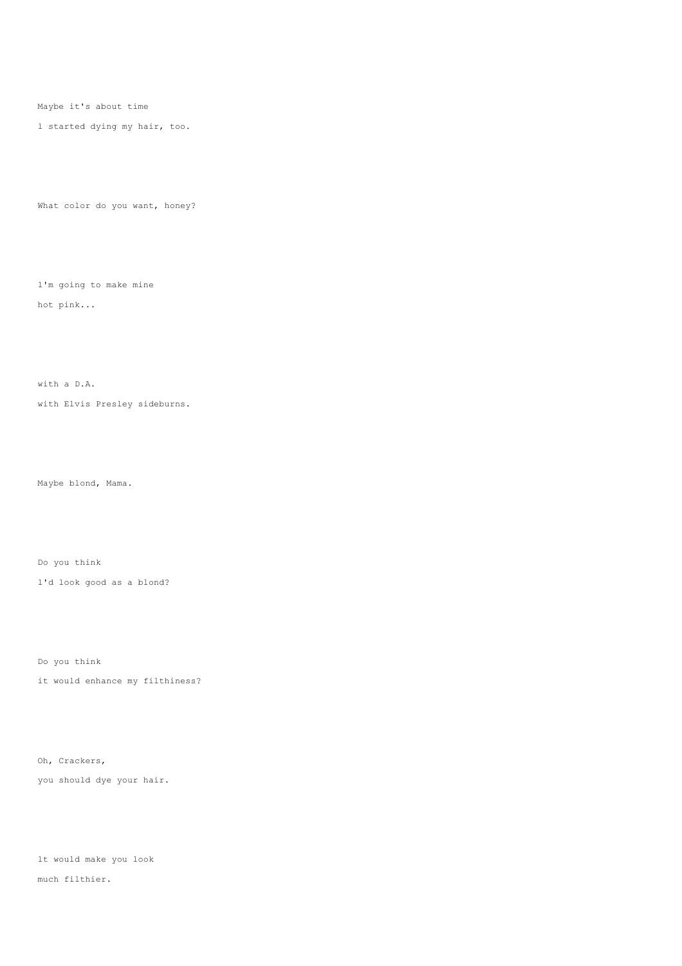Maybe it's about time

l started dying my hair, too.

What color do you want, honey?

l'm going to make mine hot pink...

with a D.A.

with Elvis Presley sideburns.

Maybe blond, Mama.

Do you think

l'd look good as a blond?

Do you think

it would enhance my filthiness?

Oh, Crackers,

you should dye your hair.

lt would make you look much filthier.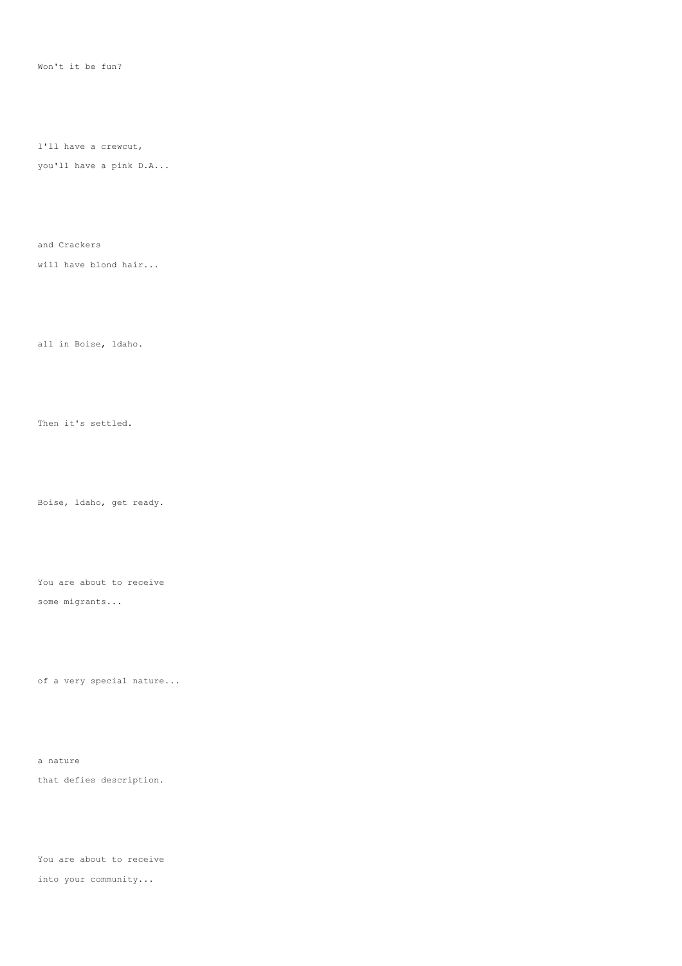Won't it be fun?

l'll have a crewcut,

you'll have a pink D.A...

and Crackers

will have blond hair...

all in Boise, ldaho.

Then it's settled.

Boise, ldaho, get ready.

You are about to receive

some migrants...

of a very special nature...

a nature that defies description.

You are about to receive into your community...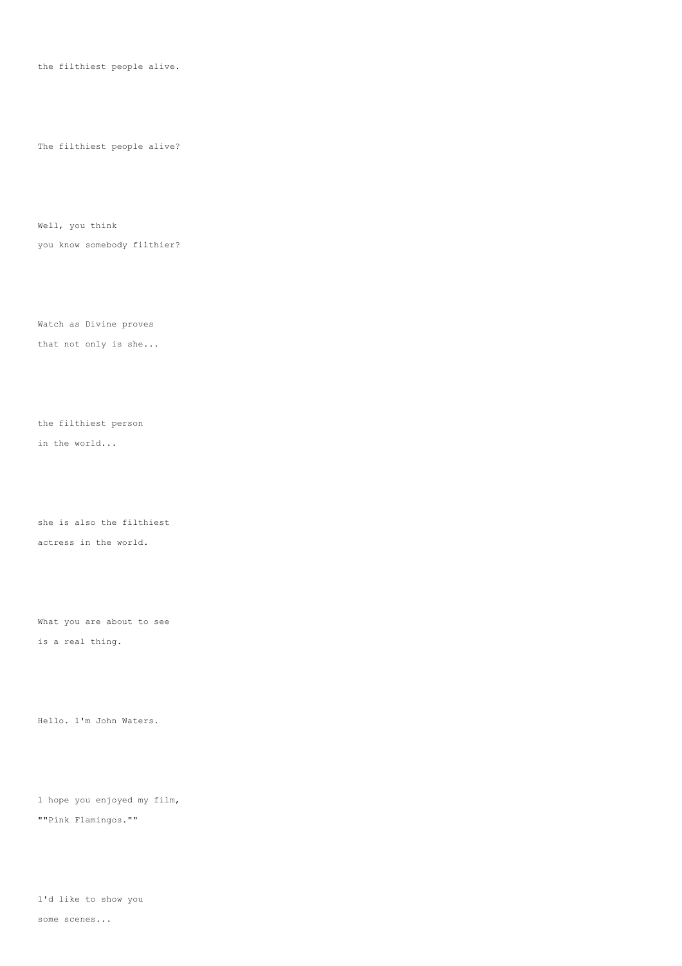the filthiest people alive.

The filthiest people alive?

Well, you think you know somebody filthier?

Watch as Divine proves that not only is she...

the filthiest person in the world...

she is also the filthiest actress in the world.

What you are about to see is a real thing.

Hello. l'm John Waters.

l hope you enjoyed my film, ""Pink Flamingos.""

l'd like to show you

some scenes...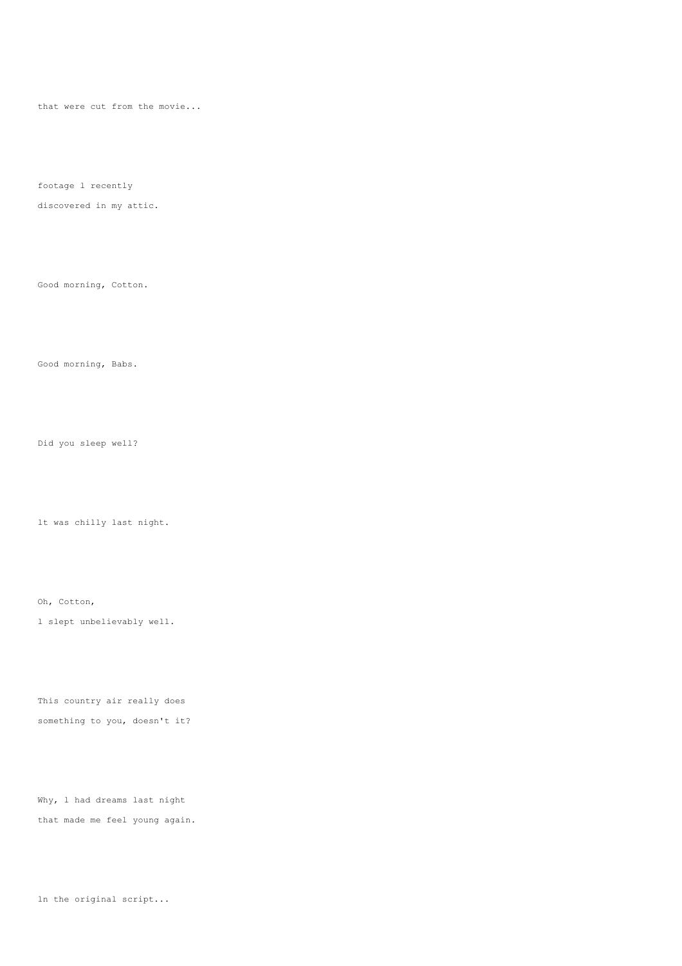that were cut from the movie...

footage l recently

discovered in my attic.

Good morning, Cotton.

Good morning, Babs.

Did you sleep well?

lt was chilly last night.

Oh, Cotton,

l slept unbelievably well.

This country air really does something to you, doesn't it?

Why, 1 had dreams last night that made me feel young again.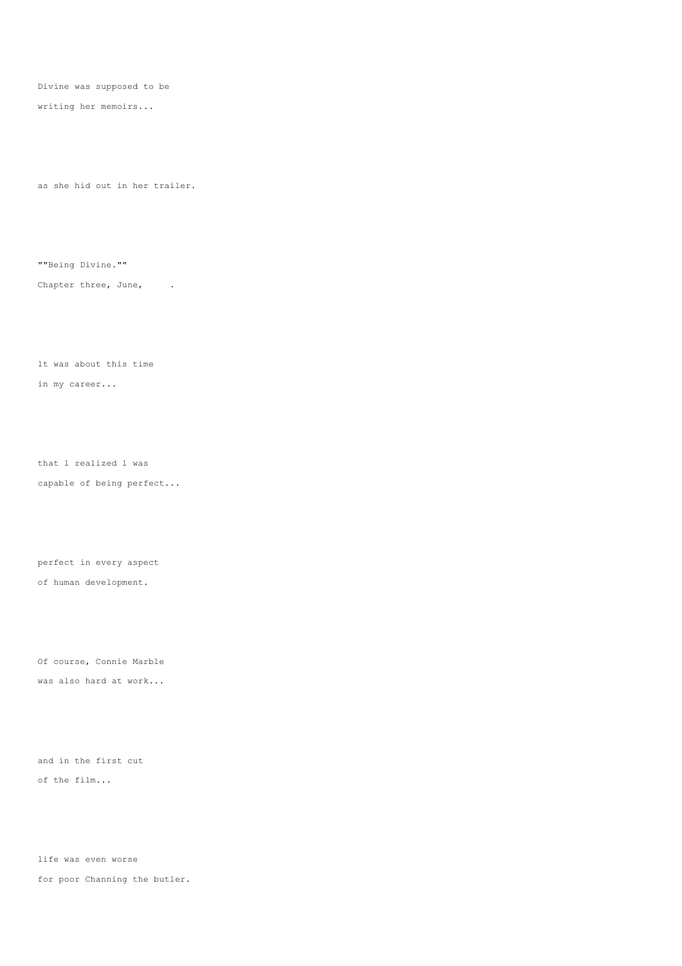Divine was supposed to be

writing her memoirs...

as she hid out in her trailer.

""Being Divine.""

Chapter three, June, .

lt was about this time in my career...

that l realized l was capable of being perfect...

perfect in every aspect of human development.

Of course, Connie Marble was also hard at work...

and in the first cut of the film...

life was even worse for poor Channing the butler.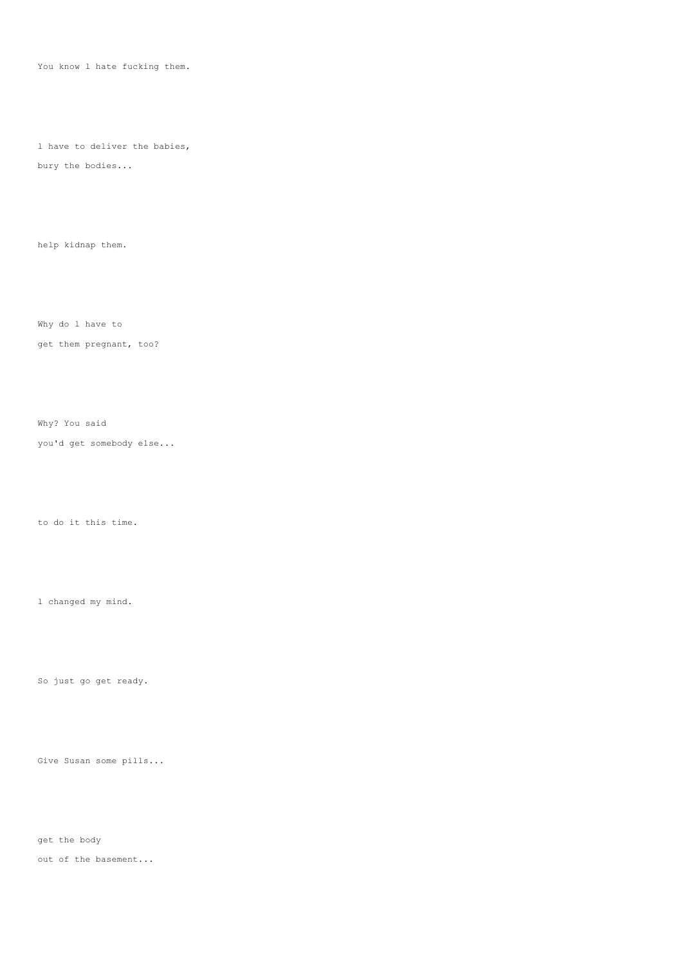You know 1 hate fucking them.

l have to deliver the babies,

bury the bodies...

help kidnap them.

Why do l have to

get them pregnant, too?

Why? You said

you'd get somebody else...

to do it this time.

l changed my mind.

So just go get ready.

Give Susan some pills...

get the body

out of the basement...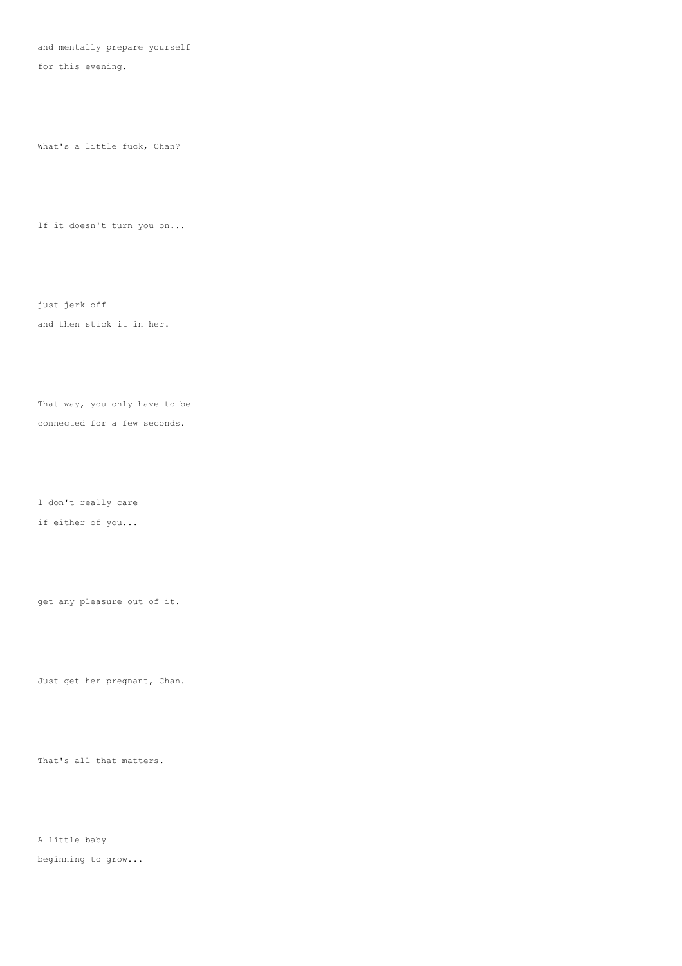and mentally prepare yourself

for this evening.

What's a little fuck, Chan?

lf it doesn't turn you on...

just jerk off

and then stick it in her.

That way, you only have to be connected for a few seconds.

l don't really care

if either of you...

get any pleasure out of it.

Just get her pregnant, Chan.

That's all that matters.

A little baby beginning to grow...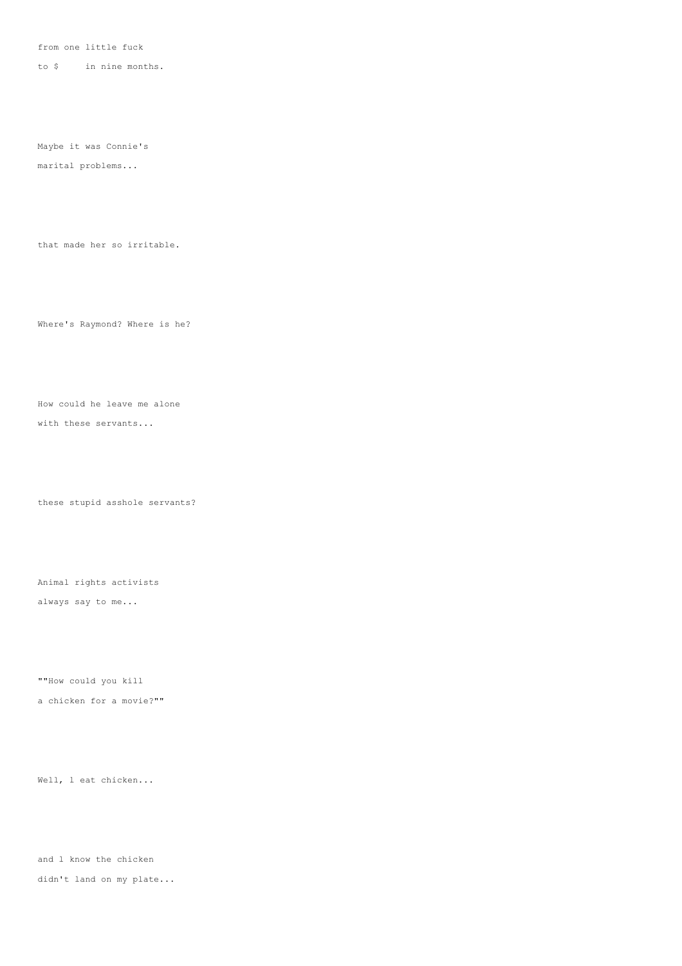from one little fuck

to \$ in nine months.

Maybe it was Connie's

marital problems...

that made her so irritable.

Where's Raymond? Where is he?

How could he leave me alone

with these servants...

these stupid asshole servants?

Animal rights activists

always say to me...

""How could you kill

a chicken for a movie?""

Well, l eat chicken...

and l know the chicken didn't land on my plate...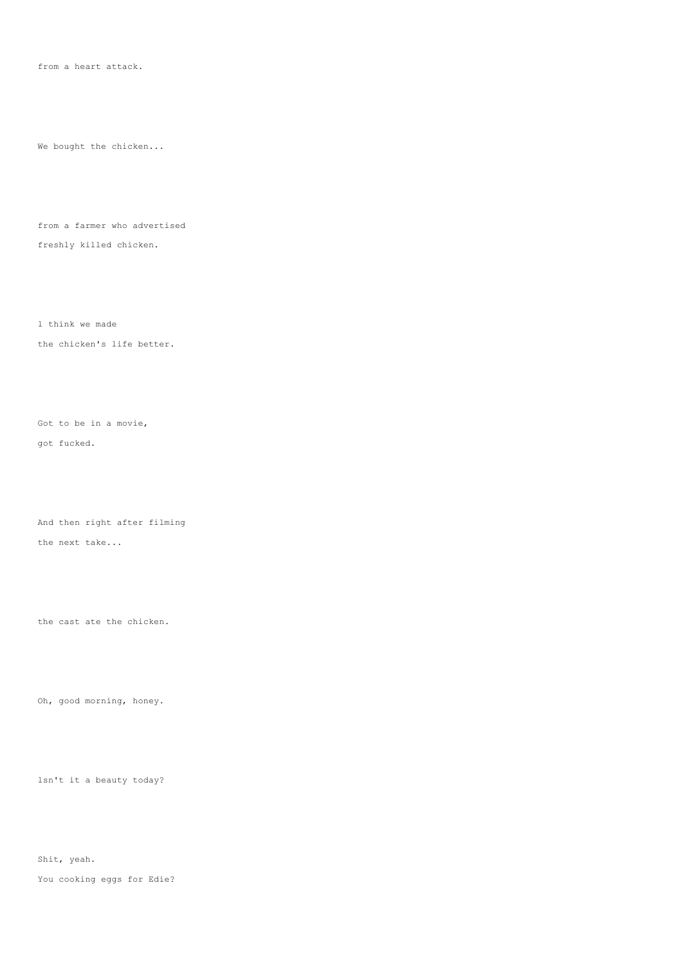from a heart attack.

We bought the chicken...

from a farmer who advertised freshly killed chicken.

l think we made the chicken's life better.

Got to be in a movie, got fucked.

And then right after filming the next take...

the cast ate the chicken.

Oh, good morning, honey.

lsn't it a beauty today?

Shit, yeah.

You cooking eggs for Edie?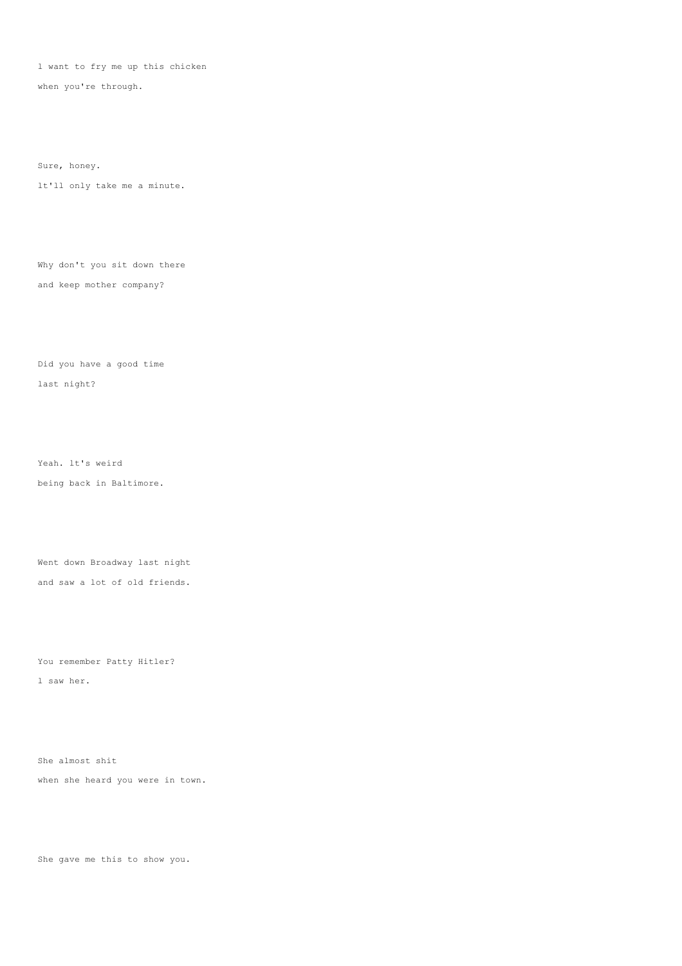l want to fry me up this chicken

when you're through.

Sure, honey.

lt'll only take me a minute.

Why don't you sit down there and keep mother company?

Did you have a good time last night?

Yeah. lt's weird being back in Baltimore.

Went down Broadway last night and saw a lot of old friends.

You remember Patty Hitler? l saw her.

She almost shit when she heard you were in town.

She gave me this to show you.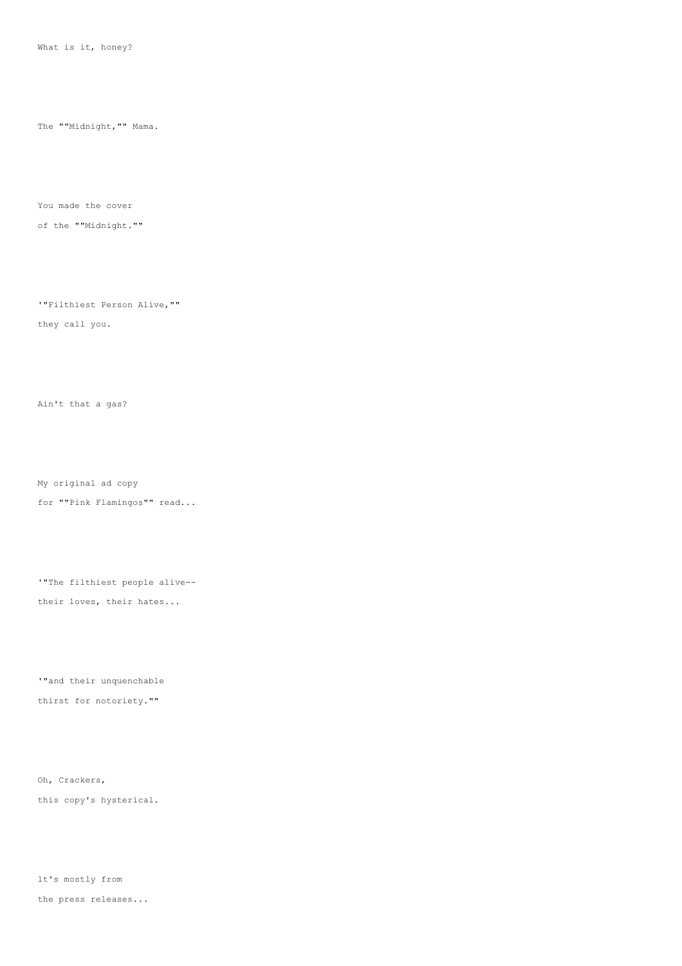What is it, honey?

The ""Midnight,"" Mama.

You made the cover

of the ""Midnight.""

'"Filthiest Person Alive,""

they call you.

Ain't that a gas?

My original ad copy

for ""Pink Flamingos"" read...

'"The filthiest people alive--

their loves, their hates...

'"and their unquenchable thirst for notoriety.""

Oh, Crackers, this copy's hysterical.

lt's mostly from the press releases...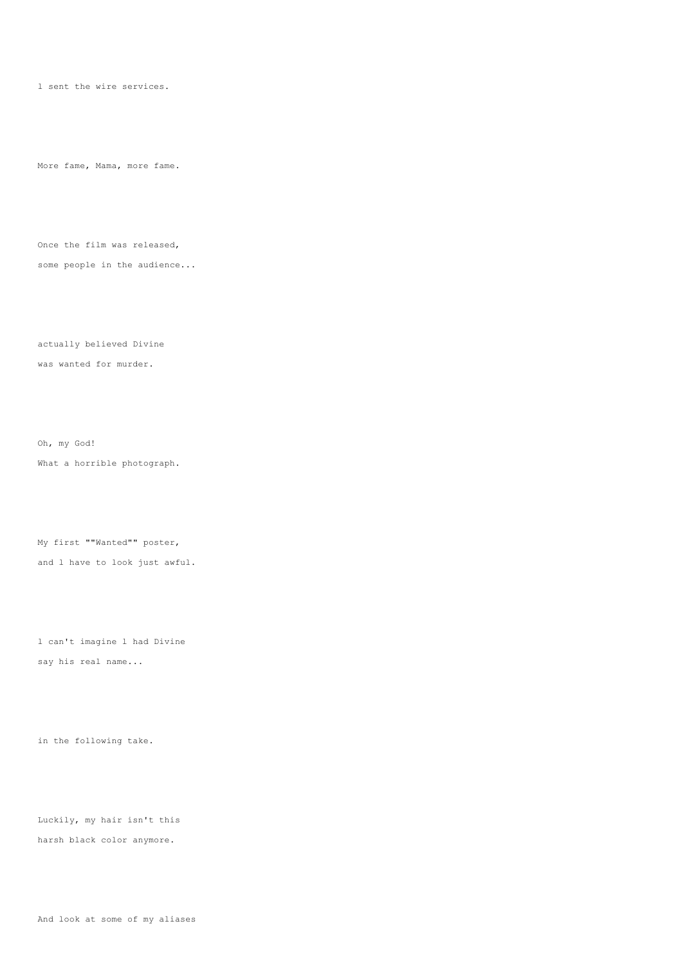l sent the wire services.

More fame, Mama, more fame.

Once the film was released, some people in the audience...

actually believed Divine was wanted for murder.

Oh, my God! What a horrible photograph.

My first ""Wanted"" poster, and l have to look just awful.

l can't imagine l had Divine say his real name...

in the following take.

Luckily, my hair isn't this harsh black color anymore.

And look at some of my aliases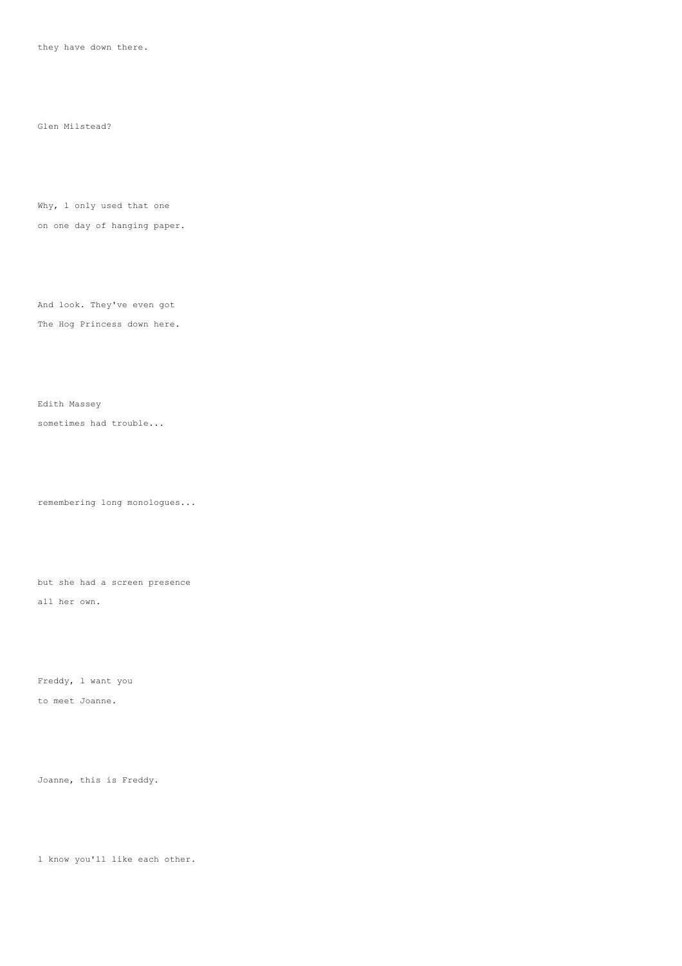they have down there.

Glen Milstead?

Why, 1 only used that one

on one day of hanging paper.

And look. They've even got The Hog Princess down here.

sometimes had trouble...

Edith Massey

remembering long monologues...

but she had a screen presence all her own.

Freddy, l want you to meet Joanne.

Joanne, this is Freddy.

l know you'll like each other.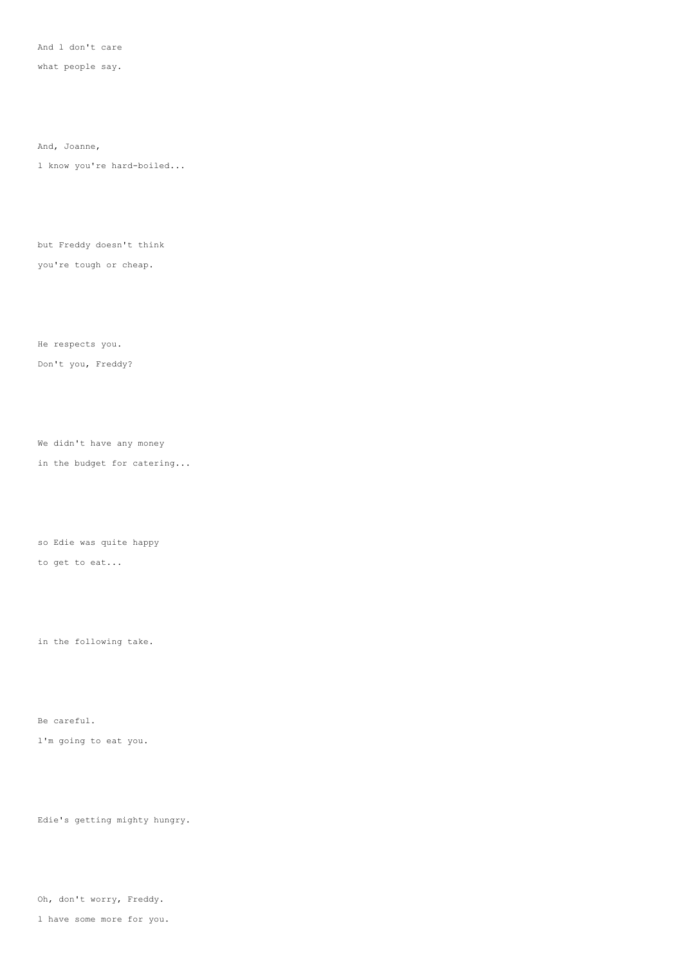And l don't care

what people say.

And, Joanne,

l know you're hard-boiled...

but Freddy doesn't think

you're tough or cheap.

He respects you.

Don't you, Freddy?

We didn't have any money in the budget for catering...

so Edie was quite happy to get to eat...

in the following take.

Be careful. l'm going to eat you.

Edie's getting mighty hungry.

Oh, don't worry, Freddy.

l have some more for you.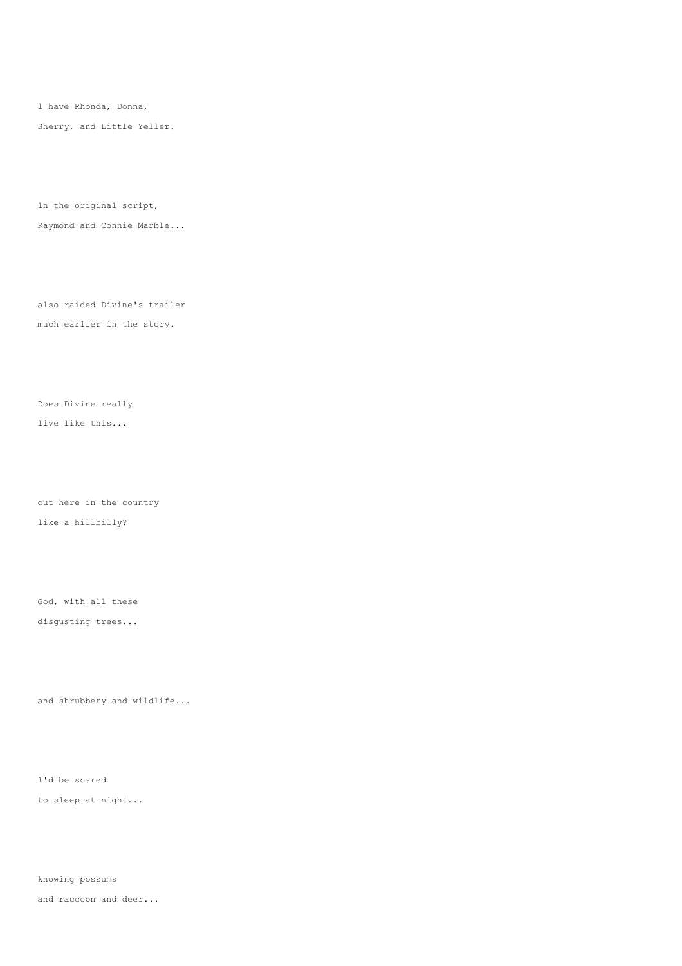l have Rhonda, Donna, Sherry, and Little Yeller.

ln the original script,

Raymond and Connie Marble...

also raided Divine's trailer much earlier in the story.

Does Divine really live like this...

out here in the country like a hillbilly?

disgusting trees...

God, with all these

and shrubbery and wildlife...

l'd be scared to sleep at night...

knowing possums and raccoon and deer...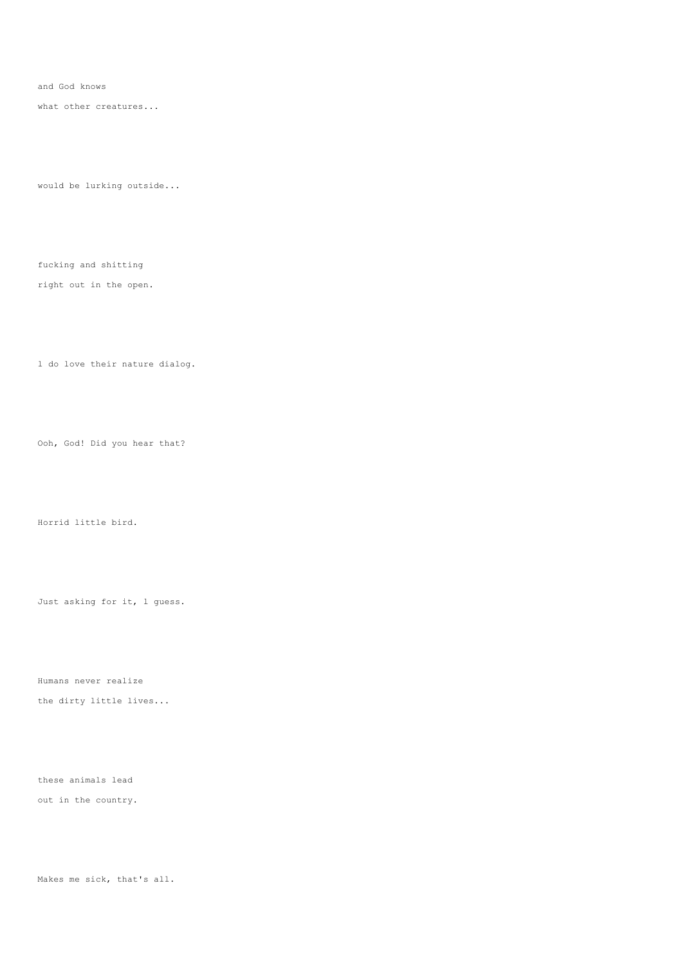and God knows

what other creatures...

would be lurking outside...

fucking and shitting

right out in the open.

l do love their nature dialog.

Ooh, God! Did you hear that?

Horrid little bird.

Just asking for it, l guess.

Humans never realize

the dirty little lives...

these animals lead

out in the country.

Makes me sick, that's all.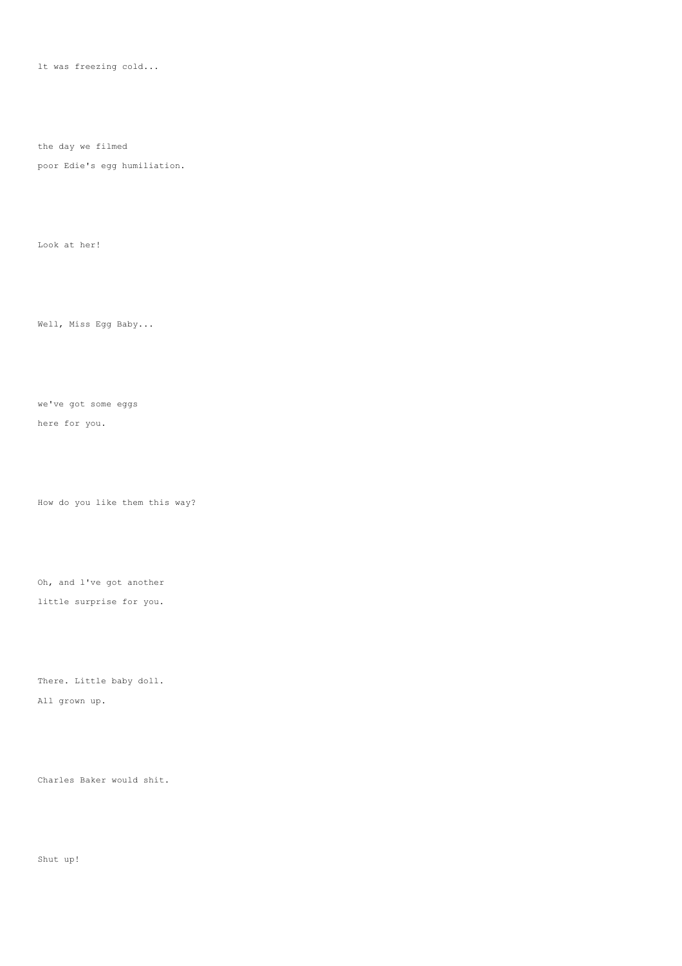lt was freezing cold...

the day we filmed

poor Edie's egg humiliation.

Look at her!

Well, Miss Egg Baby...

we've got some eggs

here for you.

How do you like them this way?

Oh, and l've got another

little surprise for you.

There. Little baby doll. All grown up.

Charles Baker would shit.

Shut up!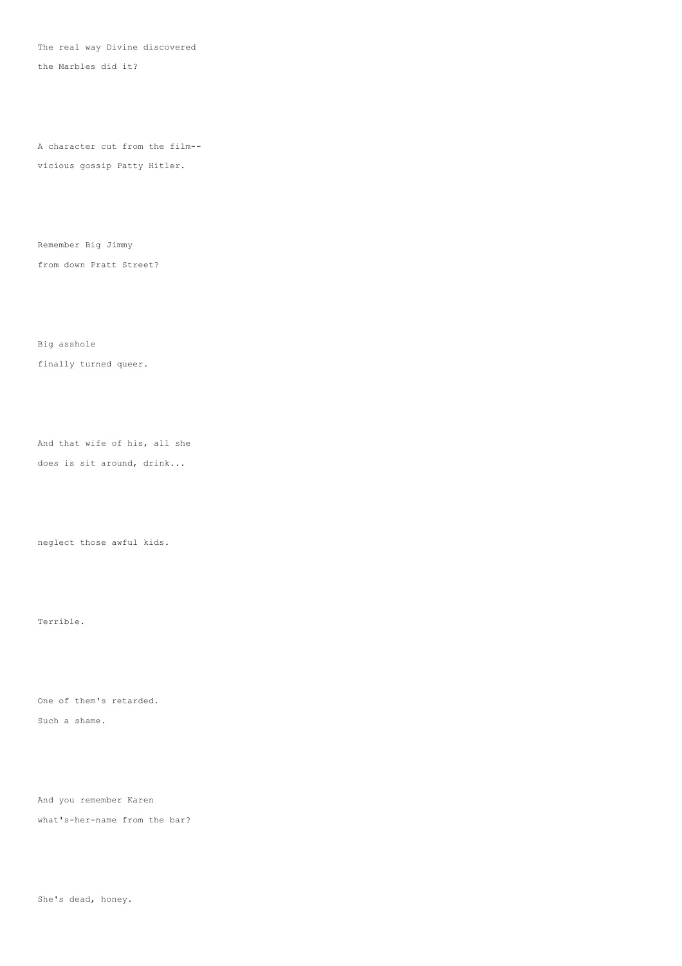The real way Divine discovered

the Marbles did it?

A character cut from the film--

vicious gossip Patty Hitler.

Remember Big Jimmy from down Pratt Street?

Big asshole finally turned queer.

And that wife of his, all she does is sit around, drink...

neglect those awful kids.

Terrible.

One of them's retarded.

Such a shame.

And you remember Karen

what's-her-name from the bar?

She's dead, honey.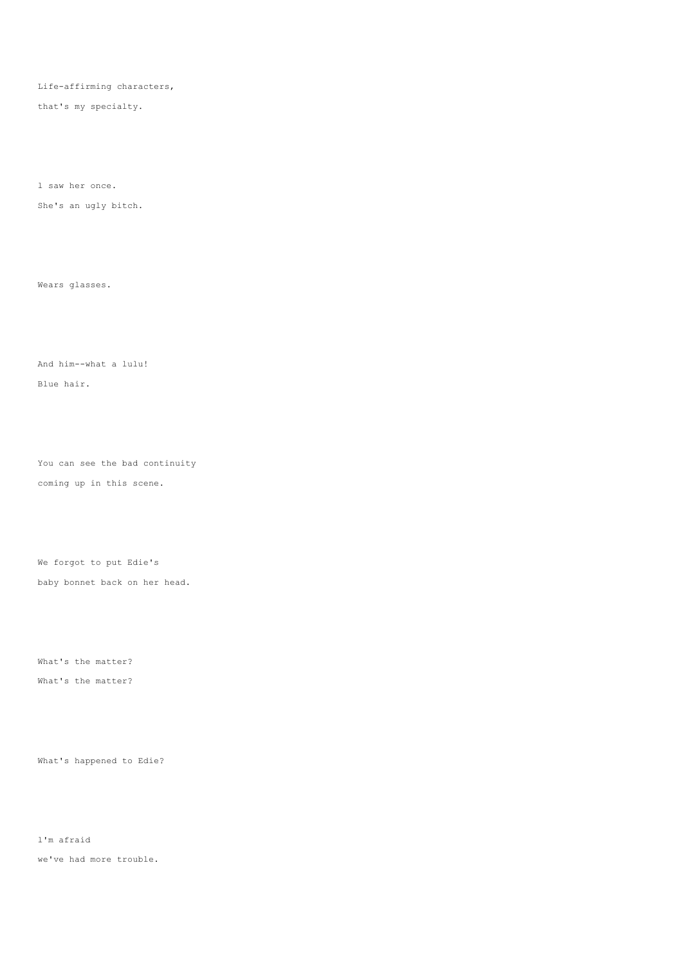Life-affirming characters,

that's my specialty.

l saw her once.

She's an ugly bitch.

Wears glasses.

And him--what a lulu!

Blue hair.

You can see the bad continuity coming up in this scene.

We forgot to put Edie's baby bonnet back on her head.

What's the matter? What's the matter?

What's happened to Edie?

l'm afraid

we've had more trouble.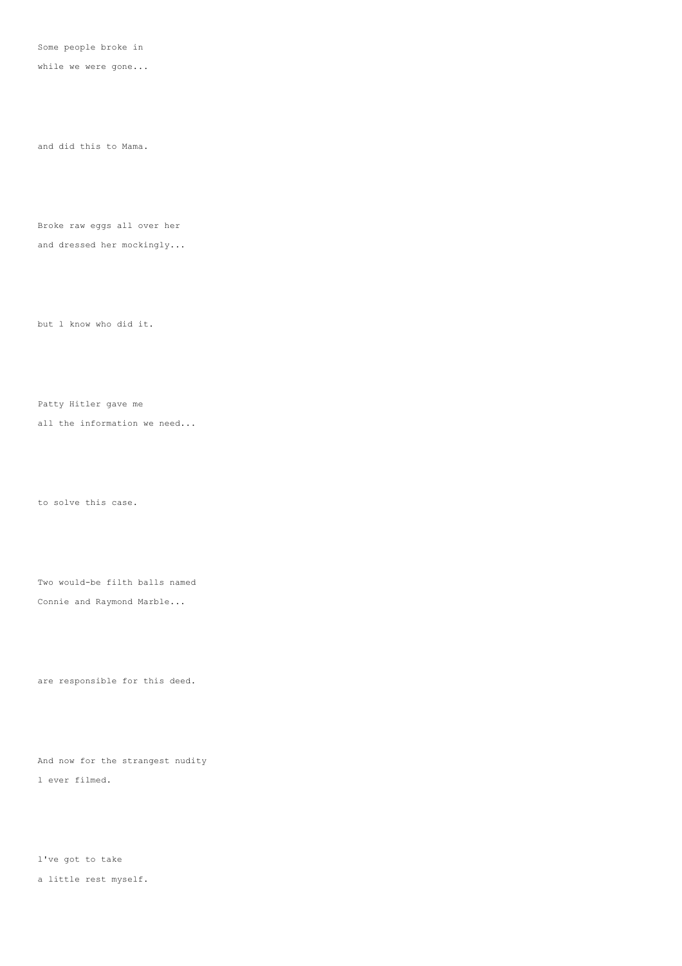Some people broke in

while we were gone...

and did this to Mama.

Broke raw eggs all over her and dressed her mockingly...

but l know who did it.

Patty Hitler gave me

all the information we need...

to solve this case.

Two would-be filth balls named Connie and Raymond Marble...

are responsible for this deed.

And now for the strangest nudity l ever filmed.

l've got to take a little rest myself.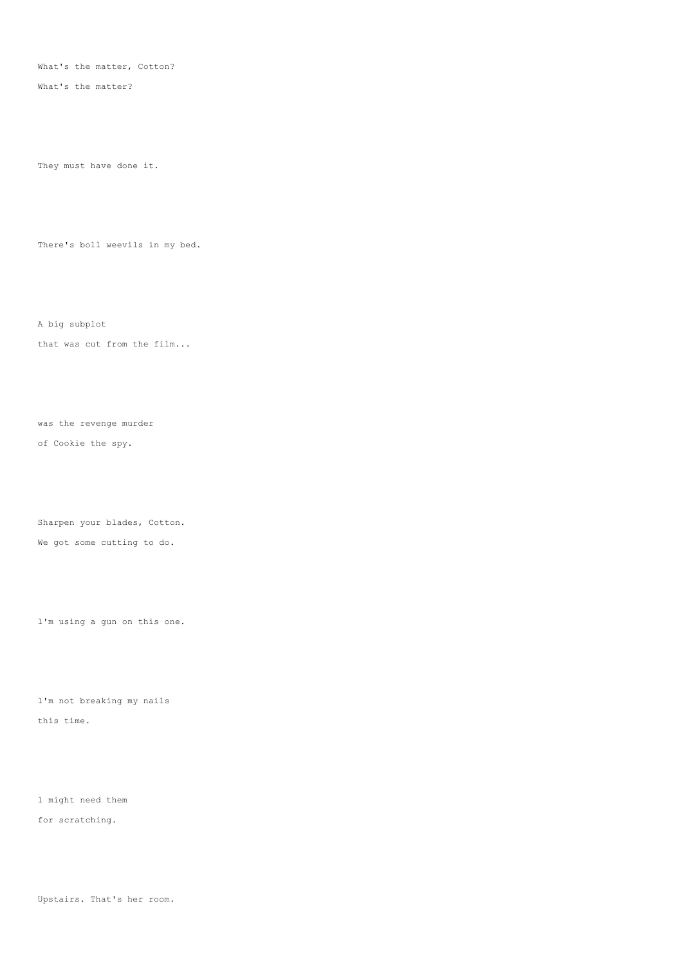What's the matter, Cotton?

What's the matter?

They must have done it.

There's boll weevils in my bed.

A big subplot

that was cut from the film...

was the revenge murder of Cookie the spy.

Sharpen your blades, Cotton. We got some cutting to do.

l'm using a gun on this one.

l'm not breaking my nails this time.

l might need them for scratching.

Upstairs. That's her room.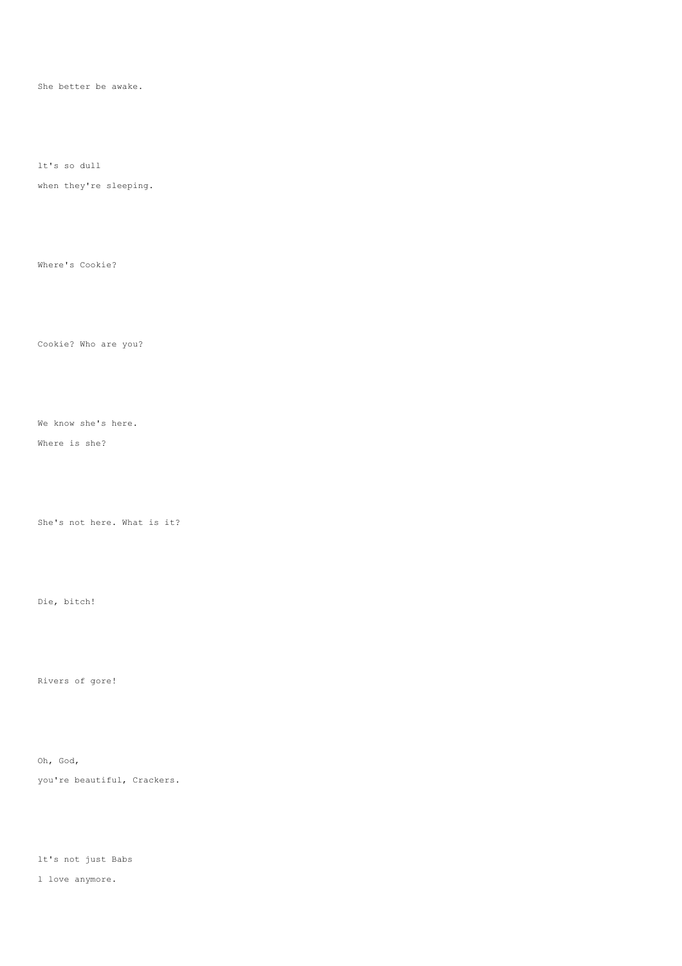She better be awake.

lt's so dull

when they're sleeping.

Where's Cookie?

Cookie? Who are you?

We know she's here.

Where is she?

She's not here. What is it?

Die, bitch!

Rivers of gore!

Oh, God,

you're beautiful, Crackers.

lt's not just Babs

l love anymore.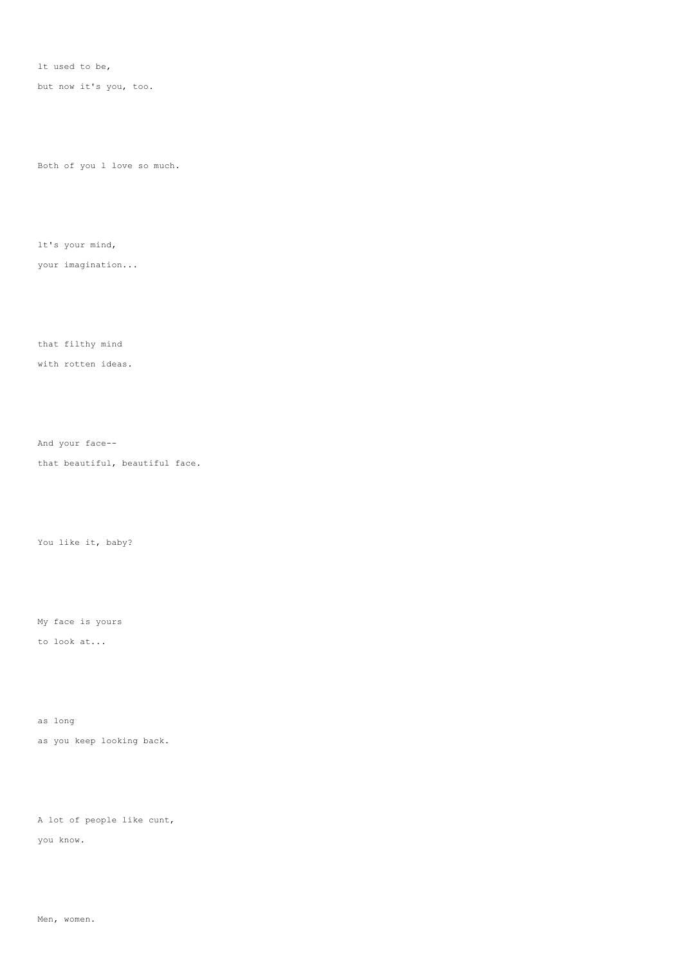lt used to be,

but now it's you, too.

Both of you l love so much.

lt's your mind,

your imagination...

that filthy mind

with rotten ideas.

And your face--

that beautiful, beautiful face.

You like it, baby?

My face is yours

to look at...

as long as you keep looking back.

A lot of people like cunt, you know.

Men, women.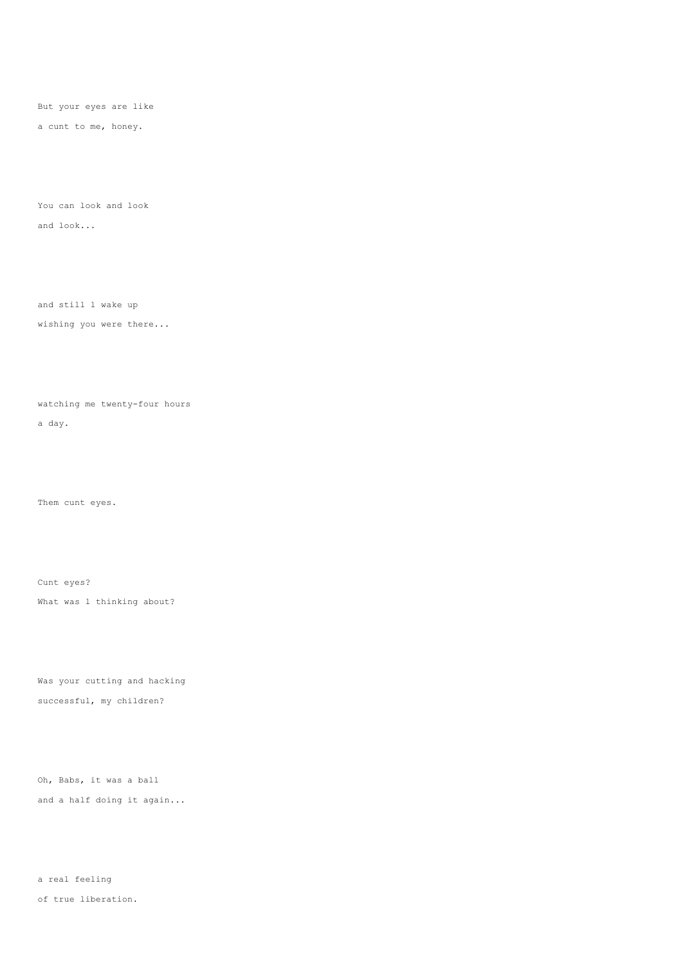But your eyes are like

a cunt to me, honey.

You can look and look and look...

and still l wake up

wishing you were there...

watching me twenty-four hours

a day.

Them cunt eyes.

Cunt eyes? What was 1 thinking about?

Was your cutting and hacking successful, my children?

Oh, Babs, it was a ball and a half doing it again...

a real feeling of true liberation.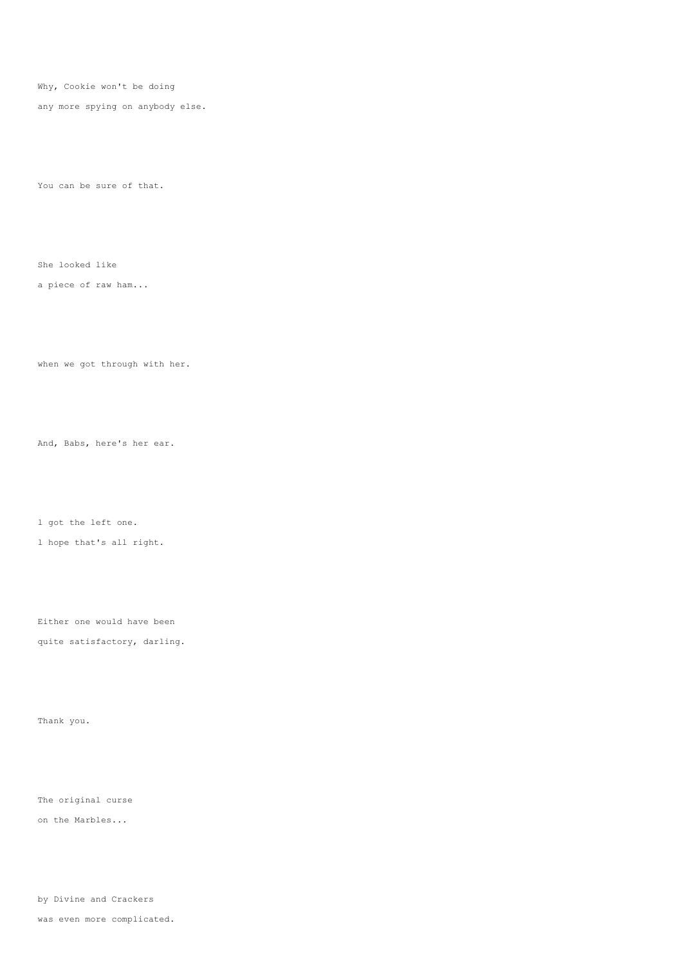Why, Cookie won't be doing

any more spying on anybody else.

You can be sure of that.

She looked like

a piece of raw ham...

when we got through with her.

And, Babs, here's her ear.

l got the left one.

l hope that's all right.

Either one would have been quite satisfactory, darling.

Thank you.

The original curse

on the Marbles...

by Divine and Crackers

was even more complicated.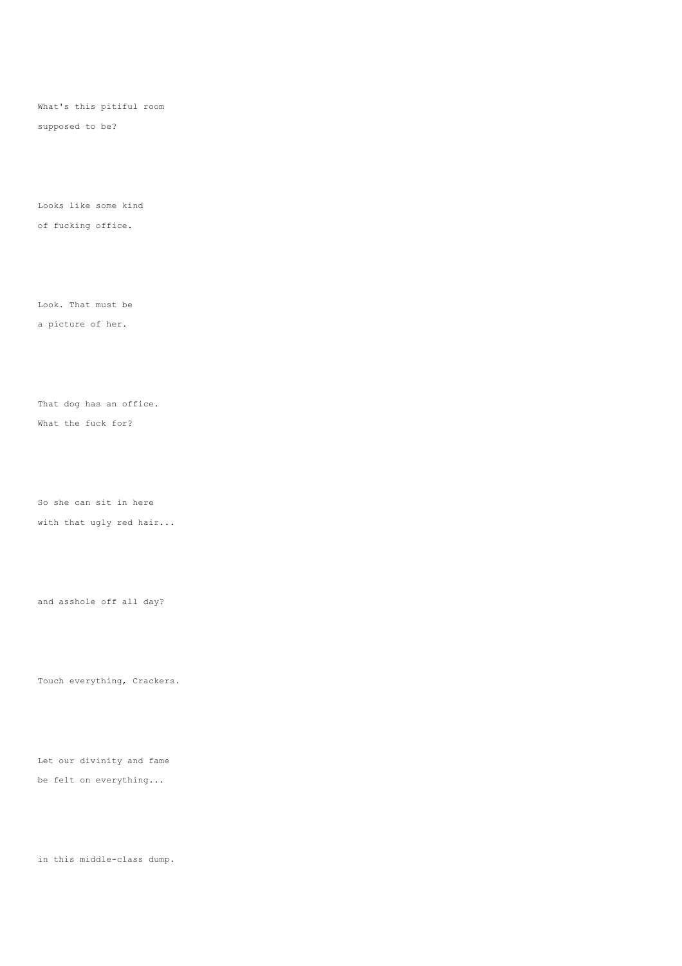What's this pitiful room

supposed to be?

Looks like some kind of fucking office.

Look. That must be

a picture of her.

That dog has an office.

What the fuck for?

So she can sit in here

with that ugly red hair...

and asshole off all day?

Touch everything, Crackers.

Let our divinity and fame be felt on everything...

in this middle-class dump.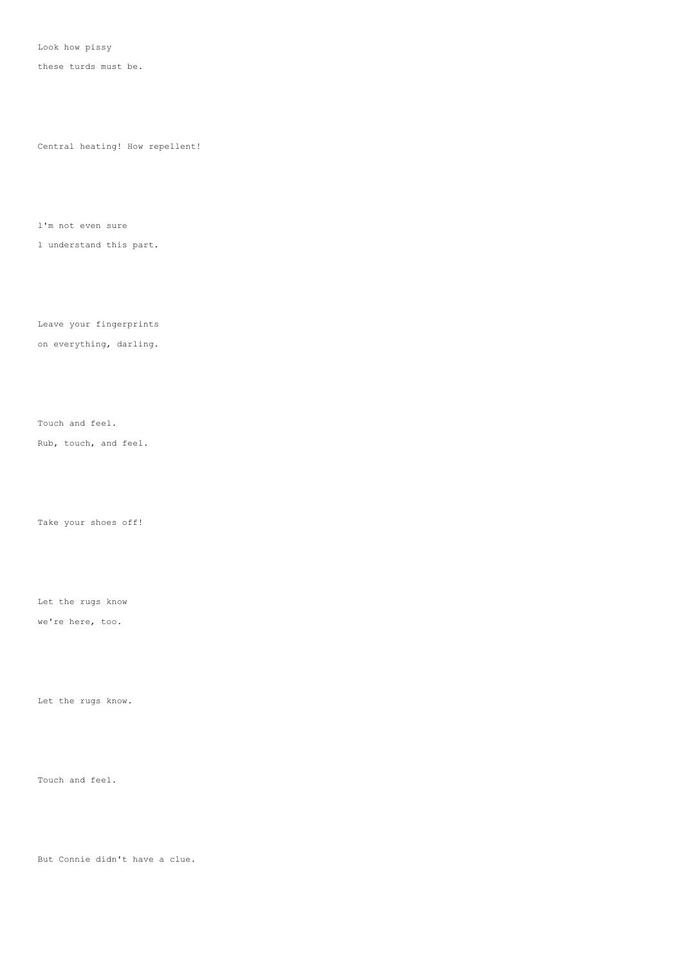Look how pissy

these turds must be.

Central heating! How repellent!

l'm not even sure

l understand this part.

Leave your fingerprints

on everything, darling.

Touch and feel.

Rub, touch, and feel.

Take your shoes off!

Let the rugs know

we're here, too.

Let the rugs know.

Touch and feel.

But Connie didn't have a clue.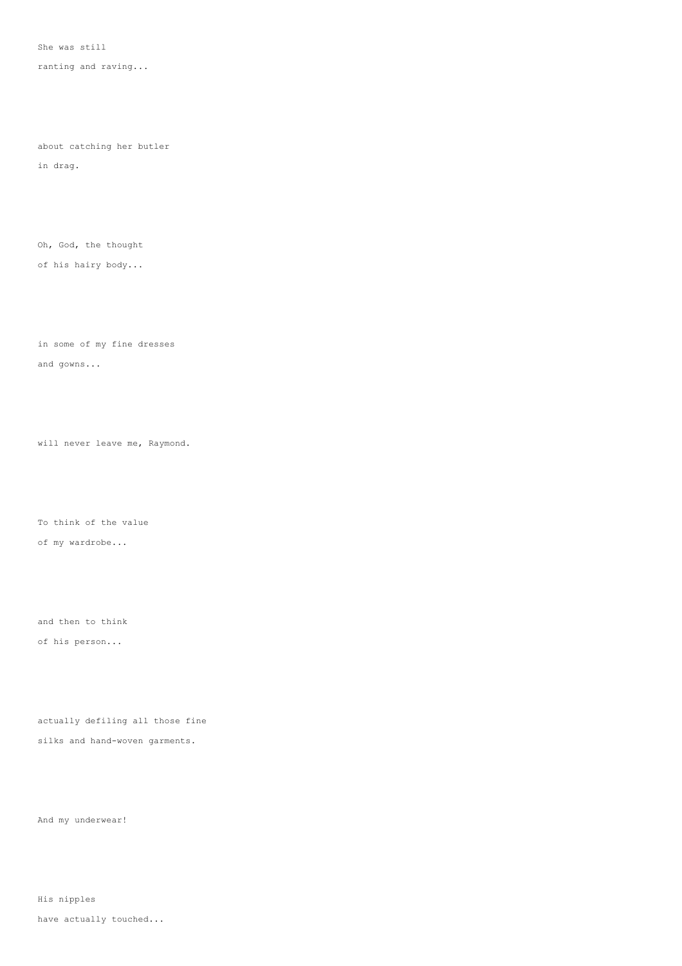She was still

ranting and raving...

about catching her butler

in drag.

Oh, God, the thought

of his hairy body...

in some of my fine dresses and gowns...

will never leave me, Raymond.

To think of the value of my wardrobe...

and then to think of his person...

actually defiling all those fine silks and hand-woven garments.

And my underwear!

His nipples have actually touched...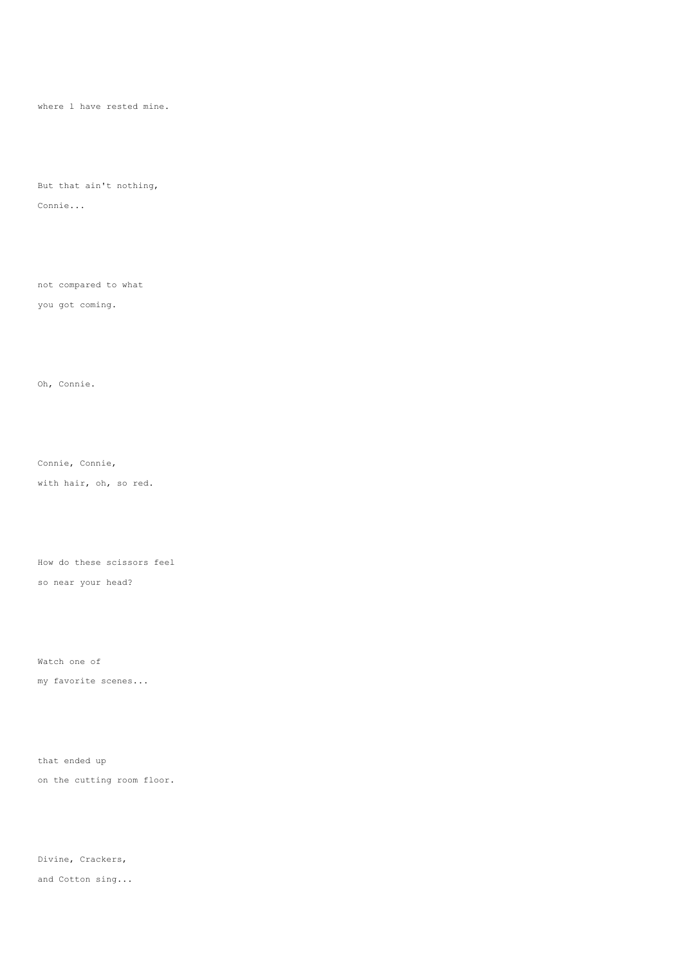where l have rested mine.

But that ain't nothing, Connie...

not compared to what

you got coming.

Oh, Connie.

Connie, Connie,

with hair, oh, so red.

How do these scissors feel

so near your head?

Watch one of

my favorite scenes...

that ended up on the cutting room floor.

Divine, Crackers, and Cotton sing...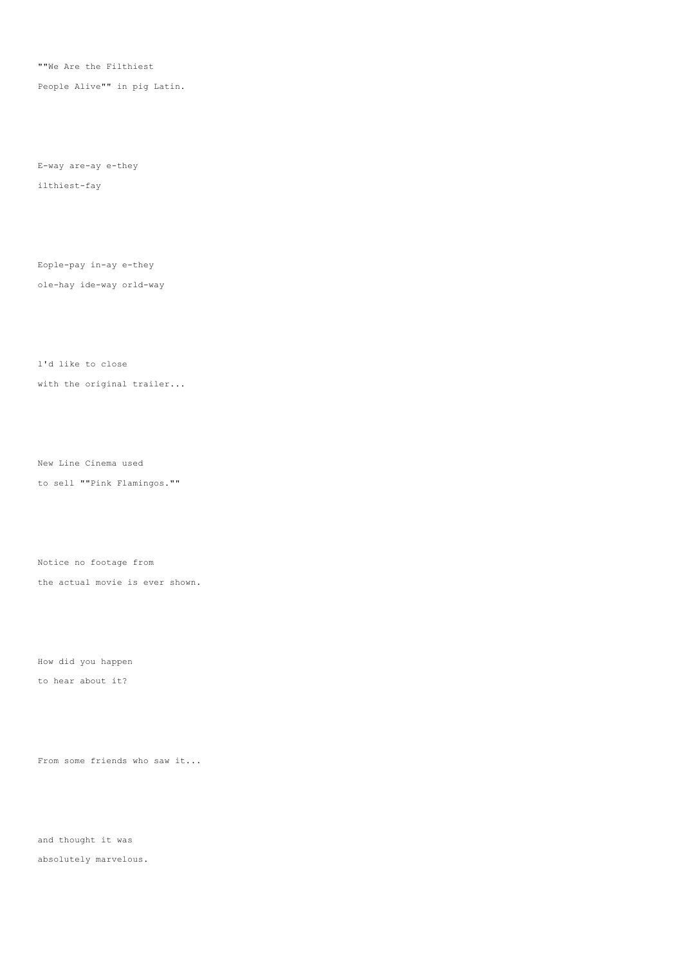""We Are the Filthiest

People Alive"" in pig Latin.

E-way are-ay e-they ilthiest-fay

Eople-pay in-ay e-they ole-hay ide-way orld-way

with the original trailer...

l'd like to close

New Line Cinema used

to sell ""Pink Flamingos.""

Notice no footage from

the actual movie is ever shown.

How did you happen

to hear about it?

From some friends who saw it...

and thought it was absolutely marvelous.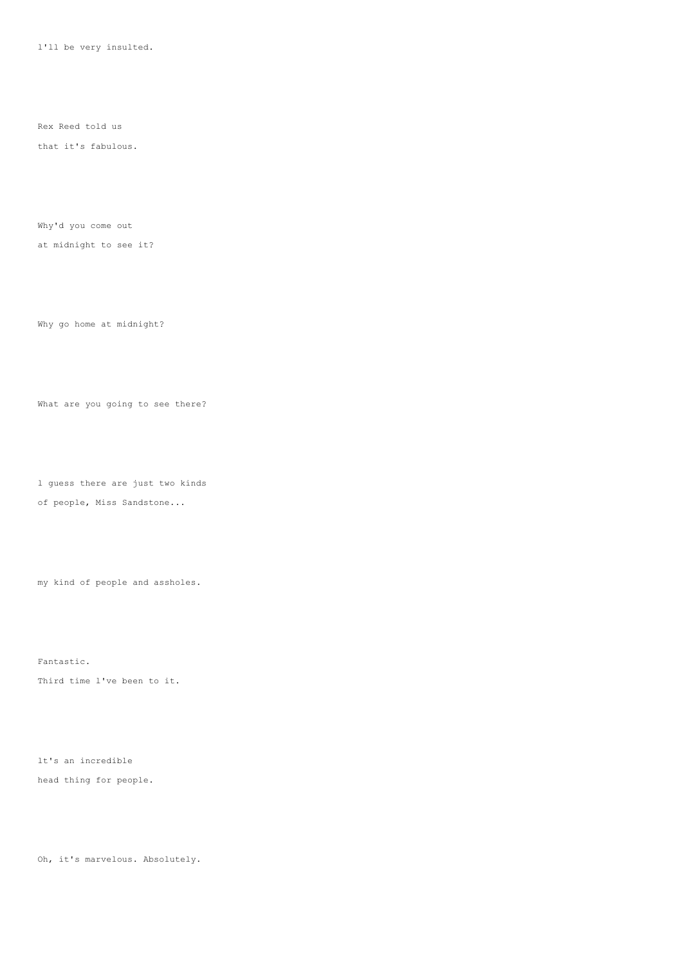l'll be very insulted.

Rex Reed told us

that it's fabulous.

Why'd you come out

at midnight to see it?

Why go home at midnight?

What are you going to see there?

l guess there are just two kinds

of people, Miss Sandstone...

my kind of people and assholes.

Fantastic.

Third time l've been to it.

lt's an incredible head thing for people.

Oh, it's marvelous. Absolutely.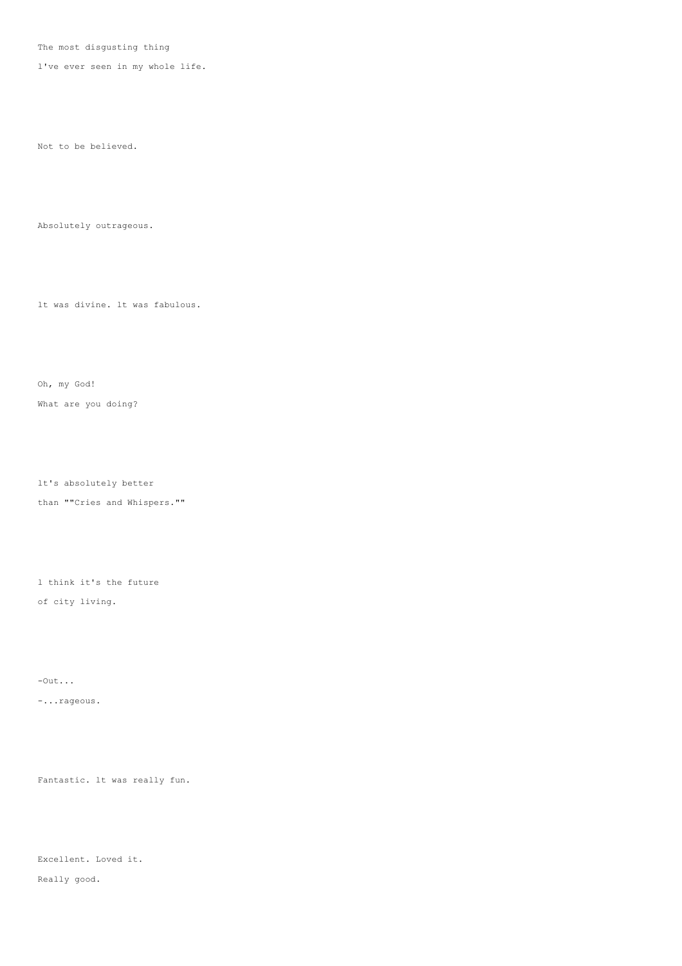The most disgusting thing

l've ever seen in my whole life.

Not to be believed.

Absolutely outrageous.

lt was divine. lt was fabulous.

Oh, my God!

What are you doing?

lt's absolutely better

than ""Cries and Whispers.""

l think it's the future

of city living.

-Out...

-...rageous.

Fantastic. lt was really fun.

Excellent. Loved it.

Really good.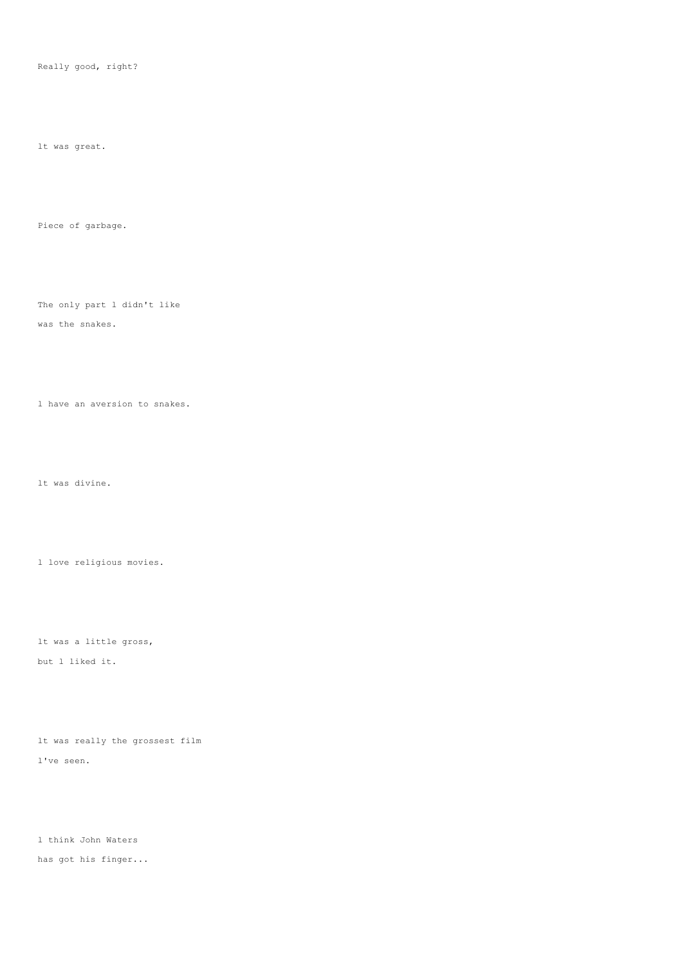Really good, right?

lt was great.

Piece of garbage.

The only part l didn't like

was the snakes.

l have an aversion to snakes.

lt was divine.

l love religious movies.

lt was a little gross, but l liked it.

lt was really the grossest film l've seen.

l think John Waters has got his finger...